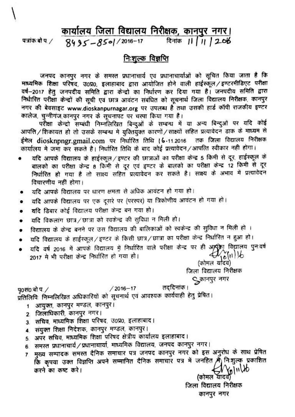## कार्यालय जिला विद्यालय निरीक्षक, कानपुर नगर।

पत्रांक बो प. /

#### दिनांक 11 / 11 / 2016  $8495 - 85$ ol  $/2016 - 17$

## <u>निःशुल्क विज्ञप्ति</u>

जनपद कानपुर नगर के समस्त प्रधानाचार्य एवं प्रधानाचार्याओं को सूचित किया जाता है कि माध्यमिक शिक्षा परिषद, उ0प्र0, इलाहाबाद द्वारा आयोजित होने वाली हाईस्कूल / इण्टरमीडिएट परीक्षा वर्ष-2017 हेतु जनपदीय समिति द्वारा केन्द्रो का निर्धारण कर दिया गया है। जनपदीय समिति द्वारा निर्धारित परीक्षा केन्द्रों की सूची एवं छात्र आवंटन संबंधित को सूचनार्थ जिला विद्यालय निरीक्षक, कानपुर नगर की बेवसाइट www.dioskanpurnagar.org पर उपलब्ध है तथा उसकी हार्ड कॉपी राजकीय इण्टर कालेज, चुन्नीगंज,कानपुर नगर के सूचनापट पर चस्पा किया गया है।

परीक्षा केन्द्रो सम्बंधी निम्नलिखित बिन्दुओं के सम्बन्ध में या अन्य बिन्दुओं पर यदि कोई आपत्ति / शिकायत हो तो उसके सम्बन्ध मे युक्तियुक्त कारणों / साक्ष्यों सहित प्रत्यावेदन डाक के माध्यम से तक जिला विद्यालय निरीक्षक ईमेल diosknpngr.gmail.com पर निर्धारित तिथि । 6-11.2016 कार्यालय मे जमा कर सकते है। निर्धारित तिथि के बाद कोई प्रत्यावेदन/आपत्ति स्वीकार नही होगा।

- यदि आपके विद्यालय के हाईस्कूल / इण्टर की छात्राओं का परीक्षा केन्द्र 5 किमी से दूर. हाईस्कूल के बालको का परीक्षा केन्द्र 8 किमी से दूर एवं इण्टर के बालको का परीक्षा केन्द्र 12 किमी से दूर निर्धारित हो गया है तो साक्ष्य सहित प्रत्यावेदन कर सकते है। साक्ष्य के अभाव में प्रत्यावेदन विचारणीय नहीं होगा।
- यदि आपके विद्यालय पर धारण क्षमता से अधिक आवंटन हो गया हो।  $\bullet$
- यदि आपके विद्यालय पर एक दूसरे पर (परस्पर) या त्रिकोणीय आवंटन हो गया हो।  $\bullet$
- यदि डिबार कोई विद्यालय परीक्षा केन्द्र बन गया हो।
- यदि विकलांग छात्र/छात्रा को स्वकेन्द्र की सुविधा न मिली हो। ٠
- विद्यालय के केन्द्र बनने पर उस विद्यालय की बालिकाओं को स्वकेन्द्र की सुविधा न मिली हो । ۰
- यदि विद्यालय के हाईस्कूल/इण्टर के किसी छात्र/छात्रा का परीक्षा केन्द्र निर्धारित न हुआ हो।
- यदि वर्ष 2016 में आपके विद्यालय में निर्धारित वाले परीक्षा केन्द्र पर ही अम्पूर्का विद्यालय पुनःवर्ष  $\bullet$  $\bigoplus_{\substack{\bullet \text{odd} \\ (\text{where } \text{ulge})}} \{ \parallel \text{b} \}$ 2017 मे भी परीक्षा केन्द्र निर्धारित हो गया हो।

जिला विद्यालय निरीक्षक ुकानपुर नगर

तददिनांक ।  $/2016 - 17$ प0स0 बो $\sigma$ प्रतिलिपिः निम्नलिखित अधिकारियों को सूचनार्थ एवं आवश्यक कार्यवाही हेतु प्रेषित।

- 1 आयुक्त, कानपुर मण्डल, कानपुर।
- 2. जिलाधिकारी, कानपुर नगर।
- 3. सचिव, माध्यमिक शिक्षा परिषद, उ०प्र०, इलाहाबाद।
- 4. संयुक्त शिक्षा निदेशक, कानपुर मण्डल, कानपुर।
- 5. अपर सचिव, माध्यमिक शिक्षा परिषद क्षेत्रीय कार्यालय इलाहाबाद।
- 6. समस्त प्रधानाचार्य / प्रधानाचार्या, माध्यमिक विद्यालय, जनपद कानपुर नगर।
- 7 मुख्य सम्पादक समस्त दैनिक समाचार पत्र जनपद कानपुर नगर को इस अनुरोध के साथ प्रेषित कि कृपया उक्त विज्ञप्ति अपने सम्मानित दैनिक समाचार पत्र में जनहित में निःशुल्क प्रकाशित Glulb करने का कष्ट करे।

(कोमल यादव) जिला विद्यालय निरीक्षक कानपुर नगर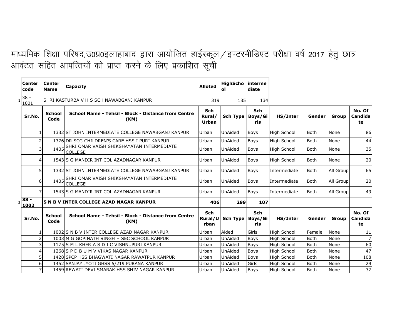# माध्यमिक शिक्षा परिषद,उ0प्र0इलाहाबाद द्वारा आयोजित हाईस्कूल / इण्टरमीडिएट परीक्षा वर्ष 2017 हेतु छात्र आवंटत सहित आपत्तियों को प्राप्त करने के लिए प्रकाशित सूची

| <b>Center</b><br>code   | Center<br><b>Name</b> | Capacity                                                         | <b>Alloted</b>                       | <b>HighScho</b> interme<br>οl | diate             |                    |             |             |                         |
|-------------------------|-----------------------|------------------------------------------------------------------|--------------------------------------|-------------------------------|-------------------|--------------------|-------------|-------------|-------------------------|
| $38 -$<br>1<br>1001     |                       | SHRI KASTURBA V H S SCH NAWABGANJ KANPUR                         | 319                                  | 185                           | 134               |                    |             |             |                         |
| Sr.No.                  | <b>School</b><br>Code | School Name - Tehsil - Block - Distance from Centre<br>(KM)      | <b>Sch</b><br>Rural/<br><b>Urban</b> | Sch Type   Boys/Gi            | <b>Sch</b><br>rls | HS/Inter           | Gender      | Group       | No. Of<br>Candida<br>te |
|                         |                       | 1332 ST JOHN INTERMEDIATE COLLEGE NAWABGANJ KANPUR               | Urban                                | <b>UnAided</b>                | <b>Boys</b>       | <b>High School</b> | <b>Both</b> | None        | 86                      |
|                         |                       | 1376 DR SCG CHILDREN'S CARE HSS I PURI KANPUR                    | Urban                                | UnAided                       | <b>Boys</b>       | <b>High School</b> | <b>Both</b> | <b>None</b> | 44                      |
|                         | 1405                  | SHRI OMAR VAISH SHIKSHAYATAN INTERMEDIATE<br><b>COLLEGE</b>      | Urban                                | UnAided                       | <b>Boys</b>       | High School        | <b>Both</b> | None        | 35                      |
|                         |                       | 1543 IS G MANDIR INT COL AZADNAGAR KANPUR                        | Urban                                | UnAided                       | <b>Boys</b>       | <b>High School</b> | <b>Both</b> | None        | 20                      |
| 51                      |                       | 1332 ST JOHN INTERMEDIATE COLLEGE NAWABGANJ KANPUR               | Urban                                | <b>UnAided</b>                | <b>Boys</b>       | Intermediate       | <b>Both</b> | All Group   | 65                      |
| 61                      |                       | 1405 SHRI OMAR VAISH SHIKSHAYATAN INTERMEDIATE<br><b>COLLEGE</b> | Urban                                | <b>UnAided</b>                | <b>Boys</b>       | Intermediate       | <b>Both</b> | All Group   | 20                      |
|                         |                       | 1543 IS G MANDIR INT COL AZADNAGAR KANPUR                        | Urban                                | <b>UnAided</b>                | <b>Boys</b>       | Intermediate       | <b>Both</b> | All Group   | 49                      |
| $38 -$<br>1002          |                       | S N B V INTER COLLEGE AZAD NAGAR KANPUR                          | 406                                  | 299                           | 107               |                    |             |             |                         |
| Sr.No.                  | <b>School</b><br>Code | School Name - Tehsil - Block - Distance from Centre<br>(KM)      | <b>Sch</b><br>Rural/U<br>rban        | Sch Type   Boys/Gi            | <b>Sch</b><br>rls | HS/Inter           | Gender      | Group       | No. Of<br>Candida<br>te |
|                         |                       | 1002 IS N B V INTER COLLEGE AZAD NAGAR KANPUR                    | Urban                                | Aided                         | Girls             | <b>High School</b> | Female      | <b>None</b> | 11                      |
|                         |                       | 1003 M G GOPINATH SINGH H SEC SCHOOL KANPUR                      | Urban                                | UnAided                       | <b>Boys</b>       | High School        | <b>Both</b> | <b>None</b> | $\overline{7}$          |
| $\overline{\mathsf{3}}$ |                       | 1175 S M L KHERIA S D I C VISHNUPURI KANPUR                      | Urban                                | UnAided                       | <b>Boys</b>       | High School        | <b>Both</b> | None        | 60                      |
|                         |                       | 1268 S P D B U M V VIKAS NAGAR KANPUR                            | Urban                                | UnAided                       | <b>Boys</b>       | <b>High School</b> | <b>Both</b> | None        | 47                      |
| 51                      |                       | 1428 SPCP HSS BHAGWATI NAGAR RAWATPUR KANPUR                     | Urban                                | UnAided                       | <b>Boys</b>       | <b>High School</b> | <b>Both</b> | <b>None</b> | 108                     |
| 6                       |                       | 1452 SANJAY JYOTI GHSS 5/219 PURANA KANPUR                       | Urban                                | UnAided                       | Girls             | <b>High School</b> | <b>Both</b> | None        | 29                      |
| 7                       |                       | 1459 REWATI DEVI SMARAK HSS SHIV NAGAR KANPUR                    | Urban                                | <b>UnAided</b>                | <b>Boys</b>       | <b>High School</b> | <b>Both</b> | None        | 37                      |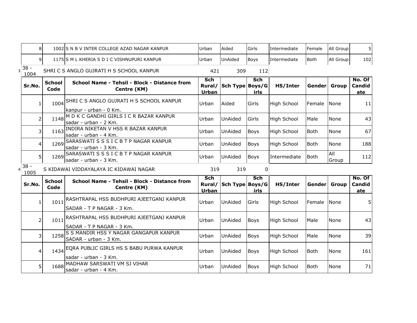| 8              |                       | 1002 IS N B V INTER COLLEGE AZAD NAGAR KANPUR                          | Urban                         | Aided           | Girls              | Intermediate       | Female      | All Group           | 5 <sup>1</sup>          |
|----------------|-----------------------|------------------------------------------------------------------------|-------------------------------|-----------------|--------------------|--------------------|-------------|---------------------|-------------------------|
| $\overline{9}$ |                       | 1175 S M L KHERIA S D I C VISHNUPURI KANPUR                            | Urban                         | UnAided         | <b>Boys</b>        | Intermediate       | <b>Both</b> | All Group           | 102                     |
| $38 -$<br>1004 |                       | SHRI C S ANGLO GUJRATI H S SCHOOL KANPUR                               | 421                           | 309             | 112                |                    |             |                     |                         |
| Sr.No.         | <b>School</b><br>Code | School Name - Tehsil - Block - Distance from<br>Centre (KM)            | Sch<br>Rural/<br><b>Urban</b> | Sch Type Boys/G | Sch<br>irls        | HS/Inter           | Gender      | Group               | No. Of<br>Candid<br>ate |
| 1              | 1004                  | SHRI C S ANGLO GUJRATI H S SCHOOL KANPUR<br>lkanpur - urban - 0 Km.    | Urban                         | Aided           | Girls              | High School        | Female      | None                | 11                      |
| $\overline{2}$ | 1148                  | M D K C GANDHI GIRLS I C R BAZAR KANPUR<br>sadar - urban - 2 Km.       | Urban                         | UnAided         | Girls              | High School        | Male        | None                | 43                      |
| 3              | 1163                  | INDIRA NIKETAN V HSS R BAZAR KANPUR<br>sadar - urban - 4 Km.           | Urban                         | UnAided         | <b>Boys</b>        | <b>High School</b> | <b>Both</b> | None                | 67                      |
| $\overline{4}$ | 1269                  | SARASWATI S S S I C B T P NAGAR KANPUR<br>sadar - urban - 3 Km.        | Urban                         | <b>UnAided</b>  | <b>Boys</b>        | High School        | <b>Both</b> | None                | 188                     |
| 5 <sup>1</sup> |                       | 1269 SARASWATI S S S I C B T P NAGAR KANPUR<br>sadar - urban - 3 Km.   | Urban                         | <b>UnAided</b>  | <b>Boys</b>        | Intermediate       | <b>Both</b> | <b>All</b><br>Group | 112                     |
| $38 -$<br>1005 |                       | S KIDAWAI VIDDAYALAYA IC KIDAWAI NAGAR                                 | 319                           | 319             | 0                  |                    |             |                     |                         |
| Sr.No.         | <b>School</b><br>Code | School Name - Tehsil - Block - Distance from<br>Centre (KM)            | Sch<br>Rural/<br><b>Urban</b> | Sch Type Boys/G | <b>Sch</b><br>irls | HS/Inter           | Genderl     | <b>Group</b>        | No. Of<br>Candid<br>ate |
| $\mathbf{1}$   | 1011                  | RASHTRAPAL HSS BUDHPURI AJEETGANJ KANPUR<br>SADAR - T P NAGAR - 3 Km.  | Urban                         | <b>UnAided</b>  | Girls              | High School        | Female      | <b>None</b>         |                         |
| 2              | 1011                  | RASHTRAPAL HSS BUDHPURI AJEETGANJ KANPUR<br>SADAR - T P NAGAR - 3 Km.  | Urban                         | <b>UnAided</b>  | <b>Boys</b>        | High School        | Male        | None                | 43                      |
| 3              | 1258                  | S S MANDIR HSS Y NAGAR GANGAPUR KANPUR<br>SADAR - urban - 3 Km.        | Urban                         | <b>UnAided</b>  | <b>Boys</b>        | High School        | Male        | None                | 39                      |
| 4              |                       | 1434 EQRA PUBLIC GIRLS HS S BABU PURWA KANPUR<br>sadar - urban - 3 Km. | Urban                         | <b>UnAided</b>  | <b>Boys</b>        | High School        | <b>Both</b> | None                | 161                     |
| 5              | 1688                  | MADHAW SARSWATI VM SJ VIHAR<br>sadar - urban - 4 Km.                   | Urban                         | UnAided         | <b>Boys</b>        | High School        | <b>Both</b> | None                | 71                      |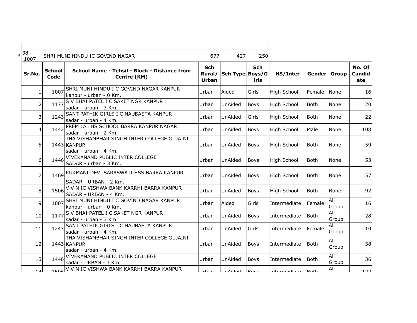| $5\overline{\smash{)}38}$ -<br>1007 |                       | SHRI MUNI HINDU IC GOVIND NAGAR                                                    | 677                    | 427             | 250                 |                    |                |              |                                |
|-------------------------------------|-----------------------|------------------------------------------------------------------------------------|------------------------|-----------------|---------------------|--------------------|----------------|--------------|--------------------------------|
| Sr.No.                              | <b>School</b><br>Code | School Name - Tehsil - Block - Distance from<br>Centre (KM)                        | Sch<br>Rural/<br>Urban | Sch Type Boys/G | <b>Sch</b><br>irls. | HS/Inter           |                | Gender Group | No. Of<br><b>Candid</b><br>ate |
| $\mathbf{1}$                        | 1007                  | SHRI MUNI HINDU I C GOVIND NAGAR KANPUR<br>kanpur - urban - 0 Km.                  | Urban                  | Aided           | Girls               | <b>High School</b> | Female         | None         | 16                             |
| 2                                   | 1177                  | S V BHAI PATEL I C SAKET NGR KANPUR<br>sadar - urban - 3 Km.                       | Urban                  | UnAided         | Boys                | High School        | Both           | None         | 20                             |
| 3                                   | 1243                  | SANT PATHIK GIRLS I C NAUBASTA KANPUR<br>sadar - urban - 4 Km.                     | Urban                  | UnAided         | Girls               | High School        | <b>Both</b>    | None         | 22                             |
| 4                                   | 1442                  | PREM LAL HS SCHOOL BARRA KANPUR NAGAR<br>sadar - urban - 2 Km.                     | Urban                  | UnAided         | <b>Boys</b>         | High School        | Male           | <b>None</b>  | 108                            |
| 5                                   |                       | THA VISHAMBHAR SINGH INTER COLLEGE GUJAINI<br>1443 KANPUR<br>sadar - urban - 4 Km. | Urban                  | UnAided         | <b>Boys</b>         | <b>High School</b> | <b>Both</b>    | None         | 59                             |
| 6 <sup>1</sup>                      | 1446                  | VIVEKANAND PUBLIC INTER COLLEGE<br>SADAR - urban - 3 Km.                           | Urban                  | UnAided         | <b>Boys</b>         | High School        | <b>Both</b>    | <b>None</b>  | 53                             |
| $\overline{7}$                      | 1469                  | RUKMANI DEVI SARASWATI HSS BARRA KANPUR<br>SADAR - URBAN - 2 Km.                   | Urban                  | <b>UnAided</b>  | <b>Boys</b>         | High School        | <b>Both</b>    | None         | 57                             |
| 8                                   | 1506                  | V V N IC VISHWA BANK KARRHI BARRA KANPUR<br>SADAR - URBAN - 4 Km.                  | Urban                  | UnAided         | Boys                | <b>High School</b> | <b>Both</b>    | None         | 92                             |
| $\mathsf{q}$                        | 1007                  | SHRI MUNI HINDU I C GOVIND NAGAR KANPUR<br>kanpur - urban - 0 Km.                  | Urban                  | Aided           | Girls               | Intermediate       | Female         | All<br>Group | 16                             |
| 10                                  | 1177                  | S V BHAI PATEL I C SAKET NGR KANPUR<br>sadar - urban - 3 Km.                       | Urban                  | UnAided         | Boys                | Intermediate       | <b>Both</b>    | All<br>Group | 28                             |
| 11                                  |                       | 1243 SANT PATHIK GIRLS I C NAUBASTA KANPUR<br>sadar - urban - 4 Km.                | Urban                  | UnAided         | Girls               | Intermediate       | Female         | All<br>Group | 10                             |
| 12                                  |                       | THA VISHAMBHAR SINGH INTER COLLEGE GUJAINI<br>1443 KANPUR<br>sadar - urban - 4 Km. | Urban                  | UnAided         | <b>Boys</b>         | Intermediate       | <b>Both</b>    | All<br>Group | 38                             |
| 13                                  | 1446                  | VIVEKANAND PUBLIC INTER COLLEGE<br>sadar - URBAN - 3 Km.                           | Urban                  | UnAided         | <b>Boys</b>         | Intermediate       | Both           | All<br>Group | 36                             |
| 1 <sub>A</sub>                      |                       | 1506 V V N IC VISHWA BANK KARRHI BARRA KANPUR                                      | llrhan                 | $I$ In $A$ idad | Royc                | Intermediate       | R <sub>o</sub> | All          | 122                            |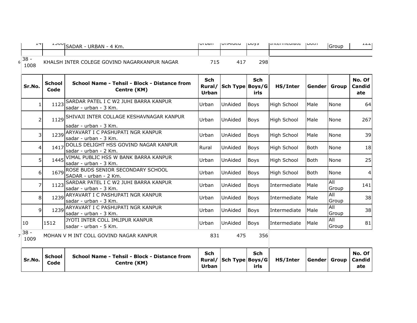| ᅩᅮ             |                       | SADAR - URBAN - 4 Km.                                                  | <b>ULUGII</b>                        | UIMIUCU         | 100y3              | ווונכווווכטומנכ וטטנוו |              | Group               |                         |
|----------------|-----------------------|------------------------------------------------------------------------|--------------------------------------|-----------------|--------------------|------------------------|--------------|---------------------|-------------------------|
| $38 -$<br>1008 |                       | KHALSH INTER COLEGE GOVIND NAGARKANPUR NAGAR                           | 715                                  | 417             | 298                |                        |              |                     |                         |
| Sr.No.         | <b>School</b><br>Code | School Name - Tehsil - Block - Distance from<br>Centre (KM)            | <b>Sch</b><br>Rural/<br><b>Urban</b> | Sch Type Boys/G | <b>Sch</b><br>irls | HS/Inter               | Genderl      | Group               | No. Of<br>Candid<br>ate |
| $\mathbf{1}$   |                       | 1123 SARDAR PATEL I C W2 JUHI BARRA KANPUR<br>sadar - urban - 3 Km.    | Urban                                | UnAided         | <b>Boys</b>        | High School            | Male         | None                | 64                      |
| $\overline{2}$ |                       | 1129 SHIVAJI INTER COLLAGE KESHAVNAGAR KANPUR<br>sadar - urban - 3 Km. | Urban                                | UnAided         | <b>Boys</b>        | High School            | Male         | None                | 267                     |
| 3              | 1239                  | ARYAVART I C PASHUPATI NGR KANPUR<br>sadar - urban - 3 Km.             | Urban                                | UnAided         | <b>Boys</b>        | High School            | Male         | None                | 39                      |
| 4              | 1417                  | DOLLS DELIGHT HSS GOVIND NAGAR KANPUR<br>sadar - urban - 2 Km.         | Rural                                | UnAided         | <b>Boys</b>        | High School            | <b>Both</b>  | None                | 18                      |
| 5              | 1445                  | VIMAL PUBLIC HSS W BANK BARRA KANPUR<br>sadar - urban - 3 Km.          | Urban                                | UnAided         | <b>Boys</b>        | <b>High School</b>     | <b>Both</b>  | None                | 25                      |
| 6              | 1679                  | ROSE BUDS SENIOR SECONDARY SCHOOL<br>SADAR - urban - 2 Km.             | Urban                                | UnAided         | <b>Boys</b>        | High School            | <b>Both</b>  | None                | 4                       |
| 7              | 1123                  | SARDAR PATEL I C W2 JUHI BARRA KANPUR<br>sadar - urban - 3 Km.         | Urban                                | UnAided         | <b>Boys</b>        | Intermediate           | Male         | All<br>Group        | 141                     |
| 8              | 1239                  | ARYAVART I C PASHUPATI NGR KANPUR<br>sadar - urban - 3 Km.             | Urban                                | UnAided         | <b>Boys</b>        | Intermediate           | Male         | All<br>Group        | 38                      |
| 9              | 1239                  | ARYAVART I C PASHUPATI NGR KANPUR<br>sadar - urban - 3 Km.             | Urban                                | UnAided         | <b>Boys</b>        | Intermediate           | Male         | <b>All</b><br>Group | 38                      |
| 10             | 1512                  | JYOTI INTER COLL IMLIPUR KANPUR<br>sadar - urban - 5 Km.               | Urban                                | <b>UnAided</b>  | <b>Boys</b>        | Intermediate           | Male         | All<br>Group        | 81                      |
| $38 -$<br>1009 |                       | MOHAN V M INT COLL GOVIND NAGAR KANPUR                                 | 831                                  | 475             | 356                |                        |              |                     |                         |
| Sr.No.         | <b>School</b><br>Code | School Name - Tehsil - Block - Distance from<br>Centre (KM)            | <b>Sch</b><br>Rural/<br><b>Urban</b> | Sch Type Boys/G | <b>Sch</b><br>irls | HS/Inter               | Gender Group |                     | No. Of<br>Candid<br>ate |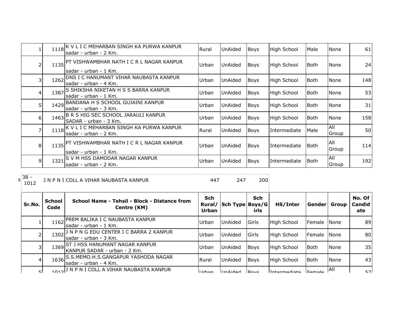|                |      | 1118K V L I C MEHARBAN SINGH KA PURWA KANPUR<br>sadar - urban - 2 Km.   | Rural | UnAided | Boys        | High School        | Male        | <b>None</b>  | 61         |
|----------------|------|-------------------------------------------------------------------------|-------|---------|-------------|--------------------|-------------|--------------|------------|
| 2              | 1135 | PT VISHWAMBHAR NATH I C R L NAGAR KANPUR<br>sadar - urban - 1 Km.       | Urban | UnAided | Boys        | <b>High School</b> | Both        | <b>None</b>  | 24         |
| 3              | 1262 | <b>IDNS I C HANUMANT VIHAR NAUBASTA KANPUR</b><br>sadar - urban - 4 Km. | Urban | UnAided | <b>Boys</b> | <b>High School</b> | l Both      | <b>None</b>  | 148        |
| 4              | 1387 | S SHIKSHA NIKETAN H S S BARRA KANPUR<br>sadar - urban - 1 Km.           | Urban | UnAided | <b>Boys</b> | High School        | Both        | <b>None</b>  | 53         |
| 5              |      | 1429 BANDANA H S SCHOOL GUJAINI KANPUR<br>lsadar - urban - 3 Km.        | Urban | UnAided | <b>Boys</b> | High School        | l Both      | None         | 31         |
| 6              |      | 1463 B R S HIG SEC SCHOOL JARAULI KANPUR<br>SADAR - urban - 3 Km.       | Urban | UnAided | <b>Boys</b> | High School        | <b>Both</b> | <b>None</b>  | 158        |
| 7              |      | 1118K V L I C MEHARBAN SINGH KA PURWA KANPUR<br>sadar - urban - 2 Km.   | Rural | UnAided | Boys        | Intermediate       | Male        | All<br>Group | <b>50l</b> |
| 8              |      | 1135 PT VISHWAMBHAR NATH I C R L NAGAR KANPUR<br>lsadar - urban - 1 Km. | Urban | UnAided | Boys        | Intermediate       | l Both      | All<br>Group | 114        |
| $\overline{9}$ | 1321 | IS V M HSS DAMODAR NAGAR KANPUR<br>sadar - urban - 2 Km.                | Urban | UnAided | Boys        | Intermediate       | l Both      | All<br>Group | 192        |

 $8\frac{38}{101}$ 1 N P N I COLL A VIHAR NAUBASTA KANPUR 447 247 200

| Sr.No. | <b>School</b><br>Code | School Name - Tehsil - Block - Distance from<br>Centre (KM)         | Sch<br>Urban   | Rural/ Sch Type Boys/G | <b>Sch</b><br>irls | HS/Inter            | Gender               | Group | No. Of<br>Candid<br>ate |
|--------|-----------------------|---------------------------------------------------------------------|----------------|------------------------|--------------------|---------------------|----------------------|-------|-------------------------|
|        | 1162                  | JPREM BALIKA I C NAUBASTA KANPUR<br>Isadar - urban - 1 Km.          | Urban          | UnAided                | <b>IGirls</b>      | High School         | <b>IFemale INone</b> |       | 89                      |
|        | 1302                  | J N P N G EDU CENTER I C BARRA 2 KANPUR<br>sadar - urban - 3 Km.    | Urban          | UnAided                | <b>IGirls</b>      | High School         | <b>IFemale INone</b> |       | 80                      |
| 31     |                       | 1369 ST J HSS HANUMANT NAGAR KANPUR<br>KANPUR SADAR - urban - 2 Km. | Urban          | UnAided                | <b>Boys</b>        | High School         | l Both               | None  | 35                      |
| 4      |                       | 1636 S.S.MEMO.H.S.GANGAPUR YASHODA NAGAR<br>Isadar - urban - 4 Km.  | Rural          | <b>UnAided</b>         | <b>Boys</b>        | High School         | Both                 | None  | 43 <sup>1</sup>         |
| ςI     |                       | 1012 J N P N I COLL A VIHAR NAUBASTA KANPUR                         | <u>IIIrhan</u> | <b>HinAidad</b>        | <b>Boys</b>        | <b>Intermediate</b> | <b>Eamala</b>        | IAII  | 571                     |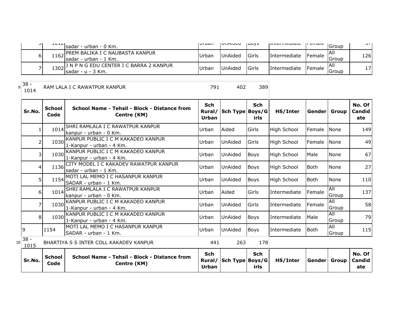| ا ر | 10121 | Isadar - urban - 0 Km.                                                         | ו וסע וטו | VIINUCU        | כיטשו          | ו וונכו וווכטומנכ   | n cmarc        | IGroup               | ا ہ ب |
|-----|-------|--------------------------------------------------------------------------------|-----------|----------------|----------------|---------------------|----------------|----------------------|-------|
| 61  |       | 1162 PREM BALIKA I C NAUBASTA KANPUR<br>Isadar - urban - 1 Km.                 | Urban     | <b>UnAided</b> | <b>I</b> Girls | <i>Intermediate</i> | <b>IFemale</b> | IAII<br>Group        | 126   |
|     |       | 1302 <sup>J N P N G EDU CENTER I C BARRA 2 KANPUR</sup><br>ˈlsadar - u - 3 Km. | Urban     | UnAided        | <b>I</b> Girls | Intermediate        | <b>IFemale</b> | IAII<br><b>Group</b> | 17    |

 $9^{38}$ 

<sup>1014</sup> RAM LALA I C RAWATPUR KANPUR <sup>791</sup> <sup>402</sup> <sup>389</sup>

| Sr.No.               | <b>School</b><br>Code | School Name - Tehsil - Block - Distance from<br>Centre (KM)         | <b>Sch</b><br>Rural/<br>Urban        | Sch Type Boys/G | <b>Sch</b><br>irls | HS/Inter            | Gender Group |                     | No. Of<br>Candid<br>ate |
|----------------------|-----------------------|---------------------------------------------------------------------|--------------------------------------|-----------------|--------------------|---------------------|--------------|---------------------|-------------------------|
|                      | 1014                  | SHRI RAMLALA I C RAWATPUR KANPUR<br>kanpur - urban - 0 Km.          | Urban                                | Aided           | Girls              | High School         | Female       | <b>INone</b>        | 149                     |
| $\overline{2}$       | 1030                  | KANPUR PUBLIC I C M KAKADEO KANPUR<br>1-Kanpur - urban - 4 Km.      | Urban                                | UnAided         | Girls              | High School         | Female       | <b>None</b>         | 49                      |
| $\overline{3}$       |                       | 1030 KANPUR PUBLIC I C M KAKADEO KANPUR<br>1-Kanpur - urban - 4 Km. | Urban                                | UnAided         | Boys               | <b>High School</b>  | Male         | None                | 67                      |
| 4                    | 1136                  | CITY MODEL I C KAKADEV RAWATPUR KANPUR<br>sadar - urban - 1 Km.     | Urban                                | UnAided         | <b>Boys</b>        | High School         | <b>Both</b>  | None                | 27                      |
| 5 <sub>1</sub>       | 1154                  | MOTI LAL MEMO I C HASANPUR KANPUR<br>SADAR - urban - 1 Km.          | Urban                                | UnAided         | <b>Boys</b>        | High School         | <b>Both</b>  | None                | 110                     |
| 6 <sup>1</sup>       | 1014                  | SHRI RAMLALA I C RAWATPUR KANPUR<br>kanpur - urban - 0 Km.          | Urban                                | Aided           | Girls              | Intermediate        | Female       | <b>All</b><br>Group | 137                     |
| $\overline{7}$       |                       | 1030 KANPUR PUBLIC I C M KAKADEO KANPUR<br>1-Kanpur - urban - 4 Km. | Urban                                | UnAided         | Girls              | Intermediate        | Female       | All<br>Group        | 58                      |
| 8                    | 1030                  | KANPUR PUBLIC I C M KAKADEO KANPUR<br>1-Kanpur - urban - 4 Km.      | Urban                                | UnAided         | <b>Boys</b>        | <b>Intermediate</b> | Male         | All<br>Group        | 79                      |
| 9                    | 1154                  | MOTI LAL MEMO I C HASANPUR KANPUR<br>SADAR - urban - 1 Km.          | Urban                                | UnAided         | <b>Boys</b>        | <b>Intermediate</b> | l Both       | All<br>Group        | 115                     |
| $38 -$<br>10<br>1015 |                       | BHARTIYA S S INTER COLL KAKADEV KANPUR                              | 441                                  | 263             | 178                |                     |              |                     |                         |
| Sr.No.               | <b>School</b><br>Code | School Name - Tehsil - Block - Distance from<br>Centre (KM)         | <b>Sch</b><br>Rural/<br><b>Urban</b> | Sch Type Boys/G | <b>Sch</b><br>irls | HS/Inter            | Genderl      | Group               | No. Of<br>Candid<br>ate |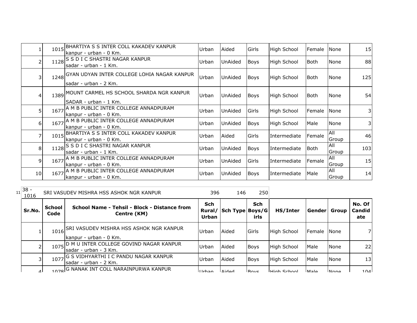|    | 1015 | BHARTIYA S S INTER COLL KAKADEV KANPUR<br>kanpur - urban - 0 Km.          | Urban | Aided          | Girls       | High School        | Female | None          | 15  |
|----|------|---------------------------------------------------------------------------|-------|----------------|-------------|--------------------|--------|---------------|-----|
| 2  |      | 1128 S D I C SHASTRI NAGAR KANPUR<br>sadar - urban - 1 Km.                | Urban | <b>UnAided</b> | <b>Boys</b> | High School        | lBoth. | None          | 88  |
| 3  |      | 1248 GYAN UDYAN INTER COLLEGE LOHIA NAGAR KANPUR<br>sadar - urban - 2 Km. | Urban | <b>UnAided</b> | <b>Boys</b> | High School        | l Both | None          | 125 |
| 4  |      | 1389 MOUNT CARMEL HS SCHOOL SHARDA NGR KANPUR<br>SADAR - urban - 1 Km.    | Urban | UnAided        | <b>Boys</b> | High School        | lBoth  | <b>None</b>   | 54  |
| 5  | 1677 | A M B PUBLIC INTER COLLEGE ANNADPURAM<br>kanpur - urban - 0 Km.           | Urban | <b>UnAided</b> | Girls       | <b>High School</b> | Female | <b>None</b>   | 3   |
| 6  |      | 1677 A M B PUBLIC INTER COLLEGE ANNADPURAM<br>kanpur - urban - 0 Km.      | Urban | UnAided        | <b>Boys</b> | High School        | Male   | <b>None</b>   | 31  |
| 7  | 1015 | BHARTIYA S S INTER COLL KAKADEV KANPUR<br>kanpur - urban - 0 Km.          | Urban | Aided          | Girls       | Intermediate       | Female | All<br>Group  | 46  |
| 8  |      | 1128 S D I C SHASTRI NAGAR KANPUR<br>sadar - urban - 1 Km.                | Urban | <b>UnAided</b> | <b>Boys</b> | Intermediate       | l Both | IAII<br>Group | 103 |
| 9  |      | 1677 A M B PUBLIC INTER COLLEGE ANNADPURAM<br>kanpur - urban - 0 Km.      | Urban | UnAided        | Girls       | Intermediate       | Female | All<br>Group  | 15  |
| 10 |      | 1677 A M B PUBLIC INTER COLLEGE ANNADPURAM<br>kanpur - urban - 0 Km.      | Urban | UnAided        | <b>Boys</b> | Intermediate       | Male   | All<br>Group  | 14  |

| 11 | $38 -$<br>1016 |                       | SRI VASUDEV MISHRA HSS ASHOK NGR KANPUR                                | 396                 | 146                    | 250                |                      |             |             |                                |
|----|----------------|-----------------------|------------------------------------------------------------------------|---------------------|------------------------|--------------------|----------------------|-------------|-------------|--------------------------------|
|    | Sr.No.         | <b>School</b><br>Code | School Name - Tehsil - Block - Distance from<br>Centre (KM)            | Sch<br><b>Urban</b> | Rural/ Sch Type Boys/G | <b>Sch</b><br>irls | HS/Inter             | Gender      | Group       | No. Of<br><b>Candid</b><br>ate |
|    |                |                       | 1016 SRI VASUDEV MISHRA HSS ASHOK NGR KANPUR<br>kanpur - urban - 0 Km. | Urban               | Aided                  | Girls              | High School          | Female      | None        | 7                              |
|    |                |                       | 1075 D M U INTER COLLEGE GOVIND NAGAR KANPUR<br>Isadar - urban - 3 Km. | Urban               | Aided                  | <b>Boys</b>        | <b>High School</b>   | Male        | None        | 22                             |
|    |                | 1077                  | G S VIDHYARTHI I C PANDU NAGAR KANPUR<br>lsadar - urban - 2 Km.        | Urban               | Aided                  | <b>Boys</b>        | High School          | Male        | None        | 13                             |
|    | ⊿∣             |                       | 1078 G NANAK INT COLL NARAINPURWA KANPUR                               | <u>IIIrhan</u>      | hahiA                  | <b>Boys</b>        | <b>L</b> High School | <b>Male</b> | <b>None</b> | 104                            |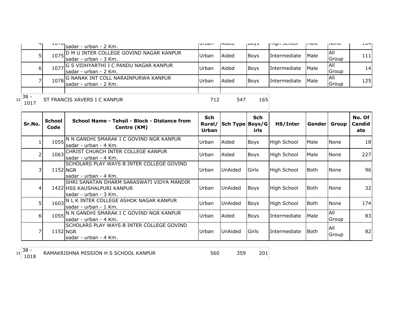| ᆩ             | 1010 | Isadar - urban - 2 Km.                                                 | i vi van | <b>Lucu</b> | 100y3       | <b>THALL OCHOOL</b> | luaic       | סווטצון              | 1071            |
|---------------|------|------------------------------------------------------------------------|----------|-------------|-------------|---------------------|-------------|----------------------|-----------------|
|               |      | 1075 D M U INTER COLLEGE GOVIND NAGAR KANPUR<br>Isadar - urban - 3 Km. | Urbar    | Aided       | <b>Boys</b> | Intermediate        | <b>Male</b> | <b>JAII</b><br>Group | 111             |
| 61            |      | 1077 G S VIDHYARTHI I C PANDU NAGAR KANPUR<br>Isadar - urban - 2 Km.   | Urban    | Aided       | <b>Boys</b> | <i>Intermediate</i> | Male        | IAII<br>Group        | 14 <sub>1</sub> |
|               |      | 1078 G NANAK INT COLL NARAINPURWA KANPUR<br>Isadar - urban - 2 Km.     | Urbar    | Aided       | <b>Boys</b> | Intermediate        | Male        | IAII<br>Group        | 1251            |
| $\sim$ $\sim$ |      |                                                                        |          |             |             |                     |             |                      |                 |

 $12 \begin{array}{|c} 38 \\ 1017 \end{array}$ 

ST FRANCIS XAVERS I C KANPUR 712 547 165

| Sr.No.          | <b>School</b><br>Code | School Name - Tehsil - Block - Distance from<br>Centre (KM)                                         | Sch<br>Rural/<br>Urban | Sch Type Boys/G | Sch<br>irls | HS/Inter           | Gender      | Group        | No. Of<br><b>Candid</b><br>ate |
|-----------------|-----------------------|-----------------------------------------------------------------------------------------------------|------------------------|-----------------|-------------|--------------------|-------------|--------------|--------------------------------|
|                 | 1055                  | IN N GANDHI SMARAK I C GOVIND NGR KANPUR<br>sadar - urban - 4 Km.                                   | Urban                  | Aided           | Boys        | <b>High School</b> | Male        | None         | 18                             |
| 21              |                       | 1063 CHRIST CHURCH INTER COLLEGE KANPUR<br>sadar - urban - 4 Km.                                    | Urban                  | Aided           | <b>Boys</b> | <b>High School</b> | Male        | None         | 227                            |
| 31              | 1152 NGR              | SCHOLARS PLAY WAYS B INTER COLLEGE GOVIND<br>lsadar - urban - 4 Km.                                 | Urban                  | UnAided         | Girls       | High School        | l Both      | None         | 96                             |
| $\vert 4 \vert$ |                       | ISHRI SANATAN DHARM SARASWATI VIDYA MANDIR<br>1422 HSS KAUSHALPURI KANPUR<br>lsadar - urban - 3 Km. | Urban                  | UnAided         | <b>Boys</b> | <b>High School</b> | l Both      | None         | 32                             |
| 51              | 1603                  | N L K INTER COLLEGE ASHOK NAGAR KANPUR<br>lsadar - urban - 1 Km.                                    | Urban                  | UnAided         | <b>Boys</b> | <b>High School</b> | Both        | None         | 174                            |
| 6 I             |                       | 1055 N N GANDHI SMARAK I C GOVIND NGR KANPUR<br>Isadar - urban - 4 Km.                              | Urban                  | Aided           | Boys        | Intermediate       | <b>Male</b> | All<br>Group | 83                             |
| 7               | 1152 NGR              | SCHOLARS PLAY WAYS B INTER COLLEGE GOVIND<br>sadar - urban - 4 Km.                                  | Urban                  | UnAided         | Girls       | Intermediate       | l Both      | All<br>Group | 82                             |

 $13 \overline{\smash{\big)}\n38 - 1018}$ 

RAMAKRISHNA MISSION H S SCHOOL KANPUR 560 359 201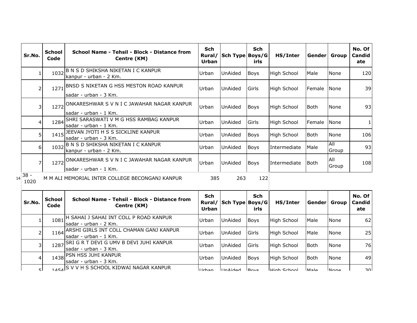| Sr.No.         | <b>School</b><br>Code | School Name - Tehsil - Block - Distance from<br>Centre (KM)               | <b>Sch</b><br>Rural/<br>Urban | Sch Type Boys/G        | <b>Sch</b><br>irls | HS/Inter           | Gender  Group |              | No. Of<br>Candid<br>ate |
|----------------|-----------------------|---------------------------------------------------------------------------|-------------------------------|------------------------|--------------------|--------------------|---------------|--------------|-------------------------|
|                | 1032                  | B N S D SHIKSHA NIKETAN I C KANPUR<br>kanpur - urban - 2 Km.              | Urban                         | <b>UnAided</b>         | <b>Boys</b>        | <b>High School</b> | Male          | None         | 120                     |
|                |                       | 1271 BNSD S NIKETAN G HSS MESTON ROAD KANPUR<br>lsadar - urban - 3 Km.    | Urban                         | <b>UnAided</b>         | Girls              | <b>High School</b> | Female        | <b>INone</b> | 39                      |
| 3              |                       | 1272 ONKARESHWAR S V N I C JAWAHAR NAGAR KANPUR<br>lsadar - urban - 1 Km. | Urban                         | UnAided                | Boys               | <b>High School</b> | Both          | None         | 93                      |
| 4              | 1284                  | SHRI SARASWATI V M G HSS RAMBAG KANPUR<br>lsadar - urban - 1 Km.          | Urban                         | <b>UnAided</b>         | Girls              | <b>High School</b> | Female        | None         |                         |
| 5.             | 1415                  | JEEVAN JYOTI H S S SICKLINE KANPUR<br>lsadar - urban - 3 Km.              | Urban                         | <b>UnAided</b>         | Boys               | <b>High School</b> | Both          | None         | 106                     |
| 6 <sup>1</sup> | 1032                  | B N S D SHIKSHA NIKETAN I C KANPUR<br>kanpur - urban - 2 Km.              | Urban                         | UnAided                | <b>Boys</b>        | Intermediate       | Male          | All<br>Group | 93                      |
|                | 1272                  | ONKARESHWAR S V N I C JAWAHAR NAGAR KANPUR<br>Isadar - urban - 1 Km.      | Urban                         | UnAided                | Boys               | Intermediate       | Both          | All<br>Group | 108                     |
| $38 -$<br>1020 |                       | M M ALI MEMORIAL INTER COLLEGE BECONGANJ KANPUR                           | 385                           | 263                    | 122                |                    |               |              |                         |
| Sr.No.         | <b>School</b><br>Code | School Name - Tehsil - Block - Distance from<br>Cantra (KM)               | Sch                           | Rural/ Sch Type Boys/G | <b>Sch</b>         | HS/Inter           |               | Gender Group | No. Of<br>Candid        |

| Sr.No. | School<br>Code | School Name - Tehsil - Block - Distance from<br>Centre (KM)              | scn<br>Urban | Rural/ Sch Type Boys/G | 5cn<br>irls      | HS/Inter           | <b>Gender</b> | Group        | NO. UT<br>Candid<br>ate |
|--------|----------------|--------------------------------------------------------------------------|--------------|------------------------|------------------|--------------------|---------------|--------------|-------------------------|
|        | 1081           | <b>IH SAHAI J SAHAI INT COLL P ROAD KANPUR</b><br>Isadar - urban - 2 Km. | Urban        | UnAided                | Boys             | <b>High School</b> | Male          | <b>None</b>  | 62                      |
|        | 1164           | ARSHI GIRLS INT COLL CHAMAN GANJ KANPUR<br>Isadar - urban - 1 Km.        | Urban        | UnAided                | Girls            | <b>High School</b> | Male          | <b>None</b>  | 25                      |
|        |                | 1287 SRI G R T DEVI G UMV B DEVI JUHI KANPUR<br>Isadar - urban - 3 Km.   | Urban        | UnAided                | Girls            | <b>High School</b> | Both          | None         | <b>76</b>               |
|        |                | 1438 PSN HSS JUHI KANPUR<br>Isadar - urban - 3 Km.                       | Urban        | UnAided                | <b>Boys</b>      | <b>High School</b> | Both          | <b>None</b>  | 49                      |
| ςI.    |                | 1454 S V V H S SCHOOL KIDWAI NAGAR KANPUR                                | llrhan       | <b>LInAidod</b>        | $R_{\text{avc}}$ | lHigh School       | olcM          | <b>INone</b> | ∍∩l                     |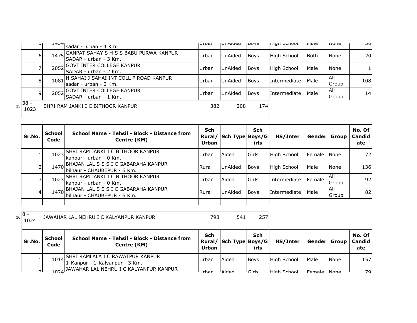| ا پ               | エコフコ | sadar - urban - 4 Km.                                            | <b>UI DOIT</b> | <b>UILINUCU</b> | <b>ILUVJ</b> | וטטחטכ חפורון       | <b>TIGIC</b> | סווטווכ       | しいー             |
|-------------------|------|------------------------------------------------------------------|----------------|-----------------|--------------|---------------------|--------------|---------------|-----------------|
| 6                 | 1475 | GANPAT SAHAY S H S S BABU PURWA KANPUR<br>SADAR - urban - 3 Km.  | Urban          | UnAided         | <b>Boys</b>  | High School         | <b>Both</b>  | <b>None</b>   | 20 <sub>l</sub> |
|                   | 2052 | GOVT INTER COLLEGE KANPUR <br>ISADAR - urban - 2 Km.             | Urban          | UnAided         | <b>Boys</b>  | High School         | Male         | None          |                 |
| 8                 | 1081 | H SAHAI J SAHAI INT COLL P ROAD KANPUR<br>Isadar - urban - 2 Km. | Urban          | <b>UnAided</b>  | <b>Boys</b>  | Intermediate        | Male         | IAII<br>Group | 108             |
|                   | 2052 | GOVT INTER COLLEGE KANPUR<br>SADAR - urban - 1 Km.               | Urban          | <b>UnAided</b>  | <b>Boys</b>  | <b>Intermediate</b> | Male         | IAII<br>Group | 14 <sup>1</sup> |
| $15 38 -$<br>1023 |      | SHRI RAM JANKI I C BITHOOR KANPUR                                | 382            | 208             | 174          |                     |              |               |                 |

| Sr.No. | School<br>Code | School Name - Tehsil - Block - Distance from<br>Centre (KM)          | Sch<br>Rural/<br>Urban | Sch Type Boys/G | Sch<br>irls   | HS/Inter            | <b>Gender</b> | Group         | No. Of<br>Candid<br>ate |
|--------|----------------|----------------------------------------------------------------------|------------------------|-----------------|---------------|---------------------|---------------|---------------|-------------------------|
|        | 1023           | SHRI RAM JANKI I C BITHOOR KANPUR<br>Ikanpur - urban - 0 Km.         | Urban                  | Aided           | <b>IGirls</b> | High School         | Female        | <b>None</b>   | 72)                     |
|        | 1470           | BHAJAN LAL S S S I C GABARAHA KANPUR<br>Ibilhaur - CHAUBEPUR - 6 Km. | <b>Rural</b>           | UnAided         | <b>Boys</b>   | <b>High School</b>  | Male          | <b>None</b>   | 136                     |
|        | 1023           | ISHRI RAM JANKI I C BITHOOR KANPUR<br>kanpur - urban - 0 Km.         | Urban                  | Aided           | lGirls        | Intermediate        | Female        | IAII<br>Group | 92 <sub>1</sub>         |
|        | 1470           | BHAJAN LAL S S S I C GABARAHA KANPUR<br>bilhaur - CHAUBEPUR - 6 Km.  | <b>Rural</b>           | UnAided         | <b>Boys</b>   | <b>Intermediate</b> | Male          | All<br>Group  | 82                      |
|        |                |                                                                      |                        |                 |               |                     |               |               |                         |

| 8<br>-<br>16<br>1024 | JAWAHAR LAL NEHRU I C KALYANPUR KANPUR | 798 | 541 |  |
|----------------------|----------------------------------------|-----|-----|--|
|                      |                                        |     |     |  |

| Sr.No.        | <b>School</b><br>Code | School Name - Tehsil - Block - Distance from<br>Centre (KM)             | Sch<br>Urban | Rural/ Sch Type Boys/G | Sch<br>irls | HS/Inter    | <b>Genderl Group</b> |      | No. Of<br>  Candid  <br>ate |
|---------------|-----------------------|-------------------------------------------------------------------------|--------------|------------------------|-------------|-------------|----------------------|------|-----------------------------|
|               |                       | 1014 SHRI RAMLALA I C RAWATPUR KANPUR<br>1-Kanpur - 1-Kalyanpur - 3 Km. | Urban        | Aided                  | <b>Boys</b> | High School | Male                 | None | 157                         |
| $\mathcal{D}$ |                       | 1024 JAWAHAR LAL NEHRU I C KALYANPUR KANPUR                             | llrhan       | <b>Aidad</b>           | $C$ irle    | High School | Eemale Mone          |      | 70 l                        |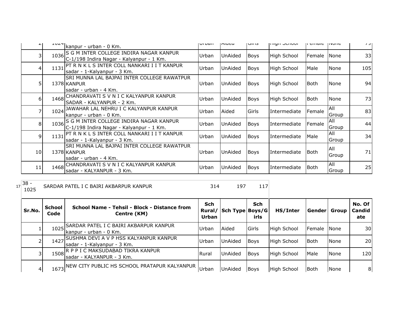|    | kanpur - urban - 0 Km.                                                                       | <b>ULDAII</b> | niucu          | כו ווטן     | ורווערו אווי       | н спіаіс    | 11111E              | $1 - 3$ |
|----|----------------------------------------------------------------------------------------------|---------------|----------------|-------------|--------------------|-------------|---------------------|---------|
| 3  | IS G M INTER COLLEGE INDIRA NAGAR KANPUR<br>1036<br>C-1/198 Indira Nagar - Kalyanpur - 1 Km. | Urban         | UnAided        | Boys        | High School        | Female      | <b>INone</b>        | 33      |
| 4  | PT R N K L S INTER COLL NANKARI I I T KANPUR<br>1131<br>sadar - 1-Kalyanpur - 3 Km.          | Urban         | UnAided        | Boys        | High School        | Male        | None                | 105     |
| 5  | <b>SRI MUNNA LAL BAJPAI INTER COLLEGE RAWATPUR</b><br>1378 KANPUR<br>sadar - urban - 4 Km.   | Urban         | <b>UnAided</b> | Boys        | <b>High School</b> | l Both      | None                | 94      |
| 6  | CHANDRAVATI S V N I C KALYANPUR KANPUR<br>1468<br>SADAR - KALYANPUR - 2 Km.                  | Urban         | UnAided        | <b>Boys</b> | High School        | <b>Both</b> | None                | 73      |
|    | JAWAHAR LAL NEHRU I C KALYANPUR KANPUR<br>1024<br>kanpur - urban - 0 Km.                     | Urban         | Aided          | Girls       | Intermediate       | Female      | IAII<br>Group       | 83      |
| 8  | 1036 S G M INTER COLLEGE INDIRA NAGAR KANPUR<br>C-1/198 Indira Nagar - Kalyanpur - 1 Km.     | Urban         | UnAided        | <b>Boys</b> | Intermediate       | Female      | IAII<br>Group       | 44      |
| 9  | PT R N K L S INTER COLL NANKARI I I T KANPUR<br>1131<br>Isadar - 1-Kalyanpur - 3 Km.         | Urban         | UnAided        | Boys        | Intermediate       | Male        | IAII<br>Group       | 34      |
| 10 | SRI MUNNA LAL BAJPAI INTER COLLEGE RAWATPUR<br>1378 KANPUR<br>lsadar - urban - 4 Km.         | Urban         | <b>UnAided</b> | Boys        | Intermediate       | l Both      | All<br>Group        | 71      |
| 11 | CHANDRAVATI S V N I C KALYANPUR KANPUR<br>1468<br>sadar - KALYANPUR - 3 Km.                  | Urban         | UnAided        | Boys        | Intermediate       | <b>Both</b> | <b>AII</b><br>Group | 25      |

 $17 \begin{array}{|l} 38 - 1025 \end{array}$ SARDAR PATEL I C BAIRI AKBARPUR KANPUR 197 117

| Sr.No. | <b>School</b><br>Code | School Name - Tehsil - Block - Distance from<br>Centre (KM)                | <b>Sch</b><br><b>Urban</b> | Rural/ Sch Type Boys/G | <b>Sch</b><br>irls | HS/Inter    | Genderl     | Group       | No. Of<br>Candid<br>ate |
|--------|-----------------------|----------------------------------------------------------------------------|----------------------------|------------------------|--------------------|-------------|-------------|-------------|-------------------------|
|        | 1025                  | SARDAR PATEL I C BAIRI AKBARPUR KANPUR<br>kanpur - urban - 0 Km.           | <b>Urban</b>               | Aided                  | Girls              | High School | Female None |             | <b>30</b>               |
|        |                       | 1427 SUSHMA DEVI A V P HSS KALYANPUR KANPUR<br>sadar - 1-Kalyanpur - 3 Km. | Urban                      | UnAided                | <b>Boys</b>        | High School | <b>Both</b> | <b>None</b> | <b>20</b>               |
|        |                       | 1508 R P P I C MAKSUDABAD TIKRA KANPUR<br>lsadar - KALYANPUR - 3 Km.       | Rural                      | UnAided                | <b>Boys</b>        | High School | Male        | <b>None</b> | 120                     |
|        |                       | 1673 NEW CITY PUBLIC HS SCHOOL PRATAPUR KALYANPUR                          | Urban                      | UnAided                | <b>Boys</b>        | High School | <b>Both</b> | <b>None</b> | 8                       |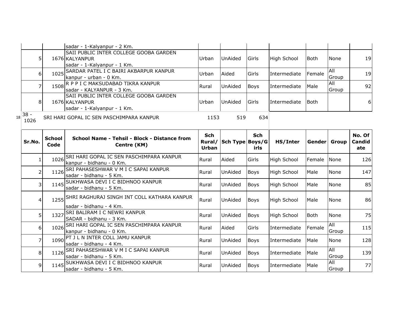|                |                       | sadar - 1-Kalyanpur - 2 Km.                                                |              |                 |             |                    |              |                     |               |
|----------------|-----------------------|----------------------------------------------------------------------------|--------------|-----------------|-------------|--------------------|--------------|---------------------|---------------|
|                |                       | SAII PUBLIC INTER COLLEGE GOOBA GARDEN                                     |              |                 |             |                    |              |                     |               |
| 5              |                       | 1676 KALYANPUR                                                             | Urban        | UnAided         | Girls       | <b>High School</b> | <b>Both</b>  | None                | 19            |
|                |                       | sadar - 1-Kalyanpur - 1 Km.<br>1025 SARDAR PATEL I C BAIRI AKBARPUR KANPUR |              |                 |             |                    |              | <b>All</b>          |               |
| 6I             |                       | kanpur - urban - 0 Km.                                                     | Urban        | Aided           | Girls       | Intermediate       | Female       | Group               | 19            |
| 7              |                       | 1508 R P P I C MAKSUDABAD TIKRA KANPUR                                     |              |                 |             |                    |              | All                 | 92            |
|                |                       | sadar - KALYANPUR - 3 Km.                                                  | Rural        | UnAided         | <b>Boys</b> | Intermediate       | Male         | Group               |               |
|                |                       | SAII PUBLIC INTER COLLEGE GOOBA GARDEN                                     |              |                 |             |                    |              |                     |               |
| 8 <sup>1</sup> |                       | 1676 KALYANPUR                                                             | Urban        | <b>UnAided</b>  | Girls       | Intermediate       | <b>Both</b>  |                     | 6             |
|                |                       | sadar - 1-Kalyanpur - 1 Km.                                                |              |                 |             |                    |              |                     |               |
| $38 -$<br>1026 |                       | SRI HARI GOPAL IC SEN PASCHIMPARA KANPUR                                   | 1153         | 519             | 634         |                    |              |                     |               |
|                |                       |                                                                            |              |                 |             |                    |              |                     |               |
|                |                       |                                                                            | Sch          |                 | <b>Sch</b>  |                    |              |                     | No. Of        |
| Sr.No.         | <b>School</b><br>Code | School Name - Tehsil - Block - Distance from                               | Rural/       | Sch Type Boys/G |             | HS/Inter           | Gender Group |                     | <b>Candid</b> |
|                |                       | Centre (KM)                                                                | <b>Urban</b> |                 | irls        |                    |              |                     | ate           |
| 11             | 1026                  | SRI HARI GOPAL IC SEN PASCHIMPARA KANPUR                                   | Rural        | Aided           | Girls       | <b>High School</b> | Female       | <b>None</b>         | 126           |
|                |                       | kanpur - bidhanu - 0 Km.                                                   |              |                 |             |                    |              |                     |               |
| 2              | 1126                  | SRI PAHASESHWAR V M I C SAPAI KANPUR                                       | Rural        | UnAided         | <b>Boys</b> | <b>High School</b> | Male         | None                | 147           |
|                |                       | sadar - bidhanu - 5 Km.                                                    |              |                 |             |                    |              |                     |               |
| 3              |                       | 1145 SUKHWASA DEVI I C BIDHNOO KANPUR<br>sadar - bidhanu - 5 Km.           | Rural        | UnAided         | <b>Boys</b> | <b>High School</b> | Male         | None                | 85            |
|                |                       |                                                                            |              |                 |             |                    |              |                     |               |
| 4              |                       | 1255 SHRI RAGHURAJ SINGH INT COLL KATHARA KANPUR                           | Rural        | UnAided         | <b>Boys</b> | <b>High School</b> | Male         | None                | 86            |
|                |                       | sadar - bidhanu - 4 Km.                                                    |              |                 |             |                    |              |                     |               |
| 5              |                       | 1327 SRI BALIRAM I C NEWRI KANPUR                                          | Rural        | UnAided         | <b>Boys</b> | <b>High School</b> | <b>Both</b>  | None                | 75            |
|                |                       | SADAR - bidhanu - 3 Km.                                                    |              |                 |             |                    |              |                     |               |
| 6              |                       | 1026 SRI HARI GOPAL IC SEN PASCHIMPARA KANPUR                              | Rural        | Aided           | Girls       | Intermediate       | Female       | All                 | 115           |
|                |                       | kanpur - bidhanu - 0 Km.                                                   |              |                 |             |                    |              | Group               |               |
|                |                       |                                                                            |              |                 |             |                    |              |                     |               |
| 7              |                       | 1090 PT J L N INTER COLL JAMU KANPUR                                       | Rural        | UnAided         | <b>Boys</b> | Intermediate       | Male         | None                |               |
|                |                       | sadar - bidhanu - 4 Km.                                                    |              |                 |             |                    |              |                     |               |
| 8              |                       | 1126 SRI PAHASESHWAR V M I C SAPAI KANPUR                                  | Rural        | UnAided         | Boys        | Intermediate       | Male         | <b>All</b>          | 128<br>139    |
| $\overline{9}$ | 1145                  | sadar - bidhanu - 5 Km.<br>SUKHWASA DEVI I C BIDHNOO KANPUR                | Rural        | UnAided         | <b>Boys</b> | Intermediate       | Male         | Group<br><b>All</b> | 77            |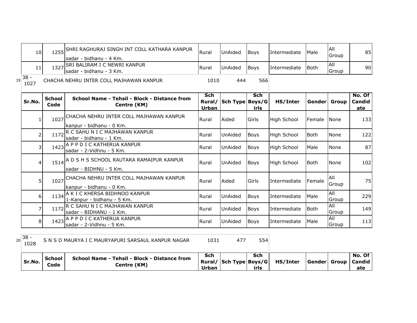| 10                |                       | 1255 SHRI RAGHURAJ SINGH INT COLL KATHARA KANPUR<br>sadar - bidhanu - 4 Km. | Rural                         | UnAided         | <b>Boys</b>        | Intermediate       | Male         | All<br>Group        | 85                      |
|-------------------|-----------------------|-----------------------------------------------------------------------------|-------------------------------|-----------------|--------------------|--------------------|--------------|---------------------|-------------------------|
| 11                |                       | 1327 SRI BALIRAM I C NEWRI KANPUR<br>sadar - bidhanu - 3 Km.                | Rural                         | UnAided         | <b>Boys</b>        | Intermediate       | <b>Both</b>  | All<br>Group        | 90                      |
| $19 38 -$<br>1027 |                       | CHACHA NEHRU INTER COLL MAJHAWAN KANPUR                                     | 1010                          | 444             | 566                |                    |              |                     |                         |
| Sr.No.            | <b>School</b><br>Code | School Name - Tehsil - Block - Distance from<br>Centre (KM)                 | Sch<br>Rural/<br><b>Urban</b> | Sch Type Boys/G | <b>Sch</b><br>irls | HS/Inter           | Gender Group |                     | No. Of<br>Candid<br>ate |
| 1                 | 1027                  | CHACHA NEHRU INTER COLL MAJHAWAN KANPUR<br>lkanpur - bidhanu - 0 Km.        | Rural                         | Aided           | Girls              | <b>High School</b> | Female       | <b>I</b> None       | 133                     |
| 2                 | 1172                  | R C SAHU N I C MAJHAWAN KANPUR<br>sadar - bidhanu - 1 Km.                   | Rural                         | UnAided         | <b>Boys</b>        | <b>High School</b> | <b>Both</b>  | None                | 122                     |
| 3                 |                       | 1423 A P P D I C KATHERUA KANPUR<br>sadar - 2-Vidhnu - 5 Km.                | Rural                         | UnAided         | <b>Boys</b>        | <b>High School</b> | Male         | None                | 87                      |
| 4                 |                       | 1514 A D S H S SCHOOL RAUTARA RAMAIPUR KANPUR<br>sadar - BIDHNU - 5 Km.     | Rural                         | <b>UnAided</b>  | Boys               | High School        | <b>Both</b>  | None                | 102                     |
| 5                 |                       | 1027 CHACHA NEHRU INTER COLL MAJHAWAN KANPUR<br>kanpur - bidhanu - 0 Km.    | Rural                         | Aided           | Girls              | Intermediate       | Female       | All<br>Group        | 75                      |
| 6                 | 1134                  | A K I C KHERSA BIDHNOO KANPUR<br>1-Kanpur - bidhanu - 5 Km.                 | Rural                         | UnAided         | <b>Boys</b>        | Intermediate       | Male         | <b>All</b><br>Group | 229                     |
| 7                 |                       | 1172 R C SAHU N I C MAJHAWAN KANPUR<br>sadar - BIDHANU - 1 Km.              | Rural                         | UnAided         | <b>Boys</b>        | Intermediate       | <b>Both</b>  | All<br>Group        | 149                     |
| 8                 |                       | 1423 A P P D I C KATHERUA KANPUR<br>sadar - 2-Vidhnu - 5 Km.                | Rural                         | UnAided         | <b>Boys</b>        | Intermediate       | Male         | <b>All</b><br>Group | 113                     |

|        | School | School Name - Tehsil - Block - Distance from | Sch   | Sch  |                                 |  | l No. Of l             |
|--------|--------|----------------------------------------------|-------|------|---------------------------------|--|------------------------|
| Sr.No. | Code   | Centre (KM)                                  |       |      | Rural/ Sch Type Boys/G HS/Inter |  | Gender  Group   Candid |
|        |        |                                              | Urban | irls |                                 |  | ate                    |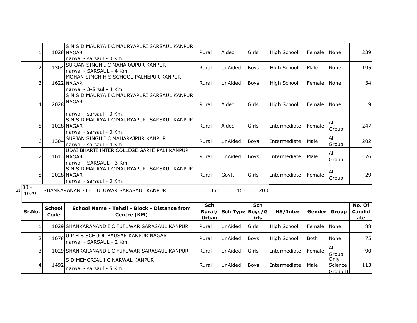| 1.                   |                       | IS N S D MAURYA I C MAURYAPURI SARSAUL KANPUR<br>1028 NAGAR<br>narwal - sarsaul - 0 Km. | Rural                                | Aided           | Girls       | High School        | Female        | None                       | 239                     |
|----------------------|-----------------------|-----------------------------------------------------------------------------------------|--------------------------------------|-----------------|-------------|--------------------|---------------|----------------------------|-------------------------|
| 2                    | 1304                  | SURJAN SINGH I C MAHARAJPUR KANPUR<br>narwal - SARSAUL - 4 Km.                          | Rural                                | UnAided         | <b>Boys</b> | High School        | Male          | None                       | 195                     |
| 31                   |                       | MOHAN SINGH H S SCHOOL PALHEPUR KANPUR<br>1622 NAGAR<br>narwal - 3-Srsul - 4 Km.        | Rural                                | UnAided         | <b>Boys</b> | <b>High School</b> | Female        | <b>None</b>                | 34                      |
| 4                    |                       | S N S D MAURYA I C MAURYAPURI SARSAUL KANPUR<br>2028 NAGAR<br>Inarwal - sarsaul - 0 Km. | Rural                                | Aided           | Girls       | <b>High School</b> | <b>Female</b> | None                       | 9                       |
| 51                   |                       | S N S D MAURYA I C MAURYAPURI SARSAUL KANPUR<br>1028 NAGAR<br>narwal - sarsaul - 0 Km.  | Rural                                | Aided           | Girls       | Intermediate       | Female        | All<br>Group               | 247                     |
| $6 \mid$             |                       | 1304 SURJAN SINGH I C MAHARAJPUR KANPUR<br>narwal - sarsaul - 4 Km.                     | Rural                                | UnAided         | Boys        | Intermediate       | Male          | All<br>Group               | 202                     |
| 7                    |                       | UDAI BHARTI INTER COLLEGE GARHI PALI KANPUR<br>1613 NAGAR<br>narwal - SARSAUL - 3 Km.   | Rural                                | UnAided         | <b>Boys</b> | Intermediate       | Male          | All<br>Group               | 76                      |
| 8                    |                       | IS N S D MAURYA I C MAURYAPURI SARSAUL KANPUR<br>2028 NAGAR<br>narwal - sarsaul - 0 Km. | Rural                                | Govt.           | Girls       | Intermediate       | Female        | All<br>Group               | 29                      |
| $38 -$<br>21<br>1029 |                       | SHANKARANAND I C FUFUWAR SARASAUL KANPUR                                                | 366                                  | 163             | 203         |                    |               |                            |                         |
| Sr.No.               | <b>School</b><br>Code | School Name - Tehsil - Block - Distance from<br>Centre (KM)                             | <b>Sch</b><br>Rural/<br><b>Urban</b> | Sch Type Boys/G | Sch<br>irls | HS/Inter           | Gender Group  |                            | No. Of<br>Candid<br>ate |
|                      |                       | 1029 SHANKARANAND I C FUFUWAR SARASAUL KANPUR                                           | Rural                                | UnAided         | Girls       | High School        | Female        | None                       | 88                      |
| 2                    |                       | 1678U P H S SCHOOL BAUSAR KANPUR NAGAR<br>narwal - SARSAUL - 2 Km.                      | Rural                                | UnAided         | Boys        | High School        | Both          | None                       | 75                      |
| 31                   |                       | 1029 SHANKARANAND I C FUFUWAR SARASAUL KANPUR                                           | Rural                                | UnAided         | Girls       | Intermediate       | Female        | <b>All</b><br>Group        | 90                      |
| 4                    | 1492                  | IS D MEMORIAL I C NARWAL KANPUR<br>narwal - sarsaul - 5 Km.                             | Rural                                | UnAided         | <b>Boys</b> | Intermediate       | Male          | Only<br>Science<br>Group B | 113                     |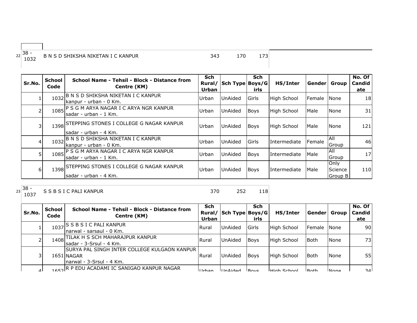| $\sim$<br>್ರರ -<br>$\sim$<br>--<br>n n<br>____ | ⊺∧ Ni<br>N | __ | _____ |  |
|------------------------------------------------|------------|----|-------|--|

| Sr.No.         | <b>School</b><br>Code | School Name - Tehsil - Block - Distance from<br>Centre (KM)            | <b>Sch</b><br>Rural/<br>Urban | Sch Type Boys/G | <b>Sch</b><br>irls | HS/Inter     | Gender | Group                      | No. Of<br>Candid<br>ate |
|----------------|-----------------------|------------------------------------------------------------------------|-------------------------------|-----------------|--------------------|--------------|--------|----------------------------|-------------------------|
|                | 1032                  | B N S D SHIKSHA NIKETAN I C KANPUR<br>kanpur - urban - 0 Km.           | Urban                         | <b>UnAided</b>  | Girls              | High School  | Female | <b>None</b>                | 18 <sup>l</sup>         |
|                |                       | 1085 P S G M ARYA NAGAR I C ARYA NGR KANPUR<br>sadar - urban - 1 Km.   | Urban                         | <b>UnAided</b>  | <b>Boys</b>        | High School  | Male   | None                       | 31                      |
|                |                       | 1398 STEPPING STONES I COLLEGE G NAGAR KANPUR<br>sadar - urban - 4 Km. | Urban                         | UnAided         | <b>Boys</b>        | High School  | Male   | None                       | 121                     |
| $\overline{4}$ | 1032                  | B N S D SHIKSHA NIKETAN I C KANPUR<br>kanpur - urban - 0 Km.           | Urban                         | <b>UnAided</b>  | Girls              | Intermediate | Female | All<br>Group               | 46                      |
| 5              |                       | 1085 P S G M ARYA NAGAR I C ARYA NGR KANPUR<br>sadar - urban - 1 Km.   | Urban                         | UnAided         | <b>Boys</b>        | Intermediate | Male   | All<br>Group               | 17                      |
| 6              |                       | 1398 STEPPING STONES I COLLEGE G NAGAR KANPUR<br>sadar - urban - 4 Km. | Urban                         | <b>UnAided</b>  | <b>Boys</b>        | Intermediate | Male   | Only<br>Science<br>Group B | 110                     |

23 38 -<br>1037

S S B S I C PALI KANPUR 250 252 118

| Sr.No.    | <b>School</b><br>Code | School Name - Tehsil - Block - Distance from<br>Centre (KM)                                   | <b>Sch</b><br>Urban | Rural/ Sch Type Boys/G | Sch<br>irls      | HS/Inter            | Gender               | <b>Group</b> | No. Of<br><b>Candid</b><br>ate |
|-----------|-----------------------|-----------------------------------------------------------------------------------------------|---------------------|------------------------|------------------|---------------------|----------------------|--------------|--------------------------------|
|           |                       | 1037 S B S I C PALI KANPUR<br>Inarwal - sarsaul - 0 Km.                                       | <b>IRural</b>       | <b>UnAided</b>         | Girls            | High School         | <b>IFemale INone</b> |              | 90I                            |
|           |                       | 1408 TILAK H S SCH MAHARAJPUR KANPUR<br>Isadar - 3-Srsul - 4 Km.                              | Rural               | <b>UnAided</b>         | <b>Boys</b>      | High School         | l Both               | None         | 73I                            |
| 3         |                       | <b>SURYA PAL SINGH INTER COLLEGE KULGAON KANPUR</b><br>1651 NAGAR<br>narwal - 3-Srsul - 4 Km. | Rural               | <b>UnAided</b>         | <b>Bovs</b>      | <b>High School</b>  | l Both               | None         | 55                             |
| $\Lambda$ |                       | LEF2R P EDU ACADAMI IC SANIGAO KANPUR NAGAR                                                   | $I$ Irhan           | IIndod                 | $P_{\text{avc}}$ | <b>LHigh School</b> | $Ro$ th              | <b>None</b>  | 311                            |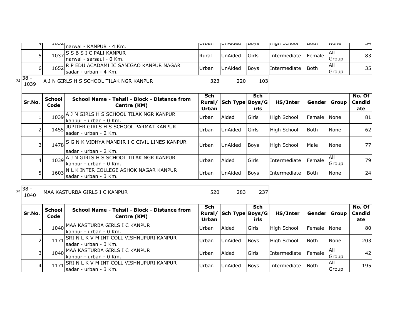|    | ᅮ                       | エロコム                  | narwal - KANPUR - 4 Km.                                                    | <b>UI DUII</b>      | UIMUCU                 | 100y3                     | <b>LIIGHT JULIUUI</b> | ו היחד               | סווטווכ                   | ᄓ                       |
|----|-------------------------|-----------------------|----------------------------------------------------------------------------|---------------------|------------------------|---------------------------|-----------------------|----------------------|---------------------------|-------------------------|
|    | 5 <sup>1</sup>          | 1037                  | S S B S I C PALI KANPUR<br>narwal - sarsaul - 0 Km.                        | Rural               | UnAided                | Girls                     | Intermediate          | Female               | All<br>Group              | 83                      |
|    | 6 <sup>1</sup>          | 1652                  | R P EDU ACADAMI IC SANIGAO KANPUR NAGAR<br>sadar - urban - 4 Km.           | Urban               | UnAided                | <b>Boys</b>               | Intermediate          | <b>Both</b>          | All<br>Group              | 35                      |
| 24 | $38 -$<br>1039          |                       | A J N GIRLS H S SCHOOL TILAK NGR KANPUR                                    | 323                 | 220                    | 103                       |                       |                      |                           |                         |
|    | Sr.No.                  | <b>School</b><br>Code | School Name - Tehsil - Block - Distance from<br>Centre (KM)                | Sch<br>Urban        | Rural/ Sch Type Boys/G | <b>Sch</b><br>irls        | HS/Inter              | <b>Genderl Group</b> |                           | No. Of<br>Candid<br>ate |
|    | $\mathbf{1}$            |                       | 1039 A J N GIRLS H S SCHOOL TILAK NGR KANPUR<br>kanpur - urban - 0 Km.     | Urban               | Aided                  | Girls                     | High School           | Female               | <b>None</b>               | 81                      |
|    | $\overline{2}$          | 1455                  | JUPITER GIRLS H S SCHOOL PARMAT KANPUR<br>sadar - urban - 2 Km.            | Urban               | UnAided                | Girls                     | High School           | <b>Both</b>          | None                      | 62                      |
|    | $\overline{\mathsf{3}}$ |                       | 1478 S G N K VIDHYA MANDIR I C CIVIL LINES KANPUR<br>sadar - urban - 2 Km. | Urban               | <b>UnAided</b>         | <b>Boys</b>               | High School           | Male                 | None                      | <b>77</b>               |
|    | $\overline{4}$          |                       | 1039 A J N GIRLS H S SCHOOL TILAK NGR KANPUR<br>kanpur - urban - 0 Km.     | Urban               | Aided                  | Girls                     | Intermediate          | Female               | $\overline{All}$<br>Group | 79                      |
|    | 5 <sup>1</sup>          | 1603                  | N L K INTER COLLEGE ASHOK NAGAR KANPUR<br>sadar - urban - 3 Km.            | Urban               | UnAided                | <b>Boys</b>               | Intermediate          | <b>Both</b>          | None                      | 24                      |
| 25 | $38 -$<br>1040          |                       | MAA KASTURBA GIRLS I C KANPUR                                              | 520                 | 283                    | 237                       |                       |                      |                           |                         |
|    | Sr.No.                  | <b>School</b><br>Code | School Name - Tehsil - Block - Distance from<br>Centre (KM)                | <b>Sch</b><br>Urban | Rural/ Sch Type Boys/G | <b>Sch</b><br><b>irls</b> | HS/Inter              | Gender Group         |                           | No. Of<br>Candid<br>ate |
|    | $\mathbf{1}$            | 1040                  | MAA KASTURBA GIRLS I C KANPUR<br>kanpur - urban - 0 Km.                    | Urban               | Aided                  | Girls                     | High School           | Female               | None                      | 80                      |
|    | $\overline{2}$          | 1171                  | SRI N L K V M INT COLL VISHNUPURI KANPUR<br>sadar - urban - 3 Km.          | Urban               | <b>UnAided</b>         | <b>Boys</b>               | High School           | <b>Both</b>          | None                      | 203                     |
|    | $\overline{3}$          |                       | 1040 MAA KASTURBA GIRLS I C KANPUR<br>kanpur - urban - 0 Km.               | Urban               | Aided                  | Girls                     | Intermediate          | Female               | All<br>Group              | 42                      |
|    | $\overline{4}$          | 1171                  | SRI N L K V M INT COLL VISHNUPURI KANPUR<br>sadar - urban - 3 Km.          | Urban               | <b>UnAided</b>         | <b>Boys</b>               | Intermediate          | <b>Both</b>          | All<br>Group              | 195                     |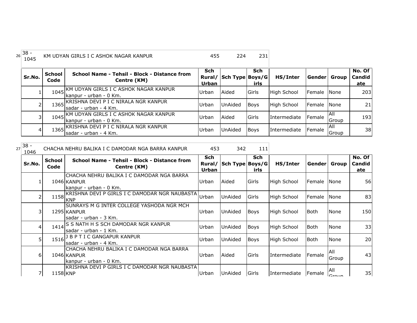| $16^{38}$<br>1045 |                       | KM UDYAN GIRLS I C ASHOK NAGAR KANPUR                                 | 455                    | 224             | 231                |                     |              |               |                             |
|-------------------|-----------------------|-----------------------------------------------------------------------|------------------------|-----------------|--------------------|---------------------|--------------|---------------|-----------------------------|
| Sr.No.            | <b>School</b><br>Code | School Name - Tehsil - Block - Distance from<br>Centre (KM)           | Sch<br>Rural/<br>Urban | Sch Type Boys/G | <b>Sch</b><br>irls | HS/Inter            | Gender Group |               | No. Of $ $<br>Candid<br>ate |
|                   | 1045                  | - KM UDYAN GIRLS I C ASHOK NAGAR KANPUR<br>Ikanpur - urban - 0 Km.    | Urban                  | Aided           | Girls              | High School         | Female       | <b>None</b>   | 203                         |
|                   |                       | 1365 KRISHNA DEVI P I C NIRALA NGR KANPUR<br>Isadar - urban - 4 Km.   | Urban                  | UnAided         | <b>Boys</b>        | High School         | Female       | <b>None</b>   | 21                          |
| 3                 |                       | 1045 KM UDYAN GIRLS I C ASHOK NAGAR KANPUR<br>Ikanpur - urban - 0 Km. | Urban                  | Aided           | Girls              | <b>Intermediate</b> | Female       | IAII<br>Group | 193                         |
| $\overline{4}$    |                       | 1365 KRISHNA DEVI P I C NIRALA NGR KANPUR<br>Isadar - urban - 4 Km.   | Urban                  | UnAided         | <b>Boys</b>        | <b>Intermediate</b> | Female       | IAII<br>Group | 38                          |

<sup>27</sup> 38 - <sup>1046</sup> CHACHA NEHRU BALIKA I C DAMODAR NGA BARRA KANPUR <sup>453</sup> <sup>342</sup> <sup>111</sup>

| 1040   |                       |                                                                                      |                                      |                 |                    |                    |                      |                                  |                         |
|--------|-----------------------|--------------------------------------------------------------------------------------|--------------------------------------|-----------------|--------------------|--------------------|----------------------|----------------------------------|-------------------------|
| Sr.No. | <b>School</b><br>Code | School Name - Tehsil - Block - Distance from<br>Centre (KM)                          | <b>Sch</b><br>Rural/<br><b>Urban</b> | Sch Type Boys/G | <b>Sch</b><br>irls | HS/Inter           | Gender  Group        |                                  | No. Of<br>Candid<br>ate |
|        |                       | ICHACHA NEHRU BALIKA I C DAMODAR NGA BARRA<br>1046 KANPUR<br>lkanpur - urban - 0 Km. | Urban                                | Aided           | Girls              | High School        | <b>IFemale INone</b> |                                  | 56                      |
|        | 1158                  | KRISHNA DEVI P GIRLS I C DAMODAR NGR NAUBASTA<br><b>KNP</b>                          | Urban                                | <b>UnAided</b>  | Girls              | <b>High School</b> | <b>Female</b>        | - INone                          | 83                      |
|        |                       | ISUNRAYS M G INTER COLLEGE YASHODA NGR MCH<br>1295 KANPUR<br>sadar - urban - 3 Km.   | Urban                                | <b>UnAided</b>  | Boys               | High School        | Both                 | None                             | 150                     |
| 4      |                       | 1414 S S NATH H S SCH DAMODAR NGR KANPUR<br>Isadar - urban - 1 Km.                   | Urban                                | UnAided         | <b>Boys</b>        | High School        | Both                 | None                             | 33                      |
| 5      | $1516$ <sup>J</sup>   | B P T I C GANGAPUR KANPUR<br>lsadar - urban - 4 Km.                                  | Urban                                | <b>UnAided</b>  | <b>Boys</b>        | <b>High School</b> | <b>Both</b>          | <b>None</b>                      | 20                      |
| 61     |                       | ICHACHA NEHRU BALIKA I C DAMODAR NGA BARRA<br>1046 KANPUR<br>Ikanpur - urban - 0 Km. | Urban                                | Aided           | Girls              | Intermediate       | Female               | IAII<br>Group                    | 43                      |
| 7      | 1158 KNP              | IKRISHNA DEVI P GIRLS I C DAMODAR NGR NAUBASTA                                       | Urban                                | <b>UnAided</b>  | Girls              | Intermediate       | Female               | <b>AII</b><br>$C_{\text{Fouin}}$ | 35                      |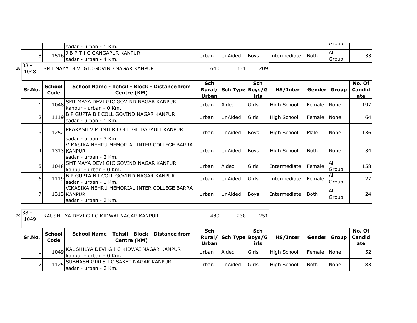|                |                       | lsadar - urban - 1 Km.                                                               |                                      |                 |                    |                    |             | שט וטן        |                             |
|----------------|-----------------------|--------------------------------------------------------------------------------------|--------------------------------------|-----------------|--------------------|--------------------|-------------|---------------|-----------------------------|
| 8              |                       | 1516 <sup>J B P T I C GANGAPUR KANPUR</sup><br>sadar - urban - 4 Km.                 | Urban                                | <b>UnAided</b>  | <b>Boys</b>        | Intermediate       | Both        | All<br>Group  | 33                          |
| $38 -$<br>1048 |                       | SMT MAYA DEVI GIC GOVIND NAGAR KANPUR                                                | 640                                  | 431             | 209                |                    |             |               |                             |
| Sr.No.         | <b>School</b><br>Code | School Name - Tehsil - Block - Distance from<br>Centre (KM)                          | <b>Sch</b><br>Rural/<br><b>Urban</b> | Sch Type Boys/G | <b>Sch</b><br>irls | HS/Inter           |             | Gender  Group | No. Of $ $<br>Candid<br>ate |
|                |                       | 1048 SMT MAYA DEVI GIC GOVIND NAGAR KANPUR<br>lkanpur - urban - 0 Km.                | Urban                                | Aided           | Girls              | High School        | Female      | <b>INone</b>  | 197                         |
|                |                       | 1119 B P GUPTA B I COLL GOVIND NAGAR KANPUR<br>sadar - urban - 1 Km.                 | Urban                                | UnAided         | Girls              | High School        | Female      | None          | 64                          |
|                | 3                     | 1252 PRAKASH V M INTER COLLEGE DABAULI KANPUR<br>lsadar - urban - 3 Km.              | Urban                                | UnAided         | <b>Boys</b>        | <b>High School</b> | Male        | None          | 136                         |
| 4              |                       | VIKASIKA NEHRU MEMORIAL INTER COLLEGE BARRA<br>1313 KANPUR<br>lsadar - urban - 2 Km. | Urban                                | UnAided         | <b>Boys</b>        | <b>High School</b> | <b>Both</b> | None          | 34                          |
|                | 5.                    | 1048 SMT MAYA DEVI GIC GOVIND NAGAR KANPUR<br>kanpur - urban - 0 Km.                 | Urban                                | Aided           | Girls              | Intermediate       | Female      | All<br>Group  | 158                         |
|                | 61                    | 1119 B P GUPTA B I COLL GOVIND NAGAR KANPUR<br>lsadar - urban - 1 Km.                | Urban                                | UnAided         | Girls              | Intermediate       | Female      | All<br>Group  | 27                          |
|                |                       | VIKASIKA NEHRU MEMORIAL INTER COLLEGE BARRA<br>1313 KANPUR<br>lsadar - urban - 2 Km. | Urban                                | <b>UnAided</b>  | <b>Boys</b>        | Intermediate       | <b>Both</b> | All<br>Group  | 24                          |

### $29\begin{array}{|c} 38 - 1049 \end{array}$ KAUSHILYA DEVI G I C KIDWAI NAGAR KANPUR 489 238 251

| Sr.No. | School<br>Code | School Name - Tehsil - Block - Distance from<br>Centre (KM)             | Sch<br>Urban | Rural/ Sch Type Boys/G | Sch<br>irls | HS/Inter    | <b>Genderl Group</b> |      | No. Of<br><b>Candid</b><br>ate |
|--------|----------------|-------------------------------------------------------------------------|--------------|------------------------|-------------|-------------|----------------------|------|--------------------------------|
|        |                | 1049 KAUSHILYA DEVI G I C KIDWAI NAGAR KANPUR<br>kanpur - urban - 0 Km. | Urban        | Aided                  | Girls       | High School | Female None          |      | 52                             |
|        |                | 1125 SUBHASH GIRLS I C SAKET NAGAR KANPUR<br>Isadar - urban - 2 Km.     | <b>Urban</b> | <b>UnAided</b>         | Girls       | High School | <b>I</b> Both        | None | 83                             |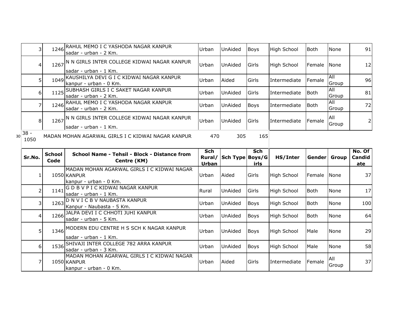|    | 3              | 1246          | RAHUL MEMO I C YASHODA NAGAR KANPUR<br>sadar - urban - 2 Km.                  | Urban                 | <b>UnAided</b>  | <b>Boys</b>   | High School        | <b>Both</b> | None         | 91                  |
|----|----------------|---------------|-------------------------------------------------------------------------------|-----------------------|-----------------|---------------|--------------------|-------------|--------------|---------------------|
|    | 4              | 1267          | N N GIRLS INTER COLLEGE KIDWAI NAGAR KANPUR<br>sadar - urban - 1 Km.          | Urban                 | UnAided         | Girls         | High School        | Female      | None         | 12                  |
|    | 5              | 1049          | KAUSHILYA DEVI G I C KIDWAI NAGAR KANPUR<br>kanpur - urban - 0 Km.            | Urban                 | Aided           | Girls         | Intermediate       | Female      | All<br>Group | 96                  |
|    | 6              | 1125          | SUBHASH GIRLS I C SAKET NAGAR KANPUR<br>sadar - urban - 2 Km.                 | Urban                 | UnAided         | Girls         | Intermediate       | <b>Both</b> | All<br>Group | 81                  |
|    | 7              |               | 1246 RAHUL MEMO I C YASHODA NAGAR KANPUR<br>sadar - urban - 2 Km.             | Urban                 | UnAided         | Boys          | Intermediate       | <b>Both</b> | All<br>Group | 72                  |
|    | 8              |               | 1267 N N GIRLS INTER COLLEGE KIDWAI NAGAR KANPUR<br>sadar - urban - 1 Km.     | Urban                 | <b>UnAided</b>  | Girls         | Intermediate       | Female      | All<br>Group | $\overline{2}$      |
| 30 | $38 -$<br>1050 |               | MADAN MOHAN AGARWAL GIRLS I C KIDWAI NAGAR KANPUR                             | 470                   | 305             | 165           |                    |             |              |                     |
|    |                | <b>School</b> | School Name - Tehsil - Block - Distance from                                  | <b>Sch</b>            |                 | <b>Sch</b>    |                    |             |              | $\overline{No. Of}$ |
|    | Sr.No.         | Code          | Centre (KM)                                                                   | Rural/                | Sch Type Boys/G |               | HS/Inter           |             | Gender Group | Candid              |
|    | 1              |               | MADAN MOHAN AGARWAL GIRLS I C KIDWAI NAGAR<br>1050 KANPUR                     | <b>Urban</b><br>Urban | Aided           | irls<br>Girls | <b>High School</b> | Female      | None         | ate<br>37           |
|    | 2              | 1141          | kanpur - urban - 0 Km.<br>GDBVPICKIDWAI NAGAR KANPUR<br>sadar - urban - 1 Km. | Rural                 | UnAided         | Girls         | High School        | <b>Both</b> | None         | 17                  |
|    | 3              | 1263          | D N V I C B V NAUBASTA KANPUR<br>Kanpur - Naubasta - 5 Km.                    | Urban                 | UnAided         | Boys          | <b>High School</b> | <b>Both</b> | None         | 100                 |
|    | 4              | 1266          | JALPA DEVI I C CHHOTI JUHI KANPUR<br>sadar - urban - 5 Km.                    | Urban                 | UnAided         | Boys          | High School        | <b>Both</b> | None         | 64                  |
|    | 5              | 1346          | MODERN EDU CENTRE H S SCH K NAGAR KANPUR<br>sadar - urban - 1 Km.             | Urban                 | UnAided         | <b>Boys</b>   | <b>High School</b> | Male        | None         | 29                  |
|    | 6              | 1536          | SHIVAJI INTER COLLEGE 782 ARRA KANPUR<br>sadar - urban - 3 Km.                | Urban                 | UnAided         | <b>Boys</b>   | High School        | Male        | None         | 58                  |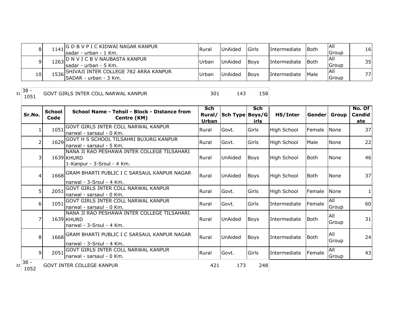| 81  | 1141 G D B V P I C KIDWAI NAGAR KANPUR<br>Isadar - urban - 1 Km.     | Rura   | UnAided        | Girls       | <i>Intermediate</i> | <b>I</b> Both | IAII<br>ıGroup | 16 |
|-----|----------------------------------------------------------------------|--------|----------------|-------------|---------------------|---------------|----------------|----|
|     | $1263$ D N V I C B V NAUBASTA KANPUR<br>Isadar - urban - 5 Km.       | .Urban | <b>UnAided</b> | <b>Boys</b> | <b>Intermediate</b> | <b>I</b> Both | IAII<br>.Group | 35 |
| 10I | 1536 SHIVAJI INTER COLLEGE 782 ARRA KANPUR<br>ISADAR - urban - 3 Km. | Urban  | <b>UnAided</b> | <b>Boys</b> | <i>Intermediate</i> | <b>Male</b>   | IAII<br>Group  | 77 |

 $31\overline{\)38} - 1051$ 

GOVT GIRLS INTER COLL NARWAL KANPUR 1501 143 158

| Sr.No.                | <b>School</b><br>Code | School Name - Tehsil - Block - Distance from<br>Centre (KM)                             | Sch<br><b>Urban</b> | Rural/ Sch Type Boys/G | Sch<br>irls | HS/Inter            | <b>Genderl Group</b> |              | No. Of<br>Candid<br><u>ate</u> |
|-----------------------|-----------------------|-----------------------------------------------------------------------------------------|---------------------|------------------------|-------------|---------------------|----------------------|--------------|--------------------------------|
|                       | 1051                  | <b>GOVT GIRLS INTER COLL NARWAL KANPUR</b><br>narwal - sarsaul - 0 Km.                  | Rural               | Govt.                  | Girls       | High School         | Female               | <b>None</b>  | 37                             |
| $\overline{2}$        |                       | 1629 GOVT H S SCHOOL TILSAHRI BUJURG KANPUR<br>narwal - sarsaul - 5 Km.                 | Rural               | Govt.                  | Girls       | <b>High School</b>  | Male                 | None         | 22                             |
| 3                     |                       | NANA JI RAO PESHAWA INTER COLLEGE TILSAHARI<br>1639 KHURD<br>1-Kanpur - 3-Srsul - 4 Km. | Rural               | UnAided                | <b>Boys</b> | High School         | Both                 | <b>None</b>  | 46                             |
| 4                     |                       | 1668 GRAM BHARTI PUBLIC I C SARSAUL KANPUR NAGAR<br>Inarwal - 3-Srsul - 4 Km.           | Rural               | UnAided                | Boys        | High School         | <b>Both</b>          | <b>None</b>  | 37                             |
| 5                     | 2051                  | GOVT GIRLS INTER COLL NARWAL KANPUR<br>narwal - sarsaul - 0 Km.                         | Rural               | Govt.                  | Girls       | High School         | Female               | None         |                                |
| 6                     |                       | 1051 GOVT GIRLS INTER COLL NARWAL KANPUR<br>Inarwal - sarsaul - 0 Km.                   | Rural               | Govt.                  | Girls       | Intermediate        | Female               | All<br>Group | 60                             |
| 7                     |                       | NANA JI RAO PESHAWA INTER COLLEGE TILSAHARI<br>1639 KHURD<br>narwal - 3-Srsul - 4 Km.   | Rural               | UnAided                | <b>Boys</b> | Intermediate        | <b>Both</b>          | All<br>Group | 31                             |
| 8                     |                       | 1668 GRAM BHARTI PUBLIC I C SARSAUL KANPUR NAGAR<br>Inarwal - 3-Srsul - 4 Km.           | Rural               | UnAided                | <b>Boys</b> | <b>Intermediate</b> | Both                 | All<br>Group | 24                             |
| 9                     |                       | 2051 GOVT GIRLS INTER COLL NARWAL KANPUR<br>narwal - sarsaul - 0 Km.                    | Rural               | Govt.                  | Girls       | Intermediate        | Female               | All<br>Group | 43                             |
| $38 -$<br>32.<br>1052 |                       | GOVT INTER COLLEGE KANPUR                                                               | 421                 | 173                    | 248         |                     |                      |              |                                |

 $\begin{array}{c|c} 32 & 38 \\ 1052 & & \end{array}$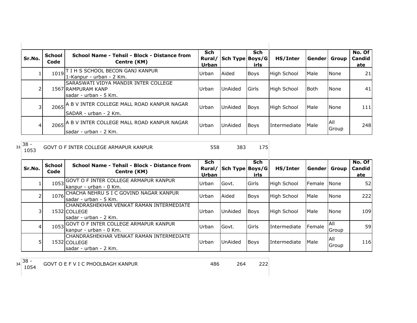| Sr.No. | <b>School</b><br>Code | School Name - Tehsil - Block - Distance from<br>Centre (KM)                           | <b>Sch</b><br>Urban | Rural/ Sch Type Boys/G | <b>Sch</b><br>irls | HS/Inter           | l Gender l | Group        | No. Of<br>Candid<br>ate |
|--------|-----------------------|---------------------------------------------------------------------------------------|---------------------|------------------------|--------------------|--------------------|------------|--------------|-------------------------|
|        |                       | 1019 T I H S SCHOOL BECON GANJ KANPUR<br>1-Kanpur - urban - 2 Km.                     | Urban               | Aided                  | <b>Boys</b>        | High School        | Male       | None         | 21                      |
| 2      |                       | ISARASWATI VIDYA MANDIR INTER COLLEGE<br>1567 RAMPURAM KANP<br>lsadar - urban - 5 Km. | Urban               | <b>UnAided</b>         | Girls              | <b>High School</b> | Both       | None         | 41                      |
| 31     |                       | 2065 A B V INTER COLLEGE MALL ROAD KANPUR NAGAR<br>SADAR - urban - 2 Km.              | Urban               | <b>UnAided</b>         | <b>Boys</b>        | High School        | Male       | <b>None</b>  | 111                     |
| 41     |                       | 2065 A B V INTER COLLEGE MALL ROAD KANPUR NAGAR<br>sadar - urban - 2 Km.              | Urban               | UnAided                | <b>Boys</b>        | Intermediate       | Male       | All<br>Group | 248                     |

 $33\overline{\)38}$  - 1053

GOVT O F INTER COLLEGE ARMAPUR KANPUR 558 383 175

| Sr.No. | <b>School</b><br>Code | School Name - Tehsil - Block - Distance from<br>Centre (KM)                        | <b>Sch</b><br>Rural/<br>Urban | Sch Type Boys/G | Sch<br>irls | HS/Inter           | Gender Group   |                             | No. Of<br>Candid<br>ate |
|--------|-----------------------|------------------------------------------------------------------------------------|-------------------------------|-----------------|-------------|--------------------|----------------|-----------------------------|-------------------------|
|        | 1053                  | <b>GOVT O F INTER COLLEGE ARMAPUR KANPUR</b><br>kanpur - urban - 0 Km.             | Urban                         | Govt.           | Girls       | High School        | <b>IFemale</b> | <b>None</b>                 | 52                      |
|        | 1076                  | CHACHA NEHRU S I C GOVIND NAGAR KANPUR<br>Isadar - urban - 5 Km.                   | Urban                         | Aided           | Boys        | <b>High School</b> | Male           | None                        | 222                     |
| 3      |                       | ICHANDRASHEKHAR VENKAT RAMAN INTERMEDIATE<br>1532 COLLEGE<br>sadar - urban - 2 Km. | Urban                         | UnAided         | Boys        | High School        | Male           | <b>None</b>                 | 109                     |
| 4      | 1053                  | <b>GOVT O F INTER COLLEGE ARMAPUR KANPUR</b><br>kanpur - urban - 0 Km.             | Urban                         | Govt.           | Girls       | Intermediate       | Female         | <b>AII</b><br><b>IGroup</b> | 59                      |
|        |                       | CHANDRASHEKHAR VENKAT RAMAN INTERMEDIATE<br>1532 COLLEGE<br>sadar - urban - 2 Km.  | Urban                         | UnAided         | <b>Boys</b> | Intermediate       | Male           | All<br>Group                | 116                     |

 $34 \overline{\)38 - 1054}$ 

1054 GOVT O E F V I C PHOOLBAGH KANPUR 486 264 222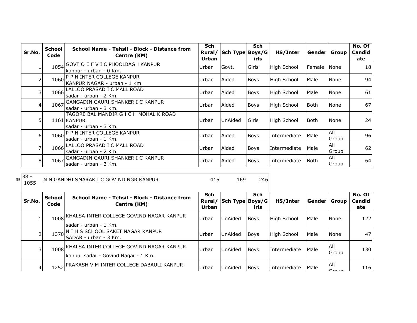| Sr.No.         | <b>School</b><br>Code | School Name - Tehsil - Block - Distance from<br>Centre (KM)                     | <b>Sch</b><br>Rural/<br>Urban | Sch Type Boys/G | <b>Sch</b><br>irls | HS/Inter           | Gender      | Group         | No. Of<br>Candid<br><u>ate</u> |
|----------------|-----------------------|---------------------------------------------------------------------------------|-------------------------------|-----------------|--------------------|--------------------|-------------|---------------|--------------------------------|
|                | 1054                  | GOVT O E F V I C PHOOLBAGH KANPUR<br>kanpur - urban - 0 Km.                     | Urban                         | Govt.           | Girls              | <b>High School</b> | Female      | <b>I</b> None | 18                             |
| 2              | 1060                  | <b>P P N INTER COLLEGE KANPUR</b><br>KANPUR NAGAR - urban - 1 Km.               | Urban                         | Aided           | <b>Boys</b>        | <b>High School</b> | Male        | None          | 94                             |
| 3              | 1066                  | LALLOO PRASAD I C MALL ROAD<br>lsadar - urban - 2 Km.                           | Urban                         | Aided           | <b>Boys</b>        | <b>High School</b> | Male        | None          | 61                             |
| $\overline{4}$ | 1067                  | GANGADIN GAURI SHANKER I C KANPUR<br>sadar - urban - 3 Km.                      | Urban                         | Aided           | Boys               | <b>High School</b> | Both        | <b>None</b>   | 67                             |
| 5              |                       | TAGORE BAL MANDIR G I C H MOHAL K ROAD<br>1161 KANPUR<br>lsadar - urban - 3 Km. | Urban                         | UnAided         | Girls              | <b>High School</b> | l Both      | <b>None</b>   | 24                             |
| 6 <sup>1</sup> |                       | 1060 P P N INTER COLLEGE KANPUR<br>sadar - urban - 1 Km.                        | Urban                         | Aided           | <b>Boys</b>        | Intermediate       | Male        | All<br>Group  | 96                             |
| 7              | 1066                  | LALLOO PRASAD I C MALL ROAD<br>sadar - urban - 2 Km.                            | Urban                         | Aided           | <b>Boys</b>        | Intermediate       | Male        | IAII<br>Group | 62                             |
| 8              | 1067                  | GANGADIN GAURI SHANKER I C KANPUR<br>sadar - urban - 3 Km.                      | Urban                         | Aided           | Boys               | Intermediate       | <b>Both</b> | All<br>Group  | 64                             |

 $35\begin{array}{|c} 38 - 1055 \end{array}$ N N GANDHI SMARAK I C GOVIND NGR KANPUR 415 415 169 246

| Sr.No. | School<br>Code | School Name - Tehsil - Block - Distance from<br>Centre (KM)                     | <b>Sch</b><br>Rural/<br><b>Urban</b> | Sch Type Boys/G | <b>Sch</b><br>irls | HS/Inter           | Genderl | Group                | No. Of<br>Candid<br>ate |
|--------|----------------|---------------------------------------------------------------------------------|--------------------------------------|-----------------|--------------------|--------------------|---------|----------------------|-------------------------|
|        | 1008           | IKHALSA INTER COLLEGE GOVIND NAGAR KANPUR<br>sadar - urban - 1 Km.              | Urban                                | <b>UnAided</b>  | <b>Boys</b>        | <b>High School</b> | Male    | <b>None</b>          | 122                     |
|        |                | 1370 N I H S SCHOOL SAKET NAGAR KANPUR<br>SADAR - urban - 3 Km.                 | Urban                                | <b>UnAided</b>  | Boys               | <b>High School</b> | Male    | <b>None</b>          | 47                      |
| 31     | 1008           | KHALSA INTER COLLEGE GOVIND NAGAR KANPUR<br>kanpur sadar - Govind Nagar - 1 Km. | Urban                                | UnAided         | <b>Boys</b>        | Intermediate       | Male    | IAII<br><b>Group</b> | 130                     |
| 4      |                | 1252 PRAKASH V M INTER COLLEGE DABAULI KANPUR                                   | Urban                                | UnAided         | <b>Boys</b>        | Intermediate       | Male    | All<br>$C$ roun      | 116                     |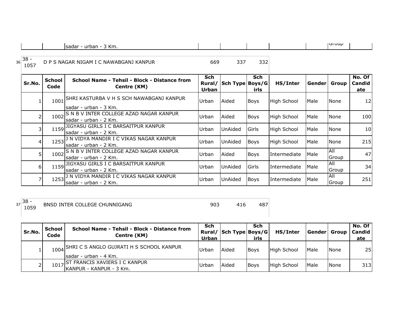| Km.<br>sadar<br>urban<br>. . |  |  | TOI UUD |  |
|------------------------------|--|--|---------|--|

| 36 | $38 -$<br>1057 |                | D P S NAGAR NIGAM I C NAWABGANJ KANPUR                                     | 669                           | 337             | 332         |                    |                |              |                         |
|----|----------------|----------------|----------------------------------------------------------------------------|-------------------------------|-----------------|-------------|--------------------|----------------|--------------|-------------------------|
|    | Sr.No.         | School<br>Code | School Name - Tehsil - Block - Distance from<br>Centre (KM)                | <b>Sch</b><br>Rural/<br>Urban | Sch Type Boys/G | Sch<br>irls | HS/Inter           | Gender   Group |              | No. Of<br>Candid<br>ate |
|    |                | 1001           | <b>ISHRI KASTURBA V H S SCH NAWABGANJ KANPUR</b><br>Isadar - urban - 3 Km. | Urban                         | Aided           | Boys        | High School        | Male           | None         | 12                      |
|    |                | 1002           | S N B V INTER COLLEGE AZAD NAGAR KANPUR<br>lsadar - urban - 2 Km.          | Urban                         | Aided           | Boys        | <b>High School</b> | Male           | None         | 100l                    |
|    |                | 1159           | JIGYASU GIRLS I C BARSAITPUR KANPUR<br>sadar - urban - 2 Km.               | Urban                         | UnAided         | Girls       | High School        | Male           | None         | 10 <sup>1</sup>         |
|    |                | 1253           | J N VIDYA MANDIR I C VIKAS NAGAR KANPUR<br>lsadar - urban - 2 Km.          | Urban                         | <b>UnAided</b>  | Boys        | High School        | Male           | None         | 215                     |
|    |                | 1002           | S N B V INTER COLLEGE AZAD NAGAR KANPUR<br>sadar - urban - 2 Km.           | Urban                         | Aided           | Boys        | Intermediate       | Male           | All<br>Group | 47                      |
|    | 61             |                | 1159 JIGYASU GIRLS I C BARSAITPUR KANPUR<br>sadar - urban - 2 Km.          | Urban                         | <b>UnAided</b>  | Girls       | Intermediate       | Male           | All<br>Group | 34                      |
|    |                |                | 1253 J N VIDYA MANDIR I C VIKAS NAGAR KANPUR<br>lsadar - urban - 2 Km.     | Urban                         | UnAided         | <b>Boys</b> | Intermediate       | Male           | All<br>Group | 251                     |

 $37 \overline{\)38 - 1059}$ PULLEGE CHUNNIGANG 1050 803 416 487

 $\mathsf{L}% _{0}\left( \mathcal{N}\right)$ 

| Sr.No. | School<br>Code | School Name - Tehsil - Block - Distance from<br>Centre (KM)             | <b>Sch</b><br>Urban | Rural/ Sch Type Boys/G | Sch<br>irls | HS/Inter    | Gender Group |             | No. Of<br>Candid<br>ate |
|--------|----------------|-------------------------------------------------------------------------|---------------------|------------------------|-------------|-------------|--------------|-------------|-------------------------|
|        |                | 1004 SHRI C S ANGLO GUJRATI H S SCHOOL KANPUR<br>Isadar - urban - 4 Km. | Urban               | Aided                  | <b>Boys</b> | High School | <b>IMale</b> | <b>None</b> | <b>25</b>               |
|        | 1017           | IST FRANCIS XAVIERS I C KANPUR<br>IKANPUR - KANPUR - 3 Km.              | Urban               | Aided                  | <b>Boys</b> | High School | <b>Male</b>  | None        | 313                     |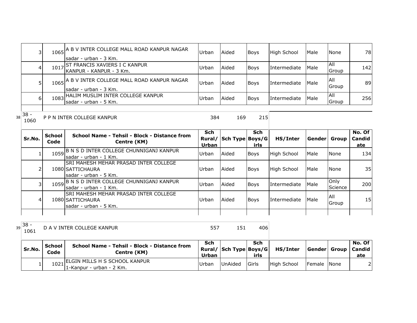|    | $\overline{3}$ |                       | 1065 A B V INTER COLLEGE MALL ROAD KANPUR NAGAR<br>lsadar - urban - 3 Km.                  | Urban                 | Aided                  | Boys               | <b>High School</b> | Male         | <b>None</b>     | 78                |
|----|----------------|-----------------------|--------------------------------------------------------------------------------------------|-----------------------|------------------------|--------------------|--------------------|--------------|-----------------|-------------------|
|    | $\overline{4}$ |                       | 1017 ST FRANCIS XAVIERS I C KANPUR<br>KANPUR - KANPUR - 3 Km.                              | Urban                 | Aided                  | <b>Boys</b>        | Intermediate       | Male         | All<br>Group    | 142               |
|    | 5              |                       | 1065 A B V INTER COLLEGE MALL ROAD KANPUR NAGAR<br>lsadar - urban - 3 Km.                  | Urban                 | Aided                  | <b>Boys</b>        | Intermediate       | Male         | All<br>Group    | 89                |
|    | 6 <sup>1</sup> |                       | 1083 HALIM MUSLIM INTER COLLEGE KANPUR<br>sadar - urban - 5 Km.                            | Urban                 | Aided                  | <b>Boys</b>        | Intermediate       | Male         | All<br>Group    | 256               |
| 38 | $38 -$<br>1060 |                       | P P N INTER COLLEGE KANPUR                                                                 | 384                   | 169                    | 215                |                    |              |                 |                   |
|    |                |                       |                                                                                            |                       |                        |                    |                    |              |                 |                   |
|    | Sr.No.         | <b>School</b><br>Code | School Name - Tehsil - Block - Distance from<br>Centre (KM)                                | <b>Sch</b>            | Rural/ Sch Type Boys/G | <b>Sch</b><br>irls | HS/Inter           | Gender Group |                 | No. Of<br>Candid  |
|    |                | 1059                  | B N S D INTER COLLEGE CHUNNIGANJ KANPUR<br>sadar - urban - 1 Km.                           | <b>Urban</b><br>Urban | Aided                  | Boys               | <b>High School</b> | Male         | <b>None</b>     | <u>ate</u><br>134 |
|    | $\overline{2}$ |                       | <b>SRI MAHESH MEHAR PRASAD INTER COLLEGE</b><br>1080 SATTICHAURA<br>lsadar - urban - 5 Km. | Urban                 | Aided                  | <b>Boys</b>        | <b>High School</b> | Male         | <b>None</b>     | 35                |
|    | 3              |                       | 1059 B N S D INTER COLLEGE CHUNNIGANJ KANPUR<br>sadar - urban - 1 Km.                      | Urban                 | Aided                  | Boys               | Intermediate       | Male         | Only<br>Science | 200               |
|    | 4              |                       | SRI MAHESH MEHAR PRASAD INTER COLLEGE<br>1080 SATTICHAURA<br>sadar - urban - 5 Km.         | Urban                 | Aided                  | <b>Boys</b>        | Intermediate       | Male         | All<br>Group    | 15                |

 $39\begin{array}{|l} 38 - 1061 \end{array}$ D A V INTER COLLEGE KANPUR 1557 151 406

| Sr.No. | School<br>Code | School Name - Tehsil - Block - Distance from<br>Centre (KM)  | Sch<br>Urban | Rural/ Sch Type Boys/G | Sch<br>irls | HS/Inter    | Gender  Group   Candid | No. Of<br>ate |
|--------|----------------|--------------------------------------------------------------|--------------|------------------------|-------------|-------------|------------------------|---------------|
|        |                | I ELGIN MILLS H S SCHOOL KANPUR<br>11-Kanpur - urban - 2 Km. | Urban        | <b>UnAided</b>         | Girls       | High School | Female None            |               |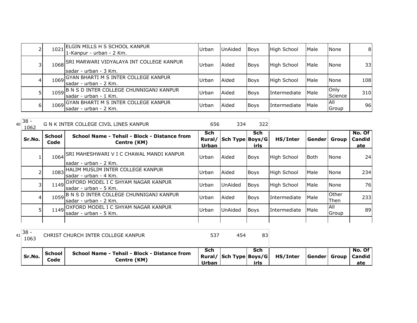|    | 1021 | ELGIN MILLS H S SCHOOL KANPUR<br>1-Kanpur - urban - 2 Km.               | Urban | <b>UnAided</b> | <b>Boys</b> | High School  | Male | None                | 81  |
|----|------|-------------------------------------------------------------------------|-------|----------------|-------------|--------------|------|---------------------|-----|
|    |      | 1068 SRI MARWARI VIDYALAYA INT COLLEGE KANPUR<br>Isadar - urban - 3 Km. | Urban | Aided          | <b>Boys</b> | High School  | Male | None                | 33I |
|    |      | 1069 GYAN BHARTI M S INTER COLLEGE KANPUR<br>sadar - urban - 2 Km.      | Urban | Aided          | <b>Boys</b> | High School  | Male | None                | 108 |
|    |      | 1059 B N S D INTER COLLEGE CHUNNIGANJ KANPUR<br>Isadar - urban - 1 Km.  | Urban | Aided          | <b>Boys</b> | Intermediate | Male | Only<br>Science     | 310 |
| 61 |      | 1069 GYAN BHARTI M S INTER COLLEGE KANPUR<br>Isadar - urban - 2 Km.     | Urban | Aided          | <b>Boys</b> | Intermediate | Male | <b>AII</b><br>Group | 96  |

| 40 | $38 -$<br>1062 |                       | G N K INTER COLLEGE CIVIL LINES KANPUR                             | 656          | 334                    | 322                |                    |             |               |                         |
|----|----------------|-----------------------|--------------------------------------------------------------------|--------------|------------------------|--------------------|--------------------|-------------|---------------|-------------------------|
|    | Sr.No.         | <b>School</b><br>Code | School Name - Tehsil - Block - Distance from<br>Centre (KM)        | Sch<br>Urban | Rural/ Sch Type Boys/G | <b>Sch</b><br>irls | HS/Inter           | Gender      | Group         | No. Of<br>Candid<br>ate |
|    |                | 1064                  | ISRI MAHESHWARI V I C CHAWAL MANDI KANPUR<br>sadar - urban - 2 Km. | Urban        | Aided                  | <b>Boys</b>        | <b>High School</b> | <b>Both</b> | None          | 24                      |
|    |                | 1083                  | HALIM MUSLIM INTER COLLEGE KANPUR<br>sadar - urban - 4 Km.         | Urban        | Aided                  | Boys               | <b>High School</b> | Male        | None          | 234                     |
|    |                |                       | 1149 OXFORD MODEL I C SHYAM NAGAR KANPUR<br>Isadar - urban - 5 Km. | Urban        | <b>UnAided</b>         | <b>Boys</b>        | <b>High School</b> | Male        | None          | 76                      |
|    | 4              | 1059                  | B N S D INTER COLLEGE CHUNNIGANJ KANPUR<br>sadar - urban - 2 Km.   | Urban        | Aided                  | <b>Boys</b>        | Intermediate       | Male        | Other<br>Then | 233                     |
|    |                |                       | 1149 OXFORD MODEL I C SHYAM NAGAR KANPUR<br>sadar - urban - 5 Km.  | Urban        | UnAided                | <b>Boys</b>        | Intermediate       | Male        | IAII<br>Group | 89                      |

| $138 -$<br>1063 |                  | CHRIST CHURCH INTER COLLEGE KANPUR                          | 537          | 454                    | 83          |          |                        |               |
|-----------------|------------------|-------------------------------------------------------------|--------------|------------------------|-------------|----------|------------------------|---------------|
| Sr.No.          | l School<br>Code | School Name - Tehsil - Block - Distance from<br>Centre (KM) | Sch<br>Urban | Rural/ Sch Type Boys/G | Sch<br>irls | HS/Inter | Gender  Group   Candid | No. Of<br>ate |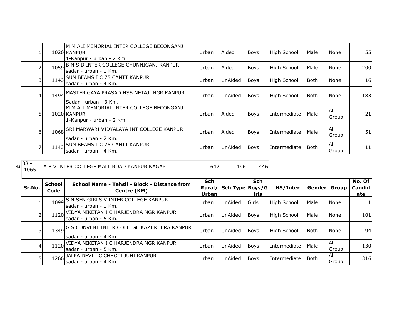|   |      | M M ALI MEMORIAL INTER COLLEGE BECONGANJ<br>1020 KANPUR<br>1-Kanpur - urban - 2 Km. | Urban | Aided          | Boys        | High School  | Male   | None          | 55  |
|---|------|-------------------------------------------------------------------------------------|-------|----------------|-------------|--------------|--------|---------------|-----|
|   | 1059 | B N S D INTER COLLEGE CHUNNIGANJ KANPUR<br>sadar - urban - 1 Km.                    | Urban | Aided          | <b>Boys</b> | High School  | Male   | None          | 200 |
| 3 |      | 1143 SUN BEAMS I C 75 CANTT KANPUR<br>lsadar - urban - 4 Km.                        | Urban | UnAided        | <b>Boys</b> | High School  | lBoth. | None          | 16  |
|   |      | 1494 MASTER GAYA PRASAD HSS NETAJI NGR KANPUR<br>Sadar - urban - 3 Km.              | Urban | <b>UnAided</b> | <b>Boys</b> | High School  | lBoth. | None          | 183 |
|   |      | M M ALI MEMORIAL INTER COLLEGE BECONGANJ<br>1020 KANPUR<br>1-Kanpur - urban - 2 Km. | Urban | Aided          | Boys        | Intermediate | Male   | All<br>Group  | 21  |
| 6 |      | 1068 SRI MARWARI VIDYALAYA INT COLLEGE KANPUR<br>sadar - urban - 2 Km.              | Urban | Aided          | <b>Boys</b> | Intermediate | Male   | IAII<br>Group | 51  |
|   |      | 1143 SUN BEAMS I C 75 CANTT KANPUR<br>sadar - urban - 4 Km.                         | Urban | UnAided        | Boys        | Intermediate | lBoth. | All<br>Group  | 11  |

## $42\begin{array}{|c} 38 - 1065 \end{array}$ A B V INTER COLLEGE MALL ROAD KANPUR NAGAR 642 196 446

| Sr.No. | <b>School</b><br>Code | School Name - Tehsil - Block - Distance from<br>Centre (KM)               | Sch<br>Rural/<br>Urban | Sch Type Boys/G | <b>Sch</b><br>irls | HS/Inter           | Gender      | Group                      | No. Of<br><b>Candid</b><br>ate |
|--------|-----------------------|---------------------------------------------------------------------------|------------------------|-----------------|--------------------|--------------------|-------------|----------------------------|--------------------------------|
|        | 1099                  | S N SEN GIRLS V INTER COLLEGE KANPUR<br>lsadar - urban - 1 Km.            | Urban                  | <b>UnAided</b>  | <b>Girls</b>       | High School        | Male        | <b>None</b>                |                                |
|        | 1120                  | IVIDYA NIKETAN I C HARJENDRA NGR KANPUR<br>sadar - urban - 5 Km.          | Urban                  | <b>UnAided</b>  | <b>Boys</b>        | High School        | <b>Male</b> | <b>None</b>                | 101 <sub>l</sub>               |
| 3      |                       | 1349 G S CONVENT INTER COLLEGE KAZI KHERA KANPUR<br>sadar - urban - 4 Km. | Urban                  | <b>UnAided</b>  | <b>Boys</b>        | <b>High School</b> | Both        | None                       | 94                             |
| 41     |                       | 1120 VIDYA NIKETAN I C HARJENDRA NGR KANPUR<br>Isadar - urban - 5 Km.     | Urban                  | UnAided         | <b>Boys</b>        | Intermediate       | <b>Male</b> | IAII<br>Group              | 130                            |
| 5      |                       | 1266 JALPA DEVI I C CHHOTI JUHI KANPUR<br>Isadar - urban - 4 Km.          | Urban                  | <b>UnAided</b>  | <b>Boys</b>        | Intermediate       | <b>Both</b> | <b>AII</b><br><b>Group</b> | 316                            |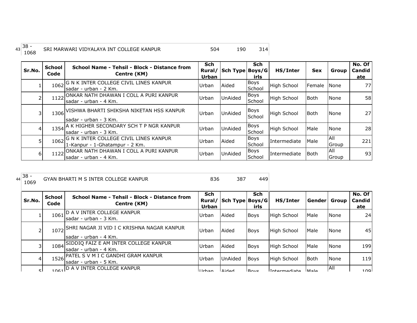| $\sim$<br>. 138.<br>43<br>╍ | SRI MARWARI VIDYALAYA INT COLLEGE KANPUR |  |  |
|-----------------------------|------------------------------------------|--|--|
|                             |                                          |  |  |

| Sr.No. | <b>School</b><br>Code | School Name - Tehsil - Block - Distance from<br>Centre (KM)               | <b>Sch</b><br>Rural/<br><b>Urban</b> | Sch Type Boys/G | <b>Sch</b><br>irls    | HS/Inter           | <b>Sex</b>           | Group               | No. Of<br>Candid<br>ate |
|--------|-----------------------|---------------------------------------------------------------------------|--------------------------------------|-----------------|-----------------------|--------------------|----------------------|---------------------|-------------------------|
|        | 1062                  | G N K INTER COLLEGE CIVIL LINES KANPUR<br>lsadar - urban - 2 Km.          | <b>Urban</b>                         | Aided           | Boys<br>School        | <b>High School</b> | <b>IFemale INone</b> |                     | 77                      |
|        | 1122                  | ONKAR NATH DHAWAN I COLL A PURI KANPUR<br>sadar - urban - 4 Km.           | Urban                                | <b>UnAided</b>  | <b>Boys</b><br>School | <b>High School</b> | Both                 | None                | 58                      |
|        |                       | 1306 VISHWA BHARTI SHIKSHA NIKETAN HSS KANPUR<br>sadar - urban - 3 Km.    | Urban                                | <b>UnAided</b>  | <b>Boys</b><br>School | <b>High School</b> | Both                 | None                | 27                      |
| 4      |                       | 1354 A K HIGHER SECONDARY SCH T P NGR KANPUR<br>Isadar - urban - 3 Km.    | Urban                                | <b>UnAided</b>  | <b>Boys</b><br>School | High School        | Male                 | None                | 28                      |
| 5      | 1062                  | IG N K INTER COLLEGE CIVIL LINES KANPUR<br>1-Kanpur - 1-Ghatampur - 2 Km. | Urban                                | Aided           | <b>Boys</b><br>School | Intermediate       | Male                 | All<br>Group        | 221                     |
| 6      | 1122                  | ONKAR NATH DHAWAN I COLL A PURI KANPUR<br>Isadar - urban - 4 Km.          | Urban                                | <b>UnAided</b>  | <b>Boys</b><br>School | Intermediate       | <b>Both</b>          | <b>AII</b><br>Group | 93                      |

| $\sim$<br>$44^{38}$ | <b>GYAN BHARTI M S INTER COLLEGE KANPUR</b> | 387 |  |
|---------------------|---------------------------------------------|-----|--|
|                     |                                             |     |  |

| Sr.No. | <b>School</b><br>Code | School Name - Tehsil - Block - Distance from<br>Centre (KM)          | Sch<br>Rural/<br>Urban | Sch Type Boys/G | <b>Sch</b><br>irls | HS/Inter           | Gender      | Group | No. Of<br>Candid<br>ate |
|--------|-----------------------|----------------------------------------------------------------------|------------------------|-----------------|--------------------|--------------------|-------------|-------|-------------------------|
|        | 1061                  | ID A V INTER COLLEGE KANPUR<br>lsadar - urban - 3 Km.                | Urban                  | Aided           | <b>Boys</b>        | <b>High School</b> | Male        | None  | 24                      |
|        | 1072                  | SHRI NAGAR JI VID I C KRISHNA NAGAR KANPUR<br>lsadar - urban - 4 Km. | Urban                  | Aided           | Boys               | High School        | Male        | None  | 45                      |
| 3      |                       | 1084 SIDDIQ FAIZ E AM INTER COLLEGE KANPUR<br>lsadar - urban - 4 Km. | Urban                  | Aided           | <b>Boys</b>        | <b>High School</b> | Male        | None  | 199                     |
| 4      |                       | 1526 PATEL S V M I C GANDHI GRAM KANPUR<br>lsadar - urban - 5 Km.    | Urban                  | UnAided         | <b>Boys</b>        | <b>High School</b> | <b>Both</b> | None  | 119                     |
| ςI     |                       | 1061 D A V INTER COLLEGE KANPUR                                      | llrhan                 | hahiA           | $R_{\text{avc}}$   | Intermediate       | <b>Male</b> | All   | 100 <sub>l</sub>        |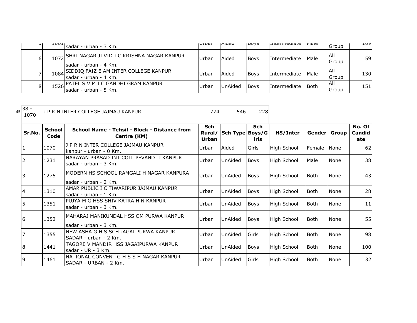| ا ب | ᆂᇦᇦᆂ | Isadar - urban - 3 Km.                                                 | i vi van     | Iniucu         | 100y3       | <b>LULCHILCUIGLE</b> | unar         | Group         | エロンド |
|-----|------|------------------------------------------------------------------------|--------------|----------------|-------------|----------------------|--------------|---------------|------|
| 6   | 1072 | SHRI NAGAR JI VID I C KRISHNA NAGAR KANPUR),<br>Isadar - urban - 4 Km. | Urban        | Aided          | <b>Boys</b> | Intermediate         | <b>IMale</b> | IAII<br>Group | 59I  |
|     |      | 1084 SIDDIQ FAIZ E AM INTER COLLEGE KANPUR<br>Isadar - urban - 4 Km.   | Urban        | Aided          | <b>Boys</b> | Intermediate         | Male         | IAII<br>Group | 1301 |
| 8   |      | 1526 PATEL S V M I C GANDHI GRAM KANPUR<br>sadar - urban - 5 Km.       | <b>Urban</b> | <b>UnAided</b> | <b>Boys</b> | <b>Intermediate</b>  | <b>Both</b>  | IAII<br>Group | 151  |

| $45^{38}$ | J P R N INTER COLLEGE JAJMAU KANPUR |  |  |  |
|-----------|-------------------------------------|--|--|--|
|-----------|-------------------------------------|--|--|--|

| Sr.No. | <b>School</b><br>Code | School Name - Tehsil - Block - Distance from<br>Centre (KM)        | <b>Sch</b><br>Rural/<br>Urban | Sch Type Boys/G | <b>Sch</b><br>irls | HS/Inter    | Gender Group |             | No. Of<br>Candid<br>ate |
|--------|-----------------------|--------------------------------------------------------------------|-------------------------------|-----------------|--------------------|-------------|--------------|-------------|-------------------------|
|        | 1070                  | J P R N INTER COLLEGE JAJMAU KANPUR<br>kanpur - urban - 0 Km.      | Urban                         | Aided           | Girls              | High School | Female       | <b>None</b> | 62                      |
|        | 1231                  | NARAYAN PRASAD INT COLL PEVANDI J KANPUR<br>sadar - urban - 3 Km.  | Urban                         | UnAided         | <b>Boys</b>        | High School | Male         | None        | 38                      |
|        | 1275                  | MODERN HS SCHOOL RAMGALI H NAGAR KANPURA<br>lsadar - urban - 2 Km. | Urban                         | UnAided         | <b>Boys</b>        | High School | Both         | None        | 43                      |
|        | 1310                  | AMAR PUBLIC I C TIWARIPUR JAJMAU KANPUR<br>lsadar - urban - 1 Km.  | Urban                         | UnAided         | Boys               | High School | <b>Both</b>  | <b>None</b> | 28                      |
|        | 1351                  | IPUJYA M G HSS SHIV KATRA H N KANPUR<br>sadar - urban - 3 Km.      | Urban                         | UnAided         | Boys               | High School | <b>Both</b>  | <b>None</b> | 11                      |
| l6     | 1352                  | IMAHARAJ MANIKUNDAL HSS OM PURWA KANPUR<br>sadar - urban - 3 Km.   | Urban                         | UnAided         | <b>Boys</b>        | High School | l Both       | <b>None</b> | 55                      |
|        | 1355                  | INEW ASHA G H S SCH JAGAI PURWA KANPUR<br>SADAR - urban - 2 Km.    | Urban                         | UnAided         | Girls              | High School | <b>Both</b>  | <b>None</b> | 98                      |
|        | 1441                  | TAGORE V MANDIR HSS JAGAIPURWA KANPUR<br>sadar - UR - 3 Km.        | Urban                         | UnAided         | <b>Boys</b>        | High School | <b>Both</b>  | None        | 100                     |
|        | 1461                  | NATIONAL CONVENT G H S S H NAGAR KANPUR<br>SADAR - URBAN - 2 Km.   | Urban                         | UnAided         | Girls              | High School | <b>Both</b>  | <b>None</b> | 32                      |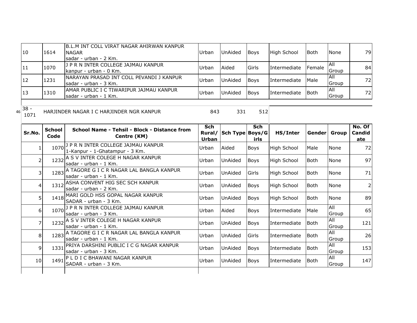| 10                   | 1614                             | B.L.M INT COLL VIRAT NAGAR AHIRWAN KANPUR<br><b>NAGAR</b><br>sadar - urban - 2 Km. | Urban               | UnAided                | <b>Boys</b> | High School        | <b>Both</b>  | None                      | 79                      |
|----------------------|----------------------------------|------------------------------------------------------------------------------------|---------------------|------------------------|-------------|--------------------|--------------|---------------------------|-------------------------|
| 11                   | 1070                             | J P R N INTER COLLEGE JAJMAU KANPUR<br>kanpur - urban - 0 Km.                      | Urban               | Aided                  | Girls       | Intermediate       | Female       | $\overline{All}$<br>Group | 84                      |
| 12                   | 1231                             | NARAYAN PRASAD INT COLL PEVANDI J KANPUR<br>sadar - urban - 3 Km.                  | Urban               | UnAided                | Boys        | Intermediate       | Male         | All<br>Group              | 72                      |
| 13                   | 1310                             | AMAR PUBLIC I C TIWARIPUR JAJMAU KANPUR<br>sadar - urban - 1 Km.                   | Urban               | UnAided                | Boys        | Intermediate       | <b>Both</b>  | All<br>Group              | 72                      |
| $38 -$<br>46<br>1071 |                                  | HARJINDER NAGAR I C HARJINDER NGR KANPUR                                           | 843                 | 331                    | 512         |                    |              |                           |                         |
| Sr.No.               | <b>School</b><br>Code            | School Name - Tehsil - Block - Distance from<br>Centre (KM)                        | Sch<br><b>Urban</b> | Rural/ Sch Type Boys/G | Sch<br>irls | HS/Inter           | Gender Group |                           | No. Of<br>Candid<br>ate |
|                      | 1070<br>1.                       | J P R N INTER COLLEGE JAJMAU KANPUR<br>1-Kanpur - 1-Ghatampur - 3 Km.              | Urban               | Aided                  | Boys        | <b>High School</b> | Male         | None                      | 72                      |
|                      | 1232<br>$\overline{\phantom{a}}$ | A S V INTER COLEGE H NAGAR KANPUR<br>sadar - urban - 1 Km.                         | Urban               | UnAided                | <b>Boys</b> | <b>High School</b> | <b>Both</b>  | None                      | 97                      |
|                      | 3<br>1283                        | A TAGORE G I C R NAGAR LAL BANGLA KANPUR<br>sadar - urban - 1 Km.                  | Urban               | UnAided                | Girls       | <b>High School</b> | <b>Both</b>  | None                      | 71                      |
|                      | 1312<br>4                        | ASHA CONVENT HIG SEC SCH KANPUR<br>sadar - urban - 2 Km.                           | Urban               | UnAided                | <b>Boys</b> | <b>High School</b> | <b>Both</b>  | None                      | $\overline{2}$          |
|                      | 51<br>1418                       | MARI GOLD HSS GOPAL NAGAR KANPUR<br>SADAR - urban - 3 Km.                          | Urban               | UnAided                | <b>Boys</b> | <b>High School</b> | <b>Both</b>  | None                      | 89                      |
|                      | 6                                | 1070 <sup>] P R N INTER COLLEGE JAJMAU KANPUR</sup><br>sadar - urban - 3 Km.       | Urban               | Aided                  | <b>Boys</b> | Intermediate       | Male         | All<br>Group              | 65                      |
|                      | $\overline{7}$                   | 1232 A S V INTER COLEGE H NAGAR KANPUR<br>sadar - urban - 1 Km.                    | Urban               | UnAided                | Boys        | Intermediate       | <b>Both</b>  | <b>All</b><br>Group       | 121                     |
|                      | 8<br>1283                        | A TAGORE G I C R NAGAR LAL BANGLA KANPUR<br>sadar - urban - 1 Km.                  | Urban               | UnAided                | Girls       | Intermediate       | Both         | All<br>Group              | 26                      |
|                      | 9<br>1331                        | PRIYA DARSHINI PUBLIC I C G NAGAR KANPUR<br>sadar - urban - 3 Km.                  | Urban               | UnAided                | Boys        | Intermediate       | <b>Both</b>  | All<br>Group              | 153                     |
| 10                   | 1491                             | PLDICBHAWANI NAGAR KANPUR<br>SADAR - urban - 3 Km.                                 | Urban               | UnAided                | Boys        | Intermediate       | <b>Both</b>  | All<br>Group              | 147                     |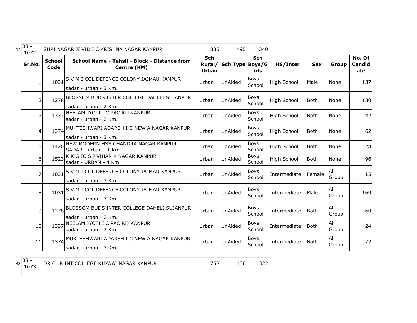| 47 | $38 -$<br>1072 |                       | SHRI NAGAR JI VID I C KRISHNA NAGAR KANPUR                               | 835                           | 495             | 340                   |                    |             |                |                         |
|----|----------------|-----------------------|--------------------------------------------------------------------------|-------------------------------|-----------------|-----------------------|--------------------|-------------|----------------|-------------------------|
|    | Sr.No.         | <b>School</b><br>Code | School Name - Tehsil - Block - Distance from<br>Centre (KM)              | Sch<br>Rural/<br><b>Urban</b> | Sch Type Boys/G | Sch<br>irls           | HS/Inter           | <b>Sex</b>  | Group          | No. Of<br>Candid<br>ate |
|    |                | 1031                  | S V M I COL DEFENCE COLONY JAJMAU KANPUR<br>sadar - urban - 3 Km.        | Urban                         | UnAided         | Boys<br>School        | <b>High School</b> | Male        | None           | 137                     |
|    | $\overline{2}$ |                       | 1278 BLOSSOM BUDS INTER COLLEGE DAHELI SUJANPUR<br>sadar - urban - 2 Km. | Urban                         | UnAided         | Boys<br>School        | <b>High School</b> | <b>Both</b> | None           | 130                     |
|    | $\overline{3}$ | 1337                  | NEELAM JYOTI I C PAC RIJ KANPUR<br>sadar - urban - 2 Km.                 | Urban                         | UnAided         | <b>Boys</b><br>School | <b>High School</b> | <b>Both</b> | None           | 42                      |
|    | 4              |                       | 1374 MUKTESHWARI ADARSH I C NEW A NAGAR KANPUR<br>sadar - urban - 3 Km.  | Urban                         | UnAided         | Boys<br>School        | High School        | <b>Both</b> | None           | 62                      |
|    | 5              | 1420                  | NEW MODERN HSS CHANDRA NAGAR KANPUR<br>SADAR - urban - 1 Km.             | Urban                         | UnAided         | Boys<br>School        | <b>High School</b> | <b>Both</b> | None           | 28                      |
|    | 6              | 1523                  | K K G IC S J VIHAR K NAGAR KANPUR<br>sadar - URBAN - 4 Km.               | Urban                         | UnAided         | Boys<br>School        | High School        | <b>Both</b> | None           | 96                      |
|    | $\overline{7}$ | 1031                  | S V M I COL DEFENCE COLONY JAJMAU KANPUR<br>sadar - urban - 3 Km.        | Urban                         | UnAided         | Boys<br>School        | Intermediate       | Female      | l All<br>Group | 15                      |
|    | 8              |                       | 1031 S V M I COL DEFENCE COLONY JAJMAU KANPUR<br>sadar - urban - 3 Km.   | Urban                         | UnAided         | <b>Boys</b><br>School | Intermediate       | Male        | All<br>Group   | 169                     |
|    | 9              |                       | 1278 BLOSSOM BUDS INTER COLLEGE DAHELI SUJANPUR<br>sadar - urban - 2 Km. | Urban                         | UnAided         | <b>Boys</b><br>School | Intermediate       | <b>Both</b> | All<br>Group   | 60                      |
|    | 10             | 1337                  | NEELAM JYOTI I C PAC RIJ KANPUR<br>sadar - urban - 2 Km.                 | Urban                         | UnAided         | <b>Boys</b><br>School | Intermediate       | <b>Both</b> | All<br>Group   | 24                      |
|    | 11             |                       | 1374 MUKTESHWARI ADARSH I C NEW A NAGAR KANPUR<br>sadar - urban - 3 Km.  | Urban                         | UnAided         | Boys<br>School        | Intermediate       | <b>Both</b> | All<br>Group   | 72                      |

48 38 -<br>1073 1073 DR CL R INT COLLEGE KIDWAI NAGAR KANPUR 1997 758 436 322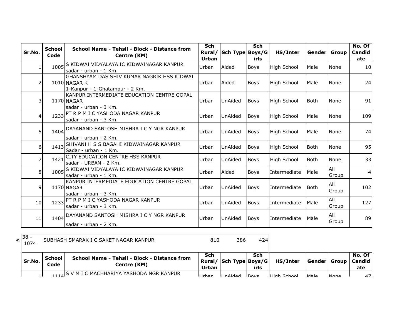| Sr.No.         | <b>School</b><br>Code | School Name - Tehsil - Block - Distance from<br>Centre (KM)                                  | <b>Sch</b><br>Rural/<br><b>Urban</b> | Sch Type Boys/G | <b>Sch</b><br>irls | HS/Inter           | Gender      | Group        | No. Of<br>Candid<br>ate |
|----------------|-----------------------|----------------------------------------------------------------------------------------------|--------------------------------------|-----------------|--------------------|--------------------|-------------|--------------|-------------------------|
|                | 1005                  | S KIDWAI VIDYALAYA IC KIDWAINAGAR KANPUR<br>sadar - urban - 1 Km.                            | Urban                                | Aided           | <b>Boys</b>        | <b>High School</b> | Male        | None         | 10 <sup>1</sup>         |
| $\overline{2}$ |                       | GHANSHYAM DAS SHIV KUMAR NAGRIK HSS KIDWAI<br>1010 NAGAR K<br>1-Kanpur - 1-Ghatampur - 2 Km. | Urban                                | Aided           | <b>Boys</b>        | <b>High School</b> | Male        | None         | 24                      |
| 3              |                       | KANPUR INTERMEDIATE EDUCATION CENTRE GOPAL<br>1170 NAGAR<br>sadar - urban - 3 Km.            | Urban                                | <b>UnAided</b>  | <b>Boys</b>        | High School        | l Both      | None         | 91                      |
| 4              |                       | 1233 PT R P M I C YASHODA NAGAR KANPUR<br>sadar - urban - 3 Km.                              | Urban                                | <b>UnAided</b>  | <b>Boys</b>        | High School        | Male        | None         | 109                     |
| 5              | 1404                  | DAYANAND SANTOSH MISHRA I C Y NGR KANPUR<br>lsadar - urban - 2 Km.                           | Urban                                | <b>UnAided</b>  | <b>Boys</b>        | High School        | Male        | <b>None</b>  | 74                      |
| 6              | 1413                  | SHIVANI H S S BAGAHI KIDWAINAGAR KANPUR<br>Sadar - urban - 1 Km.                             | Urban                                | <b>UnAided</b>  | <b>Boys</b>        | <b>High School</b> | <b>Both</b> | None         | 95                      |
| $\overline{7}$ | 1421                  | CITY EDUCATION CENTRE HSS KANPUR<br>sadar - URBAN - 2 Km.                                    | Urban                                | <b>UnAided</b>  | <b>Boys</b>        | High School        | <b>Both</b> | None         | 33                      |
| 8              | 1005                  | S KIDWAI VIDYALAYA IC KIDWAINAGAR KANPUR<br>sadar - urban - 1 Km.                            | Urban                                | Aided           | <b>Boys</b>        | Intermediate       | Male        | All<br>Group |                         |
| 9              |                       | KANPUR INTERMEDIATE EDUCATION CENTRE GOPAL<br>1170 NAGAR<br>sadar - urban - 3 Km.            | Urban                                | <b>UnAided</b>  | <b>Boys</b>        | Intermediate       | Both        | All<br>Group | 102                     |
| 10             | 1233                  | PT R P M I C YASHODA NAGAR KANPUR<br>sadar - urban - 3 Km.                                   | Urban                                | <b>UnAided</b>  | <b>Boys</b>        | Intermediate       | Male        | All<br>Group | 127                     |
| 11             |                       | 1404 DAYANAND SANTOSH MISHRA I C Y NGR KANPUR<br>sadar - urban - 2 Km.                       | Urban                                | <b>UnAided</b>  | <b>Boys</b>        | Intermediate       | Male        | All<br>Group | 89                      |

49 38 -<br>1074 SUBHASH SMARAK I C SAKET NAGAR KANPUR 810 810 386 424

| Sr.No. | School<br>Code | <b>School Name - Tehsil - Block - Distance from</b><br>Centre (KM) | Sch<br>Urban        | Rural/ Sch Type Boys/G | Sch<br>irls      | HS/Inter            | Gender  Group |      | No. Of<br>l Candid<br>ate |
|--------|----------------|--------------------------------------------------------------------|---------------------|------------------------|------------------|---------------------|---------------|------|---------------------------|
|        |                | 1114 S V M I C MACHHARIYA YASHODA NGR KANPUR                       | $I$ <sub>rhan</sub> | <b>IInAidod</b>        | $R_{\text{avc}}$ | <b>LHigh School</b> | ما د M        | Mana | 17 I                      |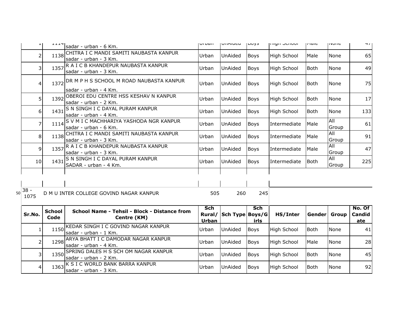|    |                         | ᆂᆂᆂᆓ                  | sadar - urban - 6 Km.                                             | <b>ULDUIL</b>                 | UIMUCU          | 100y3              | ורוועור סטווטטו    | <b>THAIR</b> | T            | T/I                            |
|----|-------------------------|-----------------------|-------------------------------------------------------------------|-------------------------------|-----------------|--------------------|--------------------|--------------|--------------|--------------------------------|
|    | $\overline{2}$          | 1138                  | CHITRA I C MANDI SAMITI NAUBASTA KANPUR<br>sadar - urban - 3 Km.  | Urban                         | UnAided         | Boys               | <b>High School</b> | Male         | None         | 65                             |
|    | $\overline{\mathsf{3}}$ | 1357                  | R A I C B KHANDEPUR NAUBASTA KANPUR<br>sadar - urban - 3 Km.      | Urban                         | UnAided         | Boys               | <b>High School</b> | Both         | None         | 49                             |
|    | 4                       | 1372                  | DR M P H S SCHOOL M ROAD NAUBASTA KANPUR<br>sadar - urban - 4 Km. | Urban                         | UnAided         | Boys               | <b>High School</b> | <b>Both</b>  | None         | 75                             |
|    | 5 <sup>1</sup>          | 1392                  | OBEROI EDU CENTRE HSS KESHAV N KANPUR<br>sadar - urban - 2 Km.    | Urban                         | UnAided         | Boys               | <b>High School</b> | Both         | None         | 17                             |
|    | 61                      | 1431                  | S N SINGH I C DAYAL PURAM KANPUR<br>sadar - urban - 4 Km.         | Urban                         | UnAided         | Boys               | <b>High School</b> | <b>Both</b>  | None         | 133                            |
|    | $\overline{7}$          | 1114                  | S V M I C MACHHARIYA YASHODA NGR KANPUR<br>sadar - urban - 6 Km.  | Urban                         | UnAided         | Boys               | Intermediate       | Male         | All<br>Group | 61                             |
|    | 8 <sup>1</sup>          | 1138                  | CHITRA I C MANDI SAMITI NAUBASTA KANPUR<br>sadar - urban - 3 Km.  | Urban                         | UnAided         | <b>Boys</b>        | Intermediate       | Male         | All<br>Group | 91                             |
|    | $\overline{9}$          | 1357                  | R A I C B KHANDEPUR NAUBASTA KANPUR<br>sadar - urban - 3 Km.      | Urban                         | UnAided         | Boys               | Intermediate       | Male         | All<br>Group | 47                             |
|    | 10 <sub>l</sub>         | 1431                  | S N SINGH I C DAYAL PURAM KANPUR<br>SADAR - urban - 4 Km.         | Urban                         | UnAided         | Boys               | Intermediate       | <b>Both</b>  | All<br>Group | 225                            |
|    |                         |                       |                                                                   |                               |                 |                    |                    |              |              |                                |
| 50 | $38 -$<br>1075          |                       | D M U INTER COLLEGE GOVIND NAGAR KANPUR                           | 505                           | 260             | 245                |                    |              |              |                                |
|    | Sr.No.                  | <b>School</b><br>Code | School Name - Tehsil - Block - Distance from<br>Centre (KM)       | Sch<br>Rural/<br><b>Urban</b> | Sch Type Boys/G | <b>Sch</b><br>irls | HS/Inter           | Gender       | Group        | No. Of<br><b>Candid</b><br>ate |
|    | $\mathbf{1}$            | 1150                  | KEDAR SINGH I C GOVIND NAGAR KANPUR<br>sadar - urban - 1 Km.      | Urban                         | UnAided         | <b>Boys</b>        | High School        | <b>Both</b>  | None         | 41                             |
|    | $\overline{2}$          | 1298                  | ARYA BHATT I C DAMODAR NAGAR KANPUR<br>sadar - urban - 4 Km.      | Urban                         | UnAided         | <b>Boys</b>        | <b>High School</b> | Male         | None         | 28                             |
|    | 3                       | 1350                  | SPRING DALES H S SCH OM NAGAR KANPUR<br>sadar - urban - 2 Km.     | Urban                         | UnAided         | Boys               | <b>High School</b> | <b>Both</b>  | None         | 45                             |
|    | 4                       | 1363                  | K S I C WORLD BANK BARRA KANPUR<br>sadar - urban - 3 Km.          | Urban                         | UnAided         | <b>Boys</b>        | <b>High School</b> | <b>Both</b>  | None         | 92                             |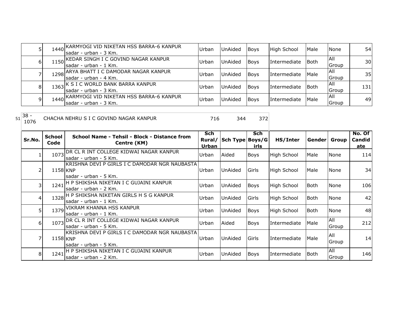|   | 1440 | KARMYOGI VID NIKETAN HSS BARRA-6 KANPUR\,<br>Isadar - urban - 3 Km.    | <b>Urban</b> | UnAided | <b>Boys</b> | High School         | Male | <b>None</b>   | 54I             |
|---|------|------------------------------------------------------------------------|--------------|---------|-------------|---------------------|------|---------------|-----------------|
| ы |      | 1150 KEDAR SINGH I C GOVIND NAGAR KANPUR<br>Isadar - urban - 1 Km.     | Urban        | UnAided | <b>Boys</b> | Intermediate        | Both | IAII<br>Group | 30 <sup>1</sup> |
|   |      | 1298 ARYA BHATT I C DAMODAR NAGAR KANPUR<br>lsadar - urban - 4 Km.     | Urbar        | UnAided | <b>Boys</b> | Intermediate        | Male | IAII<br>Group | 35              |
| 8 |      | 1363 K S I C WORLD BANK BARRA KANPUR<br>Isadar - urban - 3 Km.         | <b>Urban</b> | UnAided | <b>Boys</b> | <b>Intermediate</b> | Both | IAII<br>Group | 131             |
| 9 |      | 1440 KARMYOGI VID NIKETAN HSS BARRA-6 KANPUR<br>Isadar - urban - 3 Km. | Urban        | UnAided | <b>Boys</b> | Intermediate        | Male | IAII<br>Group | 49              |

<sup>51</sup> 38 - <sup>1076</sup> <sup>716</sup> <sup>344</sup> <sup>372</sup> CHACHA NEHRU S I C GOVIND NAGAR KANPUR

| Sr.No. | <b>School</b><br>Code | School Name - Tehsil - Block - Distance from<br>Centre (KM)             | Sch<br>Rural/<br>Urban | Sch Type Boys/G | Sch<br>irls | HS/Inter           | Gender  Group |              | No. Of<br>Candid<br>ate |
|--------|-----------------------|-------------------------------------------------------------------------|------------------------|-----------------|-------------|--------------------|---------------|--------------|-------------------------|
|        | 1073                  | IDR CL R INT COLLEGE KIDWAI NAGAR KANPUR<br>lsadar - urban - 5 Km.      | Urban                  | Aided           | Boys        | <b>High School</b> | <b>Male</b>   | None         | 114                     |
|        | 1158 KNP              | KRISHNA DEVI P GIRLS I C DAMODAR NGR NAUBASTA <br>sadar - urban - 5 Km. | Urban                  | UnAided         | Girls       | High School        | Male          | None         | 34                      |
|        | 1241                  | H P SHIKSHA NIKETAN I C GUJAINI KANPUR<br>lsadar - urban - 2 Km.        | Urban                  | UnAided         | <b>Boys</b> | <b>High School</b> | Both          | None         | 106                     |
|        |                       | 1328 H P SHIKSHA NIKETAN GIRLS H S G KANPUR<br>sadar - urban - 1 Km.    | Urban                  | UnAided         | Girls       | <b>High School</b> | l Both        | None         | 42                      |
| 51     |                       | 1379 VIKRAM KHANNA HSS KANPUR<br>sadar - urban - 1 Km.                  | Urban                  | UnAided         | <b>Boys</b> | <b>High School</b> | l Both        | None         | 48                      |
| 61     | 1073                  | DR CL R INT COLLEGE KIDWAI NAGAR KANPUR<br>lsadar - urban - 5 Km.       | Urban                  | Aided           | Boys        | Intermediate       | <b>Male</b>   | All<br>Group | 212                     |
|        | 1158 KNP              | IKRISHNA DEVI P GIRLS I C DAMODAR NGR NAUBASTA<br>sadar - urban - 5 Km. | Urban                  | UnAided         | Girls       | Intermediate       | Male          | All<br>Group | 14                      |
| 8      | 1241                  | H P SHIKSHA NIKETAN I C GUJAINI KANPUR<br>Isadar - urban - 2 Km.        | Urban                  | UnAided         | Boys        | Intermediate       | lBoth         | All<br>Group | 146                     |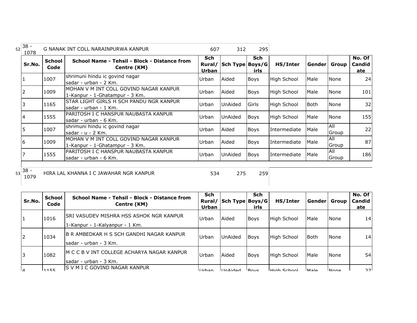| $38 -$<br>52<br>1078 |                       | G NANAK INT COLL NARAINPURWA KANPUR                                       | 607                    | 312             | 295                |              |             |                     |                         |
|----------------------|-----------------------|---------------------------------------------------------------------------|------------------------|-----------------|--------------------|--------------|-------------|---------------------|-------------------------|
| Sr.No.               | <b>School</b><br>Code | School Name - Tehsil - Block - Distance from<br>Centre (KM)               | Sch<br>Rural/<br>Urban | Sch Type Boys/G | <b>Sch</b><br>irls | HS/Inter     | Gender      | Group               | No. Of<br>Candid<br>ate |
|                      | 1007                  | shrimuni hindu ic govind nagar<br>sadar - urban - 2 Km.                   | Urban                  | Aided           | Boys               | High School  | Male        | None                | 24                      |
|                      | 1009                  | MOHAN V M INT COLL GOVIND NAGAR KANPUR<br>1-Kanpur - 1-Ghatampur - 3 Km.  | Urban                  | Aided           | <b>Boys</b>        | High School  | Male        | <b>None</b>         | 101                     |
|                      | 1165                  | STAR LIGHT GIRLS H SCH PANDU NGR KANPUR<br>sadar - urban - 1 Km.          | Urban                  | UnAided         | Girls              | High School  | <b>Both</b> | <b>None</b>         | 32                      |
|                      | 1555                  | IPARITOSH I C HANSPUR NAUBASTA KANPUR<br>sadar - urban - 6 Km.            | Urban                  | UnAided         | <b>Boys</b>        | High School  | Male        | None                | 155                     |
|                      | 1007                  | shrimuni hindu ic govind nagar<br>sadar - u - 2 Km.                       | Urban                  | Aided           | <b>Boys</b>        | Intermediate | Male        | <b>AII</b><br>Group | 22                      |
| 6                    | 1009                  | IMOHAN V M INT COLL GOVIND NAGAR KANPUR<br>1-Kanpur - 1-Ghatampur - 3 Km. | Urban                  | Aided           | <b>Boys</b>        | Intermediate | Male        | All<br>Group        | 87                      |
|                      | 1555                  | IPARITOSH I C HANSPUR NAUBASTA KANPUR<br>sadar - urban - 6 Km.            | Urban                  | UnAided         | <b>Boys</b>        | Intermediate | Male        | All<br>Group        | 186                     |

53 38 -<br>1079

<sup>1079</sup> <sup>534</sup> <sup>275</sup> <sup>259</sup> HIRA LAL KHANNA I C JAWAHAR NGR KANPUR

| Sr.No. | School<br>Code | School Name - Tehsil - Block - Distance from<br>Centre (KM) | Sch<br>Rural/<br><b>Urban</b>              | Sch Type Boys/G | <b>Sch</b><br>irls | HS/Inter           | Gender      | Group       | No. Of<br>Candid<br>ate |    |
|--------|----------------|-------------------------------------------------------------|--------------------------------------------|-----------------|--------------------|--------------------|-------------|-------------|-------------------------|----|
| 1      | 1016           | ISRI VASUDEV MISHRA HSS ASHOK NGR KANPUR                    | Urban                                      | Aided           | <b>Boys</b>        | <b>High School</b> | Male        | <b>None</b> | 14                      |    |
|        |                | 1-Kanpur - 1-Kalyanpur - 1 Km.                              |                                            |                 |                    |                    |             |             |                         |    |
| 2      | 1034           | IB R AMBEDKAR H S SCH GANDHI NAGAR KANPUR                   | Urban                                      | UnAided         | <b>Boys</b>        | High School        | Both        | None        | 14                      |    |
|        |                | Isadar - urban - 3 Km.                                      |                                            |                 |                    |                    |             |             |                         |    |
| l3     | 1082           |                                                             | M C C B V INT COLLEGE ACHARYA NAGAR KANPUR | Urban           | Aided              | Boys               | High School | Male        | <b>None</b>             | 54 |
|        |                | lsadar - urban - 3 Km.                                      |                                            |                 |                    |                    |             |             |                         |    |
| Iл     | 11155          | IS V M I C GOVIND NAGAR KANPUR                              | ll Irhan                                   | hahi4nll        | <b>IBOVS</b>       | <b>High School</b> | <b>Male</b> | <b>None</b> | つつー                     |    |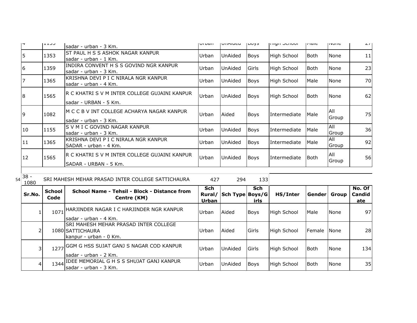| דו           | レエエコン | lsadar - urban - 3 Km.                                                   | <b>UI DOII</b> | UIMIUCU        | 100y3       | ורווערו אווי       | priaic | P            | $\sim$ $\prime$ |
|--------------|-------|--------------------------------------------------------------------------|----------------|----------------|-------------|--------------------|--------|--------------|-----------------|
| 5            | 1353  | IST PAUL H S S ASHOK NAGAR KANPUR<br>lsadar - urban - 1 Km.              | Urban          | <b>UnAided</b> | Boys        | High School        | lBoth. | None         | 11              |
| 16           | 1359  | INDIRA CONVENT H S S GOVIND NGR KANPUR<br>lsadar - urban - 3 Km.         | Urban          | <b>UnAided</b> | Girls       | <b>High School</b> | lBoth. | None         | 23              |
| 17           | 1365  | IKRISHNA DEVI P I C NIRALA NGR KANPUR<br>sadar - urban - 4 Km.           | Urban          | <b>UnAided</b> | Boys        | High School        | Male   | None         | 70              |
| 18           | 1565  | IR C KHATRI S V M INTER COLLEGE GUJAINI KANPUR<br>lsadar - URBAN - 5 Km. | Urban          | UnAided        | Boys        | High School        | lBoth. | None         | 62              |
| 19           | 1082  | M C C B V INT COLLEGE ACHARYA NAGAR KANPUR<br>lsadar - urban - 3 Km.     | Urban          | Aided          | <b>Boys</b> | Intermediate       | Male   | All<br>Group | 75              |
| $ 10\rangle$ | 1155  | IS V M I C GOVIND NAGAR KANPUR<br>lsadar - urban - 3 Km.                 | Urban          | <b>UnAided</b> | Boys        | Intermediate       | Male   | All<br>Group | 36              |
| 11           | 1365  | IKRISHNA DEVI P I C NIRALA NGR KANPUR<br>SADAR - urban - 4 Km.           | Urban          | UnAided        | Boys        | Intermediate       | Male   | All<br>Group | 92              |
| 12           | 1565  | R C KHATRI S V M INTER COLLEGE GUJAINI KANPUR<br>SADAR - URBAN - 5 Km.   | Urban          | <b>UnAided</b> | Boys        | Intermediate       | Both   | All<br>Group | 56              |
|              |       |                                                                          |                |                |             |                    |        |              |                 |

 $54\overline{\big)38 - \underline{1080}}$ 

| 38 - | SRI MAHESH MEHAR PRASAD INTER COLLEGE SATTICHAURA | 94. |  |
|------|---------------------------------------------------|-----|--|
| 1080 |                                                   |     |  |

| Sr.No. | <b>School</b><br>Code | School Name - Tehsil - Block - Distance from<br>Centre (KM)                                 | <b>Sch</b><br>Rural/<br><b>Urban</b> | Sch Type Boys/G | <b>Sch</b><br>irls | HS/Inter           | <b>Genderl</b> | Group         | No. Of<br><b>Candid</b><br>ate |
|--------|-----------------------|---------------------------------------------------------------------------------------------|--------------------------------------|-----------------|--------------------|--------------------|----------------|---------------|--------------------------------|
|        | 1071                  | HARJINDER NAGAR I C HARJINDER NGR KANPUR<br>Isadar - urban - 4 Km.                          | Urban                                | <b>Aided</b>    | Boys               | <b>High School</b> | Male           | <b>None</b>   | 97                             |
|        |                       | <b>SRI MAHESH MEHAR PRASAD INTER COLLEGE</b><br>1080 SATTICHAURA<br>Ikanpur - urban - 0 Km. | Urban                                | <b>Aided</b>    | Girls              | High School        | <b>IFemale</b> | <b>I</b> None | <b>28</b>                      |
|        | 1277                  | GGM G HSS SUJAT GANJ S NAGAR COD KANPUR<br>Isadar - urban - 2 Km.                           | Urban                                | <b>UnAided</b>  | <b>I</b> Girls     | High School        | Both           | None          | 134                            |
| 4      | 1344                  | IDEE MEMORIAL G H S S SHUJAT GANJ KANPUR<br>sadar - urban - 3 Km.                           | <b>IUrban</b>                        | <b>UnAided</b>  | <b>Boys</b>        | <b>High School</b> | <b>Both</b>    | <b>None</b>   | 35                             |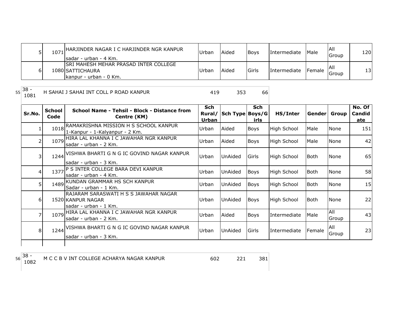|   | 1071 HARJINDER NAGAR I C HARJINDER NGR KANPUR<br>Isadar - urban - 4 Km.                     | Urban | Aided        | <b>Bovs</b>   | Intermediate | <b>IMale</b>  | All<br>Group | 120 |
|---|---------------------------------------------------------------------------------------------|-------|--------------|---------------|--------------|---------------|--------------|-----|
| 6 | <b>SRI MAHESH MEHAR PRASAD INTER COLLEGE</b><br>1080 SATTICHAURA<br>Ikanpur - urban - 0 Km. | Urban | <b>Aided</b> | <b>IGirls</b> | Intermediate | <b>Female</b> | Group        | 131 |

 $\begin{array}{|c|c|} \hline 55 & 38 \\ \hline 1081 & \hline \end{array}$ 

<sup>1081</sup> <sup>419</sup> <sup>353</sup> <sup>66</sup> H SAHAI J SAHAI INT COLL P ROAD KANPUR

| Sr.No.         | <b>School</b><br>Code | School Name - Tehsil - Block - Distance from<br>Centre (KM)                         | <b>Sch</b><br>Rural/<br>Urban | Sch Type Boys/G | <b>Sch</b><br>irls | HS/Inter           | Gender Group |              | No. Of<br>Candid<br>ate |
|----------------|-----------------------|-------------------------------------------------------------------------------------|-------------------------------|-----------------|--------------------|--------------------|--------------|--------------|-------------------------|
|                | 1018                  | RAMAKRISHNA MISSION H S SCHOOL KANPUR<br>1-Kanpur - 1-Kalyanpur - 2 Km.             | Urban                         | Aided           | Boys               | <b>High School</b> | Male         | None         | 151                     |
| 2              |                       | 1079 HIRA LAL KHANNA I C JAWAHAR NGR KANPUR<br>sadar - urban - 2 Km.                | Urban                         | Aided           | <b>Boys</b>        | <b>High School</b> | Male         | None         | 42                      |
| 3              |                       | 1244 VISHWA BHARTI G N G IC GOVIND NAGAR KANPUR<br>lsadar - urban - 3 Km.           | Urban                         | <b>UnAided</b>  | Girls              | <b>High School</b> | Both         | None         | 65                      |
| 4              | 1377                  | P S INTER COLLEGE BARA DEVI KANPUR<br>sadar - urban - 4 Km.                         | Urban                         | UnAided         | <b>Boys</b>        | <b>High School</b> | Both         | None         | 58                      |
| 5 <sup>1</sup> |                       | 1489 KUNDAN GRAMMAR HS SCH KANPUR<br>Sadar - urban - 1 Km.                          | Urban                         | UnAided         | <b>Boys</b>        | High School        | Both         | None         | 15                      |
| 6 <sup>1</sup> |                       | RAJARAM SARASWATI H S S JAWAHAR NAGAR<br>1520 KANPUR NAGAR<br>sadar - urban - 1 Km. | Urban                         | UnAided         | <b>Boys</b>        | High School        | l Both       | None         | 22                      |
| 7              |                       | 1079 HIRA LAL KHANNA I C JAWAHAR NGR KANPUR<br>sadar - urban - 2 Km.                | Urban                         | Aided           | <b>Boys</b>        | Intermediate       | Male         | All<br>Group | 43                      |
| 8 <sup>1</sup> |                       | 1244 VISHWA BHARTI G N G IC GOVIND NAGAR KANPUR<br>sadar - urban - 3 Km.            | Urban                         | <b>UnAided</b>  | Girls              | Intermediate       | Female       | All<br>Group | 23                      |
|                |                       |                                                                                     |                               |                 |                    |                    |              |              |                         |

 $56 \begin{array}{|c} 38 - 1082 \end{array}$ 

<sup>1082</sup> <sup>602</sup> <sup>221</sup> <sup>381</sup> M C C B V INT COLLEGE ACHARYA NAGAR KANPUR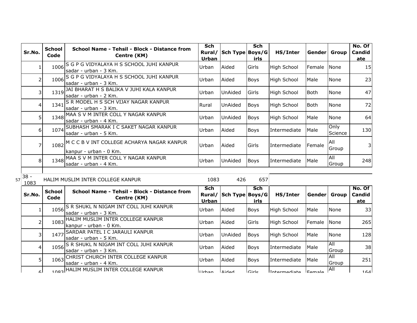|    | Sr.No.         | <b>School</b><br>Code | School Name - Tehsil - Block - Distance from<br>Centre (KM)               | <b>Sch</b><br>Rural/<br><b>Urban</b> | Sch Type Boys/G | <b>Sch</b><br>irls | HS/Inter           | Gender Group  |                     | No. Of<br>Candid<br>ate |
|----|----------------|-----------------------|---------------------------------------------------------------------------|--------------------------------------|-----------------|--------------------|--------------------|---------------|---------------------|-------------------------|
|    | $\mathbf{1}$   | 1006                  | S G P G VIDYALAYA H S SCHOOL JUHI KANPUR<br>sadar - urban - 3 Km.         | Urban                                | Aided           | Girls              | <b>High School</b> | Female        | None                | 15                      |
|    | 2              | 1006                  | S G P G VIDYALAYA H S SCHOOL JUHI KANPUR<br>sadar - urban - 3 Km.         | Urban                                | Aided           | Boys               | <b>High School</b> | Male          | None                | 23                      |
|    | 3              | 1319                  | JAI BHARAT H S BALIKA V JUHI KALA KANPUR<br>sadar - urban - 2 Km.         | Urban                                | <b>UnAided</b>  | Girls              | <b>High School</b> | <b>Both</b>   | None                | 47                      |
|    | 4              | 1341                  | S R MODEL H S SCH VIJAY NAGAR KANPUR<br>sadar - urban - 3 Km.             | Rural                                | <b>UnAided</b>  | <b>Boys</b>        | <b>High School</b> | <b>Both</b>   | None                | 72                      |
|    | 5              | 1348                  | MAA S V M INTER COLL Y NAGAR KANPUR<br>sadar - urban - 4 Km.              | Urban                                | <b>UnAided</b>  | <b>Boys</b>        | <b>High School</b> | Male          | None                | 64                      |
|    | 6              | 1074                  | SUBHASH SMARAK I C SAKET NAGAR KANPUR<br>sadar - urban - 5 Km.            | Urban                                | Aided           | <b>Boys</b>        | Intermediate       | Male          | Only<br>Science     | 130                     |
|    | $\overline{7}$ |                       | 1082 M C C B V INT COLLEGE ACHARYA NAGAR KANPUR<br>kanpur - urban - 0 Km. | Urban                                | Aided           | Girls              | Intermediate       | Female        | All<br>Group        | 3                       |
|    | 8              | 1348                  | MAA S V M INTER COLL Y NAGAR KANPUR<br>sadar - urban - 4 Km.              | Urban                                | <b>UnAided</b>  | <b>Boys</b>        | Intermediate       | Male          | <b>All</b><br>Group | 248                     |
| 57 | $38 -$<br>1083 |                       | HALIM MUSLIM INTER COLLEGE KANPUR                                         | 1083                                 | 426             | 657                |                    |               |                     |                         |
|    | Sr.No.         | <b>School</b><br>Code | School Name - Tehsil - Block - Distance from<br>Centre (KM)               | <b>Sch</b><br>Rural/<br>Urban        | Sch Type Boys/G | <b>Sch</b><br>irls | HS/Inter           | Gender        | Group               | No. Of<br>Candid<br>ate |
|    | 1              | 1056                  | S R SHUKL N NIGAM INT COLL JUHI KANPUR<br>sadar - urban - 3 Km.           | Urban                                | Aided           | Boys               | <b>High School</b> | Male          | None                | 33                      |
|    | $\mathcal{P}$  | 1083                  | HALIM MUSLIM INTER COLLEGE KANPUR<br>kanpur - urban - 0 Km.               | Urban                                | Aided           | Girls              | <b>High School</b> | Female        | None                | 265                     |
|    | 3              | 1477                  | SARDAR PATEL I C JARAULI KANPUR<br>sadar - urban - 5 Km.                  | Urban                                | <b>UnAided</b>  | <b>Boys</b>        | <b>High School</b> | Male          | None                | 128                     |
|    | 4              | 1056                  | S R SHUKL N NIGAM INT COLL JUHI KANPUR<br>sadar - urban - 3 Km.           | Urban                                | Aided           | Boys               | Intermediate       | Male          | All<br>Group        | 38                      |
|    | 5              | 1063                  | CHRIST CHURCH INTER COLLEGE KANPUR<br>sadar - urban - 4 Km.               | Urban                                | Aided           | <b>Boys</b>        | Intermediate       | Male          | <b>All</b><br>Group | 251                     |
|    | ۵I             |                       | 1083 HALIM MUSLIM INTER COLLEGE KANPUR                                    | <b>Ilrhan</b>                        | <b>Aidad</b>    | $C$ irle           | Intermediate       | <b>Eamala</b> | ΑIΙ                 | 161                     |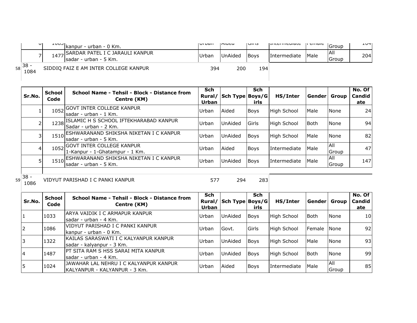| UI.                | <b>LUUJ</b> | Ikanpur - urban - 0 Km.                                       | I UI DAI I   | Iniucu         | טוווטו      | <b>ITHCHROUGLE</b> | ם כוחמוכ    | Group                  | 10T1 |
|--------------------|-------------|---------------------------------------------------------------|--------------|----------------|-------------|--------------------|-------------|------------------------|------|
|                    |             | 1477 SARDAR PATEL I C JARAULI KANPUR<br>sadar - urban - 5 Km. | <b>Urban</b> | <b>UnAided</b> | <b>Boys</b> | Intermediate       | <b>Male</b> | IAII<br><b>I</b> Group | 204I |
| $_{58}$ 38<br>1084 |             | SIDDIQ FAIZ E AM INTER COLLEGE KANPUR                         | 394          | 200            | 194         |                    |             |                        |      |

| Sr.No. | <b>School</b><br>Code | School Name - Tehsil - Block - Distance from<br>Centre (KM)           | Sch<br>Rural/<br>Urban | Sch Type Boys/G | Sch<br>irls | HS/Inter           | Gender | Group                      | No. Of<br>Candid<br>ate |
|--------|-----------------------|-----------------------------------------------------------------------|------------------------|-----------------|-------------|--------------------|--------|----------------------------|-------------------------|
|        | 1052                  | <b>IGOVT INTER COLLEGE KANPUR</b><br>sadar - urban - 1 Km.            | Urban                  | Aided           | <b>Boys</b> | <b>High School</b> | Male   | <b>None</b>                | 24                      |
|        |                       | 1238 ISLAMIC H S SCHOOL IFTEKHARABAD KANPUR<br>lSadar - urban - 2 Km. | Urban                  | <b>UnAided</b>  | Girls       | <b>High School</b> | Both   | None                       | 94                      |
|        |                       | 1510 ESHWARANAND SHIKSHA NIKETAN I C KANPUR<br>sadar - urban - 5 Km.  | Urban                  | <b>UnAided</b>  | <b>Boys</b> | <b>High School</b> | Male   | None                       | 82                      |
|        |                       | 1052 GOVT INTER COLLEGE KANPUR<br>1-Kanpur - 1-Ghatampur - 1 Km.      | Urban                  | Aided           | <b>Boys</b> | Intermediate       | Male   | <b>AII</b><br><b>Sroup</b> | 47                      |
|        |                       | 1510 ESHWARANAND SHIKSHA NIKETAN I C KANPUR<br>Isadar - urban - 5 Km. | Urban                  | UnAided         | <b>Boys</b> | Intermediate       | Male   | All<br>Group               | 147                     |
|        |                       |                                                                       |                        |                 |             |                    |        |                            |                         |

 $\begin{array}{c|c} & & \\ \n\hline 59 & 38 \\ \n\hline 1086 & & \n\end{array}$ <sup>1086</sup> <sup>577</sup> <sup>294</sup> <sup>283</sup> VIDYUT PARISHAD I C PANKI KANPUR

| l Sr.No.  | <b>School</b><br>Code | School Name - Tehsil - Block - Distance from<br>Centre (KM)             | <b>Sch</b><br>Rural/<br>Urban | Sch Type Boys/G | <b>Sch</b><br>irls | HS/Inter            | Gender Group |               | No. Of $ $<br><b>Candid</b><br>ate |
|-----------|-----------------------|-------------------------------------------------------------------------|-------------------------------|-----------------|--------------------|---------------------|--------------|---------------|------------------------------------|
| 1         | 1033                  | IARYA VAIDIK I C ARMAPUR KANPUR<br>lsadar - urban - 4 Km.               | Urban                         | <b>UnAided</b>  | <b>Boys</b>        | High School         | l Both       | <b>None</b>   | 10 <sup>1</sup>                    |
| <u> 2</u> | 1086                  | VIDYUT PARISHAD I C PANKI KANPUR<br>kanpur - urban - 0 Km.              | Urban                         | Govt.           | <b>Girls</b>       | High School         | Female None  |               | 92                                 |
| l3        | 1322                  | KAILAS SARASWATI I C KALYANPUR KANPUR<br>sadar - kalyanpur - 3 Km.      | Urban                         | <b>UnAided</b>  | <b>Boys</b>        | High School         | Male         | <b>None</b>   | 93                                 |
| 14        | 1487                  | <b>PT SITA RAM S HSS SARAI MITA KANPUR</b><br>sadar - urban - 4 Km.     | Urban                         | <b>UnAided</b>  | <b>Boys</b>        | High School         | <b>Both</b>  | None          | 99                                 |
| 15        | 1024                  | JAWAHAR LAL NEHRU I C KALYANPUR KANPUR<br>KALYANPUR - KALYANPUR - 3 Km. | Urban                         | <b>Aided</b>    | <b>Boys</b>        | <b>Intermediate</b> | Male         | IAII<br>Group | 85                                 |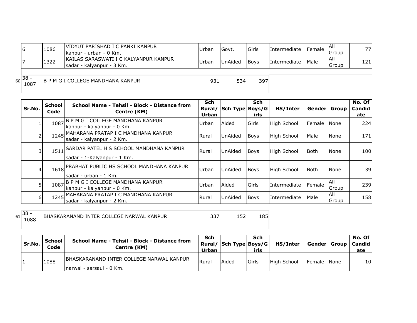|    |                     | 1086 | VIDYUT PARISHAD I C PANKI KANPUR<br>kanpur - urban - 0 Km.           | Urban | Govt.          | Girls       | Intermediate        | <b>IFemale</b> | IAII<br>lGroup       | 77  |
|----|---------------------|------|----------------------------------------------------------------------|-------|----------------|-------------|---------------------|----------------|----------------------|-----|
|    |                     | 1322 | IKAILAS SARASWATI I C KALYANPUR KANPUR<br>Isadar - kalvanpur - 3 Km. | Urban | <b>UnAided</b> | <b>Boys</b> | <b>Intermediate</b> | <b>Male</b>    | <b>JAII</b><br>Group | 121 |
| 60 | $\sqrt{38}$<br>1087 |      | B P M G I COLLEGE MANDHANA KANPUR                                    | 931   | 534            | 397         |                     |                |                      |     |

| Sr.No.       | <b>School</b><br>Code | School Name - Tehsil - Block - Distance from<br>Centre (KM)                 | <b>Sch</b><br>Rural/<br><b>Urban</b> | Sch Type Boys/G | Sch<br>irls | HS/Inter           | Gender | Group               | No. Of<br><b>Candid</b><br>ate |
|--------------|-----------------------|-----------------------------------------------------------------------------|--------------------------------------|-----------------|-------------|--------------------|--------|---------------------|--------------------------------|
|              | 1087                  | B P M G I COLLEGE MANDHANA KANPUR<br>kanpur - kalyanpur - 0 Km.             | Urban                                | Aided           | Girls       | <b>High School</b> | Female | <b>None</b>         | 224                            |
|              |                       | 1245 MAHARANA PRATAP I C MANDHANA KANPUR<br>sadar - kalyanpur - 2 Km.       | Rural                                | <b>UnAided</b>  | <b>Boys</b> | <b>High School</b> | Male   | None                | 171                            |
|              |                       | 1511 SARDAR PATEL H S SCHOOL MANDHANA KANPUR<br>sadar - 1-Kalyanpur - 1 Km. | Rural                                | <b>UnAided</b>  | <b>Boys</b> | <b>High School</b> | l Both | <b>None</b>         | 100                            |
| 41           |                       | 1618 PRABHAT PUBLIC HS SCHOOL MANDHANA KANPUR<br>Isadar - urban - 1 Km.     | Urban                                | <b>UnAided</b>  | <b>Boys</b> | <b>High School</b> | Both   | <b>None</b>         | 39                             |
| 51           | 1087                  | B P M G I COLLEGE MANDHANA KANPUR<br>kanpur - kalyanpur - 0 Km.             | Urban                                | Aided           | Girls       | Intermediate       | Female | All<br>Group        | 239                            |
| <sup>6</sup> |                       | 1245 MAHARANA PRATAP I C MANDHANA KANPUR<br>sadar - kalyanpur - 2 Km.       | Rural                                | <b>UnAided</b>  | <b>Boys</b> | Intermediate       | Male   | <b>AII</b><br>Group | 158                            |

 $61 \overline{\begin{array}{c} 38 \\ 1088 \end{array}}$ 

<sup>1088</sup> <sup>337</sup> <sup>152</sup> <sup>185</sup> BHASKARANAND INTER COLLEGE NARWAL KANPUR

| Sr.No. | School<br>Code | School Name - Tehsil - Block - Distance from<br>Centre (KM) | Sch<br>Urban | Rural/   Sch Type   Boys/G | Sch<br>irls   | <b>HS/Inter</b> |             | No. Of<br> Gender  Group   Candid  <br>ate |
|--------|----------------|-------------------------------------------------------------|--------------|----------------------------|---------------|-----------------|-------------|--------------------------------------------|
|        | 1088           | IBHASKARANAND INTER COLLEGE NARWAL KANPUR                   | Rural        | Aided                      | <b>IGirls</b> | High School     | Female None | 10                                         |
|        |                | Inarwal - sarsaul - 0 Km.                                   |              |                            |               |                 |             |                                            |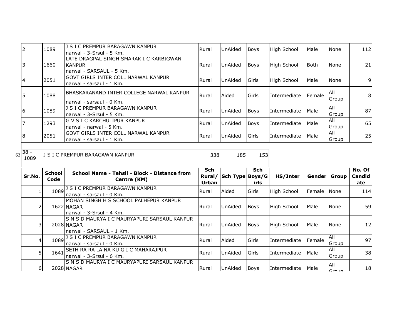|                      | 1089 | J S I C PREMPUR BARAGAWN KANPUR<br>narwal - 3-Srsul - 5 Km.                            | Rural | UnAided        | <b>Boys</b>  | High School        | Male           | None          | 112 |
|----------------------|------|----------------------------------------------------------------------------------------|-------|----------------|--------------|--------------------|----------------|---------------|-----|
| 3                    | 1660 | lLATE DRAGPAL SINGH SMARAK I C KARBIGWAN<br><b>KANPUR</b><br>Inarwal - SARSAUL - 5 Km. | Rural | <b>UnAided</b> | <b>Boys</b>  | High School        | Both           | None          | 21  |
| 4                    | 2051 | GOVT GIRLS INTER COLL NARWAL KANPUR<br>narwal - sarsaul - 1 Km.                        | Rural | <b>UnAided</b> | Girls        | <b>High School</b> | Male           | None          | 9   |
| 5                    | 1088 | IBHASKARANAND INTER COLLEGE NARWAL KANPUR<br>Inarwal - sarsaul - 0 Km.                 | Rural | Aided          | <b>Girls</b> | Intermediate       | <b>IFemale</b> | IAII<br>Group | 8   |
| 6                    | 1089 | J S I C PREMPUR BARAGAWN KANPUR<br>narwal - 3-Srsul - 5 Km.                            | Rural | <b>UnAided</b> | <b>Boys</b>  | Intermediate       | Male           | All<br>Group  | 87  |
|                      | 1293 | IG V S I C KARCHULIPUR KANPUR<br>Inarwal - narwal - 5 Km.                              | Rural | UnAided        | <b>Boys</b>  | Intermediate       | Male           | All<br>Group  | 65  |
| 8                    | 2051 | IGOVT GIRLS INTER COLL NARWAL KANPUR<br>Inarwal - sarsaul - 1 Km.                      | Rural | UnAided        | Girls        | Intermediate       | Male           | All<br>Group  | 25  |
| $38 -$<br>62<br>1089 |      | J S I C PREMPUR BARAGAWN KANPUR                                                        | 338   | 185            | 153          |                    |                |               |     |

| Sr.No. | School<br>Code | School Name - Tehsil - Block - Distance from<br>Centre (KM)                             | <b>Sch</b><br>Rural/<br>Urban | Sch Type Boys/G | <b>Sch</b><br>irls | HS/Inter     | l Gender l | Group                       | No. Of<br><b>Candid</b><br>ate |
|--------|----------------|-----------------------------------------------------------------------------------------|-------------------------------|-----------------|--------------------|--------------|------------|-----------------------------|--------------------------------|
|        | 1089           | J S I C PREMPUR BARAGAWN KANPUR<br>Inarwal - sarsaul - 0 Km.                            | Rural                         | Aided           | Girls              | High School  | Female     | <b>N</b> one                | 114                            |
|        |                | IMOHAN SINGH H S SCHOOL PALHEPUR KANPUR<br>1622 NAGAR<br>Inarwal - 3-Srsul - 4 Km.      | <b>Rural</b>                  | <b>UnAided</b>  | <b>Boys</b>        | High School  | Male       | None                        | 59                             |
| 3      |                | IS N S D MAURYA I C MAURYAPURI SARSAUL KANPUR<br>2028 NAGAR<br>narwal - SARSAUL - 1 Km. | Rural                         | <b>UnAided</b>  | <b>Boys</b>        | High School  | Male       | None                        | 12                             |
| 4.     |                | 1089 J S I C PREMPUR BARAGAWN KANPUR<br>Inarwal - sarsaul - 0 Km.                       | Rural                         | Aided           | Girls              | Intermediate | Female     | <b>AII</b><br>Group         | 97                             |
| 5      | 1641           | ISETH RA RA LA NA KU G I C MAHARAJPUR<br>Inarwal - 3-Srsul - 6 Km.                      | Rural                         | UnAided         | <b>IGirls</b>      | Intermediate | Male       | <b>AII</b><br><b>IGroup</b> | 38                             |
| 6      |                | IS N S D MAURYA I C MAURYAPURI SARSAUL KANPUR<br>2028 NAGAR                             | Rural                         | <b>UnAided</b>  | <b>Boys</b>        | Intermediate | Male       | <b>AII</b><br>$C$ roun      | 18                             |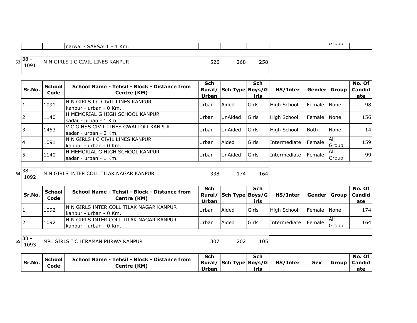| . Km.<br>SARSAUL<br><b>narwal</b> |  |  | <b>I</b> UIUU |  |
|-----------------------------------|--|--|---------------|--|

<sup>63</sup> 38 - <sup>1091</sup> <sup>526</sup> <sup>268</sup> <sup>258</sup> N N GIRLS I C CIVIL LINES KANPUR

| Sr.No. | <b>School</b><br>Code | School Name - Tehsil - Block - Distance from<br>Centre (KM)    | Sch<br>Urban | Rural/ Sch Type Boys/G | Sch<br>irls    | HS/Inter           | Genderl              | Group               | No. Of<br>Candid<br>ate |
|--------|-----------------------|----------------------------------------------------------------|--------------|------------------------|----------------|--------------------|----------------------|---------------------|-------------------------|
|        | 1091                  | IN N GIRLS I C CIVIL LINES KANPUR<br>lkanpur - urban - 0 Km.   | Urban        | Aided                  | Girls          | High School        | Female INone         |                     | 98                      |
| 12     | 1140                  | H MEMORIAL G HIGH SCHOOL KANPUR<br>Isadar - urban - 1 Km.      | Urban        | UnAided                | <b>I</b> Girls | High School        | <b>IFemale INone</b> |                     | 156                     |
| 13     | 1453                  | V C G HSS CIVIL LINES GWALTOLI KANPUR<br>sadar - urban - 2 Km. | Urban        | UnAided                | <b>IGirls</b>  | <b>High School</b> | Both                 | None                | 14 <sub>1</sub>         |
| 14     | 1091                  | IN N GIRLS I C CIVIL LINES KANPUR<br>kanpur - urban - 0 Km.    | Urban        | Aided                  | Girls          | Intermediate       | Female               | <b>AII</b><br>Group | 159                     |
| l5     | 1140                  | IH MEMORIAL G HIGH SCHOOL KANPUR<br>lsadar - urban - 1 Km.     | Urban        | UnAided                | <b>IGirls</b>  | Intermediate       | Female               | <b>AII</b><br>Group | 99                      |

<sup>64</sup> 38 - <sup>1092</sup> <sup>338</sup> <sup>174</sup> <sup>164</sup> N N GIRLS INTER COLL TILAK NAGAR KANPUR

| Sr.No. | <b>School</b><br>Code | School Name - Tehsil - Block - Distance from<br>Centre (KM)         | <b>Sch</b><br>Urban | Rural/ Sch Type Boys/G | Sch<br>irls  | HS/Inter     | Gender          | Group         | No. Of<br><b>Candid</b><br>ate |
|--------|-----------------------|---------------------------------------------------------------------|---------------------|------------------------|--------------|--------------|-----------------|---------------|--------------------------------|
|        | 1092                  | IN N GIRLS INTER COLL TILAK NAGAR KANPUR<br>Ikanpur - urban - 0 Km. | Urban               | Aided                  | <b>Girls</b> | High School  | Female None     |               | 174                            |
|        | 1092                  | IN N GIRLS INTER COLL TILAK NAGAR KANPUR<br>Ikanpur - urban - 0 Km. | Urban               | Aided                  | <b>Girls</b> | Intermediate | <b>I</b> Female | IAII<br>Group | 164l                           |
|        |                       |                                                                     |                     |                        |              |              |                 |               |                                |

 $65 \begin{array}{|c} 38 - 1093 \end{array}$ 

MPL GIRLS I C HIRAMAN PURWA KANPUR 109 307 202 105

|        | l School | School Name - Tehsil - Block - Distance from | Sch   | Sch  |                                       |            |                | No. Of |
|--------|----------|----------------------------------------------|-------|------|---------------------------------------|------------|----------------|--------|
| Sr.No. | Code     | Centre (KM)                                  |       |      | Rural/   Sch Type   Boys/G   HS/Inter | <b>Sex</b> | Group   Candid |        |
|        |          |                                              | Urban | irls |                                       |            |                | ate    |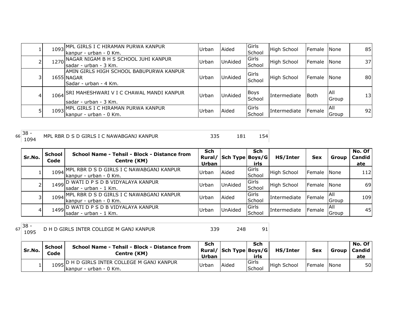|   | 1093 | <b>MPL GIRLS I C HIRAMAN PURWA KANPUR</b><br>kanpur - urban - 0 Km.             | Urban | Aided          | Girls<br>School                | High School  | <b>IFemale</b> | <b>None</b>   | 85  |
|---|------|---------------------------------------------------------------------------------|-------|----------------|--------------------------------|--------------|----------------|---------------|-----|
|   | 1270 | NAGAR NIGAM B H S SCHOOL JUHI KANPUR<br>sadar - urban - 3 Km.                   | Urban | <b>UnAided</b> | Girls<br>School                | High School  | Female         | <b>None</b>   | 37I |
|   |      | IAMIN GIRLS HIGH SCHOOL BABUPURWA KANPUR<br>1655 NAGAR<br>Sadar - urban - 4 Km. | Urban | UnAided        | <b>IGirls</b><br><b>School</b> | High School  | <b>Female</b>  | <b>None</b>   | 80  |
| 4 |      | 1064 SRI MAHESHWARI V I C CHAWAL MANDI KANPUR<br>sadar - urban - 3 Km.          | Urban | <b>UnAided</b> | Boys<br>School                 | Intermediate | Both           | IAII<br>Group | 13  |
|   |      | 1093 MPL GIRLS I C HIRAMAN PURWA KANPUR<br>kanpur - urban - 0 Km.               | Urban | Aided          | Girls<br><b>School</b>         | Intermediate | <b>Female</b>  | IAII<br>Group | 92  |

<sup>66</sup> 38 -

MPL RBR D S D GIRLS I C NAWABGANJ KANPUR 335 181 154

| Sr.No. | <b>School</b><br>Code | School Name - Tehsil - Block - Distance from<br>Centre (KM)          | Sch<br>Rural/<br><b>Urban</b> | Sch Type Boys/G | Sch<br>irls              | HS/Inter           | <b>Sex</b>     | Group         | No. Of<br><b>Candid</b><br>ate |
|--------|-----------------------|----------------------------------------------------------------------|-------------------------------|-----------------|--------------------------|--------------------|----------------|---------------|--------------------------------|
|        | 1094                  | IMPL RBR D S D GIRLS I C NAWABGANJ KANPUR<br>lkanpur - urban - 0 Km. | Urban                         | Aided           | <b>I</b> Girls<br>School | <b>High School</b> | <b>Female</b>  | <b>I</b> None | 112                            |
|        |                       | 1499 D WATI D P S D B VIDYALAYA KANPUR<br>Isadar - urban - 1 Km.     | Urban                         | UnAided         | <b>IGirls</b><br>School  | <b>High School</b> | <b>IFemale</b> | <b>None</b>   | 69l                            |
|        | 1094                  | IMPL RBR D S D GIRLS I C NAWABGANJ KANPUR<br>lkanpur - urban - 0 Km. | Urban                         | Aided           | <b>IGirls</b><br>School  | Intermediate       | Female         | IAII<br>Group | 109                            |
|        |                       | 1499 D WATI D P S D B VIDYALAYA KANPUR<br>Isadar - urban - 1 Km.     | Urban                         | UnAided         | Girls<br>School          | Intermediate       | Female         | IAII<br>Group | 45                             |

 $67 \begin{array}{|c} 38 - 1095 \end{array}$ 

1095 D H D GIRLS INTER COLLEGE M GANJ KANPUR 339 248 91

| Sr.No. | <b>School</b><br>Code | School Name - Tehsil - Block - Distance from<br>Centre (KM)            | <b>Sch</b><br>Urban | Rural/ Sch Type Boys/G | Sch<br>irls      | HS/Inter    | <b>Sex</b>  | Group l | No. Of<br><b>Candid</b><br>ate |
|--------|-----------------------|------------------------------------------------------------------------|---------------------|------------------------|------------------|-------------|-------------|---------|--------------------------------|
|        |                       | 1095 D H D GIRLS INTER COLLEGE M GANJ KANPUR<br>kanpur - urban - 0 Km. | Urban               | <b>Aidea</b>           | lGirls<br>School | High School | Female None |         | 50                             |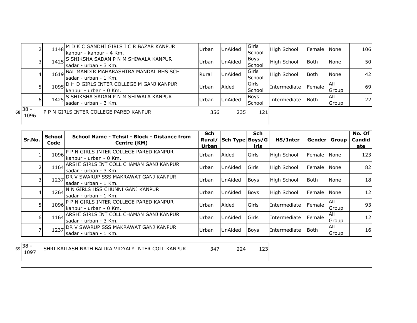|    |                |      | 1148 M D K C GANDHI GIRLS I C R BAZAR KANPUR<br>[kanpur - kanpur - 4 Km. | Urban | <b>UnAided</b> | Girls<br>School        | <b>High School</b> | Female      | None          | 106       |
|----|----------------|------|--------------------------------------------------------------------------|-------|----------------|------------------------|--------------------|-------------|---------------|-----------|
|    |                |      | 1425 SHIKSHA SADAN P N M SHIWALA KANPUR<br>Isadar - urban - 3 Km.        | Urban | <b>UnAided</b> | Boys<br>School         | <b>High School</b> | Both        | <b>None</b>   | <b>50</b> |
|    | 4              |      | 1619 BAL MANDIR MAHARASHTRA MANDAL BHS SCH<br>Isadar - urban - 1 Km.     | Rural | <b>UnAided</b> | <b>Girls</b><br>School | High School        | Both        | <b>None</b>   | 42        |
|    |                | 1095 | ID H D GIRLS INTER COLLEGE M GANJ KANPUR<br>kanpur - urban - 0 Km.       | Urban | Aided          | <b>Girls</b><br>School | Intermediate       | Female      | IAII<br>Group | 69        |
|    | 61             | 1425 | IS SHIKSHA SADAN P N M SHIWALA KANPUR<br>sadar - urban - 3 Km.           | Urban | <b>UnAided</b> | Boys<br>School         | Intermediate       | <b>Both</b> | IAII<br>Group | 22        |
| 68 | $38 -$<br>1096 |      | P P N GIRLS INTER COLLEGE PARED KANPUR                                   | 356   | 235            | 121                    |                    |             |               |           |

|        | School | School Name - Tehsil - Block - Distance from                           | Sch             |                 | Sch            |                    |               |               | No. Of        |
|--------|--------|------------------------------------------------------------------------|-----------------|-----------------|----------------|--------------------|---------------|---------------|---------------|
| Sr.No. | Code   | Centre (KM)                                                            | Rural/<br>Urban | Sch Type Boys/G | irls           | HS/Inter           | Gender  Group |               | Candid<br>ate |
|        | 1096   | IP P N GIRLS INTER COLLEGE PARED KANPUR<br>Ikanpur - urban - 0 Km.     | Urban           | Aided           | Girls          | <b>High School</b> | Female        | <b>I</b> None | 123           |
|        |        | 1164 ARSHI GIRLS INT COLL CHAMAN GANJ KANPUR<br>Isadar - urban - 3 Km. | Urban           | UnAided         | <b>I</b> Girls | <b>High School</b> | <b>Female</b> | <b>INone</b>  | 82            |
|        | 1237   | <b>DR V SWARUP SSS MAKRAWAT GANJ KANPUR</b><br>sadar - urban - 1 Km.   | Urban           | UnAided         | <b>Boys</b>    | <b>High School</b> | l Both        | None          | 18            |
| 4      |        | 1264 N N GIRLS HSS CHUNNI GANJ KANPUR<br>Isadar - urban - 1 Km.        | Urban           | UnAided         | <b>Boys</b>    | <b>High School</b> | Female        | <b>INone</b>  | 12            |
|        | 1096   | IP P N GIRLS INTER COLLEGE PARED KANPUR<br>kanpur - urban - 0 Km.      | Urban           | Aided           | Girls          | Intermediate       | Female        | IAII<br>Group | 93            |
| 6 I    |        | 1164 ARSHI GIRLS INT COLL CHAMAN GANJ KANPUR<br>Isadar - urban - 3 Km. | Urban           | UnAided         | Girls          | Intermediate       | Female        | IAII<br>Group | 12            |
|        | 1237   | <b>IDR V SWARUP SSS MAKRAWAT GANJ KANPUR</b><br>Isadar - urban - 1 Km. | Urban           | <b>UnAided</b>  | <b>Boys</b>    | Intermediate       | <b>Both</b>   | All<br>Group  | 16            |

<sup>69</sup> 38 -

<sup>1097</sup> <sup>347</sup> <sup>224</sup> <sup>123</sup> SHRI KAILASH NATH BALIKA VIDYALY INTER COLL KANPUR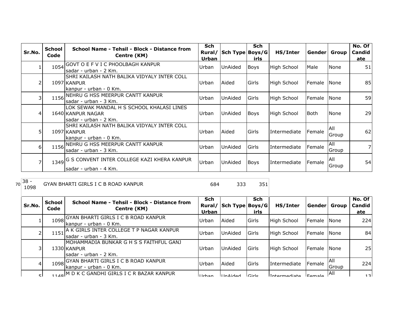| Sr.No. | School<br>Code | School Name - Tehsil - Block - Distance from<br>Centre (KM)                              | <b>Sch</b><br>Rural/<br><b>Urban</b> | Sch Type Boys/G | <b>Sch</b><br>irls | HS/Inter           | Gender Group |                      | No. Of<br>Candid<br>ate |
|--------|----------------|------------------------------------------------------------------------------------------|--------------------------------------|-----------------|--------------------|--------------------|--------------|----------------------|-------------------------|
|        |                | 1054 GOVT O E F V I C PHOOLBAGH KANPUR<br>Isadar - urban - 2 Km.                         | Urban                                | UnAided         | Boys               | <b>High School</b> | Male         | None                 | 51                      |
|        |                | İSHRI KAILASH NATH BALIKA VIDYALY INTER COLL<br>1097 KANPUR<br>kanpur - urban - 0 Km.    | Urban                                | Aided           | Girls              | High School        | Female       | <b>INone</b>         | 85                      |
|        | 1156           | NEHRU G HSS MEERPUR CANTT KANPUR<br>lsadar - urban - 3 Km.                               | Urban                                | UnAided         | Girls              | <b>High School</b> | Female       | <b>None</b>          | 59                      |
| 4      |                | LOK SEWAK MANDAL H S SCHOOL KHALASI LINES<br>1640 KANPUR NAGAR<br>lsadar - urban - 2 Km. | Urban                                | UnAided         | Boys               | <b>High School</b> | Both         | None                 | 29                      |
|        |                | SHRI KAILASH NATH BALIKA VIDYALY INTER COLL<br>1097 KANPUR<br>kanpur - urban - 0 Km.     | Urban                                | Aided           | Girls              | Intermediate       | Female       | All<br>Group         | 62                      |
| 6 I    |                | 1156 NEHRU G HSS MEERPUR CANTT KANPUR<br>lsadar - urban - 3 Km.                          | Urban                                | <b>UnAided</b>  | Girls              | Intermediate       | Female       | All<br><b>IGroup</b> |                         |
|        |                | 1349 G S CONVENT INTER COLLEGE KAZI KHERA KANPUR<br>lsadar - urban - 4 Km.               | Urban                                | UnAided         | Boys               | Intermediate       | Female       | <b>AII</b><br>Group  | 54                      |

<sup>70</sup> 38 - <sup>1098</sup> <sup>684</sup> <sup>333</sup> <sup>351</sup> GYAN BHARTI GIRLS I C B ROAD KANPUR

| Sr.No. | <b>School</b><br>Code | School Name - Tehsil - Block - Distance from<br>Centre (KM)                     | <b>Sch</b><br>Urban | Rural/ Sch Type Boys/G | <b>Sch</b><br>irls | HS/Inter           | Gender               | Group                       | No. Of<br>Candid<br>ate |
|--------|-----------------------|---------------------------------------------------------------------------------|---------------------|------------------------|--------------------|--------------------|----------------------|-----------------------------|-------------------------|
| Ŧ,     | 1098                  | GYAN BHARTI GIRLS I C B ROAD KANPUR<br>Ikanpur - urban - 0 Km.                  | Urban               | Aided                  | Girls              | <b>High School</b> | <b>IFemale INone</b> |                             | 224                     |
| 2      | 1151                  | A K GIRLS INTER COLLEGE T P NAGAR KANPUR<br>Isadar - urban - 3 Km.              | Urban               | <b>UnAided</b>         | Girls              | <b>High School</b> | <b>IFemale INone</b> |                             | 84                      |
| 31     |                       | MOHAMMADIA BUNKAR G H S S FAITHFUL GANJ<br>1330 KANPUR<br>sadar - urban - 2 Km. | Urban               | <b>UnAided</b>         | Girls              | <b>High School</b> | <b>IFemale INone</b> |                             | 25                      |
| 41     | 1098                  | GYAN BHARTI GIRLS I C B ROAD KANPUR<br>Ikanpur - urban - 0 Km.                  | Urban               | Aided                  | Girls              | Intermediate       | <b>I</b> Female      | <b>AII</b><br><b>IGroup</b> | 224                     |
| ςI     |                       | 140 M D K C GANDHI GIRLS I C R BAZAR KANPUR                                     | $I$ Irhan           | IIhAidod               | $C$ irle           | Intermodiate       |                      | IAII                        | 12                      |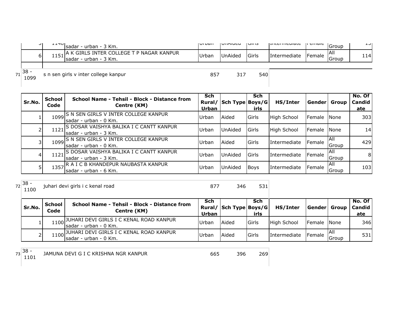| ا ب              | ᆂᆂᆓᄓᅵ | Isadar - urban - 3 Km.                                                 | I vi van | <b>I</b> UIMUCU | כו ווטו | <b>ILIILCI IIICUIGLE</b> | μ σπιαις         | Group          | ᆠᅬ  |
|------------------|-------|------------------------------------------------------------------------|----------|-----------------|---------|--------------------------|------------------|----------------|-----|
| 61               |       | 1151 A K GIRLS INTER COLLEGE T P NAGAR KANPUR<br>sadar - urban - 3 Km. | Urban    | <b>UnAided</b>  | Girls   | Intermediate             | <b>IFemale</b> I | -IAII<br>Group | 114 |
| $1^{38}$<br>1099 |       | s n sen girls v inter college kanpur                                   | 857      | 317             | 540     |                          |                  |                |     |

| Sr.No. | <b>School</b><br>Code | School Name - Tehsil - Block - Distance from<br>Centre (KM)            | Sch<br>Rural/<br>Urban | Sch Type Boys/G | Sch<br>irls    | HS/Inter           | Gender         | Group               | No. Of<br>Candid<br>ate |
|--------|-----------------------|------------------------------------------------------------------------|------------------------|-----------------|----------------|--------------------|----------------|---------------------|-------------------------|
|        |                       | 1099 S N SEN GIRLS V INTER COLLEGE KANPUR<br>Isadar - urban - 0 Km.    | Urban                  | Aided           | <b>Girls</b>   | <b>High School</b> | <b>IFemale</b> | <b>None</b>         | 303                     |
|        |                       | 1121 S DOSAR VAISHYA BALIKA I C CANTT KANPUR<br>Isadar - urban - 3 Km. | Urban                  | UnAided         | <b>I</b> Girls | High School        | <b>IFemale</b> | None                | 14                      |
|        |                       | 1099 S N SEN GIRLS V INTER COLLEGE KANPUR<br>Isadar - urban - 0 Km.    | Urban                  | Aided           | Girls          | Intermediate       | <b>Female</b>  | IAII<br>Group       | 429                     |
| 4      |                       | 1121 S DOSAR VAISHYA BALIKA I C CANTT KANPUR<br>Isadar - urban - 3 Km. | Urban                  | UnAided         | <b>Girls</b>   | Intermediate       | Female         | <b>All</b><br>Group | 81                      |
|        |                       | 1357 R A I C B KHANDEPUR NAUBASTA KANPUR<br>Isadar - urban - 6 Km.     | Urban                  | UnAided         | <b>Boys</b>    | Intermediate       | Female         | All<br>Group        | 103                     |

 $72 \overline{\smash{\big)}\ 38 - 1100}$ 

<sup>1100</sup> <sup>877</sup> <sup>346</sup> <sup>531</sup> juhari devi girls i c kenal road

| Sr.No. | <b>School</b><br>Code | School Name - Tehsil - Block - Distance from<br>Centre (KM)            | Sch<br>Rural/<br>Urban | Sch Type Boys/G | Sch<br>irls | HS/Inter     | Gender Group |               | No. Of<br>  Candid  <br>ate |
|--------|-----------------------|------------------------------------------------------------------------|------------------------|-----------------|-------------|--------------|--------------|---------------|-----------------------------|
|        |                       | 1100 JUHARI DEVI GIRLS I C KENAL ROAD KANPUR<br>Isadar - urban - 0 Km. | Urban                  | Aided           | Girls       | High School  | Female None  |               | 346                         |
|        |                       | 1100 JUHARI DEVI GIRLS I C KENAL ROAD KANPUR<br>Isadar - urban - 0 Km. | Urban                  | Aided           | Girls       | Intermediate | Female       | IAII<br>Group | 531                         |

 $73 \overline{\smash{\big)}\begin{bmatrix} 38 \\ 1101 \end{bmatrix}}$ 

<sup>1101</sup> <sup>665</sup> <sup>396</sup> <sup>269</sup> JAMUNA DEVI G I C KRISHNA NGR KANPUR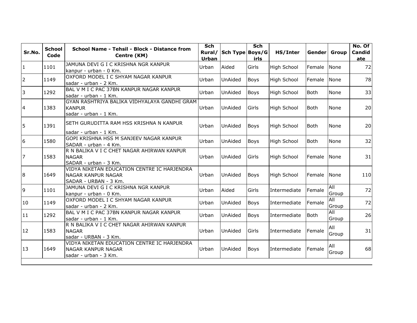| Sr.No.         | <b>School</b><br>Code | School Name - Tehsil - Block - Distance from<br>Centre (KM)                                       | <b>Sch</b><br>Rural/<br>Urban | Sch Type Boys/G | <b>Sch</b><br>irls | HS/Inter           | Gender      | Group               | No. Of<br><b>Candid</b><br>ate |
|----------------|-----------------------|---------------------------------------------------------------------------------------------------|-------------------------------|-----------------|--------------------|--------------------|-------------|---------------------|--------------------------------|
| 1              | 1101                  | JAMUNA DEVI G I C KRISHNA NGR KANPUR<br>kanpur - urban - 0 Km.                                    | Urban                         | Aided           | Girls              | <b>High School</b> | Female      | None                | 72                             |
| $\overline{2}$ | 1149                  | OXFORD MODEL I C SHYAM NAGAR KANPUR<br>sadar - urban - 2 Km.                                      | Urban                         | UnAided         | <b>Boys</b>        | <b>High School</b> | Female      | None                | 78                             |
| 3              | 1292                  | BAL V M I C PAC 37BN KANPUR NAGAR KANPUR<br>lsadar - urban - 1 Km.                                | Urban                         | UnAided         | <b>Boys</b>        | High School        | <b>Both</b> | None                | 33                             |
| $\overline{4}$ | 1383                  | GYAN RASHTRIYA BALIKA VIDHYALAYA GANDHI GRAM<br><b>KANPUR</b><br>sadar - urban - 1 Km.            | Urban                         | UnAided         | Girls              | High School        | <b>Both</b> | None                | 20                             |
| 5              | 1391                  | SETH GURUDITTA RAM HSS KRISHNA N KANPUR<br>sadar - urban - 1 Km.                                  | Urban                         | <b>UnAided</b>  | <b>Boys</b>        | High School        | <b>Both</b> | None                | 20                             |
| 6              | 1580                  | GOPI KRISHNA HSS M SANJEEV NAGAR KANPUR<br>SADAR - urban - 4 Km.                                  | Urban                         | <b>UnAided</b>  | <b>Boys</b>        | High School        | <b>Both</b> | None                | 32                             |
| 17             | 1583                  | R N BALIKA V I C CHET NAGAR AHIRWAN KANPUR<br><b>NAGAR</b><br>SADAR - urban - 3 Km.               | Urban                         | <b>UnAided</b>  | Girls              | High School        | Female      | None                | 31                             |
| 8              | 1649                  | VIDYA NIKETAN EDUCATION CENTRE IC HARJENDRA<br><b>NAGAR KANPUR NAGAR</b><br>SADAR - URBAN - 3 Km. | Urban                         | UnAided         | <b>Boys</b>        | High School        | Female      | None                | 110                            |
| 9              | 1101                  | JAMUNA DEVI G I C KRISHNA NGR KANPUR<br>kanpur - urban - 0 Km.                                    | Urban                         | Aided           | Girls              | Intermediate       | Female      | <b>All</b><br>Group | 72                             |
| 10             | 1149                  | OXFORD MODEL I C SHYAM NAGAR KANPUR<br>sadar - urban - 2 Km.                                      | Urban                         | <b>UnAided</b>  | Boys               | Intermediate       | Female      | <b>All</b><br>Group | 72                             |
| 11             | 1292                  | BAL V M I C PAC 37BN KANPUR NAGAR KANPUR<br>sadar - urban - 1 Km.                                 | Urban                         | <b>UnAided</b>  | <b>Boys</b>        | Intermediate       | <b>Both</b> | All<br>Group        | 26                             |
| 12             | 1583                  | R N BALIKA V I C CHET NAGAR AHIRWAN KANPUR<br><b>NAGAR</b><br>sadar - URBAN - 3 Km.               | Urban                         | <b>UnAided</b>  | Girls              | Intermediate       | Female      | All<br>Group        | 31                             |
| 13             | 1649                  | VIDYA NIKETAN EDUCATION CENTRE IC HARJENDRA<br><b>NAGAR KANPUR NAGAR</b><br>sadar - urban - 3 Km. | Urban                         | <b>UnAided</b>  | <b>Boys</b>        | Intermediate       | Female      | All<br>Group        | 68                             |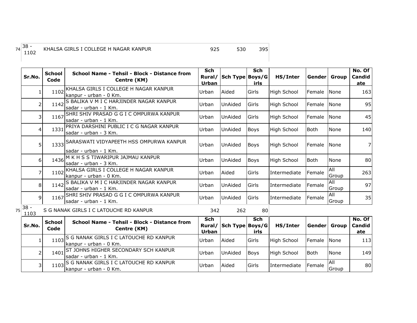## <sup>1102</sup> <sup>925</sup> <sup>530</sup> <sup>395</sup> KHALSA GIRLS I COLLEGE H NAGAR KANPUR

|    | Sr.No.         | <b>School</b><br>Code | School Name - Tehsil - Block - Distance from<br>Centre (KM)           | <b>Sch</b><br>Rural/<br><b>Urban</b> | Sch Type Boys/G | <b>Sch</b><br>irls | HS/Inter           | Gender         | <b>Group</b> | No. Of<br>Candid<br>ate |
|----|----------------|-----------------------|-----------------------------------------------------------------------|--------------------------------------|-----------------|--------------------|--------------------|----------------|--------------|-------------------------|
|    | 1              | 1102                  | KHALSA GIRLS I COLLEGE H NAGAR KANPUR<br>kanpur - urban - 0 Km.       | Urban                                | Aided           | Girls              | <b>High School</b> | Female         | None         | 163                     |
|    | 2              | 1142                  | S BALIKA V M I C HARJINDER NAGAR KANPUR<br>sadar - urban - 1 Km.      | Urban                                | <b>UnAided</b>  | Girls              | <b>High School</b> | Female         | None         | 95                      |
|    | 3              | 1167                  | SHRI SHIV PRASAD G G I C OMPURWA KANPUR<br>sadar - urban - 1 Km.      | Urban                                | UnAided         | Girls              | <b>High School</b> | Female         | None         | 45                      |
|    | 4              | 1331                  | PRIYA DARSHINI PUBLIC I C G NAGAR KANPUR<br>sadar - urban - 3 Km.     | Urban                                | UnAided         | <b>Boys</b>        | <b>High School</b> | lBoth.         | None         | 140                     |
|    | 5              |                       | 1333 SARASWATI VIDYAPEETH HSS OMPURWA KANPUR<br>sadar - urban - 1 Km. | Urban                                | <b>UnAided</b>  | <b>Boys</b>        | <b>High School</b> | Female         | None         |                         |
|    | 6              | 1436                  | M K H S S TIWARIPUR JAJMAU KANPUR<br>sadar - urban - 3 Km.            | Urban                                | <b>UnAided</b>  | <b>Boys</b>        | <b>High School</b> | <b>Both</b>    | None         | 80                      |
|    | 7              | 1102                  | KHALSA GIRLS I COLLEGE H NAGAR KANPUR<br>kanpur - urban - 0 Km.       | Urban                                | Aided           | Girls              | Intermediate       | <b>IFemale</b> | All<br>Group | 263                     |
|    | 8              |                       | 1142 S BALIKA V M I C HARJINDER NAGAR KANPUR<br>sadar - urban - 1 Km. | Urban                                | UnAided         | Girls              | Intermediate       | Female         | All<br>Group | 97                      |
|    | 9              | 1167                  | SHRI SHIV PRASAD G G I C OMPURWA KANPUR<br>sadar - urban - 1 Km.      | Urban                                | <b>UnAided</b>  | Girls              | Intermediate       | <b>Female</b>  | All<br>Group | 35                      |
| 75 | $38 -$<br>1103 |                       | S G NANAK GIRLS I C LATOUCHE RD KANPUR                                | 342                                  | 262             | 80                 |                    |                |              |                         |
|    | Sr.No.         | <b>School</b><br>Code | School Name - Tehsil - Block - Distance from<br>Centre (KM)           | Sch<br>Rural/<br><b>Urban</b>        | Sch Type Boys/G | <b>Sch</b><br>irls | HS/Inter           | Gender         | Group        | No. Of<br>Candid<br>ate |
|    | 1              | 1103                  | S G NANAK GIRLS I C LATOUCHE RD KANPUR<br>kanpur - urban - 0 Km.      | Urban                                | Aided           | Girls              | <b>High School</b> | Female         | None         | 113                     |
|    | 2              | 1401                  | ST JOHNS HIGHER SECONDARY SCH KANPUR<br>sadar - urban - 1 Km.         | Urban                                | <b>UnAided</b>  | <b>Boys</b>        | <b>High School</b> | <b>Both</b>    | None         | 149                     |
|    | 3              | 1103                  | S G NANAK GIRLS I C LATOUCHE RD KANPUR<br>kanpur - urban - 0 Km.      | Urban                                | Aided           | Girls              | Intermediate       | <b>IFemale</b> | All<br>Group | 80                      |

 $74 \overline{\)38 - 1102}$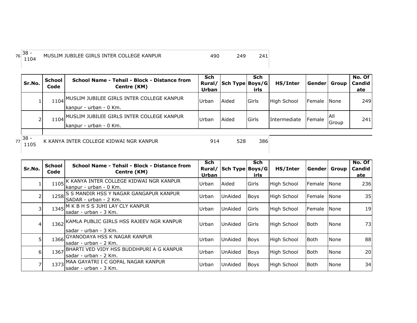| $76 38 -$<br>1104 | MUSLIM JUBILEE GIRLS INTER COLLEGE KANPUR | 490 | 249 | 241 |
|-------------------|-------------------------------------------|-----|-----|-----|
|                   |                                           |     |     |     |

| Sr.No. | School<br>Code | School Name - Tehsil - Block - Distance from<br>Centre (KM)               | <b>Sch</b><br>Rural/I<br>Urban | Sch Type Boys/G | Sch<br>irls | HS/Inter     | Gender Group         |               | No. Of<br><b>Candid</b><br>ate |
|--------|----------------|---------------------------------------------------------------------------|--------------------------------|-----------------|-------------|--------------|----------------------|---------------|--------------------------------|
|        |                | 1104 MUSLIM JUBILEE GIRLS INTER COLLEGE KANPUR<br>Ikanpur - urban - 0 Km. | <b>Urban</b>                   | Aided           | Girls       | High School  | <b>IFemale INone</b> |               | 249                            |
|        |                | 1104 MUSLIM JUBILEE GIRLS INTER COLLEGE KANPUR<br>Ikanpur - urban - 0 Km. | Urban                          | Aided           | Girls       | Intermediate | Female               | IAII<br>Group | 241                            |
| ວດ     |                |                                                                           |                                |                 |             |              |                      |               |                                |

 $77^{38}$  - 1105

|  | K KANY |  |
|--|--------|--|

<sup>1105</sup> <sup>914</sup> <sup>528</sup> <sup>386</sup> K KANYA INTER COLLEGE KIDWAI NGR KANPUR

|        | <b>School</b> | School Name - Tehsil - Block - Distance from                           | <b>Sch</b> |                 | <b>Sch</b>  |                    |                |               | No. Of |
|--------|---------------|------------------------------------------------------------------------|------------|-----------------|-------------|--------------------|----------------|---------------|--------|
| Sr.No. | Code          | Centre (KM)                                                            | Rural/     | Sch Type Boys/G |             | HS/Inter           | Gender   Group |               | Candid |
|        |               |                                                                        | Urban      |                 | irls        |                    |                |               | ate    |
|        | 1105          | K KANYA INTER COLLEGE KIDWAI NGR KANPUR<br>kanpur - urban - 0 Km.      | Urban      | Aided           | Girls       | <b>High School</b> | Female         | <b>I</b> None | 236    |
| 2      | 1258          | IS S MANDIR HSS Y NAGAR GANGAPUR KANPUR<br>SADAR - urban - 2 Km.       | Urban      | UnAided         | <b>Boys</b> | <b>High School</b> | Female         | <b>I</b> None | 35     |
|        |               | 1345 M K B H S S JUHI LAY CLY KANPUR<br>lsadar - urban - 3 Km.         | Urban      | UnAided         | Girls       | <b>High School</b> | Female         | <b>None</b>   | 19     |
| 4      |               | 1362 KAMLA PUBLIC GIRLS HSS RAJEEV NGR KANPUR<br>sadar - urban - 3 Km. | Urban      | UnAided         | Girls       | High School        | lBoth.         | None          | 73I    |
| 5      | 1366          | GYANODAYA HSS K NAGAR KANPUR<br>lsadar - urban - 2 Km.                 | Urban      | UnAided         | <b>Boys</b> | High School        | Both           | None          | 88     |
| 6      | 1367          | BHARTI VED VIDY HSS BUDDHPURI A G KANPUR<br>sadar - urban - 2 Km.      | Urban      | UnAided         | <b>Boys</b> | High School        | Both           | None          | 20     |
|        | 1373          | MAA GAYATRI I C GOPAL NAGAR KANPUR<br>sadar - urban - 3 Km.            | Urban      | UnAided         | <b>Boys</b> | <b>High School</b> | lBoth.         | <b>None</b>   | 34     |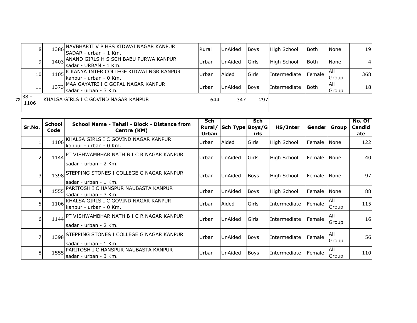| 81                | 1386 NAVBHARTI V P HSS KIDWAI NAGAR KANPUR<br>SADAR - urban - 1 Km.     | Rural | <b>UnAided</b> | <b>Boys</b> | <b>High School</b> | <b>Both</b> | <b>None</b>   | 19             |
|-------------------|-------------------------------------------------------------------------|-------|----------------|-------------|--------------------|-------------|---------------|----------------|
|                   | 1403 ANAND GIRLS H S SCH BABU PURWA KANPUR<br>Isadar - URBAN - 1 Km.    | Urban | <b>UnAided</b> | Girls       | High School        | <b>Both</b> | <b>None</b>   | $\overline{4}$ |
| 10 <sub>l</sub>   | 1105 K KANYA INTER COLLEGE KIDWAI NGR KANPUR<br>Ikanpur - urban - 0 Km. | Urban | Aided          | Girls       | Intermediate       | Female      | IAIL<br>Group | 368            |
| 11                | 1373 MAA GAYATRI I C GOPAL NAGAR KANPUR<br>sadar - urban - 3 Km.        | Urban | <b>UnAided</b> | <b>Boys</b> | Intermediate       | <b>Both</b> | All<br>Group  | 18             |
| $18^{38}$<br>1106 | KHALSA GIRLS I C GOVIND NAGAR KANPUR                                    | 644   | 347            | 297         |                    |             |               |                |

| Sr.No.   | <b>School</b><br>Code | School Name - Tehsil - Block - Distance from<br>Centre (KM)             | Sch<br>Rural/<br><b>Urban</b> | Sch Type Boys/G | Sch<br>irls | HS/Inter           | Gender Group |               | No. Of<br>Candid<br>ate |
|----------|-----------------------|-------------------------------------------------------------------------|-------------------------------|-----------------|-------------|--------------------|--------------|---------------|-------------------------|
|          | 1106                  | KHALSA GIRLS I C GOVIND NAGAR KANPUR<br>kanpur - urban - 0 Km.          | Urban                         | Aided           | Girls       | <b>High School</b> | Female       | <b>I</b> None | 122                     |
|          |                       | 1144 PT VISHWAMBHAR NATH B I C R NAGAR KANPUR<br>lsadar - urban - 2 Km. | Urban                         | UnAided         | Girls       | <b>High School</b> | Female       | <b>I</b> None | 40                      |
| 31       |                       | 1398 STEPPING STONES I COLLEGE G NAGAR KANPUR<br>sadar - urban - 1 Km.  | Urban                         | UnAided         | <b>Boys</b> | <b>High School</b> | Female None  |               | 97                      |
| 41       | 1555                  | PARITOSH I C HANSPUR NAUBASTA KANPUR<br>sadar - urban - 3 Km.           | Urban                         | UnAided         | Boys        | High School        | Female       | <b>None</b>   | 88                      |
| 51       |                       | 1106 KHALSA GIRLS I C GOVIND NAGAR KANPUR<br>kanpur - urban - 0 Km.     | Urban                         | Aided           | Girls       | Intermediate       | Female       | All<br>Group  | 115                     |
| $6 \mid$ |                       | 1144 PT VISHWAMBHAR NATH B I C R NAGAR KANPUR<br>sadar - urban - 2 Km.  | Urban                         | <b>UnAided</b>  | Girls       | Intermediate       | Female       | IAII<br>Group | 16 <sup>l</sup>         |
|          |                       | 1398 STEPPING STONES I COLLEGE G NAGAR KANPUR<br>sadar - urban - 1 Km.  | Urban                         | UnAided         | <b>Boys</b> | Intermediate       | Female       | All<br>Group  | 56                      |
| 8        |                       | 1555 PARITOSH I C HANSPUR NAUBASTA KANPUR<br>lsadar - urban - 3 Km.     | Urban                         | UnAided         | Boys        | Intermediate       | Female       | All<br>Group  | 110                     |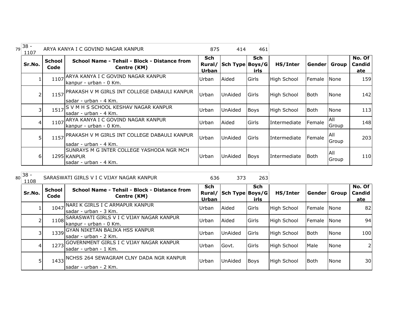| 79 | $38 -$<br>1107 |                       | ARYA KANYA I C GOVIND NAGAR KANPUR                                                | 875                    | 414             | 461                |                    |               |               |                         |
|----|----------------|-----------------------|-----------------------------------------------------------------------------------|------------------------|-----------------|--------------------|--------------------|---------------|---------------|-------------------------|
|    | Sr.No.         | <b>School</b><br>Code | School Name - Tehsil - Block - Distance from<br>Centre (KM)                       | Sch<br>Rural/<br>Urban | Sch Type Boys/G | <b>Sch</b><br>irls | HS/Inter           | <b>Gender</b> | Group         | No. Of<br>Candid<br>ate |
|    |                | 1107                  | ARYA KANYA I C GOVIND NAGAR KANPUR<br>kanpur - urban - 0 Km.                      | Urban                  | Aided           | Girls              | <b>High School</b> | Female        | None          | 159                     |
|    | $\overline{2}$ | 1157                  | PRAKASH V M GIRLS INT COLLEGE DABAULI KANPUR<br>sadar - urban - 4 Km.             | Urban                  | UnAided         | Girls              | High School        | <b>Both</b>   | None          | 142                     |
|    | 31             | 1517                  | IS V M H S SCHOOL KESHAV NAGAR KANPUR<br>lsadar - urban - 4 Km.                   | Urban                  | UnAided         | <b>Boys</b>        | <b>High School</b> | l Both        | None          | 113                     |
|    | $\overline{4}$ | 1107                  | ARYA KANYA I C GOVIND NAGAR KANPUR<br>kanpur - urban - 0 Km.                      | Urban                  | Aided           | Girls              | Intermediate       | Female        | All<br>Group  | 148                     |
|    | 5 <sub>l</sub> | 1157                  | PRAKASH V M GIRLS INT COLLEGE DABAULI KANPUR<br>lsadar - urban - 4 Km.            | Urban                  | UnAided         | Girls              | Intermediate       | Female        | IAII<br>Group | 203                     |
|    | 6              |                       | SUNRAYS M G INTER COLLEGE YASHODA NGR MCH<br>1295 KANPUR<br>sadar - urban - 4 Km. | Urban                  | UnAided         | <b>Boys</b>        | Intermediate       | Both          | All<br>Group  | 110                     |

| 80 | $38 -$<br>1108 |                       | SARASWATI GIRLS V I C VIJAY NAGAR KANPUR                           | 636                    | 373             | 263         |                    |             |             |                                |
|----|----------------|-----------------------|--------------------------------------------------------------------|------------------------|-----------------|-------------|--------------------|-------------|-------------|--------------------------------|
|    | Sr.No.         | <b>School</b><br>Code | School Name - Tehsil - Block - Distance from<br>Centre (KM)        | Sch<br>Rural/<br>Urban | Sch Type Boys/G | Sch<br>irls | HS/Inter           | Gender      | Group       | No. Of<br><b>Candid</b><br>ate |
|    |                | 1047                  | NARI K GIRLS I C ARMAPUR KANPUR<br>sadar - urban - 3 Km.           | Urban                  | Aided           | Girls       | <b>High School</b> | Female None |             | 82                             |
|    |                | 1108                  | SARASWATI GIRLS V I C VIJAY NAGAR KANPUR<br>kanpur - urban - 0 Km. | Urban                  | Aided           | Girls       | <b>High School</b> | Female      | None        | 94                             |
|    |                |                       | 1339 GYAN NIKETAN BALIKA HSS KANPUR<br>sadar - urban - 2 Km.       | Urban                  | UnAided         | Girls       | High School        | <b>Both</b> | None        | 100                            |
|    |                | 1273                  | GOVERNMENT GIRLS I C VIJAY NAGAR KANPUR<br>lsadar - urban - 1 Km.  | Urban                  | Govt.           | Girls       | <b>High School</b> | Male        | None        |                                |
|    |                | 1433                  | INCHSS 264 SEWAGRAM CLNY DADA NGR KANPUR<br>Isadar - urban - 2 Km. | Urban                  | <b>UnAided</b>  | <b>Boys</b> | <b>High School</b> | Both        | <b>None</b> | 30                             |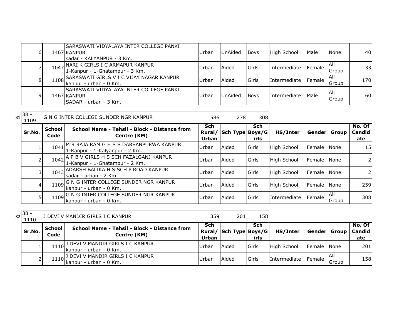| 6 I | ISARASWATI VIDYALAYA INTER COLLEGE PANKI<br>1467 KANPUR<br>sadar - KALYANPUR - 3 Km. | <b>Urban</b> | UnAided | <b>Boys</b> | High School         | Male   | <b>None</b>   | 40              |
|-----|--------------------------------------------------------------------------------------|--------------|---------|-------------|---------------------|--------|---------------|-----------------|
|     | 1047 NARI K GIRLS I C ARMAPUR KANPUR<br>1-Kanpur - 1-Ghatampur - 3 Km.               | <b>Urban</b> | Aided   | Girls       | <b>Intermediate</b> | Female | IAII<br>Group | 33 <sup>1</sup> |
| 8   | 1108 SARASWATI GIRLS V I C VIJAY NAGAR KANPUR<br>kanpur - urban - 0 Km.              | <b>Urban</b> | Aided   | Girls       | <b>Intermediate</b> | Female | IAII<br>Group | 170             |
| 9   | SARASWATI VIDYALAYA INTER COLLEGE PANKI<br>1467 KANPUR<br>SADAR - urban - 3 Km.      | <b>Urban</b> | UnAided | <b>Boys</b> | Intermediate        | Male   | IAII<br>Group | 60 <sup>I</sup> |

| 81 | $38 -$<br>1109 |                       | G N G INTER COLLEGE SUNDER NGR KANPUR                                     | 586                    | 278             | 308                |                    |                |               |                         |
|----|----------------|-----------------------|---------------------------------------------------------------------------|------------------------|-----------------|--------------------|--------------------|----------------|---------------|-------------------------|
|    | Sr.No.         | <b>School</b><br>Code | School Name - Tehsil - Block - Distance from<br>Centre (KM)               | Sch<br>Rural/<br>Urban | Sch Type Boys/G | <b>Sch</b><br>irls | HS/Inter           | Gender   Group |               | No. Of<br>Candid<br>ate |
|    |                | 1041                  | M R RAJA RAM G H S S DARSANPURWA KANPUR<br>1-Kanpur - 1-Kalyanpur - 2 Km. | Urban                  | Aided           | Girls              | <b>High School</b> | Female         | <b>None</b>   | 15 <sub>l</sub>         |
|    |                | 1042                  | A P B V GIRLS H S SCH FAZALGANJ KANPUR<br>1-Kanpur - 1-Ghatampur - 2 Km.  | Urban                  | Aided           | Girls              | <b>High School</b> | Female         | <b>None</b>   | 2 <sub>l</sub>          |
|    |                |                       | 1043 ADARSH BALIKA H S SCH P ROAD KANPUR<br>Isadar - urban - 2 Km.        | Urban                  | Aided           | Girls              | <b>High School</b> | Female         | <b>None</b>   | 2 <sub>l</sub>          |
|    | 4              | 1109                  | G N G INTER COLLEGE SUNDER NGR KANPUR<br>kanpur - urban - 0 Km.           | Urban                  | Aided           | Girls              | <b>High School</b> | Female         | <b>None</b>   | 259                     |
|    | 5              | 1109                  | G N G INTER COLLEGE SUNDER NGR KANPUR<br>Ikanpur - urban - 0 Km.          | Urban                  | Aided           | Girls              | Intermediate       | Female         | IAII<br>Group | 308                     |

 $82\begin{array}{|c} 38 - 1110 \end{array}$ 

| ັບ<br>1110 |                | I DEVI V MANDIR GIRLS I C KANPUR                                 | 359                 | 201                    | 158         |              |                 |              |                                |
|------------|----------------|------------------------------------------------------------------|---------------------|------------------------|-------------|--------------|-----------------|--------------|--------------------------------|
| Sr.No.     | School<br>Code | School Name - Tehsil - Block - Distance from<br>Centre (KM)      | <b>Sch</b><br>Urban | Rural/ Sch Type Boys/G | Sch<br>irls | HS/Inter     | Gender  Group   |              | No. Of<br><b>Candid</b><br>ate |
|            |                | 1110 J DEVI V MANDIR GIRLS I C KANPUR<br>Ikanpur - urban - 0 Km. | .Urban              | <b>Aided</b>           | Girls       | High School  | Female None     |              | 201                            |
|            |                | 1110 J DEVI V MANDIR GIRLS I C KANPUR<br>Ikanpur - urban - 0 Km. | Urbar               | Aided                  | Girls       | Intermediate | <b>I</b> Female | ΙAΙ<br>Group | 158                            |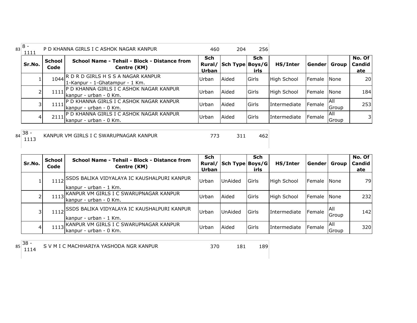| $43 8 -$<br>1111 |                       | P D KHANNA GIRLS I C ASHOK NAGAR KANPUR                                   | 460                           | 204             | 256          |                     |                |               |                         |
|------------------|-----------------------|---------------------------------------------------------------------------|-------------------------------|-----------------|--------------|---------------------|----------------|---------------|-------------------------|
| Sr.No.           | <b>School</b><br>Code | School Name - Tehsil - Block - Distance from<br>Centre (KM)               | <b>Sch</b><br>Rural/<br>Urban | Sch Type Boys/G | Sch<br>irls  | HS/Inter            | Gender         | <b>Group</b>  | No. Of<br>Candid<br>ate |
|                  |                       | 1044 R D R D GIRLS H S S A NAGAR KANPUR<br>1-Kanpur - 1-Ghatampur - 1 Km. | Urban                         | Aided           | <b>Girls</b> | High School         | <b>Female</b>  | <b>I</b> None | 20 <sub>l</sub>         |
|                  | 1111                  | P D KHANNA GIRLS I C ASHOK NAGAR KANPUR<br>kanpur - urban - 0 Km.         | Urban                         | Aided           | <b>Girls</b> | High School         | <b>IFemale</b> | <b>None</b>   | 184                     |
|                  | 1111                  | , IP D KHANNA GIRLS I C ASHOK NAGAR KANPUR<br>Kanpur - urban - 0 Km.      | Urban                         | Aided           | <b>Girls</b> | <b>Intermediate</b> | Female         | IAII<br>Group | 253                     |
| 4                | 2111                  | P D KHANNA GIRLS I C ASHOK NAGAR KANPUR<br>Ikanpur - urban - 0 Km.        | Urban                         | Aided           | <b>Girls</b> | <b>Intermediate</b> | Female         | IAII<br>Group | 31                      |

 $84 \overline{\)38 - 1113}$ 

<sup>1113</sup> <sup>773</sup> <sup>311</sup> <sup>462</sup> KANPUR VM GIRLS I C SWARUPNAGAR KANPUR

| Sr.No. | School<br>Code | School Name - Tehsil - Block - Distance from<br>Centre (KM)                | <b>Sch</b><br>Rural/<br>Urban | Sch Type Boys/G | <b>Sch</b><br>irls | HS/Inter           | Gender l             | Group                 | No. Of<br>Candid<br>ate |
|--------|----------------|----------------------------------------------------------------------------|-------------------------------|-----------------|--------------------|--------------------|----------------------|-----------------------|-------------------------|
|        |                | 1112 SSDS BALIKA VIDYALAYA IC KAUSHALPURI KANPUR<br>kanpur - urban - 1 Km. | Urban                         | UnAided         | Girls              | <b>High School</b> | Female None          |                       | 79                      |
|        | 1113           | KANPUR VM GIRLS I C SWARUPNAGAR KANPUR]<br>kanpur - urban - 0 Km.          | Urban                         | Aided           | Girls              | <b>High School</b> | <b>IFemale INone</b> |                       | 232                     |
|        | 1112           | SSDS BALIKA VIDYALAYA IC KAUSHALPURI KANPUR,<br>kanpur - urban - 1 Km.     | Urban                         | UnAided         | Girls              | Intermediate       | Female               | IAII<br><b>IGroup</b> | 142                     |
| 4      | 1113           | IKANPUR VM GIRLS I C SWARUPNAGAR KANPUR<br>Ikanpur - urban - 0 Km.         | Urban                         | Aided           | <b>Girls</b>       | Intermediate       | Female               | IAII<br>Group         | 320                     |

 $85\overline{\smash)38\over 1114}$ 

<sup>1114</sup> <sup>370</sup> <sup>181</sup> <sup>189</sup> S V M I C MACHHARIYA YASHODA NGR KANPUR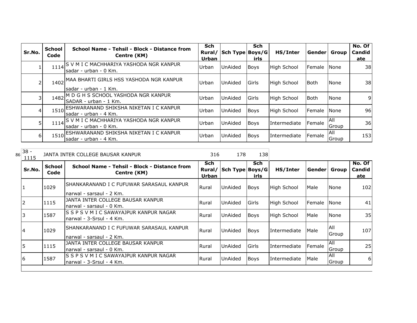| Sr.No.         | <b>School</b><br>Code | School Name - Tehsil - Block - Distance from<br>Centre (KM)            | <b>Sch</b><br>Rural/<br>Urban | Sch Type Boys/G | <b>Sch</b><br>irls | HS/Inter            | Gender         | Group                       | No. Of<br>Candid<br>ate |
|----------------|-----------------------|------------------------------------------------------------------------|-------------------------------|-----------------|--------------------|---------------------|----------------|-----------------------------|-------------------------|
|                | 1114                  | IS V M I C MACHHARIYA YASHODA NGR KANPUR<br>Isadar - urban - 0 Km.     | Urban                         | <b>UnAided</b>  | <b>Boys</b>        | High School         | <b>IFemale</b> | <b>INone</b>                | 38I                     |
|                | 1402                  | MAA BHARTI GIRLS HSS YASHODA NGR KANPUR<br>sadar - urban - 1 Km.       | Urban                         | <b>UnAided</b>  | <b>Girls</b>       | High School         | l Both         | None                        | 38                      |
|                | 1482                  | M D G H S SCHOOL YASHODA NGR KANPUR<br>SADAR - urban - 1 Km.           | Urban                         | UnAided         | <b>Girls</b>       | High School         | Both           | None                        | 91                      |
| $\overline{4}$ | 1510                  | ESHWARANAND SHIKSHA NIKETAN I C KANPUR<br>lsadar - urban - 4 Km.       | Urban                         | UnAided         | <b>Boys</b>        | High School         | Female         | None                        | 96                      |
|                |                       | 1114 S V M I C MACHHARIYA YASHODA NGR KANPUR<br>Isadar - urban - 0 Km. | Urban                         | <b>UnAided</b>  | <b>Boys</b>        | <b>Intermediate</b> | Female         | <b>AII</b><br><b>IGroup</b> | 36                      |
| 6              |                       | 1510 ESHWARANAND SHIKSHA NIKETAN I C KANPUR<br>Isadar - urban - 4 Km.  | Urban                         | UnAided         | <b>Boys</b>        | Intermediate        | Female         | All<br>Group                | 153                     |

 $\frac{38}{1115}$  JANTA INTER COLLEGE BAUSAR KANPUR  $\frac{38}{1115}$  316 178 138

| Sr.No. | <b>School</b><br>Code | School Name - Tehsil - Block - Distance from<br>Centre (KM)            | Sch<br>Rural/<br>Urban | Sch Type Boys/G | Sch<br>irls | HS/Inter           | Gender        | Group         | No. Of<br><b>Candid</b><br>ate |
|--------|-----------------------|------------------------------------------------------------------------|------------------------|-----------------|-------------|--------------------|---------------|---------------|--------------------------------|
|        | 1029                  | ISHANKARANAND I C FUFUWAR SARASAUL KANPUR<br>Inarwal - sarsaul - 2 Km. | Rural                  | <b>UnAided</b>  | <b>Boys</b> | <b>High School</b> | Male          | None          | 102                            |
| 2      | 1115                  | IJANTA INTER COLLEGE BAUSAR KANPUR<br>Inarwal - sarsaul - 0 Km.        | Rural                  | UnAided         | Girls       | <b>High School</b> | lFemale INone |               | 41                             |
| l3     | 1587                  | IS S P S V M I C SAWAYAJPUR KANPUR NAGAR<br>Inarwal - 3-Srsul - 4 Km.  | Rural                  | <b>UnAided</b>  | <b>Boys</b> | <b>High School</b> | Male          | None          | 35                             |
| 14     | 1029                  | ISHANKARANAND I C FUFUWAR SARASAUL KANPUR<br>Inarwal - sarsaul - 2 Km. | Rural                  | <b>UnAided</b>  | Boys        | Intermediate       | Male          | All<br> Group | 107                            |
| 15     | 1115                  | IJANTA INTER COLLEGE BAUSAR KANPUR<br>narwal - sarsaul - 0 Km.         | Rural                  | <b>UnAided</b>  | Girls       | Intermediate       | Female        | All<br>Group  | 25                             |
| 16     | 1587                  | IS S P S V M I C SAWAYAJPUR KANPUR NAGAR<br>Inarwal - 3-Srsul - 4 Km.  | Rural                  | <b>UnAided</b>  | <b>Boys</b> | Intermediate       | Male          | All<br>Group  | 6 <sup>1</sup>                 |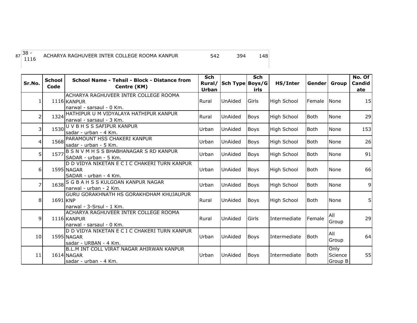| $7\binom{38}{1116}$ | ACHARYA RAGHUVEER INTER COLLEGE ROOMA KANPUR | 542 | 394 | 148 |
|---------------------|----------------------------------------------|-----|-----|-----|
|                     |                                              |     |     |     |

| Sr.No.          | <b>School</b><br>Code | School Name - Tehsil - Block - Distance from<br>Centre (KM)                          | <b>Sch</b><br>Rural/<br><b>Urban</b> | Sch Type Boys/G | <b>Sch</b><br>irls | HS/Inter           | Gender Group |                            | No. Of<br>Candid<br>ate |
|-----------------|-----------------------|--------------------------------------------------------------------------------------|--------------------------------------|-----------------|--------------------|--------------------|--------------|----------------------------|-------------------------|
|                 |                       | ACHARYA RAGHUVEER INTER COLLEGE ROOMA<br>1116 KANPUR<br>narwal - sarsaul - 0 Km.     | Rural                                | UnAided         | Girls              | <b>High School</b> | Female       | <b>None</b>                | 15                      |
| $\overline{2}$  | 1324                  | HATHIPUR U M VIDYALAYA HATHIPUR KANPUR<br>narwal - sarsaul - 3 Km.                   | Rural                                | UnAided         | <b>Boys</b>        | <b>High School</b> | <b>Both</b>  | None                       | 29                      |
| 3               | 1530                  | U V B H S S SAFIPUR KANPUR<br>sadar - urban - 4 Km.                                  | Urban                                | UnAided         | <b>Boys</b>        | <b>High School</b> | <b>Both</b>  | None                       | 153                     |
| 4               | 1568                  | PARAMOUNT HSS CHAKERI KANPUR<br>sadar - urban - 5 Km.                                | Urban                                | UnAided         | <b>Boys</b>        | <b>High School</b> | <b>Both</b>  | None                       | 26                      |
| 5 <sub>l</sub>  | 1577                  | B S N V M H S S BHABHANAGAR S RD KANPUR<br>SADAR - urban - 5 Km.                     | Urban                                | UnAided         | <b>Boys</b>        | <b>High School</b> | Both         | None                       | 91                      |
| 6 <sup>1</sup>  |                       | D D VIDYA NIKETAN E C I C CHAKERI TURN KANPUR<br>1595 NAGAR<br>SADAR - urban - 4 Km. | Urban                                | UnAided         | <b>Boys</b>        | <b>High School</b> | Both         | <b>None</b>                | 66                      |
| $\overline{7}$  |                       | 1638 S G B A H S S KULGOAN KANPUR NAGAR<br>narwal - urban - 2 Km.                    | Urban                                | UnAided         | <b>Boys</b>        | <b>High School</b> | <b>Both</b>  | None                       | 9                       |
| 8               | 1691 KNP              | GURU GORAKHNATH HS GORAKHDHAM KHUJAUPUR<br>narwal - 3-Srsul - 1 Km.                  | Rural                                | UnAided         | <b>Boys</b>        | <b>High School</b> | <b>Both</b>  | <b>None</b>                |                         |
| $\overline{9}$  |                       | ACHARYA RAGHUVEER INTER COLLEGE ROOMA<br>1116 KANPUR<br>narwal - sarsaul - 0 Km.     | Rural                                | UnAided         | Girls              | Intermediate       | Female       | All<br>Group               | 29                      |
| 10 <sup>1</sup> |                       | D D VIDYA NIKETAN E C I C CHAKERI TURN KANPUR<br>1595 NAGAR<br>sadar - URBAN - 4 Km. | Urban                                | <b>UnAided</b>  | <b>Boys</b>        | Intermediate       | Both         | All<br>Group               | 64                      |
| 11              |                       | B.L.M INT COLL VIRAT NAGAR AHIRWAN KANPUR<br>1614 NAGAR<br>sadar - urban - 4 Km.     | Urban                                | UnAided         | <b>Boys</b>        | Intermediate       | <b>Both</b>  | Only<br>Science<br>Group B | 55                      |

87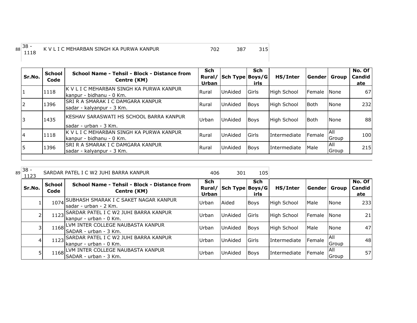| School<br>Code | School Name - Tehsil - Block - Distance from<br>Centre (KM) | <b>Sch</b><br>Rural/<br><b>Urban</b>                                                                                                                                                                                                                                                                                                                             |                | <b>Sch</b><br>irls | HS/Inter                                                                  |                                                                                                             | Group                   | No. Of<br>Candid<br>ate                                       |
|----------------|-------------------------------------------------------------|------------------------------------------------------------------------------------------------------------------------------------------------------------------------------------------------------------------------------------------------------------------------------------------------------------------------------------------------------------------|----------------|--------------------|---------------------------------------------------------------------------|-------------------------------------------------------------------------------------------------------------|-------------------------|---------------------------------------------------------------|
| 1118           |                                                             | Rural                                                                                                                                                                                                                                                                                                                                                            | <b>UnAided</b> |                    |                                                                           |                                                                                                             |                         | 67                                                            |
| 1396           |                                                             | Rural                                                                                                                                                                                                                                                                                                                                                            | <b>UnAided</b> |                    |                                                                           | l Both                                                                                                      |                         | 232                                                           |
| 1435           |                                                             | Urban                                                                                                                                                                                                                                                                                                                                                            | <b>UnAided</b> |                    |                                                                           | <b>Both</b>                                                                                                 |                         | 88                                                            |
| 1118           |                                                             | Rural                                                                                                                                                                                                                                                                                                                                                            | <b>UnAided</b> |                    |                                                                           |                                                                                                             | Group                   | 100                                                           |
| 1396           |                                                             | Rural                                                                                                                                                                                                                                                                                                                                                            | UnAided        |                    |                                                                           | Male                                                                                                        | <b>AII</b>              | 215                                                           |
|                |                                                             | IK V L I C MEHARBAN SINGH KA PURWA KANPUR<br>kanpur - bidhanu - 0 Km.<br><b>SRI R A SMARAK I C DAMGARA KANPUR</b><br>sadar - kalyanpur - 3 Km.<br>IKESHAV SARASWATI HS SCHOOL BARRA KANPUR<br>Isadar - urban - 3 Km.<br>K V L I C MEHARBAN SINGH KA PURWA KANPUR<br>kanpur - bidhanu - 0 Km.<br>ISRI R A SMARAK I C DAMGARA KANPUR<br>Isadar - kalyanpur - 3 Km. |                |                    | <b>Girls</b><br><b>Boys</b><br><b>Boys</b><br><b>Girls</b><br><b>Boys</b> | Sch Type Boys/G<br>High School<br>High School<br>High School<br><i>Intermediate</i><br><b>IIntermediate</b> | Female<br><b>Female</b> | Gender <br><b>None</b><br>None<br>None<br><b>AII</b><br>Group |

| 89 | $38 -$<br>1123 |                       | SARDAR PATEL I C W2 JUHI BARRA KANPUR                                   | 406                           | 301             | 105         |                     |              |               |                         |
|----|----------------|-----------------------|-------------------------------------------------------------------------|-------------------------------|-----------------|-------------|---------------------|--------------|---------------|-------------------------|
|    | Sr.No.         | <b>School</b><br>Code | School Name - Tehsil - Block - Distance from<br>Centre (KM)             | <b>Sch</b><br>Rural/<br>Urban | Sch Type Boys/G | Sch<br>irls | HS/Inter            | Gender Group |               | No. Of<br>Candid<br>ate |
|    |                | 1074                  | , SUBHASH SMARAK I C SAKET NAGAR KANPUR<br>Isadar - urban - 2 Km.       | Urban                         | <b>Aided</b>    | <b>Boys</b> | <b>High School</b>  | Male         | <b>None</b>   | 233                     |
|    |                | 1123                  | SARDAR PATEL I C W2 JUHI BARRA KANPUR<br>kanpur - urban - 0 Km.         | Urban                         | <b>UnAided</b>  | Girls       | <b>High School</b>  | Female       | <b>I</b> None | 21                      |
|    |                | 1168                  | LVM INTER COLLEGE NAUBASTA KANPUR<br>SADAR - urban - 3 Km.              | Urban                         | <b>UnAided</b>  | <b>Boys</b> | <b>High School</b>  | Male         | None          | 47                      |
|    |                | 1123                  | <b>SARDAR PATEL I C W2 JUHI BARRA KANPUR</b><br>Ikanpur - urban - 0 Km. | Urban                         | <b>UnAided</b>  | Girls       | <b>Intermediate</b> | Female       | IAII<br>Group | 48                      |
|    |                | 1168                  | LVM INTER COLLEGE NAUBASTA KANPUR <br>SADAR - urban - 3 Km.             | Urban                         | <b>UnAided</b>  | Boys        | <b>Intermediate</b> | Female       | IAII<br>Group | 57                      |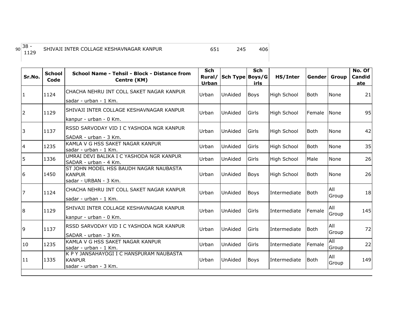## 90 38 -<br>1129

<sup>1129</sup> <sup>651</sup> <sup>245</sup> <sup>406</sup> SHIVAJI INTER COLLAGE KESHAVNAGAR KANPUR

| Sr.No.         | <b>School</b><br>Code | School Name - Tehsil - Block - Distance from<br>Centre (KM)       | <b>Sch</b><br>Rural/<br><b>Urban</b> | Sch Type Boys/G | <b>Sch</b><br>irls | HS/Inter           | Genderl     | <b>Group</b> | No. Of<br><b>Candid</b><br>ate |
|----------------|-----------------------|-------------------------------------------------------------------|--------------------------------------|-----------------|--------------------|--------------------|-------------|--------------|--------------------------------|
| $\mathbf{1}$   | 1124                  | CHACHA NEHRU INT COLL SAKET NAGAR KANPUR                          | Urban                                | <b>UnAided</b>  | <b>Boys</b>        | High School        | <b>Both</b> | None         | 21                             |
|                |                       | sadar - urban - 1 Km.                                             |                                      |                 |                    |                    |             |              |                                |
| $\overline{2}$ | 1129                  | SHIVAJI INTER COLLAGE KESHAVNAGAR KANPUR                          | Urban                                | <b>UnAided</b>  | Girls              | <b>High School</b> | Female      | None         | 95                             |
|                |                       | kanpur - urban - 0 Km.                                            |                                      |                 |                    |                    |             |              |                                |
| $\overline{3}$ | 1137                  | RSSD SARVODAY VID I C YASHODA NGR KANPUR                          | Urban                                | <b>UnAided</b>  | Girls              | High School        | Both        | None         | 42                             |
|                |                       | SADAR - urban - 3 Km.<br>KAMLA V G HSS SAKET NAGAR KANPUR         |                                      |                 |                    |                    |             |              |                                |
| $\overline{4}$ | 1235                  | sadar - urban - 1 Km.                                             | Urban                                | <b>UnAided</b>  | Girls              | <b>High School</b> | <b>Both</b> | <b>None</b>  | 35                             |
| $\overline{5}$ | 1336                  | UMRAI DEVI BALIKA I C YASHODA NGR KANPUR<br>SADAR - urban - 4 Km. | Urban                                | <b>UnAided</b>  | Girls              | <b>High School</b> | Male        | <b>None</b>  | 26                             |
| 6              | 1450                  | ST JOHN MODEL HSS BAUDH NAGAR NAUBASTA<br><b>KANPUR</b>           | Urban                                | <b>UnAided</b>  | <b>Boys</b>        | <b>High School</b> | <b>Both</b> | None         | 26                             |
|                |                       | sadar - URBAN - 3 Km.                                             |                                      |                 |                    |                    |             |              |                                |
| 7              | 1124                  | CHACHA NEHRU INT COLL SAKET NAGAR KANPUR                          | Urban                                | <b>UnAided</b>  | <b>Boys</b>        | Intermediate       | <b>Both</b> | All<br>Group | 18                             |
|                |                       | sadar - urban - 1 Km.                                             |                                      |                 |                    |                    |             |              |                                |
| $\overline{8}$ | 1129                  | SHIVAJI INTER COLLAGE KESHAVNAGAR KANPUR                          | Urban                                | <b>UnAided</b>  | Girls              | Intermediate       | Female      | All          | 145                            |
|                |                       | kanpur - urban - 0 Km.                                            |                                      |                 |                    |                    |             | Group        |                                |
| 9              | 1137                  | RSSD SARVODAY VID I C YASHODA NGR KANPUR                          | Urban                                | <b>UnAided</b>  | Girls              | Intermediate       | <b>Both</b> | All          | 72                             |
|                |                       | SADAR - urban - 3 Km.                                             |                                      |                 |                    |                    |             | Group        |                                |
| 10             | 1235                  | KAMLA V G HSS SAKET NAGAR KANPUR                                  | Urban                                | <b>UnAided</b>  | Girls              | Intermediate       | Female      | All          | 22                             |
|                |                       | sadar - urban - 1 Km.                                             |                                      |                 |                    |                    |             | Group        |                                |
| 11             | 1335                  | K P Y JANSAHAYOGI I C HANSPURAM NAUBASTA<br><b>KANPUR</b>         | Urban                                | UnAided         | <b>Boys</b>        | Intermediate       | <b>Both</b> | All          | 149                            |
|                |                       | sadar - urban - 3 Km.                                             |                                      |                 |                    |                    |             | Group        |                                |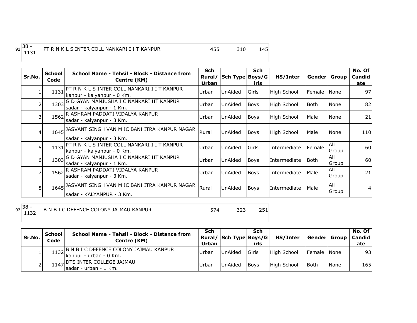## <sup>1131</sup> <sup>455</sup> <sup>310</sup> <sup>145</sup> PT R N K L S INTER COLL NANKARI I I T KANPUR

| Sr.No.         | <b>School</b><br>Code | School Name - Tehsil - Block - Distance from<br>Centre (KM)                       | Sch<br>Rural/<br>Urban | Sch Type Boys/G | <b>Sch</b><br>irls | HS/Inter           |        | Gender Group  | No. Of<br>Candid<br>ate |
|----------------|-----------------------|-----------------------------------------------------------------------------------|------------------------|-----------------|--------------------|--------------------|--------|---------------|-------------------------|
|                | 1131                  | <b>PT R N K L S INTER COLL NANKARI I I T KANPUR</b><br>kanpur - kalyanpur - 0 Km. | Urban                  | <b>UnAided</b>  | lGirls             | <b>High School</b> | Female | None          | 97                      |
| 2              | 1303                  | G D GYAN MANJUSHA I C NANKARI IIT KANPUR<br>sadar - kalyanpur - 1 Km.             | Urban                  | UnAided         | <b>Boys</b>        | <b>High School</b> | Both   | None          | 82                      |
| 3              |                       | 1562 R ASHRAM PADDATI VIDALYA KANPUR<br>sadar - kalyanpur - 3 Km.                 | Urban                  | UnAided         | Boys               | <b>High School</b> | Male   | None          | 21                      |
| 4              |                       | 1645 JASVANT SINGH VAN M IC BANI ITRA KANPUR NAGAR<br>sadar - kalyanpur - 3 Km.   | Rural                  | UnAided         | <b>Boys</b>        | High School        | Male   | None          | 110                     |
| 5              | 1131                  | PT R N K L S INTER COLL NANKARI I I T KANPUR<br>kanpur - kalyanpur - 0 Km.        | Urban                  | UnAided         | Girls              | Intermediate       | Female | All<br>Group  | 60                      |
| 6 <sup>1</sup> | 1303                  | G D GYAN MANJUSHA I C NANKARI IIT KANPUR<br>sadar - kalyanpur - 1 Km.             | Urban                  | <b>UnAided</b>  | <b>Boys</b>        | Intermediate       | lBoth. | All<br>Group  | 60                      |
| 7              |                       | 1562 R ASHRAM PADDATI VIDALYA KANPUR<br>sadar - kalyanpur - 3 Km.                 | Urban                  | UnAided         | Boys               | Intermediate       | Male   | All<br>Group  | 21                      |
| 8 <sup>1</sup> |                       | 1645 JASVANT SINGH VAN M IC BANI ITRA KANPUR NAGAR<br>lsadar - KALYANPUR - 3 Km.  | Rural                  | <b>UnAided</b>  | <b>Boys</b>        | Intermediate       | Male   | IAII<br>Group | 4 <sup>1</sup>          |

 $92 \begin{array}{|c} 38 \\ 1132 \end{array}$ 

<sup>1132</sup> <sup>574</sup> <sup>323</sup> <sup>251</sup> B N B I C DEFENCE COLONY JAJMAU KANPUR

| Sr.No. | School<br>Code | School Name - Tehsil - Block - Distance from<br>Centre (KM)           | Sch<br>Urban | Rural/ Sch Type Boys/G | Sch<br>irls    | HS/Inter    | Gender  Group |             | No. Of<br>l Candid<br>ate |
|--------|----------------|-----------------------------------------------------------------------|--------------|------------------------|----------------|-------------|---------------|-------------|---------------------------|
|        |                | 1132 B N B I C DEFENCE COLONY JAJMAU KANPUR<br>kanpur - urban - 0 Km. | Urban        | <b>UnAided</b>         | <b>I</b> Girls | High School | Female None   |             | 93 <sub>l</sub>           |
|        |                | $1147$ DTS INTER COLLEGE JAJMAU<br>Isadar - urban - 1 Km.             | <b>Urban</b> | <b>UnAided</b>         | <b>Bovs</b>    | High School | <b>Both</b>   | <b>None</b> | 165                       |

 $91\overline{\smash{\big)}\ 38 -\ \overline{\phantom{0}1131}}$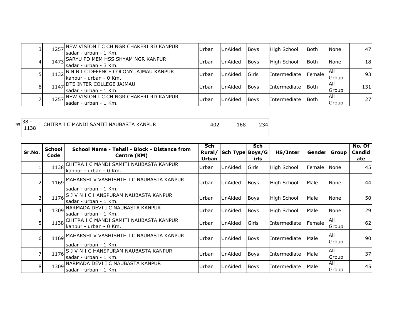|    |      | 1257 NEW VISION I C CH NGR CHAKERI RD KANPUR<br>Isadar - urban - 1 Km. | Urban | <b>UnAided</b> | Boys           | High School  | <b>Both</b>   | <b>None</b>          | 47              |
|----|------|------------------------------------------------------------------------|-------|----------------|----------------|--------------|---------------|----------------------|-----------------|
|    |      | 1473 SARYU PD MEM HSS SHYAM NGR KANPUR<br>sadar - urban - 3 Km.        | Urban | <b>UnAided</b> | <b>Boys</b>    | High School  | Both          | None                 | 18              |
|    | 1132 | B N B I C DEFENCE COLONY JAJMAU KANPUR<br>Ikanpur - urban - 0 Km.      | Urban | <b>UnAided</b> | <b>I</b> Girls | Intermediate | <b>Female</b> | IAII<br>Group        | 93 <sub>l</sub> |
| 61 |      | 1147 DTS INTER COLLEGE JAJMAU<br>Isadar - urban - 1 Km.                | Urban | <b>UnAided</b> | <b>Boys</b>    | Intermediate | <b>Both</b>   | IAII<br>Group        | 131             |
|    |      | 1257 NEW VISION I C CH NGR CHAKERI RD KANPUR<br>Isadar - urban - 1 Km. | Urban | <b>UnAided</b> | <b>Boys</b>    | Intermediate | <b>I</b> Both | IAII<br><b>Group</b> | 27I             |

 $93\overline{\)38}$  - 1138 <sup>1138</sup> <sup>402</sup> <sup>168</sup> <sup>234</sup> CHITRA I C MANDI SAMITI NAUBASTA KANPUR

| Sr.No.         | School<br>Code | School Name - Tehsil - Block - Distance from<br>Centre (KM)            | <b>Sch</b><br>Rural/<br><b>Urban</b> | Sch Type Boys/G | <b>Sch</b><br>irls | HS/Inter           | Gender   Group |                       | No. Of<br>Candid<br>ate |
|----------------|----------------|------------------------------------------------------------------------|--------------------------------------|-----------------|--------------------|--------------------|----------------|-----------------------|-------------------------|
|                | 1138           | CHITRA I C MANDI SAMITI NAUBASTA KANPUR<br>kanpur - urban - 0 Km.      | Urban                                | UnAided         | lGirls             | <b>High School</b> | Female         | None                  | 45                      |
| 2              | 1169           | MAHARSHI V VASHISHTH I C NAUBASTA KANPUR<br>sadar - urban - 1 Km.      | Urban                                | UnAided         | Boys               | High School        | Male           | None                  | 44                      |
|                |                | 1176 S J V N I C HANSPURAM NAUBASTA KANPUR<br>sadar - urban - 1 Km.    | Urban                                | UnAided         | <b>Boys</b>        | <b>High School</b> | Male           | None                  | 50                      |
|                | 1309           | NARMADA DEVI I C NAUBASTA KANPUR<br>sadar - urban - 1 Km.              | Urban                                | UnAided         | <b>Boys</b>        | <b>High School</b> | Male           | None                  | 29                      |
| 5              |                | 1138 CHITRA I C MANDI SAMITI NAUBASTA KANPUR<br>kanpur - urban - 0 Km. | Urban                                | UnAided         | lGirls             | Intermediate       | Female         | IAII<br><b>IGroup</b> | 62                      |
| 6 <sup>1</sup> | 1169           | MAHARSHI V VASHISHTH I C NAUBASTA KANPUR<br>lsadar - urban - 1 Km.     | Urban                                | <b>UnAided</b>  | <b>Boys</b>        | Intermediate       | Male           | All<br>Group          | 90                      |
|                | 1176           | S J V N I C HANSPURAM NAUBASTA KANPUR<br>sadar - urban - 1 Km.         | Urban                                | UnAided         | Boys               | Intermediate       | Male           | All<br>Group          | 37                      |
| 8              | 1309           | NARMADA DEVI I C NAUBASTA KANPUR<br>sadar - urban - 1 Km.              | Urban                                | UnAided         | <b>Boys</b>        | Intermediate       | Male           | All<br>Group          | 45                      |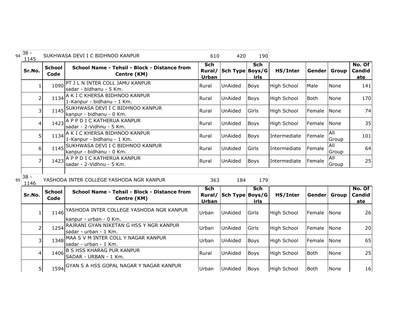| 94 | $38 -$<br>1145 |                       | SUKHWASA DEVI I C BIDHNOO KANPUR                                   | 610                                  | 420             | 190                |                    |              |                     |                                |
|----|----------------|-----------------------|--------------------------------------------------------------------|--------------------------------------|-----------------|--------------------|--------------------|--------------|---------------------|--------------------------------|
|    | Sr.No.         | <b>School</b><br>Code | School Name - Tehsil - Block - Distance from<br>Centre (KM)        | Sch<br>Rural/<br>Urban               | Sch Type Boys/G | Sch<br>irls        | HS/Inter           | Gender Group |                     | No. Of<br>Candid<br>ate        |
|    | $\mathbf{1}$   | 1090                  | PT J L N INTER COLL JAMU KANPUR<br>sadar - bidhanu - 5 Km.         | Rural                                | UnAided         | <b>Boys</b>        | <b>High School</b> | Male         | None                | 141                            |
|    | 2              | 1134                  | A K I C KHERSA BIDHNOO KANPUR<br>1-Kanpur - bidhanu - 1 Km.        | Rural                                | UnAided         | <b>Boys</b>        | High School        | <b>Both</b>  | None                | 170                            |
|    | 3              | 1145                  | SUKHWASA DEVI I C BIDHNOO KANPUR<br>kanpur - bidhanu - 0 Km.       | Rural                                | UnAided         | Girls              | <b>High School</b> | Female       | None                | 74                             |
|    | 4              |                       | 1423 A P P D I C KATHERUA KANPUR<br>sadar - 2-Vidhnu - 5 Km.       | Rural                                | UnAided         | <b>Boys</b>        | High School        | Female       | None                | 35                             |
|    | 5              | 1134                  | A K I C KHERSA BIDHNOO KANPUR<br>1-Kanpur - bidhanu - 1 Km.        | Rural                                | UnAided         | Boys               | Intermediate       | Female       | <b>All</b><br>Group | 101                            |
|    | 6              |                       | 1145 SUKHWASA DEVI I C BIDHNOO KANPUR<br>kanpur - bidhanu - 0 Km.  | Rural                                | UnAided         | Girls              | Intermediate       | Female       | All<br>Group        | 64                             |
|    | 7              |                       | 1423 A P P D I C KATHERUA KANPUR<br>sadar - 2-Vidhnu - 5 Km.       | Rural                                | <b>UnAided</b>  | <b>Boys</b>        | Intermediate       | Female       | All<br>Group        | 25                             |
| 95 | $38 -$<br>1146 |                       | YASHODA INTER COLLEGE YASHODA NGR KANPUR                           | 363                                  | 184             | 179                |                    |              |                     |                                |
|    | Sr.No.         | <b>School</b><br>Code | School Name - Tehsil - Block - Distance from<br>Centre (KM)        | <b>Sch</b><br>Rural/<br><b>Urban</b> | Sch Type Boys/G | <b>Sch</b><br>irls | HS/Inter           | Gender Group |                     | No. Of<br><b>Candid</b><br>ate |
|    | 1              | 1146                  | YASHODA INTER COLLEGE YASHODA NGR KANPUR<br>kanpur - urban - 0 Km. | Urban                                | UnAided         | Girls              | High School        | Female       | <b>None</b>         | 26                             |
|    | $\overline{2}$ | 1254                  | RAJRANI GYAN NIKETAN G HSS Y NGR KANPUR<br>sadar - urban - 1 Km.   | Urban                                | UnAided         | Girls              | High School        | Female       | None                | 20                             |
|    | 3              | 1348                  | MAA S V M INTER COLL Y NAGAR KANPUR<br>sadar - urban - 1 Km.       | Urban                                | UnAided         | <b>Boys</b>        | High School        | Female       | None                | 65                             |
|    | $\overline{4}$ | 1406                  | <b>B S HSS KHARAG PUR KANPUR</b><br>SADAR - URBAN - 1 Km.          | Rural                                | UnAided         | <b>Boys</b>        | High School        | <b>Both</b>  | None                | 25                             |
|    | 5 <sup>1</sup> |                       | 1594 GYAN S A HSS GOPAL NAGAR Y NAGAR KANPUR                       | Urban                                | UnAided         | Boys               | <b>High School</b> | <b>Both</b>  | None                | 16                             |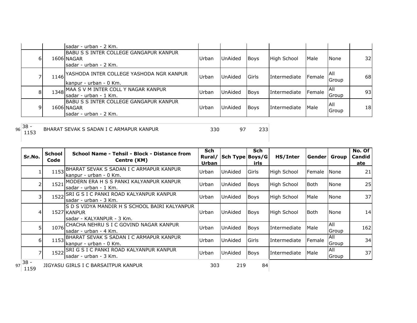|   | sadar - urban - 2 Km.                                                           |       |                |             |                     |                |                            |     |
|---|---------------------------------------------------------------------------------|-------|----------------|-------------|---------------------|----------------|----------------------------|-----|
| 6 | IBABU S S INTER COLLEGE GANGAPUR KANPUR<br>1606 NAGAR<br>sadar - urban - 2 Km.  | Urban | UnAided        | Boys        | High School         | Male           | None                       | 32I |
|   | 1146 YASHODA INTER COLLEGE YASHODA NGR KANPUR<br>kanpur - urban - 0 Km.         | Urban | <b>UnAided</b> | Girls       | <b>Intermediate</b> | <b>IFemale</b> | IAII<br>Group              | 68  |
| 8 | 1348 MAA S V M INTER COLL Y NAGAR KANPUR<br>sadar - urban - 1 Km.               | Urban | UnAided        | <b>Boys</b> | Intermediate        | Female         | <b>IAII</b><br>Group       | 93  |
| 9 | IBABU S S INTER COLLEGE GANGAPUR KANPUR<br>1606 NAGAR<br>Isadar - urban - 2 Km. | Urban | UnAided        | <b>Boys</b> | Intermediate        | Male           | <b>AII</b><br><b>Group</b> | 18  |

96 38 -<br>1153

<sup>1153</sup> <sup>330</sup> <sup>97</sup> <sup>233</sup> BHARAT SEVAK S SADAN I C ARMAPUR KANPUR

| Sr.No.                               | <b>School</b><br>Code | School Name - Tehsil - Block - Distance from<br>Centre (KM)                                | <b>Sch</b><br>Urban | Rural/ Sch Type Boys/G | <b>Sch</b><br>irls | HS/Inter             | Gender  Group |               | No. Of<br>Candid<br>ate |
|--------------------------------------|-----------------------|--------------------------------------------------------------------------------------------|---------------------|------------------------|--------------------|----------------------|---------------|---------------|-------------------------|
|                                      | 1153                  | BHARAT SEVAK S SADAN I C ARMAPUR KANPUR<br>Ikanpur - urban - 0 Km.                         | Urban               | UnAided                | Girls              | High School          | Female        | <b>I</b> None | 21                      |
|                                      | 1521                  | MODERN ERA H S S PANKI KALYANPUR KANPUR<br>Isadar - urban - 1 Km.                          | Urban               | UnAided                | <b>Boys</b>        | High School          | l Both        | None          | 25                      |
| 3                                    | 1522                  | ISRI G S I C PANKI ROAD KALYANPUR KANPUR<br>sadar - urban - 3 Km.                          | Urban               | UnAided                | Boys               | <b>High School</b>   | Male          | None          | 37                      |
| 4                                    |                       | IS D S VIDYA MANDIR H S SCHOOL BAIRI KALYANPUR<br>1527 KANPUR<br>sadar - KALYANPUR - 3 Km. | Urban               | UnAided                | <b>Boys</b>        | High School          | l Both        | None          | 14                      |
|                                      |                       | 1076 CHACHA NEHRU S I C GOVIND NAGAR KANPUR<br>sadar - urban - 4 Km.                       | Urban               | UnAided                | <b>Boys</b>        | <b>I</b> ntermediate | Male          | All<br>Group  | 162                     |
| 61                                   |                       | 1153 BHARAT SEVAK S SADAN I C ARMAPUR KANPUR<br>kanpur - urban - 0 Km.                     | Urban               | UnAided                | Girls              | Intermediate         | Female        | All<br>Group  | 34                      |
|                                      | 1522                  | <b>SRI G S I C PANKI ROAD KALYANPUR KANPUR</b><br>Isadar - urban - 3 Km.                   | Urban               | UnAided                | <b>Boys</b>        | Intermediate         | Male          | All<br>Group  | 37                      |
| $97\overline{\smash{)}38}$ -<br>1159 |                       | JIGYASU GIRLS I C BARSAITPUR KANPUR                                                        | 303                 | 219                    | 84                 |                      |               |               |                         |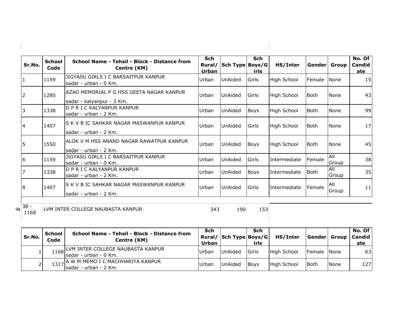| Sr.No. | <b>School</b><br>Code | School Name - Tehsil - Block - Distance from<br>Centre (KM)            | <b>Sch</b><br>Rural/<br>Urban | Sch Type Boys/G | <b>Sch</b><br>irls | HS/Inter           | Gender | Group          | No. Of<br>Candid<br>ate |
|--------|-----------------------|------------------------------------------------------------------------|-------------------------------|-----------------|--------------------|--------------------|--------|----------------|-------------------------|
| 1      | 1159                  | JIGYASU GIRLS I C BARSAITPUR KANPUR<br>sadar - urban - 0 Km.           | Urban                         | <b>UnAided</b>  | Girls              | <b>High School</b> | Female | None           | 15                      |
| 12     | 1280                  | IAZAD MEMORIAL P G HSS GEETA NAGAR KANPUR<br>sadar - kalyanpur - 3 Km. | Urban                         | UnAided         | Girls              | High School        | lBoth. | None           | 43                      |
| 13     | 1338                  | D P R I C KALYANPUR KANPUR<br>lsadar - urban - 2 Km.                   | Urban                         | <b>UnAided</b>  | Boys               | <b>High School</b> | lBoth. | None           | 99                      |
| 14     | 1407                  | IS K V B IC SAHKAR NAGAR MASWANPUR KANPUR<br>lsadar - urban - 2 Km.    | Urban                         | UnAided         | Girls              | High School        | lBoth. | None           | 17                      |
| 5      | 1550                  | IALOK V M HSS ANAND NAGAR RAWATPUR KANPUR<br>lsadar - urban - 2 Km.    | Urban                         | <b>UnAided</b>  | Boys               | <b>High School</b> | lBoth. | None           | 45                      |
| I6     | 1159                  | JIGYASU GIRLS I C BARSAITPUR KANPUR<br>lsadar - urban - 0 Km.          | Urban                         | <b>UnAided</b>  | Girls              | Intermediate       | Female | All<br>Group   | 38                      |
| 17     | 1338                  | ID P R I C KALYANPUR KANPUR<br>sadar - urban - 2 Km.                   | Urban                         | <b>UnAided</b>  | <b>Boys</b>        | Intermediate       | Both   | All<br>Group   | 35                      |
| 8      | 1407                  | IS K V B IC SAHKAR NAGAR MASWANPUR KANPUR<br>sadar - urban - 2 Km.     | Urban                         | UnAided         | Girls              | Intermediate       | Female | l All<br>Group | 11                      |

98 38 -<br>1168

 $\begin{array}{c} \hline \end{array}$ 

<sup>1168</sup> <sup>343</sup> <sup>190</sup> <sup>153</sup> LVM INTER COLLEGE NAUBASTA KANPUR

I

| Sr.No. | School<br>Code | <b>School Name - Tehsil - Block - Distance from</b><br>Centre (KM) | Sch<br>Urban | Rural/ Sch Type Boys/G | Sch<br>irls | HS/Inter    | Gender  Group   Candid |             | No. Of l<br>ate |
|--------|----------------|--------------------------------------------------------------------|--------------|------------------------|-------------|-------------|------------------------|-------------|-----------------|
|        |                | 1168 LVM INTER COLLEGE NAUBASTA KANPUR<br>Isadar - urban - 0 Km.   | Urban        | UnAided                | lGirls      | High School | Female INone           |             | 63              |
|        |                | 1317 A W M MEMO I C MACHHARIYA KANPUR<br>Isadar - urban - 2 Km.    | Urban        | UnAided                | <b>Boys</b> | High School | <b>I</b> Both          | <b>None</b> | 127             |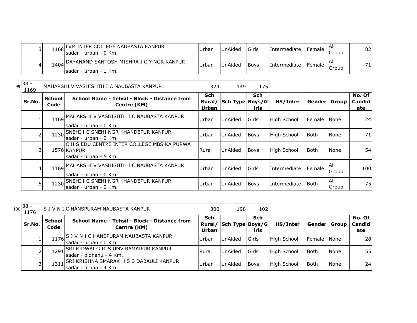|  | 1168 LVM INTER COLLEGE NAUBASTA KANPUR<br>´Isadar - urban - 0 Km.       | <b>IUrbar</b> | <b>UnAided</b> | <b>I</b> Girls | <b>Intermediate</b> | <b>IFemale</b> | IAII<br>lGroup | 82 |
|--|-------------------------------------------------------------------------|---------------|----------------|----------------|---------------------|----------------|----------------|----|
|  | 1404 DAYANAND SANTOSH MISHRA I C Y NGR KANPUR<br>Isadar - urban - 1 Km. | Urbar         | <b>UnAided</b> | <b>Boys</b>    | <b>Intermediate</b> | <b>IFemale</b> | Group          | 71 |

| $99 38 -$<br>1169 |                       | MAHARSHI V VASHISHTH I C NAUBASTA KANPUR                                            | 324                 | 149                    | 175                |                    |               |                     |                         |
|-------------------|-----------------------|-------------------------------------------------------------------------------------|---------------------|------------------------|--------------------|--------------------|---------------|---------------------|-------------------------|
| Sr.No.            | <b>School</b><br>Code | School Name - Tehsil - Block - Distance from<br>Centre (KM)                         | <b>Sch</b><br>Urban | Rural/ Sch Type Boys/G | <b>Sch</b><br>irls | HS/Inter           | Gender  Group |                     | No. Of<br>Candid<br>ate |
|                   | 1169                  | JMAHARSHI V VASHISHTH I C NAUBASTA KANPUR<br>sadar - urban - 0 Km.                  | Urban               | UnAided                | <b>Girls</b>       | High School        | Female        | <b>None</b>         | 24 <sup>1</sup>         |
|                   | 1230                  | SNEHI I C SNEHI NGR KHANDEPUR KANPUR<br>lsadar - urban - 2 Km.                      | Urban               | UnAided                | <b>Boys</b>        | <b>High School</b> | <b>I</b> Both | None                | 71                      |
|                   |                       | C H S EDU CENTRE INTER COLLEGE MBS KA PURWA<br>1576 KANPUR<br>sadar - urban - 5 Km. | Rural               | UnAided                | <b>Boys</b>        | High School        | Both          | None                | 54                      |
| 4                 | 1169                  | MAHARSHI V VASHISHTH I C NAUBASTA KANPUR<br>lsadar - urban - 0 Km.                  | Urban               | UnAided                | Girls              | Intermediate       | Female        | All<br>Group        | 100                     |
|                   | 1230                  | <b>SNEHI I C SNEHI NGR KHANDEPUR KANPUR</b><br>Isadar - urban - 2 Km.               | Urban               | UnAided                | <b>Boys</b>        | Intermediate       | <b>Both</b>   | <b>AII</b><br>Group | 75                      |

| $.00 \cdot$ | $38 -$<br>1176 |                | S J V N I C HANSPURAM NAUBASTA KANPUR                              | 300                    | 198                | 102          |             |               |             |                                |
|-------------|----------------|----------------|--------------------------------------------------------------------|------------------------|--------------------|--------------|-------------|---------------|-------------|--------------------------------|
|             | Sr.No.         | School<br>Code | School Name - Tehsil - Block - Distance from<br>Centre (KM)        | Sch<br>Rural/<br>Urban | '  Sch Type Boys/G | Sch<br>irls  | HS/Inter    | Gender  Group |             | No. Of<br><b>Candid</b><br>ate |
|             |                | 1176           | IS J V N I C HANSPURAM NAUBASTA KANPUR<br>Isadar - urban - 0 Km.   | Urban                  | <b>UnAided</b>     | <b>Girls</b> | High School | Female        | <b>None</b> | 28                             |
|             |                | 1291           | SRI KIDWAI GIRLS UMV RAMAIPUR KANPUR<br>Isadar - bidhanu - 4 Km.   | l Rural                | <b>UnAided</b>     | <b>Girls</b> | High School | <b>Both</b>   | None        | 55                             |
|             |                | 1311           | ISRI KRISHNA SMARAK H S S DABAULI KANPUR<br>Isadar - urban - 4 Km. | Urban                  | UnAided            | <b>Boys</b>  | High School | <b>Both</b>   | None        | 24                             |

10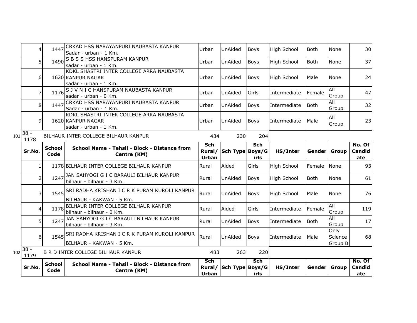|     | 4              | 1447                  | CRKAD HSS NARAYANPURI NAUBASTA KANPUR<br>Sadar - urban - 1 Km.                         | Urban                                | UnAided                | <b>Boys</b>        | <b>High School</b> | <b>Both</b> | None                       | 30                      |
|-----|----------------|-----------------------|----------------------------------------------------------------------------------------|--------------------------------------|------------------------|--------------------|--------------------|-------------|----------------------------|-------------------------|
|     | 5              | 1490                  | <b>S B S S HSS HANSPURAM KANPUR</b><br>sadar - urban - 1 Km.                           | Urban                                | UnAided                | <b>Boys</b>        | High School        | <b>Both</b> | None                       | 37                      |
|     | 6              |                       | KDKL SHASTRI INTER COLLEGE ARRA NAUBASTA<br>1620 KANPUR NAGAR<br>sadar - urban - 1 Km. | Urban                                | UnAided                | <b>Boys</b>        | <b>High School</b> | Male        | None                       | 24                      |
|     | 7              | 1176                  | S J V N I C HANSPURAM NAUBASTA KANPUR<br>sadar - urban - 0 Km.                         | Urban                                | UnAided                | Girls              | Intermediate       | Female      | All<br>Group               | 47                      |
|     | 8              | 1447                  | CRKAD HSS NARAYANPURI NAUBASTA KANPUR<br>Sadar - urban - 1 Km.                         | Urban                                | UnAided                | <b>Boys</b>        | Intermediate       | <b>Both</b> | All<br>Group               | 32                      |
|     | 9              |                       | KDKL SHASTRI INTER COLLEGE ARRA NAUBASTA<br>1620 KANPUR NAGAR<br>sadar - urban - 1 Km. | Urban                                | UnAided                | <b>Boys</b>        | Intermediate       | Male        | All<br>Group               | 23                      |
| 101 | $38 -$<br>1178 |                       | BILHAUR INTER COLLEGE BILHAUR KANPUR                                                   | 434                                  | 230                    | 204                |                    |             |                            |                         |
|     | Sr.No.         | <b>School</b><br>Code | School Name - Tehsil - Block - Distance from<br>Centre (KM)                            | <b>Sch</b><br>Rural/<br><b>Urban</b> | Sch Type Boys/G        | Sch<br>irls        | HS/Inter           | Gender      | <b>Group</b>               | No. Of<br>Candid<br>ate |
|     | 1              |                       | 1178 BILHAUR INTER COLLEGE BILHAUR KANPUR                                              | Rural                                | Aided                  | Girls              | <b>High School</b> | Female      | None                       | 93                      |
|     | $\overline{2}$ | 1247                  | JAN SAHYOGI G I C BARAULI BILHAUR KANPUR<br>bilhaur - bilhaur - 3 Km.                  | Rural                                | UnAided                | <b>Boys</b>        | <b>High School</b> | <b>Both</b> | None                       | 61                      |
|     | 3              |                       | 1545 SRI RADHA KRISHAN I C R K PURAM KUROLI KANPUR<br>IBILHAUR - KAKWAN - 5 Km.        | Rural                                | UnAided                | <b>Boys</b>        | <b>High School</b> | Male        | None                       | 76                      |
|     | 4              | 1178                  | BILHAUR INTER COLLEGE BILHAUR KANPUR<br>bilhaur - bilhaur - 0 Km.                      | Rural                                | Aided                  | Girls              | Intermediate       | Female      | <b>All</b><br>Group        | 119                     |
|     | 5 <sup>1</sup> | 1247                  | JAN SAHYOGI G I C BARAULI BILHAUR KANPUR<br>bilhaur - bilhaur - 3 Km.                  | Rural                                | UnAided                | <b>Boys</b>        | Intermediate       | <b>Both</b> | <b>All</b><br>Group        | 17                      |
|     | 6 <sup>1</sup> |                       | 1545 SRI RADHA KRISHAN I C R K PURAM KUROLI KANPUR<br>BILHAUR - KAKWAN - 5 Km.         | Rural                                | UnAided                | <b>Boys</b>        | Intermediate       | Male        | Only<br>Science<br>Group B | 68                      |
| 102 | $38 -$<br>1179 |                       | B R D INTER COLLEGE BILHAUR KANPUR                                                     | 483                                  | 263                    | 220                |                    |             |                            |                         |
|     | Sr.No.         | <b>School</b><br>Code | School Name - Tehsil - Block - Distance from<br>Centre (KM)                            | Sch<br><b>Urban</b>                  | Rural/ Sch Type Boys/G | <b>Sch</b><br>irls | HS/Inter           | Gender      | Group                      | No. Of<br>Candid<br>ate |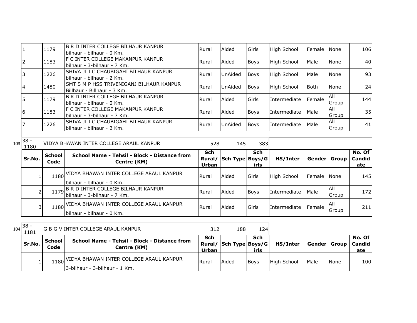|    | 1179 | B R D INTER COLLEGE BILHAUR KANPUR<br>bilhaur - bilhaur - 0 Km.           | Rural   | Aided          | Girls       | <b>High School</b> | Female INone |                             | 106             |
|----|------|---------------------------------------------------------------------------|---------|----------------|-------------|--------------------|--------------|-----------------------------|-----------------|
|    | 1183 | <b>F C INTER COLLEGE MAKANPUR KANPUR</b><br>bilhaur - 3-bilhaur - 7 Km.   | Rural   | Aided          | <b>Boys</b> | High School        | Male         | None                        | 40              |
|    | 1226 | ISHIVA JI I C CHAUBIGAHI BILHAUR KANPUR<br>bilhaur - bilhaur - 2 Km.      | Rural   | <b>UnAided</b> | <b>Boys</b> | <b>High School</b> | Male         | <b>None</b>                 | 93 <sub>l</sub> |
|    | 1480 | ISMT S M P HSS TRIVENIGANJ BILHAUR KANPUR<br>IBillhaur - Billhaur - 3 Km. | Rural   | <b>UnAided</b> | <b>Boys</b> | High School        | <b>Both</b>  | None                        | 24              |
|    | 1179 | <b>B R D INTER COLLEGE BILHAUR KANPUR</b><br>İbilhaur - bilhaur - 0 Km.   | l Rural | Aided          | Girls       | Intermediate       | Female       | All<br><b>IGroup</b>        | 144             |
| 16 | 1183 | IF C INTER COLLEGE MAKANPUR KANPUR<br>bilhaur - 3-bilhaur - 7 Km.         | Rural   | Aided          | <b>Boys</b> | Intermediate       | <b>Male</b>  | IAIL<br><b>IGroup</b>       | 35              |
|    | 1226 | ISHIVA JI I C CHAUBIGAHI BILHAUR KANPUR<br>bilhaur - bilhaur - 2 Km.      | Rural   | <b>UnAided</b> | <b>Boys</b> | Intermediate       | Male         | <b>AII</b><br><b>S</b> roup | 41              |

|     | 38 |  |
|-----|----|--|
| 103 |    |  |

| ັບ<br>1180 |                       | VIDYA BHAWAN INTER COLLEGE ARAUL KANPUR                                    | 528          | 145                    | 383         |                    |               |               |                         |
|------------|-----------------------|----------------------------------------------------------------------------|--------------|------------------------|-------------|--------------------|---------------|---------------|-------------------------|
| Sr.No.     | <b>School</b><br>Code | School Name - Tehsil - Block - Distance from<br>Centre (KM)                | Sch<br>Urban | Rural/ Sch Type Boys/G | Sch<br>irls | HS/Inter           | Genderl       | Group         | No. Of<br>Candid<br>ate |
|            |                       | 1180 VIDYA BHAWAN INTER COLLEGE ARAUL KANPUR<br>lbilhaur - bilhaur - 0 Km. | Rural        | Aided                  | Girls       | <b>High School</b> | <b>Female</b> | <b>None</b>   | 145                     |
|            |                       | 1179 B R D INTER COLLEGE BILHAUR KANPUR<br>lbilhaur - 3-bilhaur - 7 Km.    | l Rural      | Aided                  | <b>Boys</b> | Intermediate       | Male          | IAII<br>Group | 1721                    |
| 31         |                       | 1180 VIDYA BHAWAN INTER COLLEGE ARAUL KANPUR<br>bilhaur - bilhaur - 0 Km.  | Rural        | Aided                  | Girls       | Intermediate       | Female        | IAII<br>Group | 211                     |

 $104 \overline{\big) 38 -} 1181$ <sup>1181</sup> <sup>312</sup> <sup>188</sup> <sup>124</sup> G B G V INTER COLLEGE ARAUL KANPUR

| Sr.No. | School<br>Code | <b>School Name - Tehsil - Block - Distance from</b><br>Centre (KM)             | Sch<br><b>Urban</b> | Rural/ Sch Type Boys/G | Sch<br>irls | HS/Inter    | Gender Group |             | No. Of<br>l Candid<br>ate |
|--------|----------------|--------------------------------------------------------------------------------|---------------------|------------------------|-------------|-------------|--------------|-------------|---------------------------|
|        |                | 1180 VIDYA BHAWAN INTER COLLEGE ARAUL KANPUR<br>13-bilhaur - 3-bilhaur - 1 Km. | <b>I</b> Rural      | Aided                  | <b>Boys</b> | High School | <b>Male</b>  | <b>None</b> | 100                       |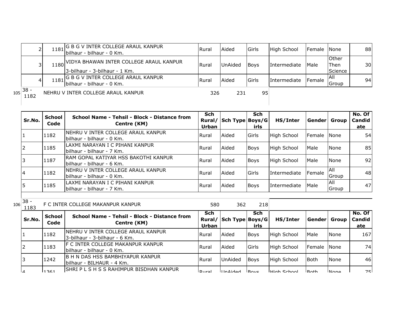|     |                | 1181 | , G B G V INTER COLLEGE ARAUL KANPUR<br>Ibilhaur - bilhaur - 0 Km.         | Rural | Aided          | <b>IGirls</b> | High School         | Female None     |                                 | 88  |
|-----|----------------|------|----------------------------------------------------------------------------|-------|----------------|---------------|---------------------|-----------------|---------------------------------|-----|
|     |                | 180  | VIDYA BHAWAN INTER COLLEGE ARAUL KANPUR\,<br>3-bilhaur - 3-bilhaur - 1 Km. | Rural | <b>UnAided</b> | <b>Bovs</b>   | <b>Intermediate</b> | <b>IMale</b>    | <b>Other</b><br>Then<br>Science | 30I |
|     |                | 1181 | , JG B G V INTER COLLEGE ARAUL KANPUR<br>bilhaur - bilhaur - 0 Km.         | Rural | Aided          | <b>IGirls</b> | Intermediate        | <b>I</b> Female | IAII<br>Group                   | 94  |
| 105 | $38 -$<br>1182 |      | NEHRU V INTER COLLEGE ARAUL KANPUR                                         | 326   | 231            | 95            |                     |                 |                                 |     |

| Sr.No. | <b>School</b><br>Code | School Name - Tehsil - Block - Distance from<br>Centre (KM)             | <b>Sch</b><br>Rural/<br>Urban | Sch Type Boys/G | <b>Sch</b><br>irls | HS/Inter     | <b>Genderl</b> | Group        | No. Of<br><b>Candid</b><br>ate |
|--------|-----------------------|-------------------------------------------------------------------------|-------------------------------|-----------------|--------------------|--------------|----------------|--------------|--------------------------------|
|        | 1182                  | INEHRU V INTER COLLEGE ARAUL KANPUR<br>bilhaur - bilhaur - 0 Km.        | Rural                         | Aided           | <b>Girls</b>       | High School  | Female None    |              | 54                             |
|        | 1185                  | LAXMI NARAYAN I C PIHANI KANPUR<br>bilhaur - bilhaur - 7 Km.            | l Rural                       | Aided           | <b>Boys</b>        | High School  | Male           | None         | 85                             |
|        | 1187                  | RAM GOPAL KATIYAR HSS BAKOTHI KANPUR<br>bilhaur - bilhaur - 6 Km.       | <b>Rural</b>                  | Aided           | <b>Boys</b>        | High School  | Male           | None         | 92                             |
| 14     | 1182                  | <b>INEHRU V INTER COLLEGE ARAUL KANPUR</b><br>bilhaur - bilhaur - 0 Km. | <b>Rural</b>                  | Aided           | Girls              | Intermediate | Female         | All<br>Group | 48                             |
|        | 1185                  | LAXMI NARAYAN I C PIHANI KANPUR<br>bilhaur - bilhaur - 7 Km.            | <b>Rural</b>                  | Aided           | <b>Boys</b>        | Intermediate | Male           | All<br>Group | 47                             |

| $106 38 -$<br>1183 |                | F C INTER COLLEGE MAKANPUR KANPUR                                   | 580                    | 362             | 218                |                    |                    |              |                                |
|--------------------|----------------|---------------------------------------------------------------------|------------------------|-----------------|--------------------|--------------------|--------------------|--------------|--------------------------------|
| Sr.No.             | School<br>Code | School Name - Tehsil - Block - Distance from<br>Centre (KM)         | Sch<br>Rural/<br>Urban | Sch Type Boys/G | <b>Sch</b><br>irls | HS/Inter           | Gender Group       |              | No. Of<br><b>Candid</b><br>ate |
|                    | 1182           | NEHRU V INTER COLLEGE ARAUL KANPUR<br>3-bilhaur - 3-bilhaur - 6 Km. | <b>Rural</b>           | <b>Aided</b>    | <b>Boys</b>        | <b>High School</b> | Male               | <b>None</b>  | 167                            |
|                    | 1183           | IF C INTER COLLEGE MAKANPUR KANPUR<br>lbilhaur - bilhaur - 0 Km.    | <b>Rural</b>           | <b>Aided</b>    | Girls              | <b>High School</b> | Female             | <b>None</b>  | 74                             |
|                    | 1242           | IB H N DAS HSS BAMBHIYAPUR KANPUR<br>bilhaur - BILHAUR - 4 Km.      | <b>Rural</b>           | UnAided         | <b>Boys</b>        | <b>High School</b> | <b>Both</b>        | None         | 46                             |
| $\mathsf{I}$       | 1361           | ISHRI P L S H S S RAHIMPUR BISDHAN KANPUR                           | $D_{11}$ ra            | IIndod          | Bovc               | l High Cobool      | IR <sub>o</sub> th | <u>INono</u> | フロー                            |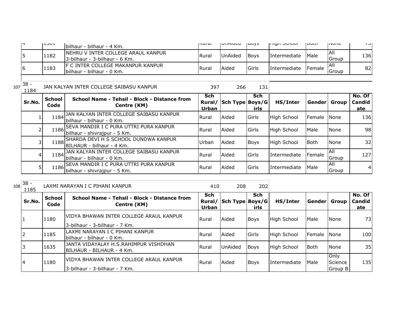|  | ╹┸┘∪┸ | Ibilhaur - bilhaur - 4 Km.                                            | livul al     | <b>IUIMUCU</b> | <b>UUVJ</b> | וטטווטט ווויון      | וויטעו         | <b>טוועוו</b>   | ا ر  |
|--|-------|-----------------------------------------------------------------------|--------------|----------------|-------------|---------------------|----------------|-----------------|------|
|  | 1182  | INEHRU V INTER COLLEGE ARAUL KANPUR<br>13-bilhaur - 3-bilhaur - 6 Km. | l Rural      | UnAided        | <b>Boys</b> | <i>Intermediate</i> | <b>Male</b>    | IAII<br>Group   | 136I |
|  | 1183  | IF C INTER COLLEGE MAKANPUR KANPUR<br>Ibilhaur - bilhaur - 0 Km.      | <b>Rural</b> | Aided          | Girls       | Intermediate        | <b>IFemale</b> | IAII<br>l Group | 82   |

 $\frac{1}{107}$  38 -

| JU.<br>1184 |                       | JAN KALYAN INTER COLLEGE SAIBASU KANPUR                                     | 397                           | 266             | 131                |                     |                |                     |                                |
|-------------|-----------------------|-----------------------------------------------------------------------------|-------------------------------|-----------------|--------------------|---------------------|----------------|---------------------|--------------------------------|
| Sr.No.      | <b>School</b><br>Code | School Name - Tehsil - Block - Distance from<br>Centre (KM)                 | <b>Sch</b><br>Rural/<br>Urban | Sch Type Boys/G | <b>Sch</b><br>irls | HS/Inter            | Gender Group   |                     | No. Of<br><b>Candid</b><br>ate |
|             | 1184                  | JAN KALYAN INTER COLLEGE SAIBASU KANPUR<br>lbilhaur - bilhaur - 0 Km.       | <b>Rural</b>                  | Aided           | Girls              | <b>High School</b>  | <b>IFemale</b> | <b>None</b>         | 136                            |
|             |                       | 1186 SEVA MANDIR I C PURA UTTRI PURA KANPUR<br>bilhaur - shivrajpur - 5 Km. | Rural                         | Aided           | Girls              | <b>High School</b>  | Male           | <b>None</b>         | 98                             |
| 3           |                       | 1188 SHARDA DEVI H S SCHOOL DUNDWA KANPUR<br>IBILHAUR - bilhaur - 4 Km.     | Urban                         | Aided           | <b>Boys</b>        | High School         | <b>Both</b>    | <b>None</b>         | 32                             |
| 4           |                       | 1184 JAN KALYAN INTER COLLEGE SAIBASU KANPUR<br>lbilhaur - bilhaur - 0 Km.  | Rural                         | Aided           | Girls              | <i>Intermediate</i> | Female         | IAII<br>Group       | 127                            |
| 5           | 1186                  | ISEVA MANDIR I C PURA UTTRI PURA KANPUR<br>bilhaur - shivrajpur - 5 Km.     | Rural                         | Aided           | Girls              | <b>Intermediate</b> | Male           | <b>AII</b><br>Group | $\overline{4}$                 |

| $_{108}$ 38 -<br>1185 |                       | LAXMI NARAYAN I C PIHANI KANPUR                                            | 410          | 208                    | 202                |                     |               |                            |                                |
|-----------------------|-----------------------|----------------------------------------------------------------------------|--------------|------------------------|--------------------|---------------------|---------------|----------------------------|--------------------------------|
| Sr.No.                | <b>School</b><br>Code | School Name - Tehsil - Block - Distance from<br>Centre (KM)                | Sch<br>Urban | Rural/ Sch Type Boys/G | <b>Sch</b><br>irls | HS/Inter            | Gender  Group |                            | No. Of<br><b>Candid</b><br>ate |
|                       | 1180                  | IVIDYA BHAWAN INTER COLLEGE ARAUL KANPUR<br>13-bilhaur - 3-bilhaur - 7 Km. | <b>Rural</b> | Aided                  | <b>Boys</b>        | <b>High School</b>  | Male          | None                       | 73                             |
| ∠                     | 1185                  | LAXMI NARAYAN I C PIHANI KANPUR<br>Ibilhaur - bilhaur - 0 Km.              | Rural        | Aided                  | <b>Girls</b>       | <b>High School</b>  | Female        | <b>None</b>                | 100                            |
|                       | 1635                  | JANTA VIDAYALAY H.S.RAHIMPUR VISHDHAN<br>BILHAUR - BILHAUR - 4 Km.         | Rural        | <b>UnAided</b>         | <b>Boys</b>        | <b>High School</b>  | <b>Both</b>   | None                       | 35                             |
| 14                    | 1180                  | IVIDYA BHAWAN INTER COLLEGE ARAUL KANPUR<br>13-bilhaur - 3-bilhaur - 7 Km. | Rural        | <b>Aided</b>           | <b>Boys</b>        | <i>Intermediate</i> | Male          | Only<br>Science<br>Group B | 135                            |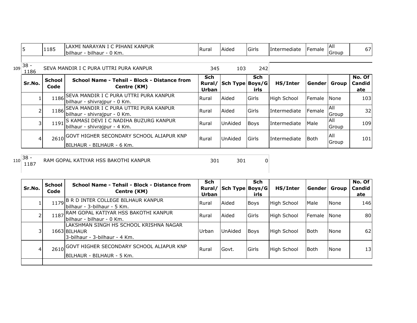|     | 15             | 1185                  | LAXMI NARAYAN I C PIHANI KANPUR<br>bilhaur - bilhaur - 0 Km.                       | <b>Rural</b>                  | Aided           | Girls              | Intermediate       | Female       | <b>AII</b><br>Group | 67I                     |
|-----|----------------|-----------------------|------------------------------------------------------------------------------------|-------------------------------|-----------------|--------------------|--------------------|--------------|---------------------|-------------------------|
| 109 | $38 -$<br>1186 |                       | SEVA MANDIR I C PURA UTTRI PURA KANPUR                                             | 345                           | 103             | 242                |                    |              |                     |                         |
|     | Sr.No.         | <b>School</b><br>Code | School Name - Tehsil - Block - Distance from<br>Centre (KM)                        | <b>Sch</b><br>Rural/<br>Urban | Sch Type Boys/G | <b>Sch</b><br>irls | HS/Inter           | Gender Group |                     | No. Of<br>Candid<br>ate |
|     |                |                       | 1186 SEVA MANDIR I C PURA UTTRI PURA KANPUR<br>bilhaur - shivrajpur - 0 Km.        | Rural                         | Aided           | Girls              | <b>High School</b> | Female       | <b>None</b>         | 103I                    |
|     |                |                       | 1186 SEVA MANDIR I C PURA UTTRI PURA KANPUR<br>bilhaur - shivrajpur - 0 Km.        | Rural                         | Aided           | Girls              | Intermediate       | Female       | IAII<br>Group       | 32                      |
|     | 31             |                       | 1191 S KAMASI DEVI I C NADIHA BUZURG KANPUR<br>bilhaur - shivrajpur - 4 Km.        | Rural                         | UnAided         | Boys               | Intermediate       | <b>Male</b>  | All<br>Group        | 109I                    |
|     | 41             |                       | 2610 GOVT HIGHER SECONDARY SCHOOL ALIAPUR KNP<br><b>IBILHAUR - BILHAUR - 6 Km.</b> | Rural                         | UnAided         | Girls              | Intermediate       | <b>Both</b>  | All<br>Group        | 101                     |

 $110\overline{\)38 -$ <br>1187

<sup>1187</sup> <sup>301</sup> <sup>301</sup> <sup>0</sup> RAM GOPAL KATIYAR HSS BAKOTHI KANPUR

| Sr.No. | <b>School</b><br>Code | School Name - Tehsil - Block - Distance from<br>Centre (KM)                             | Sch<br>Rural/<br>Urban | Sch Type Boys/G | <b>Sch</b><br>irls | HS/Inter    | Gender Group |             | No. Of $ $<br>Candid<br>ate |
|--------|-----------------------|-----------------------------------------------------------------------------------------|------------------------|-----------------|--------------------|-------------|--------------|-------------|-----------------------------|
|        |                       | 1179 B R D INTER COLLEGE BILHAUR KANPUR<br>bilhaur - 3-bilhaur - 5 Km.                  | Rural                  | Aided           | <b>Boys</b>        | High School | Male         | <b>None</b> | 146                         |
|        | 1187                  | RAM GOPAL KATIYAR HSS BAKOTHI KANPUR<br>lbilhaur - bilhaur - 0 Km.                      | Rural                  | Aided           | Girls              | High School | Female None  |             | 80                          |
| 31     |                       | LAKSHMAN SINGH HS SCHOOL KRISHNA NAGAR<br>1663 BILHAUR<br>3-bilhaur - 3-bilhaur - 4 Km. | Urban                  | UnAided         | <b>Boys</b>        | High School | <b>Both</b>  | None        | 62                          |
| 4      |                       | 2610 GOVT HIGHER SECONDARY SCHOOL ALIAPUR KNP<br>BILHAUR - BILHAUR - 5 Km.              | Rural                  | Govt.           | Girls              | High School | <b>Both</b>  | None        | 13                          |
|        |                       |                                                                                         |                        |                 |                    |             |              |             |                             |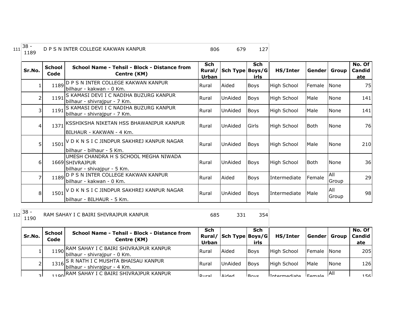| $111 \overline{\smash)38}$ -<br>1189 | D P S N INTER COLLEGE KAKWAN KANPUR | 806 | 679 |  |
|--------------------------------------|-------------------------------------|-----|-----|--|
|                                      |                                     |     |     |  |

| Sr.No.         | <b>School</b><br>Code | School Name - Tehsil - Block - Distance from<br>Centre (KM)                             | Sch<br>Rural/<br>Urban | Sch Type Boys/G | <b>Sch</b><br>irls | HS/Inter           | Gender Group |              | No. Of<br>Candid<br>ate |
|----------------|-----------------------|-----------------------------------------------------------------------------------------|------------------------|-----------------|--------------------|--------------------|--------------|--------------|-------------------------|
| 1              |                       | 1189 D P S N INTER COLLEGE KAKWAN KANPUR<br>bilhaur - kakwan - 0 Km.                    | Rural                  | Aided           | Boys               | <b>High School</b> | Female       | None         | 75                      |
| 2              | 1191                  | S KAMASI DEVI I C NADIHA BUZURG KANPUR<br>bilhaur - shivrajpur - 7 Km.                  | Rural                  | UnAided         | Boys               | High School        | Male         | None         | 141                     |
| 3              | 1191                  | S KAMASI DEVI I C NADIHA BUZURG KANPUR<br>bilhaur - shivrajpur - 7 Km.                  | Rural                  | UnAided         | Boys               | High School        | Male         | None         | 141                     |
| 4              |                       | 1371 KSSHIKSHA NIKETAN HSS BHAWANIPUR KANPUR<br>BILHAUR - KAKWAN - 4 Km.                | Rural                  | UnAided         | Girls              | High School        | <b>Both</b>  | None         | <b>76</b>               |
| 5              |                       | 1501 V D K N S I C JINDPUR SAKHREJ KANPUR NAGAR<br>bilhaur - bilhaur - 5 Km.            | Rural                  | UnAided         | <b>Boys</b>        | High School        | Male         | None         | 210                     |
| 6              |                       | UMESH CHANDRA H S SCHOOL MEGHA NIWADA<br>1669 SHIVRAJPUR<br>bilhaur - shivajpur - 5 Km. | <b>Rural</b>           | UnAided         | Boys               | High School        | Both         | None         | 36                      |
| 7              |                       | 1189 D P S N INTER COLLEGE KAKWAN KANPUR<br>bilhaur - kakwan - 0 Km.                    | Rural                  | Aided           | Boys               | Intermediate       | Female       | All<br>Group | 29                      |
| 8 <sup>1</sup> |                       | 1501 V D K N S I C JINDPUR SAKHREJ KANPUR NAGAR<br>bilhaur - BILHAUR - 5 Km.            | Rural                  | UnAided         | <b>Boys</b>        | Intermediate       | Male         | All<br>Group | 98                      |

112 38 -<br>1190

<sup>1190</sup> <sup>685</sup> <sup>331</sup> <sup>354</sup> RAM SAHAY I C BAIRI SHIVRAJPUR KANPUR

| Sr.No.       | <b>School</b><br>Code | School Name - Tehsil - Block - Distance from<br>Centre (KM)                | <b>Sch</b><br>Urban | Rural/ Sch Type Boys/G | Sch<br>irls | HS/Inter            | Gender  Group  |      | No. Of<br><b>Candid</b><br>ate |
|--------------|-----------------------|----------------------------------------------------------------------------|---------------------|------------------------|-------------|---------------------|----------------|------|--------------------------------|
|              |                       | 1190 RAM SAHAY I C BAIRI SHIVRAJPUR KANPUR<br>bilhaur - shivrajpur - 0 Km. | <b>Rural</b>        | Aided                  | <b>Boys</b> | High School         | Female None    |      | 205                            |
| 2            |                       | 1316 S R NATH I C MUSHTA BHAISAU KANPUR<br>bilhaur - shivrajpur - 4 Km.    | <b>Rural</b>        | <b>UnAided</b>         | <b>Boys</b> | High School         | Male           | None | 126                            |
| $\mathbf{R}$ |                       | 100 RAM SAHAY I C BAIRI SHIVRAJPUR KANPUR                                  | احبرروا             | <b>Aidod</b>           | Bovc        | <i>Intermediate</i> | $E_{\alpha m}$ | IAII | 156                            |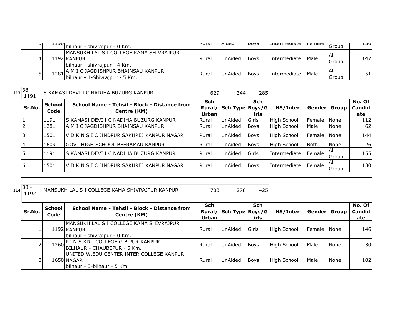| ا ب | $\frac{1+30}{1+30}$ bilhaur - shivrajpur - 0 Km.                                                             | livul al | <b>Iniucu</b> | ILUYS       | <b>LUCUTIONAL</b> | i ciliale | Group               | ᆠᅬᄓ  |
|-----|--------------------------------------------------------------------------------------------------------------|----------|---------------|-------------|-------------------|-----------|---------------------|------|
| 4   | MANSUKH LAL S I COLLEGE KAMA SHIVRAJPUR<br>1192 KANPUR<br>bilhaur - shivrajpur - 4 Km.                       | Rura     | UnAided       | <b>Boys</b> | Intermediate      | Male      | <b>All</b><br>Group | 1471 |
|     | , JA M I C JAGDISHPUR BHAINSAU KANPUR<br>$-1$ $1281 \text{ h}$ in $1291.5$<br>bilhaur - 4-Shivrajpur - 5 Km. | Rura     | UnAided       | <b>Boys</b> | Intermediate      | Male      | IAII<br>Group       | 51 I |

 $113 \overline{\smash)38 - 1191}$ 

| $3^{\circ}$ .<br>1191 |                | S KAMASI DEVI I C NADIHA BUZURG KANPUR                      | 629                           | 344             | 285                |                     |                |                       |                         |
|-----------------------|----------------|-------------------------------------------------------------|-------------------------------|-----------------|--------------------|---------------------|----------------|-----------------------|-------------------------|
| Sr.No.                | School<br>Code | School Name - Tehsil - Block - Distance from<br>Centre (KM) | Sch<br>Rural/<br><b>Urban</b> | Sch Type Boys/G | <b>Sch</b><br>irls | HS/Inter            | Gender   Group |                       | No. Of<br>Candid<br>ate |
|                       | 1191           | IS KAMASI DEVI I C NADIHA BUZURG KANPUR                     | <b>Rural</b>                  | <b>UnAided</b>  | Girls              | <b>High School</b>  | Female         | <b>None</b>           | 112                     |
|                       | 1281           | IA M I C JAGDISHPUR BHAINSAU KANPUR                         | <b>I</b> Rural                | <b>UnAided</b>  | <b>Boys</b>        | <b>High School</b>  | Male           | l None                | 62                      |
|                       | 1501           | IV D K N S I C JINDPUR SAKHREJ KANPUR NAGAR                 | <b>I</b> Rural                | <b>UnAided</b>  | Boys               | <b>High School</b>  | Female         | <b>None</b>           | 144                     |
|                       | 1609           | IGOVT HIGH SCHOOL BEERAMAU KANPUR                           | Rural                         | <b>UnAided</b>  | <b>Boys</b>        | <b>High School</b>  | lBoth          | None                  | 26                      |
|                       | 1191           | IS KAMASI DEVI I C NADIHA BUZURG KANPUR                     | <b>I</b> Rural                | UnAided         | Girls              | <b>Intermediate</b> | Female         | IAII<br><b>IGroup</b> | 155                     |
|                       | 11501          | IV D K N S I C JINDPUR SAKHREJ KANPUR NAGAR                 | <b>IRural</b>                 | <b>UnAided</b>  | <b>Boys</b>        | <b>Intermediate</b> | Female         | IAII<br>Group         | 130                     |

 $\sim$ 

| $114$ <sup>38 -</sup><br>1192 |                | MANSUKH LAL S I COLLEGE KAMA SHIVRAJPUR KANPUR              | 703          | 278 | 425         |                                 |                |  |
|-------------------------------|----------------|-------------------------------------------------------------|--------------|-----|-------------|---------------------------------|----------------|--|
| Sr.No.                        | School<br>Code | School Name - Tehsil - Block - Distance from<br>Centre (KM) | Sch<br>Urban |     | Sch<br>irls | Rural/ Sch Type Boys/G HS/Inter | <b>Senderl</b> |  |
|                               |                |                                                             |              |     |             |                                 |                |  |

| Sr.No. | <b>School</b><br>Code | School Name - Tehsil - Block - Distance from<br>Centre (KM)                             | <b>Sch</b><br>Urban | Rural/ Sch Type Boys/G | Sch<br>irls  | HS/Inter    | Gender  Group  |             | No. Of<br>Candid<br>ate |
|--------|-----------------------|-----------------------------------------------------------------------------------------|---------------------|------------------------|--------------|-------------|----------------|-------------|-------------------------|
|        |                       | IMANSUKH LAL S I COLLEGE KAMA SHIVRAJPUR<br>1192 KANPUR<br>bilhaur - shivrajpur - 0 Km. | l Rural             | <b>UnAided</b>         | <b>Girls</b> | High School | <b>IFemale</b> | <b>None</b> | 146                     |
| ∠      |                       | 1260 PT N S KD I COLLEGE G B PUR KANPUR<br>BILHAUR - CHAUBEPUR - 5 Km.                  | l Rural             | UnAided                | <b>Boys</b>  | High School | Male           | <b>None</b> | 30                      |
| 3      |                       | IUNITED W.EDU CENTER INTER COLLEGE KANPUR<br>1650 NAGAR<br>bilhaur - 3-bilhaur - 5 Km.  | Rural               | <b>UnAided</b>         | <b>Boys</b>  | High School | Male           | <b>None</b> | 102                     |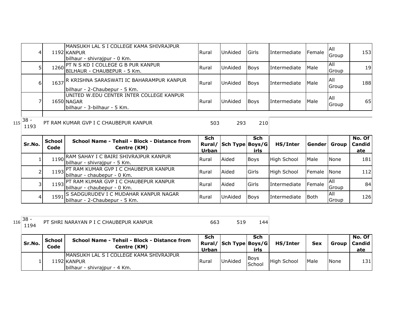|     | 4        |                       | MANSUKH LAL S I COLLEGE KAMA SHIVRAJPUR<br>1192 KANPUR<br>bilhaur - shivrajpur - 0 Km. | Rural        | UnAided                | Girls              | Intermediate | Female       | All<br>Group | 153 <sup> </sup>        |
|-----|----------|-----------------------|----------------------------------------------------------------------------------------|--------------|------------------------|--------------------|--------------|--------------|--------------|-------------------------|
|     | 51       |                       | 1260 PT N S KD I COLLEGE G B PUR KANPUR<br>BILHAUR - CHAUBEPUR - 5 Km.                 | Rural        | UnAided                | <b>Boys</b>        | Intermediate | Male         | All<br>Group | 19                      |
|     | $6 \mid$ |                       | 1637 R KRISHNA SARASWATI IC BAHARAMPUR KANPUR<br>bilhaur - 2-Chaubepur - 5 Km.         | Rural        | UnAided                | Boys               | Intermediate | <b>Male</b>  | All<br>Group | 188                     |
|     |          |                       | UNITED W.EDU CENTER INTER COLLEGE KANPUR<br>1650 NAGAR<br>bilhaur - 3-bilhaur - 5 Km.  | <b>Rural</b> | UnAided                | Boys               | Intermediate | Male         | All<br>Group | 65                      |
| 115 | $38 -$   |                       | PT RAM KUMAR GVP I C CHAUBEPUR KANPUR                                                  | 503          | 293                    | 210                |              |              |              |                         |
|     | 1193     |                       |                                                                                        |              |                        |                    |              |              |              |                         |
|     | Sr.No.   | <b>School</b><br>Code | School Name - Tehsil - Block - Distance from<br>Centre (KM)                            | Sch<br>Urban | Rural/ Sch Type Boys/G | <b>Sch</b><br>irls | HS/Inter     | Gender Group |              | No. Of<br>Candid<br>ate |
|     |          | 1190                  | RAM SAHAY I C BAIRI SHIVRAJPUR KANPUR<br>bilhaur - shivrajpur - 5 Km.                  | Rural        | Aided                  | Boys               | High School  | Male         | None         | 181                     |
|     |          |                       | 1193 PT RAM KUMAR GVP I C CHAUBEPUR KANPUR<br>bilhaur - chaubepur - 0 Km.              | Rural        | Aided                  | Girls              | High School  | Female       | None         | 112                     |
|     | 31       |                       | 1193 PT RAM KUMAR GVP I C CHAUBEPUR KANPUR<br>bilhaur - chaubepur - 0 Km.              | Rural        | Aided                  | Girls              | Intermediate | Female       | All<br>Group | 84                      |

| $116 38 -$<br>1194 |                       | PT SHRI NARAYAN P I C CHAUBEPUR KANPUR                                                  | 663                 | 519                    | 144                   |             |            |       |                           |
|--------------------|-----------------------|-----------------------------------------------------------------------------------------|---------------------|------------------------|-----------------------|-------------|------------|-------|---------------------------|
| Sr.No.             | <b>School</b><br>Code | School Name - Tehsil - Block - Distance from<br>Centre (KM)                             | Sch<br><b>Urban</b> | Rural/ Sch Type Boys/G | Sch<br>irls           | HS/Inter    | <b>Sex</b> | Group | No. Of l<br>Candid<br>ate |
|                    |                       | IMANSUKH LAL S I COLLEGE KAMA SHIVRAJPUR<br>1192 KANPUR<br>bilhaur - shivrajpur - 4 Km. | Rural               | <b>UnAided</b>         | <b>Boys</b><br>School | High School | Male       | None  | 131                       |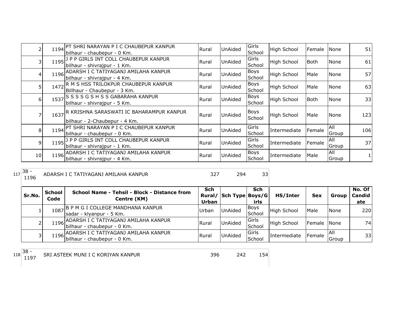|                |      | 1194 PT SHRI NARAYAN P I C CHAUBEPUR KANPUR<br>bilhaur - chaubepur - 0 Km. | Rural | UnAided        | Girls<br>School       | High School        | Female      | <b>N</b> one   | 51  |
|----------------|------|----------------------------------------------------------------------------|-------|----------------|-----------------------|--------------------|-------------|----------------|-----|
| 3              |      | 1195   P P GIRLS INT COLL CHAUBEPUR KANPUR<br>bilhaur - shivrajpur - 1 Km. | Rural | UnAided        | Girls<br>School       | <b>High School</b> | <b>Both</b> | None           | 61  |
| 4              |      | 1196 ADARSH I C TATIYAGANJ AMILAHA KANPUR<br>bilhaur - shivrajpur - 4 Km.  | Rural | UnAided        | <b>Boys</b><br>School | <b>High School</b> | Male        | None           | 57  |
| 5              | 1472 | R M S HSS TRILOKPUR CHAUBEPUR KANPUR<br>Billhaur - Chaubepur - 3 Km.       | Rural | UnAided        | <b>Boys</b><br>School | <b>High School</b> | Male        | None           | 63  |
| 6              | 1537 | S S S S G S H S S GABARAHA KANPUR<br>bilhaur - shivrajpur - 5 Km.          | Rural | UnAided        | Boys<br>School        | <b>High School</b> | <b>Both</b> | None           | 33  |
|                | 1637 | R KRISHNA SARASWATI IC BAHARAMPUR KANPUR<br>bilhaur - 2-Chaubepur - 4 Km.  | Rural | UnAided        | <b>Boys</b><br>School | High School        | Male        | None           | 123 |
| 8 <sup>1</sup> | 1194 | PT SHRI NARAYAN P I C CHAUBEPUR KANPUR<br>bilhaur - chaubepur - 0 Km.      | Rural | <b>UnAided</b> | Girls<br>School       | Intermediate       | Female      | IAII<br>Group  | 106 |
| 9              |      | 1195   P P GIRLS INT COLL CHAUBEPUR KANPUR<br>bilhaur - shivrajpur - 1 Km. | Rural | UnAided        | Girls<br>School       | Intermediate       | Female      | l All<br>Group | 37  |
| 10             |      | 1196 ADARSH I C TATIYAGANJ AMILAHA KANPUR<br>bilhaur - shivrajpur - 4 Km.  | Rural | UnAided        | Boys<br>School        | Intermediate       | Male        | IAII<br>Group  |     |

<sup>117</sup> 38 -

ADARSH I C TATIYAGANJ AMILAHA KANPUR 327 327 33

| Sr.No. | <b>School</b><br>Code | School Name - Tehsil - Block - Distance from<br>Centre (KM)                   | Sch<br>Urban | Rural/ Sch Type Boys/G | Sch<br>irls             | HS/Inter     | <b>Sex</b>  | Group         | No. Of $ $<br><b>Candid</b><br>ate |
|--------|-----------------------|-------------------------------------------------------------------------------|--------------|------------------------|-------------------------|--------------|-------------|---------------|------------------------------------|
|        | 1087                  | , B P M G I COLLEGE MANDHANA KANPUR<br>sadar - klyanpur - 5 Km.               | Urban        | <b>UnAided</b>         | <b>Boys</b><br>School   | High School  | Male        | <b>None</b>   | 220                                |
|        |                       | 1196 ADARSH I C TATIYAGANJ AMILAHA KANPUR<br>bilhaur - chaubepur - 0 Km.      | Rural        | <b>UnAided</b>         | Girls<br>School         | High School  | Female None |               | 74                                 |
|        |                       | 1196 ADARSH I C TATIYAGANJ AMILAHA KANPUR<br>1196 bilhaur - chaubepur - 0 Km. | Rural        | UnAided                | <b>IGirls</b><br>School | Intermediate | Female      | IAII<br>Group | 33 <sup>1</sup>                    |

118 38 -<br>1197

SRI ASTEEK MUNI I C KORIYAN KANPUR 1996 242 154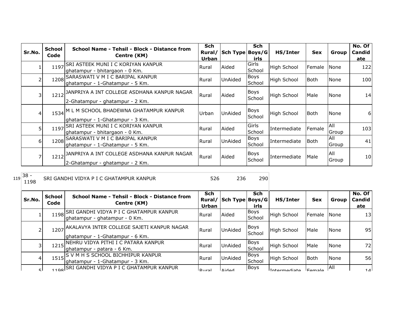|          | <b>School</b> | School Name - Tehsil - Block - Distance from                                        | <b>Sch</b>     |                 | <b>Sch</b>              |                    |             |                     | No. Of            |
|----------|---------------|-------------------------------------------------------------------------------------|----------------|-----------------|-------------------------|--------------------|-------------|---------------------|-------------------|
| Sr.No.   | Code          | Centre (KM)                                                                         | Rural/         | Sch Type Boys/G |                         | HS/Inter           | <b>Sex</b>  | Group               | Candid            |
|          | 1197          | SRI ASTEEK MUNI I C KORIYAN KANPUR<br>ghatampur - bhitargaon - 0 Km.                | Urban<br>Rural | Aided           | irls<br>Girls<br>School | High School        | Female      | None                | <u>ate</u><br>122 |
|          | 1208          | SARASWATI V M I C BARIPAL KANPUR<br>ghatampur - 1-Ghatampur - 5 Km.                 | Rural          | UnAided         | <b>Boys</b><br>School   | <b>High School</b> | l Both      | None                | 100               |
| 3        |               | 1212 JANPRIYA A INT COLLEGE ASDHANA KANPUR NAGAR<br>2-Ghatampur - ghatampur - 2 Km. | Rural          | Aided           | <b>Boys</b><br>School   | High School        | Male        | None                | 14                |
| 4        |               | 1534 M L M SCHOOL BHADEWNA GHATAMPUR KANPUR<br>ghatampur - 1-Ghatampur - 3 Km.      | Urban          | UnAided         | Boys<br>School          | <b>High School</b> | <b>Both</b> | None                | 6                 |
| 51       | 1197          | <b>SRI ASTEEK MUNI I C KORIYAN KANPUR</b><br>ghatampur - bhitargaon - 0 Km.         | Rural          | Aided           | Girls<br>School         | Intermediate       | Female      | <b>All</b><br>Group | 103               |
| $6 \mid$ |               | 1208 SARASWATI V M I C BARIPAL KANPUR<br>ghatampur - 1-Ghatampur - 5 Km.            | Rural          | UnAided         | <b>Boys</b><br>School   | Intermediate       | Both        | All<br>Group        | 41                |
|          |               | 1212 JANPRIYA A INT COLLEGE ASDHANA KANPUR NAGAR<br>2-Ghatampur - ghatampur - 2 Km. | Rural          | Aided           | Boys<br>School          | Intermediate       | Male        | All<br>Group        | 10                |

1198 SRI GANDHI VIDYA P I C GHATAMPUR KANPUR 526 526 290

| Sr.No.         | <b>School</b><br>Code | School Name - Tehsil - Block - Distance from<br>Centre (KM)                   | Sch<br>Rural/<br><b>Urban</b> | Sch Type Boys/G | <b>Sch</b><br>irls    | HS/Inter           | <b>Sex</b>    | Group       | No. Of<br>Candid<br>ate |
|----------------|-----------------------|-------------------------------------------------------------------------------|-------------------------------|-----------------|-----------------------|--------------------|---------------|-------------|-------------------------|
|                |                       | 1198 SRI GANDHI VIDYA P I C GHATAMPUR KANPUR<br>ghatampur - ghatampur - 0 Km. | <b>I</b> Rural                | Aided           | Boys<br>School        | <b>High School</b> | Female        | <b>None</b> | 13                      |
|                | 1207                  | AKALAVYA INTER COLLEGE SAJETI KANPUR NAGAR<br>ghatampur - 1-Ghatampur - 6 Km. | Rural                         | <b>UnAided</b>  | Boys<br>School        | <b>High School</b> | Male          | None        | 95I                     |
| 31             | 1215                  | NEHRU VIDYA PITHI I C PATARA KANPUR<br>ghatampur - patara - 6 Km.             | Rural                         | <b>UnAided</b>  | Boys<br>School        | High School        | Male          | None        | 72I                     |
| $\overline{4}$ |                       | 1515 S V M H S SCHOOL BICHHIPUR KANPUR<br>lghatampur - 1-Ghatampur - 3 Km.    | Rural                         | <b>UnAided</b>  | <b>Boys</b><br>School | High School        | Both          | None        | 56I                     |
| ςI             |                       | 1108 SRI GANDHI VIDYA P I C GHATAMPUR KANPUR                                  | Dural                         | hahi∆           | Boys                  | Intermediate       | <b>Fomalo</b> | IAII        | 14                      |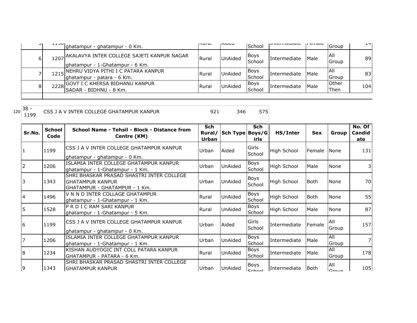|    | lghatampur - ghatampur - 0 Km.                                                     | lisurai      | <b>Iniucu</b>  | School                | <b>THEFFILE</b> | ם כוווסוכ    | Group                | ᆠᆂ  |
|----|------------------------------------------------------------------------------------|--------------|----------------|-----------------------|-----------------|--------------|----------------------|-----|
| 61 | 1207 AKALAVYA INTER COLLEGE SAJETI KANPUR NAGAR<br>ghatampur - 1-Ghatampur - 6 Km. | Rural        | <b>UnAided</b> | <b>Boys</b><br>School | Intermediate    | <b>Male</b>  | <b>AII</b><br>Group  | 89  |
|    | 1215 NEHRU VIDYA PITHI I C PATARA KANPUR<br>lghatampur - patara - 6 Km.            | <b>Rural</b> | <b>UnAided</b> | <b>Boys</b><br>School | Intermediate    | <b>IMale</b> | IAII<br>Group        | 83  |
| 81 | 2228 GOVT I C KHERSA BIDHANU KANPUR<br>ISADAR - BIDHNU - 8 Km.                     | <b>Rural</b> | <b>UnAided</b> | Boys<br>School        | Intermediate    | <b>Male</b>  | Other<br><b>Then</b> | 104 |

120 38 -<br>1199 CSS J A V INTER COLLEGE GHATAMPUR KANPUR 1921 346 575

| Sr.No. | <b>School</b><br>Code | School Name - Tehsil - Block - Distance from<br>Centre (KM)                                           | Sch<br>Rural/<br>Urban | Sch Type Boys/G | <b>Sch</b><br>irls             | HS/Inter           | <b>Sex</b>  | Group                   | No. Of<br>Candid<br>ate |
|--------|-----------------------|-------------------------------------------------------------------------------------------------------|------------------------|-----------------|--------------------------------|--------------------|-------------|-------------------------|-------------------------|
|        | 1199                  | CSS J A V INTER COLLEGE GHATAMPUR KANPUR<br>lghatampur - ghatampur - 0 Km.                            | Urban                  | Aided           | Girls<br>School                | <b>High School</b> | Female None |                         | 131                     |
|        | 1206                  | ISLAMIA INTER COLLEGE GHATAMPUR KANPUR<br>ghatampur - 1-Ghatampur - 1 Km.                             | Urban                  | UnAided         | <b>Boys</b><br>School          | <b>High School</b> | Male        | None                    | 3                       |
|        | 1343                  | SHRI BHASKAR PRASAD SHASTRI INTER COLLEGE<br><b>GHATAMPUR KANPUR</b><br>GHATAMPUR - GHATAMPUR - 1 Km. | Urban                  | <b>UnAided</b>  | <b>Boys</b><br>School          | <b>High School</b> | l Both      | <b>None</b>             | 70                      |
|        | 1496                  | V N N D INTER COLLAGE GHATAMPUR<br>lghatampur - 1-Ghatampur - 1 Km.                                   | Rural                  | <b>UnAided</b>  | <b>Boys</b><br>School          | <b>High School</b> | <b>Both</b> | None                    | 55                      |
| 15     | 1528                  | P R D I C RAM SARI KANPUR<br>ghatampur - 1-Ghatampur - 5 Km.                                          | Rural                  | <b>UnAided</b>  | Boys<br>School                 | <b>High School</b> | Male        | None                    | 87                      |
| 16     | 1199                  | CSS J A V INTER COLLEGE GHATAMPUR KANPUR<br>ghatampur - ghatampur - 0 Km.                             | Urban                  | Aided           | Girls<br>School                | Intermediate       | Female      | All<br>Group            | 157                     |
|        | 1206                  | ISLAMIA INTER COLLEGE GHATAMPUR KANPUR<br>lghatampur - 1-Ghatampur - 1 Km.                            | Urban                  | UnAided         | Boys<br>School                 | Intermediate       | Male        | All<br>Group            | 7                       |
| 18     | 1234                  | KISHAN AUDYOGIC INT COLL PATARA KANPUR<br>GHATAMPUR - PATARA - 6 Km.                                  | Rural                  | <b>UnAided</b>  | Boys<br>School                 | Intermediate       | Male        | <b>All</b><br>Group     | 178                     |
| 9      | 1343                  | SHRI BHASKAR PRASAD SHASTRI INTER COLLEGE<br><b>GHATAMPUR KANPUR</b>                                  | Urban                  | UnAided         | <b>Boys</b><br>C <sub>ch</sub> | Intermediate       | Both        | All<br>$C_{\text{min}}$ | 105                     |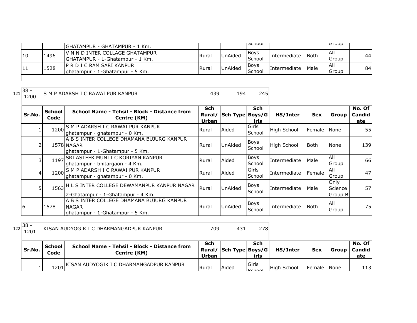|     |      | IGHATAMPUR - GHATAMPUR - 1 Km.   |              |                | וטטווטטו    |                     |      | שט וטו     |    |
|-----|------|----------------------------------|--------------|----------------|-------------|---------------------|------|------------|----|
| 110 | 1496 | IV N N D INTER COLLAGE GHATAMPUR | <b>Rural</b> | <b>UnAided</b> | IBoys       | Intermediate        | Both | <b>All</b> | 44 |
|     |      | IGHATAMPUR - 1-Ghatampur - 1 Km. |              |                | School      |                     |      | l Group    |    |
| 11  | 1528 | IP R D I C RAM SARI KANPUR       | <b>Rural</b> | <b>UnAided</b> | <b>Boys</b> | <b>Intermediate</b> | Male | IAII       | 84 |
|     |      | lahatampur - 1-Ghatampur - 5 Km. |              |                | School      |                     |      | Group      |    |
|     |      |                                  |              |                |             |                     |      |            |    |

 $121 \overline{\)38 - 1200}$ 

S M P ADARSH I C RAWAI PUR KANPUR 194 194 245

| Sr.No.         | <b>School</b><br>Code | School Name - Tehsil - Block - Distance from<br>Centre (KM)                                  | Sch<br>Rural/<br>Urban | Sch Type | Sch<br>Boys/G<br>irls | HS/Inter           | <b>Sex</b>  | Group                      | No. Of<br>Candid<br>ate |
|----------------|-----------------------|----------------------------------------------------------------------------------------------|------------------------|----------|-----------------------|--------------------|-------------|----------------------------|-------------------------|
|                |                       | 1200 S M P ADARSH I C RAWAI PUR KANPUR<br>ghatampur - ghatampur - 0 Km.                      | Rural                  | Aided    | Girls<br>School       | <b>High School</b> | Female      | <b>I</b> None              | 55                      |
| $\overline{2}$ |                       | A B S INTER COLLEGE DHAMANA BUJURG KANPUR<br>1578 NAGAR<br>ghatampur - 1-Ghatampur - 5 Km.   | Rural                  | UnAided  | <b>Boys</b><br>School | <b>High School</b> | l Both      | None                       | 139                     |
| 3              |                       | 1197 SRI ASTEEK MUNI I C KORIYAN KANPUR<br>ghatampur - bhitargaon - 4 Km.                    | Rural                  | Aided    | <b>Boys</b><br>School | Intermediate       | Male        | All<br>Group               | 66                      |
| $\overline{4}$ |                       | 1200 S M P ADARSH I C RAWAI PUR KANPUR<br>ghatampur - ghatampur - 0 Km.                      | Rural                  | Aided    | Girls<br>School       | Intermediate       | Female      | All<br>Group               | 47                      |
| 5              |                       | 1563 H L S INTER COLLEGE DEWAMANPUR KANPUR NAGAR<br>2-Ghatampur - 1-Ghatampur - 4 Km.        | Rural                  | UnAided  | <b>Boys</b><br>School | Intermediate       | Male        | Only<br>Science<br>Group B | 57                      |
| 16             | 1578                  | A B S INTER COLLEGE DHAMANA BUJURG KANPUR<br><b>NAGAR</b><br>ghatampur - 1-Ghatampur - 5 Km. | Rural                  | UnAided  | <b>Boys</b><br>School | Intermediate       | <b>Both</b> | IAII<br>Group              | 75                      |

 $122 \begin{array}{|l} 38 - 1201 \end{array}$ 

KISAN AUDYOGIK I C DHARMANGADPUR KANPUR 1 1 278

| Sr.No. | <b>School</b><br>Code | School Name - Tehsil - Block - Distance from<br>Centre (KM) | Sch<br>Urban | Rural/ Sch Type Boys/G | Sch<br>irls                      | HS/Inter           | <b>Sex</b>  | Group   Candid | No. Of<br>ate |
|--------|-----------------------|-------------------------------------------------------------|--------------|------------------------|----------------------------------|--------------------|-------------|----------------|---------------|
|        |                       | 1201 KISAN AUDYOGIK I C DHARMANGADPUR KANPUR                | Rural        | Aided                  | <b>IGirls</b><br>C <sub>ch</sub> | <b>High School</b> | Female None |                | 113           |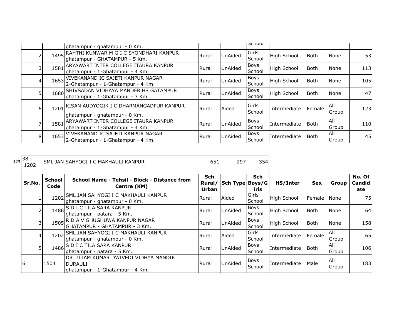|   |      | ghatampur - ghatampur - 0 Km.                                                  |              |                | וטטווטכו              |                    |             |                     |     |
|---|------|--------------------------------------------------------------------------------|--------------|----------------|-----------------------|--------------------|-------------|---------------------|-----|
|   | 1495 | RAHTHI KUNWAR M G I C SYONDHARI KANPUR<br>ghatampur - GHATAMPUR - 5 Km.        | Rural        | <b>UnAided</b> | Girls<br>School       | High School        | <b>Both</b> | None                | 53  |
|   |      | 1581 ARYAWART INTER COLLEGE ITAURA KANPUR<br>ghatampur - 1-Ghatampur - 4 Km.   | Rural        | UnAided        | <b>Boys</b><br>School | <b>High School</b> | <b>Both</b> | None                | 113 |
| 4 | 1653 | VIVEKANAND IC SAJETI KANPUR NAGAR<br>2-Ghatampur - 1-Ghatampur - 4 Km.         | Rural        | <b>UnAided</b> | <b>Boys</b><br>School | <b>High School</b> | <b>Both</b> | None                | 105 |
|   | 1680 | <b>SHIVSADAN VIDHAYA MANDER HS GATAMPUR</b><br>ghatampur - 1-Ghatampur - 3 Km. | Rural        | <b>UnAided</b> | <b>Boys</b><br>School | High School        | <b>Both</b> | None                | 47  |
| 6 | 1201 | KISAN AUDYOGIK I C DHARMANGADPUR KANPUR<br>ghatampur - ghatampur - 0 Km.       | Rural        | Aided          | Girls<br>School       | Intermediate       | Female      | <b>All</b><br>Group | 123 |
|   | 1581 | ARYAWART INTER COLLEGE ITAURA KANPUR<br>ghatampur - 1-Ghatampur - 4 Km.        | Rural        | <b>UnAided</b> | <b>Boys</b><br>School | Intermediate       | <b>Both</b> | All<br>Group        | 110 |
| 8 |      | 1653 VIVEKANAND IC SAJETI KANPUR NAGAR<br>2-Ghatampur - 1-Ghatampur - 4 Km.    | <b>Rural</b> | UnAided        | <b>Boys</b><br>School | Intermediate       | Both        | All<br>Group        | 45  |

| 1 <sub>23</sub>  38 -<br>1202 |                | SML JAN SAHYOGI I C MAKHAULI KANPUR                                                       | 651          | 297                    | 354                   |                    |             |                     |                         |
|-------------------------------|----------------|-------------------------------------------------------------------------------------------|--------------|------------------------|-----------------------|--------------------|-------------|---------------------|-------------------------|
| Sr.No.                        | School<br>Code | School Name - Tehsil - Block - Distance from<br>Centre (KM)                               | Sch<br>Urban | Rural/ Sch Type Boys/G | Sch<br>irls           | HS/Inter           | <b>Sex</b>  | Group               | No. Of<br>Candid<br>ate |
|                               | 1202           | SML JAN SAHYOGI I C MAKHAULI KANPUR<br>ghatampur - ghatampur - 0 Km.                      | Rural        | Aided                  | Girls<br>School       | <b>High School</b> | Female      | None                | 75                      |
|                               | 1486           | <b>S D I C TILA SARA KANPUR</b><br>ghatampur - patara - 5 Km.                             | Rural        | UnAided                | <b>Boys</b><br>School | <b>High School</b> | <b>Both</b> | None                | 64                      |
| 31                            |                | 1505 R D A V GHUGHUWA KANPUR NAGAR<br>GHATAMPUR - GHATAMPUR - 3 Km.                       | Rural        | UnAided                | Boys<br>School        | <b>High School</b> | <b>Both</b> | None                | 158                     |
| $\overline{4}$                | 1202           | ISML JAN SAHYOGI I C MAKHAULI KANPUR<br>ghatampur - ghatampur - 0 Km.                     | Rural        | Aided                  | Girls<br>School       | Intermediate       | Female      | All<br>Group        | 65                      |
| 5                             |                | 1486 S D I C TILA SARA KANPUR<br>ghatampur - patara - 5 Km.                               | Rural        | <b>UnAided</b>         | Boys<br>School        | Intermediate       | Both        | <b>AII</b><br>Group | 106                     |
| 6                             | 1504           | DR UTTAM KUMAR DWIVEDI VIDHYA MANDIR<br><b>DURAULI</b><br>ghatampur - 1-Ghatampur - 4 Km. | Rural        | UnAided                | <b>Boys</b><br>School | Intermediate       | Male        | All<br>Group        | 183                     |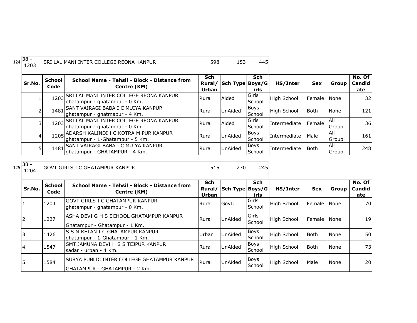| 124 | $38 -$<br>1203 |                       | SRI LAL MANI INTER COLLEGE REONA KANPUR                                        | 598                 | 153                    | 445                   |                     |             |               |                         |
|-----|----------------|-----------------------|--------------------------------------------------------------------------------|---------------------|------------------------|-----------------------|---------------------|-------------|---------------|-------------------------|
|     | Sr.No.         | <b>School</b><br>Code | School Name - Tehsil - Block - Distance from<br>Centre (KM)                    | Sch<br><b>Urban</b> | Rural/ Sch Type Boys/G | <b>Sch</b><br>irls    | HS/Inter            | <b>Sex</b>  | Group         | No. Of<br>Candid<br>ate |
|     |                |                       | 1203 SRI LAL MANI INTER COLLEGE REONA KANPUR<br>Jghatampur - ghatampur - 0 Km. | Rural               | Aided                  | Girls<br>School       | High School         | Female      | <b>I</b> None | 32                      |
|     |                |                       | 1481 SANT VAIRAGI BABA I C MUIYA KANPUR<br>lghatampur - ghatmapur - 4 Km.      | Rural               | <b>UnAided</b>         | Boys<br>School        | <b>High School</b>  | <b>Both</b> | None          | 121                     |
|     |                |                       | 1203 SRI LAL MANI INTER COLLEGE REONA KANPUR<br>ghatampur - ghatampur - 0 Km.  | Rural               | Aided                  | Girls<br>School       | <b>Intermediate</b> | Female      | All<br>Group  | 36                      |
|     | 4              |                       | 1205 ADARSH KALINDI I C KOTRA M PUR KANPUR<br>lghatampur - 1-Ghatampur - 5 Km. | Rural               | <b>UnAided</b>         | <b>Boys</b><br>School | <b>Intermediate</b> | Male        | All<br>Group  | 161                     |
|     |                |                       | 1481 SANT VAIRAGI BABA I C MUIYA KANPUR<br>Ighatampur - GHATAMPUR - 4 Km.      | Rural               | <b>UnAided</b>         | <b>Boys</b><br>School | <b>Intermediate</b> | Both        | IAII<br>Group | 248                     |

1204 GOVT GIRLS I C GHATAMPUR KANPUR 515 270

| Sr.No.     | <b>School</b><br>Code | School Name - Tehsil - Block - Distance from<br>Centre (KM)                    | <b>Sch</b><br>Rural/<br>Urban | Sch Type Boys/G | <b>Sch</b><br>irls | HS/Inter           | <b>Sex</b>  | Group       | No. Of<br><b>Candid</b><br>ate |
|------------|-----------------------|--------------------------------------------------------------------------------|-------------------------------|-----------------|--------------------|--------------------|-------------|-------------|--------------------------------|
|            | 1204                  | IGOVT GIRLS I C GHATAMPUR KANPUR<br>ghatampur - ghatampur - 0 Km.              | Rural                         | Govt.           | Girls<br>School    | <b>High School</b> | Female None |             | 70                             |
| 12         | 1227                  | IASHA DEVI G H S SCHOOL GHATAMPUR KANPUR<br>Ghatampur - Ghatampur - 1 Km.      | Rural                         | <b>UnAided</b>  | Girls<br>School    | <b>High School</b> | Female      | <b>None</b> | 19 <sup> </sup>                |
| 13         | 1426                  | IS S NIKETAN I C GHATAMPUR KANPUR<br>ghatampur - 1-Ghatampur - 1 Km.           | Urban                         | UnAided         | Boys<br>School     | High School        | <b>Both</b> | None        | 50                             |
| 14         | 1547                  | SMT JAMUNA DEVI H S S TEJPUR KANPUR<br>lsadar - urban - 4 Km.                  | Rural                         | <b>UnAided</b>  | Boys<br>School     | High School        | <b>Both</b> | None        | 73                             |
| $\sqrt{5}$ | 1584                  | ISURYA PUBLIC INTER COLLEGE GHATAMPUR KANPUR<br> GHATAMPUR - GHATAMPUR - 2 Km. | Rural                         | <b>UnAided</b>  | Boys<br>School     | <b>High School</b> | Male        | None        | 20                             |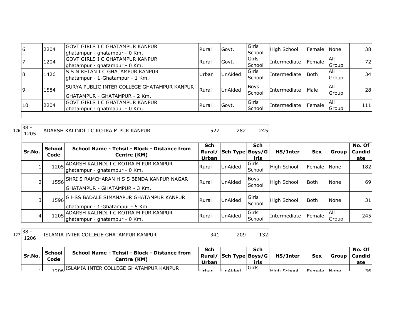| $\overline{6}$ | 2204 | IGOVT GIRLS I C GHATAMPUR KANPUR<br>ghatampur - ghatampur - 0 Km.                    | Rural        | Govt.   | Girls<br>School | <b>High School</b> | Female None |               | 38  |
|----------------|------|--------------------------------------------------------------------------------------|--------------|---------|-----------------|--------------------|-------------|---------------|-----|
|                | 1204 | GOVT GIRLS I C GHATAMPUR KANPUR<br>ghatampur - ghatampur - 0 Km.                     | <b>Rural</b> | Govt.   | Girls<br>School | Intermediate       | Female      | IAII<br>Group | 72  |
| 8              | 1426 | IS S NIKETAN I C GHATAMPUR KANPUR<br>ghatampur - 1-Ghatampur - 1 Km.                 | Urban        | UnAided | Girls<br>School | Intermediate       | <b>Both</b> | IAII<br>Group | 34  |
| l9             | 1584 | <b>SURYA PUBLIC INTER COLLEGE GHATAMPUR KANPUR</b><br> GHATAMPUR - GHATAMPUR - 2 Km. | Rural        | UnAided | Boys<br>School  | Intermediate       | <b>Male</b> | IAII<br>Group | 28  |
| 10             | 2204 | IGOVT GIRLS I C GHATAMPUR KANPUR<br>ghatampur - ghatmapur - 0 Km.                    | Rural        | Govt.   | Girls<br>School | Intermediate       | Female      | IAII<br>Group | 111 |

| $126\overline{\smash{38}}$ -<br>ADARSH KALINDI I C KOTRA M PUR KANPUR<br>1205 |  | 282 | 245 |
|-------------------------------------------------------------------------------|--|-----|-----|
|-------------------------------------------------------------------------------|--|-----|-----|

| Sr.No. | School<br>Code | School Name - Tehsil - Block - Distance from<br>Centre (KM)                     | <b>Sch</b><br>Rural/<br>Urban | Sch Type Boys/G | Sch<br>irls           | HS/Inter           | <b>Sex</b> | Group         | No. Of<br><b>Candid</b><br>ate |
|--------|----------------|---------------------------------------------------------------------------------|-------------------------------|-----------------|-----------------------|--------------------|------------|---------------|--------------------------------|
|        |                | 1205 ADARSH KALINDI I C KOTRA M PUR KANPUR<br>Ighatampur - ghatampur - 0 Km.    | Rural                         | UnAided         | Girls<br>School       | <b>High School</b> | Female     | None          | 182                            |
|        |                | 1556 SHRI S RAMCHARAN H S S BENDA KANPUR NAGAR<br>GHATAMPUR - GHATAMPUR - 3 Km. | Rural                         | <b>UnAided</b>  | <b>Boys</b><br>School | <b>High School</b> | Both       | None          | 69                             |
|        |                | 1596 G HSS BADALE SIMANAPUR GHATAMPUR KANPUR<br>ghatampur - 1-Ghatampur - 5 Km. | <b>Rural</b>                  | UnAided         | Girls<br>School       | <b>High School</b> | Both       | None          | 31                             |
| 4      |                | 1205 ADARSH KALINDI I C KOTRA M PUR KANPUR<br>lghatampur - ghatampur - 0 Km.    | Rural                         | <b>UnAided</b>  | Girls<br>School       | Intermediate       | Female     | IAII<br>Group | 245                            |

 $127 \begin{array}{|l} 38 - 1206 \end{array}$ 

1206 ISLAMIA INTER COLLEGE GHATAMPUR KANPUR 341 209 132

| Sr.No. | School<br>Code | School Name - Tehsil - Block - Distance from<br>Centre (KM) | Sch<br>Urban | Rural/   Sch Type   Boys/G | Sch<br>irls   | HS/Inter           | Sex         | Group   Candid | No. Of l<br>ate |
|--------|----------------|-------------------------------------------------------------|--------------|----------------------------|---------------|--------------------|-------------|----------------|-----------------|
|        |                | 1206 ISLAMIA INTER COLLEGE GHATAMPUR KANPUR                 | ll Irhan     | IIndod                     | <b>IGirls</b> | <b>High School</b> | Eamale None |                | اعج             |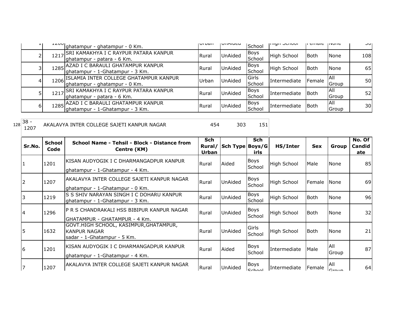| ÷. | ᆂᆇᇦᇦ | ghatampur - ghatampur - 0 Km.                                             | <b>UI DUI</b> | <b>UIMIUCU</b> | School                | <b>THALL OCHOOL</b> | li ciliale | 11 YU HE            | וטכ |
|----|------|---------------------------------------------------------------------------|---------------|----------------|-----------------------|---------------------|------------|---------------------|-----|
|    | 1217 | SRI KAMAKHYA I C RAYPUR PATARA KANPUR,<br>ghatampur - patara - 6 Km.      | Rural         | UnAided        | Boys<br>School        | High School         | l Both     | None                | 108 |
|    | 1285 | AZAD I C BARAULI GHATAMPUR KANPUR<br>ghatampur - 1-Ghatampur - 3 Km.      | Rural         | <b>UnAided</b> | <b>Boys</b><br>School | High School         | lBoth      | None                | 65  |
|    | 1206 | ISLAMIA INTER COLLEGE GHATAMPUR KANPUR<br>ghatampur - ghatampur - 0 Km.   | Urban         | UnAided        | Girls<br>School       | Intermediate        | Female     | IAII<br>Group       | 50  |
|    | 1217 | SRI KAMAKHYA I C RAYPUR PATARA KANPUR,<br>ghatampur - patara - 6 Km.      | Rural         | UnAided        | Boys<br>School        | Intermediate        | l Both     | <b>AII</b><br>Group | 52  |
| 6  |      | 1285 AZAD I C BARAULI GHATAMPUR KANPUR<br>ghatampur - 1-Ghatampur - 3 Km. | Rural         | UnAided        | <b>Boys</b><br>School | Intermediate        | Both       | <b>AII</b><br>Group | 30  |

128 38 -<br>1207 AKALAVYA INTER COLLEGE SAJETI KANPUR NAGAR 454 303 151

| Sr.No. | <b>School</b><br>Code | School Name - Tehsil - Block - Distance from<br>Centre (KM)                           | <b>Sch</b><br>Rural/<br>Urban | Sch Type   Boys/G | <b>Sch</b><br>irls             | HS/Inter     | <b>Sex</b>    | Group                          | No. Of<br>Candid<br>ate |
|--------|-----------------------|---------------------------------------------------------------------------------------|-------------------------------|-------------------|--------------------------------|--------------|---------------|--------------------------------|-------------------------|
| 11     | 1201                  | IKISAN AUDYOGIK I C DHARMANGADPUR KANPUR<br>ghatampur - 1-Ghatampur - 4 Km.           | Rural                         | Aided             | <b>Boys</b><br>School          | High School  | Male          | None                           | 85                      |
| 12     | 1207                  | IAKALAVYA INTER COLLEGE SAJETI KANPUR NAGAR<br>lghatampur - 1-Ghatampur - 0 Km.       | Rural                         | <b>UnAided</b>    | <b>Boys</b><br>School          | High School  | Female        | None                           | 69                      |
| 3      | 1219                  | IS S SHIV NARAYAN SINGH I C DOHARU KANPUR<br>ghatampur - 1-Ghatampur - 3 Km.          | Rural                         | UnAided           | Boys<br>School                 | High School  | lBoth.        | None                           | 96                      |
| 14     | 1296                  | IP R S CHANDRAKALI HSS BIBIPUR KANPUR NAGAR<br>IGHATAMPUR - GHATAMPUR - 4 Km.         | Rural                         | <b>UnAided</b>    | Boys<br>School                 | High School  | l Both        | None                           | 32                      |
| 5      | 1632                  | GOVT.HIGH SCHOOL, KASIMPUR,GHATAMPUR,<br>IKANPUR NAGAR<br>sadar - 1-Ghatampur - 5 Km. | Rural                         | <b>UnAided</b>    | Girls<br>School                | High School  | l Both        | None                           | 21                      |
| I6     | 1201                  | IKISAN AUDYOGIK I C DHARMANGADPUR KANPUR<br>ghatampur - 1-Ghatampur - 4 Km.           | Rural                         | Aided             | Boys<br>School                 | Intermediate | Male          | All<br>Group                   | 87                      |
| 7      | 1207                  | IAKALAVYA INTER COLLEGE SAJETI KANPUR NAGAR                                           | Rural                         | UnAided           | <b>Boys</b><br>C <sub>ch</sub> | Intermediate | <b>Female</b> | <b>AII</b><br>$C_{\text{min}}$ | 64                      |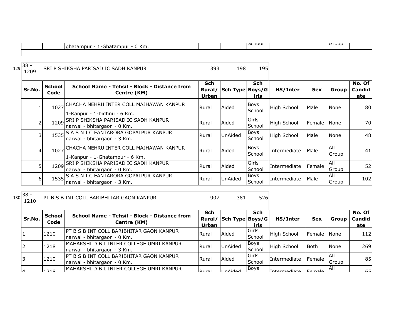| <sup>า</sup> Km.<br>iatampur<br>campur<br>Πr<br>.<br>. . | וטטווטכו | <b>GIUUD</b> |  |
|----------------------------------------------------------|----------|--------------|--|

| 129 | $38 -$<br>1209 |                       | SRI P SHIKSHA PARISAD IC SADH KANPUR                                           | 393          | 198                    | 195                   |                    |            |                     |                         |
|-----|----------------|-----------------------|--------------------------------------------------------------------------------|--------------|------------------------|-----------------------|--------------------|------------|---------------------|-------------------------|
|     | Sr.No.         | <b>School</b><br>Code | School Name - Tehsil - Block - Distance from<br>Centre (KM)                    | Sch<br>Urban | Rural/ Sch Type Boys/G | <b>Sch</b><br>irls    | HS/Inter           | <b>Sex</b> | Group               | No. Of<br>Candid<br>ate |
|     |                |                       | 1027 CHACHA NEHRU INTER COLL MAJHAWAN KANPUR<br>1-Kanpur - 1-bidhnu - 6 Km.    | Rural        | Aided                  | Boys<br>School        | High School        | Male       | None                | 80I                     |
|     |                | 1209                  | SRI P SHIKSHA PARISAD IC SADH KANPUR<br>narwal - bhitargaon - 0 Km.            | Rural        | Aided                  | Girls<br>School       | High School        | Female     | None                | 70I                     |
|     | 31             |                       | 1535 S A S N I C EANTARORA GOPALPUR KANPUR<br>narwal - bhitargaon - 3 Km.      | Rural        | UnAided                | <b>Boys</b><br>School | <b>High School</b> | Male       | None                | 48                      |
|     | 41             |                       | 1027 CHACHA NEHRU INTER COLL MAJHAWAN KANPUR<br>1-Kanpur - 1-Ghatampur - 6 Km. | Rural        | Aided                  | Boys<br>School        | Intermediate       | Male       | <b>AII</b><br>Group | 41                      |
|     | 5 <sup>1</sup> |                       | 1209 SRI P SHIKSHA PARISAD IC SADH KANPUR<br>narwal - bhitargaon - 0 Km.       | Rural        | Aided                  | Girls<br>School       | Intermediate       | Female     | All<br>Group        | 52                      |
|     | 6 <sup>1</sup> |                       | 1535 S A S N I C EANTARORA GOPALPUR KANPUR<br>narwal - bhitargaon - 3 Km.      | Rural        | UnAided                | <b>Boys</b><br>School | Intermediate       | Male       | All<br>Group        | 102                     |

 $130\overline{\smash{\big)}\ 130}$   $38 - 1210$ 

PT B S B INT COLL BARIBHITAR GAON KANPUR 1907 381 526

÷.

| Sr.No.    | <b>School</b><br>Code | School Name - Tehsil - Block - Distance from<br>Centre (KM)                     | Sch<br>Urban   | Rural/ Sch Type Boys/G | Sch<br>irls              | HS/Inter           | <b>Sex</b>  | Group         | No. Of<br><b>Candid</b><br>ate |
|-----------|-----------------------|---------------------------------------------------------------------------------|----------------|------------------------|--------------------------|--------------------|-------------|---------------|--------------------------------|
|           | 1210                  | <b>IPT B S B INT COLL BARIBHITAR GAON KANPUR</b><br>narwal - bhitargaon - 0 Km. | l Rural        | Aided                  | <b>I</b> Girls<br>School | <b>High School</b> | Female      | <b>None</b>   | 112                            |
| 2         | 1218                  | IMAHARSHI D B L INTER COLLEGE UMRI KANPUR<br>narwal - bhitargaon - 3 Km.        | <b>I</b> Rural | <b>UnAided</b>         | Boys<br>School           | <b>High School</b> | <b>Both</b> | None          | 269                            |
|           | 1210                  | <b>IPT B S B INT COLL BARIBHITAR GAON KANPUR</b><br>narwal - bhitargaon - 0 Km. | Rural          | Aided                  | <b>IGirls</b><br>School  | Intermediate       | Female      | IAII<br>Group | 85                             |
| $\lambda$ | 11218                 | MAHARSHI D B L INTER COLLEGE UMRI KANPUR                                        | D              | <b>UInAidod</b>        | <b>Boys</b>              |                    |             | IAII          | 651                            |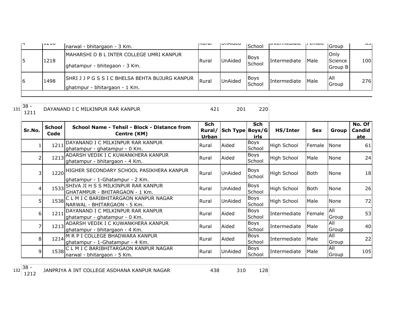| 1 L L L U | narwal - bhitargaon - 3 Km.                                                       | lisurai. | VIIMUCU        | School                | ו וונכו וווכטומנכ   | ם כוונוסוכ  | Group                               | ◡◡▮ |
|-----------|-----------------------------------------------------------------------------------|----------|----------------|-----------------------|---------------------|-------------|-------------------------------------|-----|
| 1218      | IMAHARSHI D B L INTER COLLEGE UMRI KANPUR<br>ghatampur - bhitegaon - 3 Km.        | Rural    | <b>UnAided</b> | <b>Boys</b><br>School | <b>Intermediate</b> | <b>Male</b> | <b>I</b> Only<br>Science<br>Group B | 100 |
| 1498      | SHRI J J P G S S I C BHELSA BEHTA BUJURG KANPUR<br>lghatmpur - bhitargaon - 1 Km. | Rural    | <b>UnAided</b> | <b>Boys</b><br>School | Intermediate        | <b>Male</b> | <b>AII</b><br>Group                 | 276 |

| $\sim$<br>- 138<br>DAYANAND I C MILKINPUR RAR KANPUR<br>ﯩﺪﯨ |  | _____ |  |
|-------------------------------------------------------------|--|-------|--|
|-------------------------------------------------------------|--|-------|--|

|                | <b>School</b> | School Name - Tehsil - Block - Distance from                                     | <b>Sch</b> |                 | <b>Sch</b>            |                    |            |                     | No. Of |
|----------------|---------------|----------------------------------------------------------------------------------|------------|-----------------|-----------------------|--------------------|------------|---------------------|--------|
| Sr.No.         | Code          | Centre (KM)                                                                      | Rural/     | Sch Type Boys/G |                       | HS/Inter           | <b>Sex</b> | Group               | Candid |
|                |               |                                                                                  | Urban      |                 | irls                  |                    |            |                     | ate    |
|                | 1211          | DAYANAND I C MILKINPUR RAR KANPUR<br>ghatampur - ghatampur - 0 Km.               | Rural      | Aided           | Boys<br>School        | High School        | Female     | <b>None</b>         | 61     |
|                | 1213          | ADARSH VEDIK I C KUWANKHERA KANPUR<br>ghatampur - bhitargaon - 4 Km.             | Rural      | Aided           | Boys<br>School        | High School        | Male       | None                | 24     |
| 3              |               | 1220 HIGHER SECONDARY SCHOOL PASIKHERA KANPUR<br>ghatampur - 1-Ghatampur - 2 Km. | Rural      | <b>UnAided</b>  | Boys<br>School        | High School        | Both       | <b>None</b>         | 18     |
| 4              |               | 1533 SHIVA JI H S S MILKINPUR RAR KANPUR<br>GHATAMPUR - BHITARGAON - 1 Km.       | Rural      | UnAided         | Boys<br>School        | High School        | Both       | None                | 26     |
| 5              |               | 1538 C L M I C BARIBHITARGAON KANPUR NAGAR<br>NARWAL - BHITARGAON - 5 Km.        | Rural      | UnAided         | Boys<br>School        | <b>High School</b> | Male       | None                | 72     |
| $6 \mid$       | 1211          | DAYANAND I C MILKINPUR RAR KANPUR<br>ghatampur - ghatampur - 0 Km.               | Rural      | Aided           | Boys<br>School        | Intermediate       | Female     | All<br>Group        | 53     |
|                |               | 1213 ADARSH VEDIK I C KUWANKHERA KANPUR<br>ghatampur - bhitargaon - 4 Km.        | Rural      | Aided           | Boys<br>School        | Intermediate       | Male       | <b>AII</b><br>Group | 40     |
| 8 <sup>1</sup> | 1214          | M R P I COLLEGE BHADWARA KANPUR<br>ghatampur - 1-Ghatampur - 4 Km.               | Rural      | Aided           | <b>Boys</b><br>School | Intermediate       | Male       | All<br>Group        | 22     |
| 9              |               | 1538 C L M I C BARIBHITARGAON KANPUR NAGAR<br>narwal - bhitargaon - 5 Km.        | Rural      | UnAided         | <b>Boys</b><br>School | Intermediate       | Male       | <b>AII</b><br>Group | 105    |

 $132 \begin{array}{|l} 38 - 1212 \end{array}$ 

128 JANPRIYA A INT COLLEGE ASDHANA KANPUR NAGAR 438 438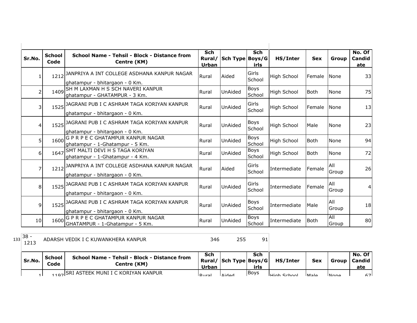| Sr.No. | <b>School</b><br>Code | School Name - Tehsil - Block - Distance from<br>Centre (KM)                        | <b>Sch</b><br><b>Urban</b> | Rural/ Sch Type Boys/G | <b>Sch</b><br>irls    | HS/Inter           | <b>Sex</b>  | Group               | No. Of<br>Candid<br>ate |
|--------|-----------------------|------------------------------------------------------------------------------------|----------------------------|------------------------|-----------------------|--------------------|-------------|---------------------|-------------------------|
| 1      |                       | 1212 JANPRIYA A INT COLLEGE ASDHANA KANPUR NAGAR<br>ghatampur - bhitargaon - 0 Km. | Rural                      | Aided                  | Girls<br>School       | <b>High School</b> | Female      | <b>None</b>         | 33                      |
| 2      |                       | 1409 SH M LAXMAN H S SCH NAVERI KANPUR<br>ghatampur - GHATAMPUR - 3 Km.            | Rural                      | UnAided                | <b>Boys</b><br>School | <b>High School</b> | <b>Both</b> | None                | 75                      |
| 3      |                       | 1525 JAGRANI PUB I C ASHRAM TAGA KORIYAN KANPUR<br>ghatampur - bhitargaon - 0 Km.  | Rural                      | UnAided                | Girls<br>School       | <b>High School</b> | Female      | None                | 13                      |
| 4      |                       | 1525 JAGRANI PUB I C ASHRAM TAGA KORIYAN KANPUR<br>ghatampur - bhitargaon - 0 Km.  | Rural                      | UnAided                | <b>Boys</b><br>School | <b>High School</b> | Male        | <b>None</b>         | 23                      |
| 5      | 1600                  | G P R P E C GHATAMPUR KANPUR NAGAR<br>ghatampur - 1-Ghatampur - 5 Km.              | Rural                      | UnAided                | Boys<br>School        | <b>High School</b> | <b>Both</b> | <b>None</b>         | 94                      |
| 6      | 1647                  | SMT MALTI DEVI H S TAGA KORIYAN<br>ghatampur - 1-Ghatampur - 4 Km.                 | Rural                      | UnAided                | Boys<br>School        | <b>High School</b> | <b>Both</b> | None                | 72                      |
| 7      |                       | 1212 JANPRIYA A INT COLLEGE ASDHANA KANPUR NAGAR<br>ghatampur - bhitargaon - 0 Km. | Rural                      | Aided                  | Girls<br>School       | Intermediate       | Female      | All<br>Group        | 26                      |
| 8      |                       | 1525 JAGRANI PUB I C ASHRAM TAGA KORIYAN KANPUR<br>ghatampur - bhitargaon - 0 Km.  | Rural                      | UnAided                | Girls<br>School       | Intermediate       | Female      | All<br>Group        | 4                       |
| 9      |                       | 1525 JAGRANI PUB I C ASHRAM TAGA KORIYAN KANPUR<br>ghatampur - bhitargaon - 0 Km.  | Rural                      | UnAided                | <b>Boys</b><br>School | Intermediate       | Male        | All<br>Group        | 18                      |
| 10     | 1600                  | G P R P E C GHATAMPUR KANPUR NAGAR<br>GHATAMPUR - 1-Ghatampur - 5 Km.              | Rural                      | UnAided                | Boys<br>School        | Intermediate       | <b>Both</b> | <b>All</b><br>Group | 80                      |

<sup>133</sup> 38 - 1213 ADARSH VEDIK I C KUWANKHERA KANPUR 346 255 91

| Sr.No. | <b>School</b><br>Code | <b>School Name - Tehsil - Block - Distance from</b><br>Centre (KM) | Sch<br>Urban   | Rural/ Sch Type Boys/G | Sch<br>irls | HS/Inter           | <b>Sex</b>  | Group       | No. Of<br>Candid<br>ate |
|--------|-----------------------|--------------------------------------------------------------------|----------------|------------------------|-------------|--------------------|-------------|-------------|-------------------------|
|        |                       | 1107 SRI ASTEEK MUNI I C KORIYAN KANPUR                            | <u>I Rural</u> | <b>Aideo</b>           | <b>Boys</b> | <b>High School</b> | <b>Male</b> | <b>None</b> | 671                     |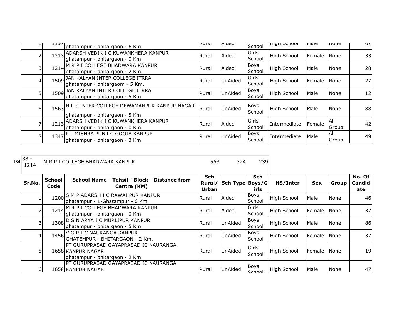|   |      | ghatampur - bhitargaon - 6 Km.                                                     | nsurar | Iniucu         | School                | וריטוויטריווויון   | li'iaic       | 11011C       | $\mathsf{U}$    |
|---|------|------------------------------------------------------------------------------------|--------|----------------|-----------------------|--------------------|---------------|--------------|-----------------|
|   | 1213 | ADARSH VEDIK I C KUWANKHERA KANPUR<br>ghatampur - bhitargaon - 0 Km.               | Rural  | Aided          | Girls<br>School       | <b>High School</b> | Female        | None         | 33 <sup>1</sup> |
|   |      | 1214 M R P I COLLEGE BHADWARA KANPUR<br>ghatampur - bhitargaon - 2 Km.             | Rural  | Aided          | <b>Boys</b><br>School | High School        | Male          | None         | 28              |
|   |      | 1509 JAN KALYAN INTER COLLEGE ITRRA<br>ghatampur - bhitargaom - 5 Km.              | Rural  | <b>UnAided</b> | Girls<br>School       | <b>High School</b> | <b>Female</b> | None         | 27              |
|   | 1509 | JAN KALYAN INTER COLLEGE ITRRA<br>ghatampur - bhitargaon - 5 Km.                   | Rural  | <b>UnAided</b> | <b>Boys</b><br>School | <b>High School</b> | Male          | None         | 12              |
| 6 |      | 1563 H L S INTER COLLEGE DEWAMANPUR KANPUR NAGAR<br>ghatampur - bhitargaon - 5 Km. | Rural  | <b>UnAided</b> | Boys<br>School        | <b>High School</b> | Male          | None         | 88              |
|   |      | 1213 ADARSH VEDIK I C KUWANKHERA KANPUR<br>ghatampur - bhitargaon - 0 Km.          | Rural  | Aided          | Girls<br>School       | Intermediate       | Female        | All<br>Group | 42              |
| 8 | 1347 | <b>P L MISHRA PUB I C GOOJA KANPUR</b><br>lghatampur - bhitargaon - 3 Km.          | Rural  | <b>UnAided</b> | <b>Boys</b><br>School | Intermediate       | Male          | All<br>Group | 49              |

| .<br>$134$ 38 - | M R P I COLLEGE BHADWARA KANPUR |  | ີ |
|-----------------|---------------------------------|--|---|
|                 |                                 |  |   |

| Sr.No.   | <b>School</b><br>Code | School Name - Tehsil - Block - Distance from<br>Centre (KM)                                 | Sch<br>Rural/<br>Urban | Sch Type   Boys/G | Sch<br>irls           | HS/Inter           | <b>Sex</b> | Group         | No. Of<br>Candid<br>ate |
|----------|-----------------------|---------------------------------------------------------------------------------------------|------------------------|-------------------|-----------------------|--------------------|------------|---------------|-------------------------|
|          |                       | 1200 S M P ADARSH I C RAWAI PUR KANPUR<br>ghatampur - 1-Ghatampur - 6 Km.                   | Rural                  | Aided             | <b>Boys</b><br>School | <b>High School</b> | Male       | <b>None</b>   | 46I                     |
|          |                       | 1214 M R P I COLLEGE BHADWARA KANPUR<br>ghatampur - bhitargaon - 0 Km.                      | Rural                  | Aided             | Girls<br>School       | <b>High School</b> | Female     | <b>None</b>   | 37                      |
|          |                       | 1308 D S N ARYA I C MURLIPUR KANPUR<br>ghatampur - bhitargaon - 5 Km.                       | Rural                  | UnAided           | <b>Boys</b><br>School | High School        | Male       | None          | 86                      |
|          |                       | 1456 V G R I C NAURANGA KANPUR<br>IGHATEMPUR - BHITARGAON - 2 Km.                           | Rural                  | <b>UnAided</b>    | <b>Boys</b><br>School | <b>High School</b> | Female     | <b>None</b>   | 37                      |
|          |                       | PT GURUPRASAD GAYAPRASAD IC NAURANGA<br>1658 KANPUR NAGAR<br>ghatampur - bhitargaon - 2 Km. | Rural                  | UnAided           | Girls<br>School       | <b>High School</b> | Female     | <b>I</b> None | 19 <sup> </sup>         |
| $6 \mid$ |                       | IPT GURUPRASAD GAYAPRASAD IC NAURANGA<br>1658 KANPUR NAGAR                                  | <b>Rural</b>           | UnAided           | Boys<br><b>Cchoo</b>  | <b>High School</b> | Male       | None          | 47                      |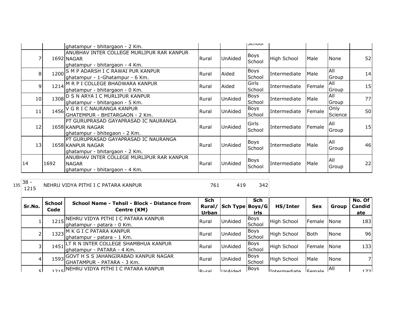|                |      |                                                                                                                             |              |                | וטטווטפו              |              |        |                     |    |
|----------------|------|-----------------------------------------------------------------------------------------------------------------------------|--------------|----------------|-----------------------|--------------|--------|---------------------|----|
|                |      | ghatampur - bhitargaon - 2 Km.<br>ANUBHAV INTER COLLEGE MURLIPUR RAR KANPUR<br>1692 NAGAR<br>ghatampur - bhitargaon - 4 Km. | Rural        | UnAided        | <b>Boys</b><br>School | High School  | Male   | <b>None</b>         | 52 |
| 8              |      | 1200 S M P ADARSH I C RAWAI PUR KANPUR<br>ghatampur - 1-Ghatampur - 6 Km.                                                   | Rural        | Aided          | Boys<br>School        | Intermediate | Male   | All<br>Group        | 14 |
| $\overline{9}$ |      | 1214 M R P I COLLEGE BHADWARA KANPUR<br>ghatampur - bhitargaon - 0 Km.                                                      | Rural        | Aided          | Girls<br>School       | Intermediate | Female | <b>AII</b><br>Group | 15 |
| 10             |      | 1308 D S N ARYA I C MURLIPUR KANPUR<br>ghatampur - bhitargaon - 5 Km.                                                       | Rural        | UnAided        | <b>Boys</b><br>School | Intermediate | Male   | All<br>Group        | 77 |
| 11             |      | 1456 V G R I C NAURANGA KANPUR<br>GHATEMPUR - BHITARGAON - 2 Km.                                                            | Rural        | UnAided        | Boys<br>School        | Intermediate | Female | Only<br>Science     | 50 |
| 12             |      | <b>PT GURUPRASAD GAYAPRASAD IC NAURANGA</b><br>1658 KANPUR NAGAR<br>ghatampur - bhitegaon - 2 Km.                           | <b>Rural</b> | UnAided        | Girls<br>School       | Intermediate | Female | All<br>Group        | 15 |
| 13             |      | IPT GURUPRASAD GAYAPRASAD IC NAURANGA<br>1658 KANPUR NAGAR<br>lghatampur - bhitargaon - 2 Km.                               | <b>Rural</b> | UnAided        | <b>Boys</b><br>School | Intermediate | Male   | All<br>Group        | 46 |
| 14             | 1692 | ANUBHAV INTER COLLEGE MURLIPUR RAR KANPUR<br><b>NAGAR</b><br>ghatampur - bhitargaon - 4 Km.                                 | Rural        | <b>UnAided</b> | <b>Boys</b><br>School | Intermediate | Male   | All<br>Group        | 22 |

 $135 \overline{\smash)38 - 1215}$ 

NEHRU VIDYA PITHI I C PATARA KANPUR 1 1 1 2 342

| Sr.No.         | School<br>Code | School Name - Tehsil - Block - Distance from<br>Centre (KM)             | Sch<br>Rural/<br>Urban | Sch Type Boys/G | <b>Sch</b><br>irls    | HS/Inter           | <b>Sex</b>    | Group       | No. Of<br>Candid<br>ate |
|----------------|----------------|-------------------------------------------------------------------------|------------------------|-----------------|-----------------------|--------------------|---------------|-------------|-------------------------|
|                | 1215           | NEHRU VIDYA PITHI I C PATARA KANPUR<br>Ighatampur - patara - 0 Km.      | Rural                  | UnAided         | Boys<br>School        | <b>High School</b> | Female        | None        | 183                     |
|                |                | 1323 M K G I C PATARA KANPUR<br>ghatampur - patara - 1 Km.              | Rural                  | UnAided         | Boys<br>School        | <b>High School</b> | <b>Both</b>   | None        | 96I                     |
|                | 1451           | LT R N INTER COLLEGE SHAMBHUA KANPUR<br>lghatampur - PATARA - 4 Km.     | <b>IRural</b>          | UnAided         | <b>Boys</b><br>School | <b>High School</b> | Female        | <b>None</b> | 1331                    |
| $\overline{4}$ |                | 1593 GOVT H S S JAHANGIRABAD KANPUR NAGAR<br>GHATAMPUR - PATARA - 3 Km. | Rural                  | UnAided         | Boys<br>School        | <b>High School</b> | Male          | None        | 71                      |
| ςI             |                | <sub>215</sub> NEHRU VIDYA PITHI I C PATARA KANPUR                      | <b>ID</b> ural         | <b>IlnAided</b> | Boys                  | Intermodiate       | <b>Eamala</b> | <b>IAII</b> | 1721                    |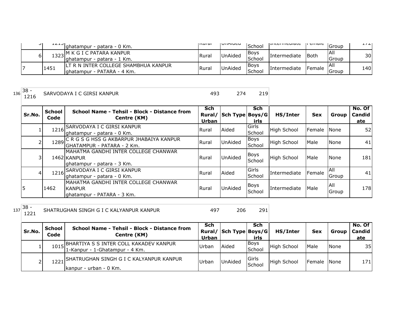| ا ب | ᆂᆇᆂᇦ | Ighatampur - patara - 0 Km.                                          | livul al | <b>UIMUCU</b>  | School                 | <b>LULCHILCUIGLE</b> | i ciliale | lGroup        | 1/2 |
|-----|------|----------------------------------------------------------------------|----------|----------------|------------------------|----------------------|-----------|---------------|-----|
| 61  |      | I K G I C PATARA KANPUR<br>Ighatampur - patara - 1 Km.               | Rural    | <b>UnAided</b> | <b>IBovs</b><br>School | Intermediate         | lBoth     | IAII<br>Group | 30  |
|     | 1451 | ILT R N INTER COLLEGE SHAMBHUA KANPUR<br>Ighatampur - PATARA - 4 Km. | Rural    | <b>UnAided</b> | Bovs<br><b>School</b>  | Intermediate         | Female    | IAII<br>Group | 140 |

1219 SARVODAYA I C GIRSI KANPUR 120 APR 2008 274

| Sr.No. | <b>School</b><br>Code | School Name - Tehsil - Block - Distance from<br>Centre (KM)                         | <b>Sch</b><br>Rural/<br>Urban | Sch Type Boys/G | <b>Sch</b><br>irls    | HS/Inter            | <b>Sex</b>     | Group                | No. Of<br><b>Candid</b><br>ate |
|--------|-----------------------|-------------------------------------------------------------------------------------|-------------------------------|-----------------|-----------------------|---------------------|----------------|----------------------|--------------------------------|
|        |                       | 1216 SARVODAYA I C GIRSI KANPUR<br>ghatampur - patara - 0 Km.                       | <b>Rural</b>                  | Aided           | Girls<br>School       | <b>High School</b>  | <b>IFemale</b> | <b>None</b>          | 52                             |
|        |                       | 1289 C R G S G HSS G AKBARPUR JHABAIYA KANPUR<br>GHATAMPUR - PATARA - 2 Km.         | Rural                         | <b>UnAided</b>  | <b>Boys</b><br>School | High School         | Male           | None                 | 41                             |
| 3      |                       | MAHATMA GANDHI INTER COLLEGE CHANWAR<br>1462 KANPUR<br>lghatampur - patara - 3 Km.  | Rural                         | <b>UnAided</b>  | Boys<br>School        | <b>High School</b>  | Male           | None                 | 181                            |
| 4      | 1216                  | <b>SARVODAYA I C GIRSI KANPUR</b><br>ghatampur - patara - 0 Km.                     | Rural                         | Aided           | Girls<br>School       | Intermediate        | Female         | <b>AII</b><br>Group  | 41                             |
|        | 1462                  | MAHATMA GANDHI INTER COLLEGE CHANWAR<br><b>KANPUR</b><br>ghatampur - PATARA - 3 Km. | <b>Rural</b>                  | <b>UnAided</b>  | Boys<br>School        | <b>Intermediate</b> | Male           | IAII<br><b>Group</b> | 178                            |

<sup>137</sup> 38 -

SHATRUGHAN SINGH G I C KALYANPUR KANPUR  $\frac{497}{497}$  206 291

| Sr.No. | <b>School</b><br>Code | School Name - Tehsil - Block - Distance from<br>Centre (KM)                   | Sch<br>Urban | Rural/ Sch Type Boys/G | Sch<br>irls      | HS/Inter           | <b>Sex</b>  | Group | No. Of<br><b>Candid</b><br>ate |
|--------|-----------------------|-------------------------------------------------------------------------------|--------------|------------------------|------------------|--------------------|-------------|-------|--------------------------------|
| ┻.     |                       | 1015 BHARTIYA S S INTER COLL KAKADEV KANPUR<br>1-Kanpur - 1-Ghatampur - 4 Km. | Urban        | <b>Aided</b>           | Boys<br>School   | <b>High School</b> | Male        | None  | 35                             |
| ∠      |                       | 1221 SHATRUGHAN SINGH G I C KALYANPUR KANPUR<br>Ikanpur - urban - 0 Km.       | Urban        | <b>UnAided</b>         | lGirls<br>School | High School        | Female None |       | 171                            |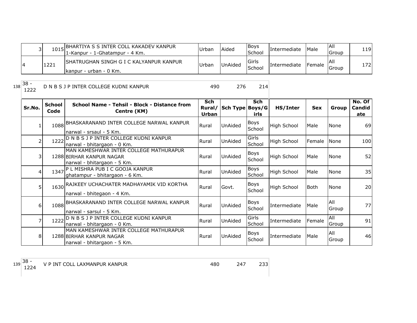|      | 1015 BHARTIYA S S INTER COLL KAKADEV KANPUR<br>11-Kanpur - 1-Ghatampur - 4 Km. | Urban | Aided          | <b>IBoys</b><br>School | Intermediate | Male           | IAII<br>Group | 1191 |
|------|--------------------------------------------------------------------------------|-------|----------------|------------------------|--------------|----------------|---------------|------|
| 1221 | ISHATRUGHAN SINGH G I C KALYANPUR KANPUR                                       | Urban | <b>UnAided</b> | <b>Girls</b>           | Intermediate | <b>IFemale</b> | -lAlı         | 1721 |
|      | Ikanpur - urban - 0 Km.                                                        |       |                | School                 |              |                | Group         |      |

138 38 -<br>1222

## D N B S J P INTER COLLEGE KUDNI KANPUR 490 276 214

| Sr.No.         | <b>School</b><br>Code | School Name - Tehsil - Block - Distance from<br>Centre (KM)                                       | <b>Sch</b><br>Rural/<br>Urban | Sch Type Boys/G | <b>Sch</b><br>irls    | HS/Inter     | <b>Sex</b>  | Group        | No. Of<br>Candid<br>ate |
|----------------|-----------------------|---------------------------------------------------------------------------------------------------|-------------------------------|-----------------|-----------------------|--------------|-------------|--------------|-------------------------|
|                |                       | 1088 BHASKARANAND INTER COLLEGE NARWAL KANPUR<br>narwal - srsaul - 5 Km.                          | Rural                         | <b>UnAided</b>  | <b>Boys</b><br>School | High School  | Male        | None         | 69                      |
| 2              | 1222                  | D N B S J P INTER COLLEGE KUDNI KANPUR<br>narwal - bhitargaon - 0 Km.                             | Rural                         | <b>UnAided</b>  | Girls<br>School       | High School  | Female      | None         | 100                     |
| 3 <sup>1</sup> |                       | MAN KAMESHWAR INTER COLLEGE MATHURAPUR<br>1288 BIRHAR KANPUR NAGAR<br>narwal - bhitargaon - 5 Km. | Rural                         | <b>UnAided</b>  | Boys<br>School        | High School  | Male        | None         | 52                      |
| $\overline{4}$ |                       | 1347 P L MISHRA PUB I C GOOJA KANPUR<br>ghatampur - bhitargaon - 6 Km.                            | Rural                         | <b>UnAided</b>  | Boys<br>School        | High School  | Male        | None         | 35                      |
| 5              |                       | 1630 RAJKEEY UCHACHATER MADHAYAMIK VID KORTHA<br>narwal - bhitegaon - 4 Km.                       | Rural                         | Govt.           | <b>Boys</b><br>School | High School  | <b>Both</b> | None         | 20                      |
| $6 \mid$       |                       | 1088 BHASKARANAND INTER COLLEGE NARWAL KANPUR<br>narwal - sarsul - 5 Km.                          | Rural                         | <b>UnAided</b>  | <b>Boys</b><br>School | Intermediate | Male        | All<br>Group | 77                      |
| $\overline{7}$ | 1222                  | D N B S J P INTER COLLEGE KUDNI KANPUR<br>narwal - bhitargaon - 0 Km.                             | Rural                         | UnAided         | Girls<br>School       | Intermediate | Female      | All<br>Group | 91                      |
| 8              |                       | MAN KAMESHWAR INTER COLLEGE MATHURAPUR<br>1288 BIRHAR KANPUR NAGAR<br>narwal - bhitargaon - 5 Km. | Rural                         | UnAided         | <b>Boys</b><br>School | Intermediate | Male        | All<br>Group | 46                      |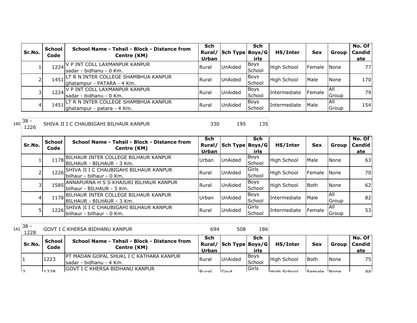| Sr.No. | <b>School</b><br>Code | School Name - Tehsil - Block - Distance from<br>Centre (KM)              | <b>Sch</b><br>Rural/<br>Urban | Sch Type Boys/G | Sch<br>irls    | HS/Inter     | <b>Sex</b>  | Group         | No. Of<br>Candid<br>ate |
|--------|-----------------------|--------------------------------------------------------------------------|-------------------------------|-----------------|----------------|--------------|-------------|---------------|-------------------------|
|        | 1224                  | ' P INT COLL LAXMANPUR KANPUR<br>sadar - bidhanu - 0 Km.                 | <b>Rural</b>                  | UnAided         | Boys<br>School | High School  | Female None |               | 771                     |
|        | 1451                  | LT R N INTER COLLEGE SHAMBHUA KANPUR<br>lghatampur - PATARA - 4 Km.      | Rural                         | <b>UnAided</b>  | Boys<br>School | High School  | Male        | None          | 170                     |
|        |                       | 1224 V P INT COLL LAXMANPUR KANPUR<br>Isadar - bidhanu - 0 Km.           | Rural                         | <b>UnAided</b>  | Boys<br>School | Intermediate | Female      | IAII<br>Group | 79                      |
| 4      |                       | 1451 LT R N INTER COLLEGE SHAMBHUA KANPUR<br>Ighatampur - patara - 4 Km. | Rural                         | UnAided         | Boys<br>School | Intermediate | Male        | IAII<br>Group | 154                     |

<sup>140</sup> 38 - SHIVA JI I C CHAUBIGAHI BILHAUR KANPUR 1230 195 135

| O | 195 |
|---|-----|
|   |     |

| Sr.No. | <b>School</b><br>Code | School Name - Tehsil - Block - Distance from<br>Centre (KM)             | Sch<br>Rural/ | Sch Type   Boys/G | <b>Sch</b>     | HS/Inter            | <b>Sex</b>   | Group         | No. Of<br>Candid |    |
|--------|-----------------------|-------------------------------------------------------------------------|---------------|-------------------|----------------|---------------------|--------------|---------------|------------------|----|
|        |                       |                                                                         | Urban         |                   | irls           |                     |              |               | ate              |    |
|        |                       | 1178 BILHAUR INTER COLLEGE BILHAUR KANPUR<br> BILHAUR - BILHAUR - 3 Km. | Urban         | <b>UnAided</b>    | Boys<br>School | High School         | Male         | None          | 63               |    |
|        |                       | SHIVA JI I C CHAUBIGAHI BILHAUR KANPUR                                  |               |                   | Girls          |                     |              |               |                  |    |
|        | 1226                  | lbilhaur - bilhaur - 0 Km.                                              | Rural         | UnAided           | School         | High School         | Female       | None          | 70I              |    |
|        |                       | 1585 ANNAPURNA H S S KHAJURI BILHAUR KANPUR                             | Rural         | UnAided           | <b>Boys</b>    | High School         | Both         | <b>None</b>   | 62               |    |
|        |                       | lbilhaur - BILHAUR - 5 Km.                                              |               |                   | School         |                     |              |               |                  |    |
|        |                       | 1178 BILHAUR INTER COLLEGE BILHAUR KANPUR                               | Urban         | UnAided           | Boys           | <b>Intermediate</b> | Male         | <b>AII</b>    | 82               |    |
| 4      |                       | IBILHAUR - BILHAUR - 3 Km.                                              |               |                   | School         |                     |              | <b>IGroup</b> |                  |    |
|        | 1226                  | SHIVA JI I C CHAUBIGAHI BILHAUR KANPUR                                  |               |                   | Girls          |                     |              | <b>AII</b>    |                  |    |
|        |                       | bilhaur - bilhaur - 0 Km.                                               | Rural         | <b>UnAided</b>    |                | School              | Intermediate | Female        | Group            | 53 |

 $141 \overline{\big) 38 -}$ GOVT I C KHERSA BIDHANU KANPUR 120 120 120 120 120 120 120 130

|    | Sr.No. | School<br>Code | School Name - Tehsil - Block - Distance from<br>Centre (KM)                 | Sch<br><b>Urban</b> | Rural/ Sch Type Boys/G | Sch<br>irls     | HS/Inter           | <b>Sex</b>  | Group | No. Of<br><b>Candid</b><br>ate |
|----|--------|----------------|-----------------------------------------------------------------------------|---------------------|------------------------|-----------------|--------------------|-------------|-------|--------------------------------|
|    |        | 1223           | <b>IPT MADAN GOPAL SHUKL I C KATHARA KANPUR</b><br>Isadar - bidhanu - 4 Km. | <b>Rural</b>        | <b>UnAided</b>         | IBoys<br>School | High School        | <b>Both</b> | None  | 75                             |
| רו |        | 1122           | <b>IGOVT I C KHERSA BIDHANU KANPUR</b>                                      | احبرروا             | Covt                   | <b>I</b> Girls  | <b>High School</b> | Eomalo Mono |       | $\Lambda$                      |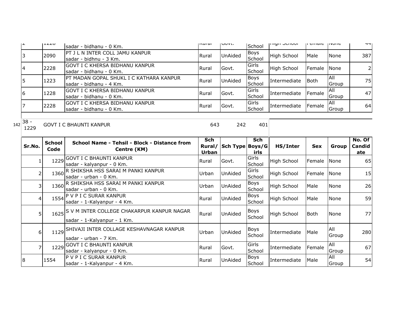| ے ا | LLCO | sadar - bidhanu - 0 Km.                                                     | livui ai     | <b>UUVL.</b>   | School                | ורווערו חדוון       | μ σπιαισ    | <b>טוועצון</b> | ᇽᆍ             |
|-----|------|-----------------------------------------------------------------------------|--------------|----------------|-----------------------|---------------------|-------------|----------------|----------------|
|     | 2090 | IPT J L N INTER COLL JAMU KANPUR<br>lsadar - bidhnu - 3 Km.                 | <b>Rural</b> | <b>UnAided</b> | Boys<br>School        | <b>High School</b>  | Male        | <b>None</b>    | 387            |
|     | 2228 | <b>GOVT I C KHERSA BIDHANU KANPUR</b><br>Isadar - bidhanu - 0 Km.           | Rural        | Govt.          | Girls<br>School       | High School         | Female      | <b>None</b>    | $\overline{2}$ |
|     | 1223 | <b>IPT MADAN GOPAL SHUKL I C KATHARA KANPUR</b><br>Isadar - bidhanu - 4 Km. | Rural        | <b>UnAided</b> | <b>Boys</b><br>School | <b>Intermediate</b> | <b>Both</b> | IAII<br>Group  | 75             |
| 16  | 1228 | IGOVT I C KHERSA BIDHANU KANPUR<br>Isadar - bidhanu - 0 Km.                 | <b>Rural</b> | Govt.          | Girls<br>School       | Intermediate        | Female      | IAII<br>Group  | 47             |
|     | 2228 | IGOVT I C KHERSA BIDHANU KANPUR<br>Isadar - bidhanu - 0 Km.                 | <b>Rural</b> | Govt.          | Girls<br>School       | Intermediate        | Female      | IAII<br>Group  | 64             |

<sup>142</sup> 38 - 1229 GOVT I C BHAUNTI KANPUR 643 242 401

| Sr.No.         | <b>School</b><br>Code | School Name - Tehsil - Block - Distance from<br>Centre (KM)                    | <b>Sch</b><br>Rural/<br>Urban | Sch Type Boys/G | Sch<br>irls           | HS/Inter           | <b>Sex</b> | Group        | No. Of<br>Candid<br><u>ate</u> |
|----------------|-----------------------|--------------------------------------------------------------------------------|-------------------------------|-----------------|-----------------------|--------------------|------------|--------------|--------------------------------|
|                | 1229                  | <b>GOVT I C BHAUNTI KANPUR</b><br>sadar - kalyanpur - 0 Km.                    | Rural                         | Govt.           | Girls<br>School       | <b>High School</b> | Female     | None         | 65                             |
|                |                       | 1360 R SHIKSHA HSS SARAI M PANKI KANPUR<br>sadar - urban - 0 Km.               | Urban                         | <b>UnAided</b>  | Girls<br>School       | High School        | Female     | None         | 15                             |
| 3              |                       | 1360 R SHIKSHA HSS SARAI M PANKI KANPUR<br>sadar - urban - 0 Km.               | Urban                         | <b>UnAided</b>  | Boys<br>School        | High School        | Male       | None         | 26                             |
| $\overline{4}$ |                       | 1554 P V P I C SURAR KANPUR<br>sadar - 1-Kalyanpur - 4 Km.                     | Rural                         | UnAided         | Boys<br>School        | <b>High School</b> | Male       | None         | 59                             |
| 5 <sup>1</sup> |                       | 1625 S V M INTER COLLEGE CHAKARPUR KANPUR NAGAR<br>sadar - 1-Kalyanpur - 1 Km. | Rural                         | <b>UnAided</b>  | Boys<br>School        | <b>High School</b> | l Both     | None         | 77                             |
| $6 \mid$       |                       | 1129 SHIVAJI INTER COLLAGE KESHAVNAGAR KANPUR<br>sadar - urban - 7 Km.         | Urban                         | UnAided         | <b>Boys</b><br>School | Intermediate       | Male       | All<br>Group | 280                            |
|                |                       | 1229 GOVT I C BHAUNTI KANPUR<br>sadar - kalyanpur - 0 Km.                      | Rural                         | Govt.           | Girls<br>School       | Intermediate       | Female     | All<br>Group | 67                             |
| 18             | 1554                  | IP V P I C SURAR KANPUR<br>sadar - 1-Kalyanpur - 4 Km.                         | Rural                         | <b>UnAided</b>  | Boys<br>School        | Intermediate       | Male       | All<br>Group | 54                             |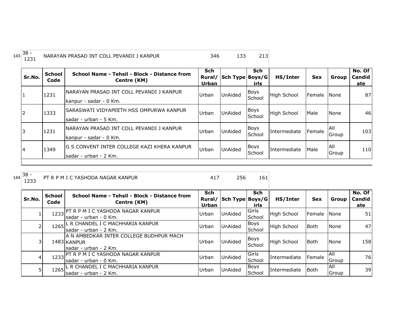| 143 | $38 -$<br>1231 |                       | NARAYAN PRASAD INT COLL PEVANDI J KANPUR                                      | 346                 | 133                    | 213                   |                    |            |                     |                                |
|-----|----------------|-----------------------|-------------------------------------------------------------------------------|---------------------|------------------------|-----------------------|--------------------|------------|---------------------|--------------------------------|
|     | Sr.No.         | <b>School</b><br>Code | School Name - Tehsil - Block - Distance from<br>Centre (KM)                   | Sch<br><b>Urban</b> | Rural/ Sch Type Boys/G | <b>Sch</b><br>irls    | HS/Inter           | <b>Sex</b> | Group               | No. Of<br><b>Candid</b><br>ate |
|     |                | 1231                  | INARAYAN PRASAD INT COLL PEVANDI J KANPUR<br>kanpur - sadar - 0 Km.           | Urban               | <b>UnAided</b>         | Boys<br>School        | <b>High School</b> | Female     | <b>None</b>         | 87                             |
|     | 2              | 1333                  | ISARASWATI VIDYAPEETH HSS OMPURWA KANPUR<br>lsadar - urban - 5 Km.            | Urban               | <b>UnAided</b>         | Boys<br>School        | <b>High School</b> | Male       | None                | 46                             |
|     |                | 1231                  | INARAYAN PRASAD INT COLL PEVANDI J KANPUR<br>kanpur - sadar - 0 Km.           | Urban               | <b>UnAided</b>         | Boys<br>School        | Intermediate       | Female     | IAII<br>Group       | 103                            |
|     | 14             | 1349                  | <b>IG S CONVENT INTER COLLEGE KAZI KHERA KANPUR</b><br>lsadar - urban - 2 Km. | Urban               | <b>UnAided</b>         | <b>Boys</b><br>School | Intermediate       | Male       | <b>AII</b><br>Group | 110                            |

PT R P M I C YASHODA NAGAR KANPUR 417 417 256 161

| Sr.No. | <b>School</b><br>Code | School Name - Tehsil - Block - Distance from<br>Centre (KM)                      | Sch<br>Rural/<br><b>Urban</b> | Sch Type Boys/G | <b>Sch</b><br>irls     | HS/Inter            | <b>Sex</b>    | Group               | No. Of<br><b>Candid</b><br>ate |
|--------|-----------------------|----------------------------------------------------------------------------------|-------------------------------|-----------------|------------------------|---------------------|---------------|---------------------|--------------------------------|
|        | 1233                  | PT R P M I C YASHODA NAGAR KANPUR<br>sadar - urban - 0 Km.                       | Urban                         | <b>UnAided</b>  | <b>Girls</b><br>School | High School         | <b>Female</b> | <b>None</b>         | 51                             |
|        |                       | 1265 L R CHANDEL I C MACHHARIA KANPUR<br>sadar - urban - 2 Km.                   | Urban                         | <b>UnAided</b>  | <b>Boys</b><br>School  | High School         | <b>Both</b>   | None                | 471                            |
|        |                       | A N AMBEDKAR INTER COLLEGE BUDHPUR MACH<br>1483 KANPUR<br>Isadar - urban - 2 Km. | Urban                         | <b>UnAided</b>  | <b>Boys</b><br>School  | <b>High School</b>  | <b>Both</b>   | None                | 158                            |
|        | 1233                  | IPT R P M I C YASHODA NAGAR KANPUR<br>lsadar - urban - 0 Km.                     | Urban                         | <b>UnAided</b>  | Girls<br>School        | <b>Intermediate</b> | Female        | <b>AII</b><br>Group | 76                             |
|        | 1265                  | L R CHANDEL I C MACHHARIA KANPUR<br>Isadar - urban - 2 Km.                       | Urban                         | <b>UnAided</b>  | <b>Boys</b><br>School  | Intermediate        | l Both        | <b>AII</b><br>Group | 39                             |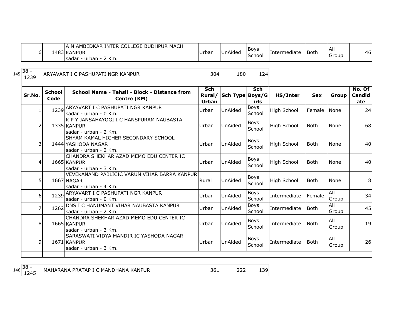|     | 6              |                       | A N AMBEDKAR INTER COLLEGE BUDHPUR MACH<br>1483 KANPUR<br>sadar - urban - 2 Km.     | Urban                                | UnAided         | <b>Boys</b><br>School | Intermediate       | Both        | All<br>Group | 46                          |
|-----|----------------|-----------------------|-------------------------------------------------------------------------------------|--------------------------------------|-----------------|-----------------------|--------------------|-------------|--------------|-----------------------------|
| 145 | $38 -$<br>1239 |                       | ARYAVART I C PASHUPATI NGR KANPUR                                                   | 304                                  | 180             | 124                   |                    |             |              |                             |
|     | Sr.No.         | <b>School</b><br>Code | School Name - Tehsil - Block - Distance from<br>Centre (KM)                         | <b>Sch</b><br>Rural/<br><b>Urban</b> | Sch Type Boys/G | <b>Sch</b><br>irls    | HS/Inter           | <b>Sex</b>  | <b>Group</b> | No. Of $ $<br>Candid<br>ate |
|     | 1              |                       | 1239 ARYAVART I C PASHUPATI NGR KANPUR<br>sadar - urban - 0 Km.                     | Urban                                | UnAided         | <b>Boys</b><br>School | <b>High School</b> | Female      | <b>None</b>  | 24                          |
|     | $\overline{2}$ |                       | K P Y JANSAHAYOGI I C HANSPURAM NAUBASTA<br>1335 KANPUR<br>sadar - urban - 2 Km.    | Urban                                | UnAided         | Boys<br>School        | <b>High School</b> | <b>Both</b> | None         | 68                          |
|     | 3              |                       | SHYAM KAMAL HIGHER SECONDARY SCHOOL<br>1444 YASHODA NAGAR<br>sadar - urban - 2 Km.  | Urban                                | UnAided         | Boys<br>School        | <b>High School</b> | <b>Both</b> | None         | 40 <sup>1</sup>             |
|     | 4              |                       | CHANDRA SHEKHAR AZAD MEMO EDU CENTER IC<br>1665 KANPUR<br>sadar - urban - 3 Km.     | Urban                                | UnAided         | <b>Boys</b><br>School | <b>High School</b> | <b>Both</b> | None         | 40                          |
|     | 5              |                       | VEVEKANAND PABLICIC VARUN VIHAR BARRA KANPUR<br>1667 NAGAR<br>sadar - urban - 4 Km. | Rural                                | UnAided         | Boys<br>School        | <b>High School</b> | <b>Both</b> | None         | 8                           |
|     | 6 <sup>1</sup> |                       | 1239 ARYAVART I C PASHUPATI NGR KANPUR<br>sadar - urban - 0 Km.                     | Urban                                | UnAided         | Boys<br>School        | Intermediate       | Female      | All<br>Group | 34                          |
|     | 7              |                       | 1262 DNS I C HANUMANT VIHAR NAUBASTA KANPUR<br>sadar - urban - 2 Km.                | Urban                                | UnAided         | <b>Boys</b><br>School | Intermediate       | <b>Both</b> | All<br>Group | 45                          |
|     | 8              |                       | CHANDRA SHEKHAR AZAD MEMO EDU CENTER IC<br>1665 KANPUR<br>sadar - urban - 3 Km.     | Urban                                | UnAided         | Boys<br>School        | Intermediate       | Both        | All<br>Group | 19                          |
|     | 9              |                       | SARASWATI VIDYA MANDIR IC YASHODA NAGAR<br>1671 KANPUR<br>sadar - urban - 3 Km.     | Urban                                | UnAided         | Boys<br>School        | Intermediate       | Both        | All<br>Group | 26                          |

MAHARANA PRATAP I C MANDHANA KANPUR 125 222 139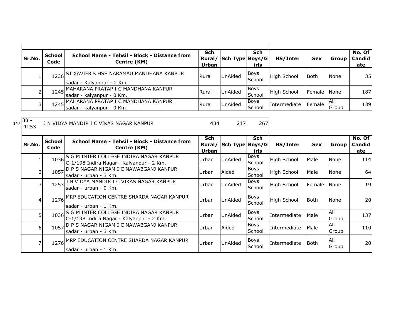|     | Sr.No.         | <b>School</b><br>Code | School Name - Tehsil - Block - Distance from<br>Centre (KM)                              | <b>Sch</b><br>Urban | Rural/ Sch Type Boys/G | <b>Sch</b><br>irls    | HS/Inter     | <b>Sex</b>  | Group               | No. Of<br>Candid<br>ate |
|-----|----------------|-----------------------|------------------------------------------------------------------------------------------|---------------------|------------------------|-----------------------|--------------|-------------|---------------------|-------------------------|
|     |                |                       | 1236 ST XAVIER'S HSS NARAMAU MANDHANA KANPUR<br>sadar - Kalyanpur - 2 Km.                | Rural               | UnAided                | Boys<br>School        | High School  | <b>Both</b> | None                | 35                      |
|     | 2              |                       | 1245 MAHARANA PRATAP I C MANDHANA KANPUR<br>sadar - kalyanpur - 0 Km.                    | Rural               | UnAided                | Boys<br>School        | High School  | Female      | None                | 187                     |
|     | 3              |                       | 1245 MAHARANA PRATAP I C MANDHANA KANPUR<br>sadar - kalyanpur - 0 Km.                    | Rural               | UnAided                | <b>Boys</b><br>School | Intermediate | Female      | All<br>Group        | 139                     |
| 147 | $38 -$<br>1253 |                       | J N VIDYA MANDIR I C VIKAS NAGAR KANPUR                                                  | 484                 | 217                    | 267                   |              |             |                     |                         |
|     | Sr.No.         | <b>School</b><br>Code | School Name - Tehsil - Block - Distance from<br>Centre (KM)                              | Sch<br><b>Urban</b> | Rural/ Sch Type Boys/G | <b>Sch</b><br>irls    | HS/Inter     | <b>Sex</b>  | Group               | No. Of<br>Candid<br>ate |
|     | $\mathbf{1}$   |                       | 1036 S M INTER COLLEGE INDIRA NAGAR KANPUR<br>C-1/198 Indira Nagar - Kalyanpur - 2 Km.   | Urban               | <b>UnAided</b>         | <b>Boys</b><br>School | High School  | Male        | None                | 114                     |
|     | $\mathcal{P}$  |                       | 1057 D P S NAGAR NIGAM I C NAWABGANJ KANPUR<br>sadar - urban - 3 Km.                     | Urban               | Aided                  | Boys<br>School        | High School  | Male        | None                | 64                      |
|     | 3              |                       | 1253 J N VIDYA MANDIR I C VIKAS NAGAR KANPUR<br>sadar - urban - 0 Km.                    | Urban               | <b>UnAided</b>         | Boys<br>School        | High School  | Female      | None                | 19                      |
|     | $\overline{a}$ |                       | 1276 MRP EDUCATION CENTRE SHARDA NAGAR KANPUR<br>lsadar - urban - 1 Km.                  | Urban               | UnAided                | Boys<br>School        | High School  | <b>Both</b> | <b>None</b>         | 20                      |
|     | 5              |                       | 1036 S G M INTER COLLEGE INDIRA NAGAR KANPUR<br>C-1/198 Indira Nagar - Kalyanpur - 2 Km. | Urban               | UnAided                | Boys<br>School        | Intermediate | Male        | <b>All</b><br>Group | 137                     |
|     | 6              | 1057                  | D P S NAGAR NIGAM I C NAWABGANJ KANPUR<br>sadar - urban - 3 Km.                          | Urban               | Aided                  | Boys<br>School        | Intermediate | Male        | All<br>Group        | 110                     |
|     | 7              |                       | 1276 MRP EDUCATION CENTRE SHARDA NAGAR KANPUR<br>sadar - urban - 1 Km.                   | Urban               | UnAided                | <b>Boys</b><br>School | Intermediate | Both        | All<br>Group        | 20                      |

 $\begin{array}{c} \hline \end{array}$ 

 $\mathbf{r}$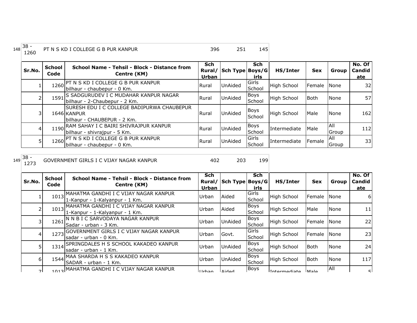| 38 - | PT N S KD I COLLEGE G B PUR KANPUR | 396 | つち |  |
|------|------------------------------------|-----|----|--|
| 1260 |                                    |     |    |  |

| Sr.No. | <b>School</b><br>Code | School Name - Tehsil - Block - Distance from<br>Centre (KM)                               | <b>Sch</b><br>Urban | Rural/ Sch Type Boys/G | <b>Sch</b><br>irls    | HS/Inter           | <b>Sex</b>   | Group         | No. Of<br>Candid<br>ate |
|--------|-----------------------|-------------------------------------------------------------------------------------------|---------------------|------------------------|-----------------------|--------------------|--------------|---------------|-------------------------|
|        |                       | 1260 PT N S KD I COLLEGE G B PUR KANPUR<br>Jbilhaur - chaubepur - 0 Km.                   | Rural               | <b>UnAided</b>         | Girls<br>School       | <b>High School</b> | Female INone |               | 32                      |
|        | 1591                  | <b>S SADGURUDEV I C MUDAHAR KANPUR NAGAR</b><br>bilhaur - 2-Chaubepur - 2 Km.             | Rural               | <b>UnAided</b>         | <b>Boys</b><br>School | High School        | <b>Both</b>  | None          | 57                      |
| 3      |                       | ISURESH EDU I C COLLEGE BADIPURWA CHAUBEPUR<br>1646 KANPUR<br>bilhaur - CHAUBEPUR - 2 Km. | Rural               | <b>UnAided</b>         | Boys<br>School        | <b>High School</b> | Male         | <b>None</b>   | 162                     |
| 41     |                       | 1190 RAM SAHAY I C BAIRI SHIVRAJPUR KANPUR<br>bilhaur - shivrajpur - 5 Km.                | Rural               | UnAided                | Boys<br>School        | Intermediate       | Male         | IAII<br>Group | 112                     |
| 5      | 1260                  | <b>PT N S KD I COLLEGE G B PUR KANPUR</b><br>bilhaur - chaubepur - 0 Km.                  | Rural               | UnAided                | Girls<br>School       | Intermediate       | Female       | IAII<br>Group | 33                      |

148

129 GOVERNMENT GIRLS I C VIJAY NAGAR KANPUR 402 402

| Sr.No. | <b>School</b><br>Code | School Name - Tehsil - Block - Distance from<br>Centre (KM)                  | <b>Sch</b><br>Rural/<br>Urban | Sch Type Boys/G | Sch<br>irls           | HS/Inter           | <b>Sex</b>      | Group        | No. Of<br>Candid<br>ate |
|--------|-----------------------|------------------------------------------------------------------------------|-------------------------------|-----------------|-----------------------|--------------------|-----------------|--------------|-------------------------|
|        | 1013                  | JMAHATMA GANDHI I C VIJAY NAGAR KANPUR<br>1-Kanpur - 1-Kalyanpur - 1 Km.     | Urban                         | Aided           | Girls<br>School       | <b>High School</b> | Female          | <b>N</b> one | 6                       |
|        |                       | 1013 MAHATMA GANDHI I C VIJAY NAGAR KANPUR<br>1-Kanpur - 1-Kalyanpur - 1 Km. | Urban                         | Aided           | <b>Boys</b><br>School | <b>High School</b> | Male            | None         | 11                      |
| 3      | 1261                  | N N B I C SARVODAYA NAGAR KANPUR<br>Sadar - urban - 3 Km.                    | Urban                         | UnAided         | <b>Boys</b><br>School | <b>High School</b> | <b>IFemale</b>  | <b>None</b>  | 22                      |
| 4      | 1273                  | GOVERNMENT GIRLS I C VIJAY NAGAR KANPUR<br>lsadar - urban - 0 Km.            | Urban                         | Govt.           | Girls<br>School       | <b>High School</b> | <b>I</b> Female | <b>None</b>  | 23                      |
| 5.     | 1314                  | SPRINGDALES H S SCHOOL KAKADEO KANPUR<br>lsadar - urban - 1 Km.              | Urban                         | UnAided         | <b>Boys</b><br>School | <b>High School</b> | <b>Both</b>     | None         | 24                      |
| 6      | 1544                  | IMAA SHARDA H S S KAKADEO KANPUR<br>ISADAR - urban - 1 Km.                   | Urban                         | UnAided         | Boys<br>School        | <b>High School</b> | Both            | None         | 117                     |
| 71     |                       | 1013 MAHATMA GANDHI I C VIJAY NAGAR KANPUR                                   | ll Irhan                      | <b>Aidad</b>    | Boys                  | Intermediate       | lMale           | <b>AII</b>   | 司                       |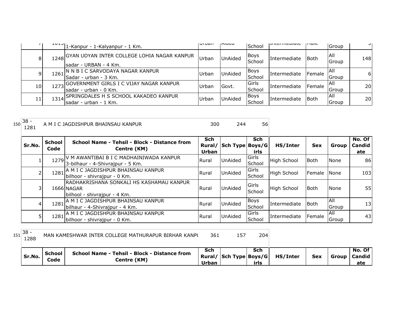|                 |        | $1012$ -Kanpur - 1-Kalyanpur - 1 Km.                                       | <b>ULDAII</b> | mucu    | School                         | <b>LIILCI IIICUIQLC</b> | orunu  | Group         | ᄀ         |
|-----------------|--------|----------------------------------------------------------------------------|---------------|---------|--------------------------------|-------------------------|--------|---------------|-----------|
| 81              |        | 1248 GYAN UDYAN INTER COLLEGE LOHIA NAGAR KANPUR<br>lsadar - URBAN - 4 Km. | Urban         | UnAided | Boys<br>School                 | Intermediate            | l Both | IAII<br>Group | 148       |
| 9               | 1261 I | IN N B I C SARVODAYA NAGAR KANPUR<br>lSadar - urban - 3 Km.                | Urban         | UnAided | Boys<br>School                 | Intermediate            | Female | IAII<br>Group | 61        |
| 10 <sub>l</sub> |        | 1273 GOVERNMENT GIRLS I C VIJAY NAGAR KANPUR<br>Isadar - urban - 0 Km.     | <b>Urban</b>  | Govt.   | <b>IGirls</b><br><b>School</b> | Intermediate            | Female | IAII<br>Group | <b>20</b> |
| 11 <sup>1</sup> |        | 1314 SPRINGDALES H S SCHOOL KAKADEO KANPUR<br>sadar - urban - 1 Km.        | Urban         | UnAided | Boys<br>School                 | Intermediate            | l Both | IAII<br>Group | <b>20</b> |

| 150 | $38 -$<br>1281 |                       | A M I C JAGDISHPUR BHAINSAU KANPUR                                                     | 300                    | 244             | 56                    |                    |             |               |                                |
|-----|----------------|-----------------------|----------------------------------------------------------------------------------------|------------------------|-----------------|-----------------------|--------------------|-------------|---------------|--------------------------------|
|     | Sr.No.         | <b>School</b><br>Code | School Name - Tehsil - Block - Distance from<br>Centre (KM)                            | Sch<br>Rural/<br>Urban | Sch Type Boys/G | <b>Sch</b><br>irls    | HS/Inter           | <b>Sex</b>  | Group         | No. Of<br><b>Candid</b><br>ate |
|     |                |                       | 1279 V M AWANTIBAI B I C MADHAINIWADA KANPUR<br>3-bilhaur - 4-Shivrajpur - 5 Km.       | Rural                  | UnAided         | Girls<br>School       | <b>High School</b> | Both        | None          | 86                             |
|     |                |                       | 1281 A M I C JAGDISHPUR BHAINSAU KANPUR<br>bilhoor - shivrajpur - 0 Km.                | Rural                  | <b>UnAided</b>  | Girls<br>School       | <b>High School</b> | Female      | None          | 103                            |
|     |                |                       | RADHAKRISHANA SONKALI HS KASHAMAU KANPUR<br>1666 NAGAR<br>bilhool - shivrajpur - 4 Km. | Rural                  | <b>UnAided</b>  | Girls<br>School       | <b>High School</b> | Both        | <b>None</b>   | 55                             |
|     | 4              |                       | 1281 A M I C JAGDISHPUR BHAINSAU KANPUR<br>Jbilhaur - 4-Shivraipur - 4 Km.             | Rural                  | <b>UnAided</b>  | <b>Boys</b><br>School | Intermediate       | <b>Both</b> | IAII<br>Group | 13                             |
|     |                |                       | 1281 A M I C JAGDISHPUR BHAINSAU KANPUR<br>bilhoor - shivrajpur - 0 Km.                | Rural                  | <b>UnAided</b>  | Girls<br>School       | Intermediate       | Female      | All<br>Group  | 43                             |

151 38 -<br>1288 1288 MAN KAMESHWAR INTER COLLEGE MATHURAPUR BIRHAR KANPU 361 157 157

| irls<br>Urban | Sr.No. | School Name - Tehsil - Block - Distance from<br><b>School</b><br>centre (KM)<br>Code | Sch<br>Sch<br>Rural/ Sch Type Boys/G | HS/Inter<br><b>Sex</b> | <b>Group   Candid  </b> | No. Of I<br>ate |
|---------------|--------|--------------------------------------------------------------------------------------|--------------------------------------|------------------------|-------------------------|-----------------|
|---------------|--------|--------------------------------------------------------------------------------------|--------------------------------------|------------------------|-------------------------|-----------------|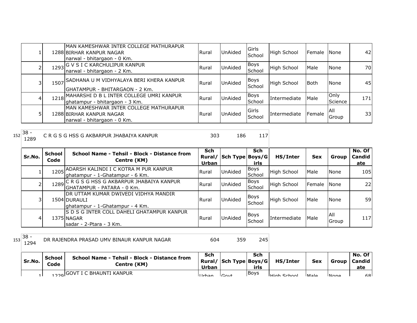|  | MAN KAMESHWAR INTER COLLEGE MATHURAPUR<br>1288 BIRHAR KANPUR NAGAR<br>narwal - bhitargaon - 0 Km. | Rural | UnAided        | Girls<br>School | <b>High School</b> | <b>Female</b> | <b>None</b>     | 42  |
|--|---------------------------------------------------------------------------------------------------|-------|----------------|-----------------|--------------------|---------------|-----------------|-----|
|  | 1293 G V S I C KARCHULIPUR KANPUR<br>narwal - bhitargaon - 2 Km.                                  | Rural | UnAided        | Boys<br>School  | High School        | Male          | None            | 70  |
|  | 1507 SADHANA U M VIDHYALAYA BERI KHERA KANPUR<br>GHATAMPUR - BHITARGAON - 2 Km.                   | Rural | UnAided        | Boys<br>School  | <b>High School</b> | <b>Both</b>   | None            | 45  |
|  | 1218 MAHARSHI D B L INTER COLLEGE UMRI KANPUR<br>ghatampur - bhitargaon - 3 Km.                   | Rural | UnAided        | Boys<br>School  | Intermediate       | Male          | Only<br>Science | 171 |
|  | MAN KAMESHWAR INTER COLLEGE MATHURAPUR<br>1288 BIRHAR KANPUR NAGAR<br>narwal - bhitargaon - 0 Km. | Rural | <b>UnAided</b> | Girls<br>School | Intermediate       | Female        | IAII<br>Group   | 33  |

| 152 | $38 -$<br>1289 |                       | C R G S G HSS G AKBARPUR JHABAIYA KANPUR                                                 | 303                    | 186             | 117                   |              |                 |               |                                |
|-----|----------------|-----------------------|------------------------------------------------------------------------------------------|------------------------|-----------------|-----------------------|--------------|-----------------|---------------|--------------------------------|
|     | Sr.No.         | <b>School</b><br>Code | School Name - Tehsil - Block - Distance from<br>Centre (KM)                              | Sch<br>Rural/<br>Urban | Sch Type Boys/G | <b>Sch</b><br>irls    | HS/Inter     | <b>Sex</b>      | Group         | No. Of<br><b>Candid</b><br>ate |
|     |                |                       | 1205 ADARSH KALINDI I C KOTRA M PUR KANPUR<br>Jghatampur - 1-Ghatampur - 6 Km.           | Rural                  | <b>UnAided</b>  | Boys<br>School        | High School  | Male            | <b>None</b>   | 105I                           |
|     |                |                       | 1289 C R G S G HSS G AKBARPUR JHABAIYA KANPUR<br>IGHATAMPUR - PATARA - 0 Km.             | Rural                  | <b>UnAided</b>  | <b>Boys</b><br>School | High School  | <b>I</b> Female | None          | 22                             |
|     | 31             |                       | IDR UTTAM KUMAR DWIVEDI VIDHYA MANDIR<br>1504 DURAULI<br>ghatampur - 1-Ghatampur - 4 Km. | Rural                  | <b>UnAided</b>  | <b>Boys</b><br>School | High School  | Male            | <b>None</b>   | 59                             |
|     | 4              |                       | IS D S G INTER COLL DAHELI GHATAMPUR KANPUR<br>1375 NAGAR<br>Isadar - 2-Ptara - 3 Km.    | Rural                  | <b>UnAided</b>  | <b>Boys</b><br>School | Intermediate | Male            | IAII<br>Group | 117                            |

DR RAJENDRA PRASAD UMV BINAUR KANPUR NAGAR 604 359 245

| Sr.No. | School<br>Code | <b>School Name - Tehsil - Block - Distance from</b><br>Centre (KM) | Sch<br>Urban | Rural/ Sch Type Boys/G | Sch<br>irls | HS/Inter           | <b>Sex</b>     | Group | No. Of<br>l Candid<br>ate |
|--------|----------------|--------------------------------------------------------------------|--------------|------------------------|-------------|--------------------|----------------|-------|---------------------------|
|        |                | 1220 GOVT I C BHAUNTI KANPUR                                       | ll Irhan     | $C_{\alpha\nu}$        | <b>Boys</b> | <b>High School</b> | M <sub>2</sub> | Inona | 68                        |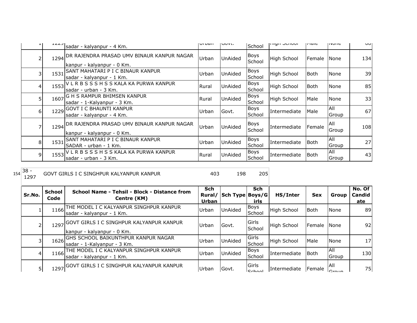|   |      | $1227$ sadar - kalyanpur - 4 Km.                                         | <b>ULDAII</b> | <b>IVUVL.</b>  | School                | ורווערו אווי | <b>THAIC</b> | סווטיון             | וטט |
|---|------|--------------------------------------------------------------------------|---------------|----------------|-----------------------|--------------|--------------|---------------------|-----|
|   | 1294 | DR RAJENDRA PRASAD UMV BINAUR KANPUR NAGAR<br>kanpur - kalyanpur - 0 Km. | Urban         | UnAided        | Boys<br>School        | High School  | Female       | <b>None</b>         | 134 |
| 3 | 1531 | SANT MAHATARI P I C BINAUR KANPUR<br>sadar - kalyanpur - 1 Km.           | Urban         | UnAided        | <b>Boys</b><br>School | High School  | l Both       | <b>None</b>         | 39  |
| 4 | 1553 | VLRBSSSHSSKALA KA PURWA KANPUR<br>sadar - urban - 3 Km.                  | Rural         | UnAided        | Boys<br>School        | High School  | <b>Both</b>  | <b>None</b>         | 85  |
| 5 | 1607 | G H S RAMPUR BHIMSEN KANPUR<br>sadar - 1-Kalyanpur - 3 Km.               | Rural         | <b>UnAided</b> | Boys<br>School        | High School  | Male         | <b>None</b>         | 33  |
| 6 |      | 1229 GOVT I C BHAUNTI KANPUR<br>sadar - kalyanpur - 4 Km.                | Urban         | Govt.          | Boys<br>School        | Intermediate | Male         | All<br>Group        | 67  |
|   | 1294 | DR RAJENDRA PRASAD UMV BINAUR KANPUR NAGAR<br>kanpur - kalyanpur - 0 Km. | Urban         | UnAided        | Boys<br>School        | Intermediate | Female       | <b>AII</b><br>Group | 108 |
| 8 |      | 1531 SANT MAHATARI P I C BINAUR KANPUR<br>SADAR - urban - 1 Km.          | Urban         | UnAided        | Boys<br>School        | Intermediate | Both         | All<br>Group        | 27  |
| 9 | 1553 | VLRBSSSHSSKALA KA PURWA KANPUR<br>sadar - urban - 3 Km.                  | Rural         | UnAided        | Boys<br>School        | Intermediate | <b>Both</b>  | All<br>Group        | 43  |

154 38 -<br>1297

GOVT GIRLS I C SINGHPUR KALYANPUR KANPUR 198 198 205

| Sr.No. | <b>School</b><br>Code | School Name - Tehsil - Block - Distance from<br>Centre (KM)                 | Sch<br>Urban | Rural/ Sch Type Boys/G | <b>Sch</b><br>irls             | HS/Inter     | <b>Sex</b>  | Group               | No. Of<br>Candid<br>ate |
|--------|-----------------------|-----------------------------------------------------------------------------|--------------|------------------------|--------------------------------|--------------|-------------|---------------------|-------------------------|
|        |                       | 1166 THE MODEL I C KALYANPUR SINGHPUR KANPUR<br>sadar - kalyanpur - 1 Km.   | Urban        | <b>UnAided</b>         | <b>Boys</b><br>School          | High School  | <b>Both</b> | None                | 89                      |
|        |                       | 1297 GOVT GIRLS I C SINGHPUR KALYANPUR KANPUR<br>kanpur - kalyanpur - 0 Km. | Urban        | Govt.                  | <b>IGirls</b><br><b>School</b> | High School  | Female      | <b>None</b>         | 92                      |
|        |                       | 1626 GHS SCHOOL BAIKUNTHPUR KANPUR NAGAR<br>sadar - 1-Kalyanpur - 3 Km.     | Urban        | <b>UnAided</b>         | Girls<br>School                | High School  | Male        | None                | 17                      |
|        |                       | 1166 THE MODEL I C KALYANPUR SINGHPUR KANPUR<br>sadar - kalyanpur - 1 Km.   | Urban        | <b>UnAided</b>         | <b>Boys</b><br>School          | Intermediate | <b>Both</b> | <b>AII</b><br>Group | 130                     |
| 5      |                       | 1297 GOVT GIRLS I C SINGHPUR KALYANPUR KANPUR                               | Urban        | Govt.                  | Girls<br>C <sub>2</sub>        | Intermediate | Female      | All                 | 75                      |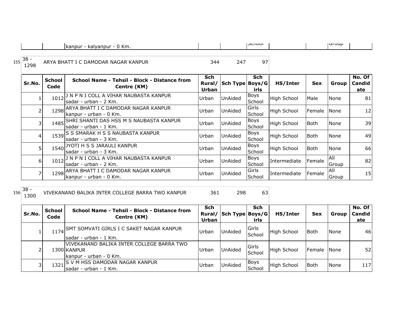| Km.<br><b>kanpur</b><br>kalyanpur | <b>JUIUUI</b> | <b>UUUU</b> |  |
|-----------------------------------|---------------|-------------|--|

## 155 38 -<br>1298 1297 ARYA BHATT I C DAMODAR NAGAR KANPUR 344 247

| Sr.No. | <b>School</b><br>Code | School Name - Tehsil - Block - Distance from<br>Centre (KM)                             | <b>Sch</b><br>Rural/<br>Urban | Sch Type Boys/G | Sch<br>irls           | HS/Inter           | <b>Sex</b>  | Group               | No. Of<br>Candid<br>ate |
|--------|-----------------------|-----------------------------------------------------------------------------------------|-------------------------------|-----------------|-----------------------|--------------------|-------------|---------------------|-------------------------|
|        |                       | . A VIHAR NAUBASTA KANPUR<br>$1012$ <sup>J N P N I COLL</sup><br>Isadar - urban - 2 Km. | Urban                         | <b>UnAided</b>  | <b>Boys</b><br>School | <b>High School</b> | Male        | None                | 81                      |
|        |                       | 1298 ARYA BHATT I C DAMODAR NAGAR KANPUR<br>kanpur - urban - 0 Km.                      | Urban                         | <b>UnAided</b>  | Girls<br>School       | <b>High School</b> | Female      | None                | 12                      |
|        |                       | 1485 SHRI SHANTI DAS HSS M S NAUBASTA KANPUR<br>lsadar - urban - 1 Km.                  | Urban                         | UnAided         | Boys<br>School        | <b>High School</b> | <b>Both</b> | None                | 39                      |
| 4      |                       | 1539 S SMARAK H S S NAUBASTA KANPUR<br>lsadar - urban - 3 Km.                           | Urban                         | <b>UnAided</b>  | <b>Boys</b><br>School | <b>High School</b> | <b>Both</b> | None                | 49                      |
| 5      |                       | 1540 JYOTI H S S JARAULI KANPUR<br>sadar - urban - 3 Km.                                | Urban                         | <b>UnAided</b>  | <b>Boys</b><br>School | <b>High School</b> | Both        | None                | 66                      |
| 6      |                       | 1012 <sup>J N P N I COLL A VIHAR NAUBASTA KANPUR</sup><br>Isadar - urban - 2 Km.        | Urban                         | <b>UnAided</b>  | <b>Boys</b><br>School | Intermediate       | Female      | All<br><b>Group</b> | 82                      |
|        |                       | 1298 ARYA BHATT I C DAMODAR NAGAR KANPUR<br>Ikanpur - urban - 0 Km.                     | Urban                         | UnAided         | Girls<br>School       | Intermediate       | Female      | <b>AII</b><br>Group | 15                      |

 $156 \begin{array}{|c} 38 - 1300 \end{array}$ 

VIVEKANAND BALIKA INTER COLLEGE BARRA TWO KANPUR 361 298 63

| Sr.No. | <b>School</b><br>Code | School Name - Tehsil - Block - Distance from<br>Centre (KM)                         | Sch<br>Rural/<br>Urban | Sch Type Boys/G | Sch<br>irls                   | HS/Inter           | <b>Sex</b>  | Group | No. Of<br><b>Candid</b><br>ate |
|--------|-----------------------|-------------------------------------------------------------------------------------|------------------------|-----------------|-------------------------------|--------------------|-------------|-------|--------------------------------|
|        |                       | 1174 SMT SOMVATI GIRLS I C SAKET NAGAR KANPUR<br>Isadar - urban - 1 Km.             | Urban                  | <b>UnAided</b>  | Girls<br><b>School</b>        | High School        | Both        | None  | 46                             |
| 2      |                       | VIVEKANAND BALIKA INTER COLLEGE BARRA TWO<br>1300 KANPUR<br>Ikanpur - urban - 0 Km. | Urban                  | <b>UnAided</b>  | <b>Girls</b><br><b>School</b> | High School        | Female None |       | 52 <sub>1</sub>                |
| 3      | 1321                  | IS V M HSS DAMODAR NAGAR KANPUR<br>lsadar - urban - 1 Km.                           | Urban                  | <b>UnAided</b>  | Boys<br>School                | <b>High School</b> | Both        | None  | 117                            |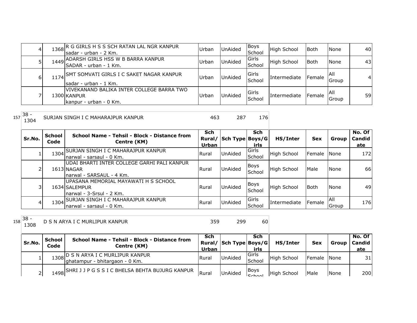|    | 1368 R G GIRLS H S S SCH RATAN LAL NGR KANPUR<br>Isadar - urban - 2 Km.             | Urban | <b>UnAided</b> | Boys<br>School  | <b>High School</b> | <b>Both</b> | <b>None</b>          | 40 |
|----|-------------------------------------------------------------------------------------|-------|----------------|-----------------|--------------------|-------------|----------------------|----|
|    | 1449 ADARSH GIRLS HSS W B BARRA KANPUR<br>SADAR - urban - 1 Km.                     | Urban | <b>UnAided</b> | Girls<br>School | <b>High School</b> | <b>Both</b> | <b>None</b>          | 43 |
| 61 | 1174 SMT SOMVATI GIRLS I C SAKET NAGAR KANPUR<br>Isadar - urban - 1 Km.             | Urban | <b>UnAided</b> | Girls<br>School | Intermediate       | Female      | IAII<br>Group        |    |
|    | IVIVEKANAND BALIKA INTER COLLEGE BARRA TWO<br>1300 KANPUR<br>kanpur - urban - 0 Km. | Urban | <b>UnAided</b> | Girls<br>School | Intermediate       | Female      | <b>IAII</b><br>Group | 59 |

| $\sim$<br>$157$ 38 -<br>(ANPUR<br>IURJAN SINGH I C MAHARAJPUR<br>∼<br>ᅩ<br>$ -$ | $\sim$ $\sim$ |  |
|---------------------------------------------------------------------------------|---------------|--|
|---------------------------------------------------------------------------------|---------------|--|

| Sr.No.         | School<br>Code | School Name - Tehsil - Block - Distance from<br>Centre (KM)                            | Sch<br>Rural/<br>Urban | Sch Type Boys/G | Sch<br>irls           | HS/Inter           | <b>Sex</b>  | Group         | No. Of<br>Candid<br>ate |
|----------------|----------------|----------------------------------------------------------------------------------------|------------------------|-----------------|-----------------------|--------------------|-------------|---------------|-------------------------|
|                |                | 1304 SURJAN SINGH I C MAHARAJPUR KANPUR<br>Inarwal - sarsaul - 0 Km.                   | Rural                  | UnAided         | Girls<br>School       | <b>High School</b> | Female None |               | 172                     |
| $\overline{2}$ |                | lUDAI BHARTI INTER COLLEGE GARHI PALI KANPUR<br>1613 NAGAR<br>narwal - SARSAUL - 4 Km. | Rural                  | <b>UnAided</b>  | Boys<br>School        | <b>High School</b> | Male        | None          | 66                      |
| 31             |                | UPASANA MEMORIAL MAYAWATI H S SCHOOL<br>1634 SALEMPUR<br>Inarwal - 3-Srsul - 2 Km.     | <b>Rural</b>           | <b>UnAided</b>  | <b>Boys</b><br>School | <b>High School</b> | <b>Both</b> | None          | 49                      |
| $\frac{4}{ }$  |                | 1304 SURJAN SINGH I C MAHARAJPUR KANPUR<br>Inarwal - sarsaul - 0 Km.                   | <b>Rural</b>           | <b>UnAided</b>  | Girls<br>School       | Intermediate       | Female      | IAII<br>Group | 176                     |

1308 D S N ARYA I C MURLIPUR KANPUR 359 299 60

| Sr.No. | School<br>Code | School Name - Tehsil - Block - Distance from<br>Centre (KM)           | Sch<br>Urban | Rural/ Sch Type Boys/G | Sch<br>irls           | HS/Inter           | <b>Sex</b>  |             | No. Of<br>Group   Candid  <br>ate |
|--------|----------------|-----------------------------------------------------------------------|--------------|------------------------|-----------------------|--------------------|-------------|-------------|-----------------------------------|
|        |                | 1308 D S N ARYA I C MURLIPUR KANPUR<br>ghatampur - bhitargaon - 0 Km. | Rural        | UnAided                | lGirls<br>School      | <b>High School</b> | Female None |             | 31I                               |
|        |                | 1498 SHRI J J P G S S I C BHELSA BEHTA BUJURG KANPUR                  | Rurai        | <b>UnAided</b>         | <b>IBoys</b><br>Schon | <b>High School</b> | <b>Male</b> | <b>None</b> | 200                               |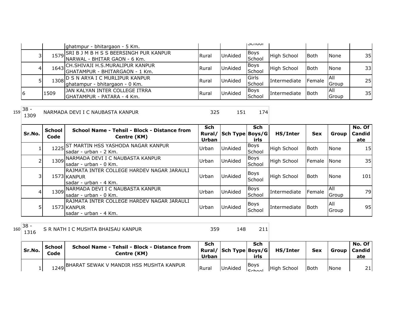|                |      | ghatmpur - bhitargaon - 5 Km.                                               |              |                | <b>JUIUUI</b>         |              |             |                     |                 |
|----------------|------|-----------------------------------------------------------------------------|--------------|----------------|-----------------------|--------------|-------------|---------------------|-----------------|
|                |      | 1579 SRI B J M B H S S BEERSINGH PUR KANPUR<br>NARWAL - BHITAR GAON - 6 Km. | <b>Rural</b> | UnAided        | Boys<br>School        | High School  | Both        | None                | 35 <sup>1</sup> |
| 4              |      | 1643 CH.SHIVAJI H.S.MURALIPUR KANPUR<br>IGHATAMPUR - BHITARGAON - 1 Km.     | Rural        | <b>UnAided</b> | Boys<br>School        | High School  | <b>Both</b> | None                | 33 <sup>1</sup> |
|                | 1308 | ID S N ARYA I C MURLIPUR KANPUR.<br>ghatampur - bhitargaon - 0 Km.          | <b>Rural</b> | <b>UnAided</b> | Girls<br>School       | Intermediate | Female      | IAII<br>Group       | 25 <sub>l</sub> |
| $\overline{6}$ | 1509 | JAN KALYAN INTER COLLEGE ITRRA<br><b> GHATAMPUR - PATARA - 4 Km.</b>        | Rural        | <b>UnAided</b> | <b>Boys</b><br>School | Intermediate | l Both      | <b>All</b><br>Group | 35I             |

159 38 -<br>1309

NARMADA DEVI I C NAUBASTA KANPUR 1999 125 151 174

| Sr.No. | <b>School</b><br>Code | School Name - Tehsil - Block - Distance from<br>Centre (KM)                          | <b>Sch</b><br>Rural/<br>Urban | Sch Type Boys/G | Sch<br>irls           | HS/Inter           | <b>Sex</b>     | Group                 | No. Of<br><b>Candid</b><br>ate |
|--------|-----------------------|--------------------------------------------------------------------------------------|-------------------------------|-----------------|-----------------------|--------------------|----------------|-----------------------|--------------------------------|
|        | 1225                  | <b>ST MARTIN HSS YASHODA NAGAR KANPUR</b><br>Isadar - urban - 2 Km.                  | Urban                         | UnAided         | <b>Boys</b><br>School | <b>High School</b> | <b>Both</b>    | <b>None</b>           | 15                             |
|        |                       | 1309 NARMADA DEVI I C NAUBASTA KANPUR<br>Isadar - urban - 0 Km.                      | Urban                         | UnAided         | Boys<br>School        | <b>High School</b> | <b>IFemale</b> | <b>N</b> one          | 35                             |
| 31     |                       | IRAJMATA INTER COLLEGE HARDEV NAGAR JARAULI<br>1573 KANPUR<br>Isadar - urban - 4 Km. | Urban                         | UnAided         | <b>Boys</b><br>School | <b>High School</b> | <b>Both</b>    | None                  | 101                            |
| 41     | 1309                  | INARMADA DEVI I C NAUBASTA KANPUR<br>Isadar - urban - 0 Km.                          | Urban                         | UnAided         | Boys<br>School        | Intermediate       | Female         | IAII<br><b>IGroup</b> | 79                             |
|        |                       | RAJMATA INTER COLLEGE HARDEV NAGAR JARAULI<br>1573 KANPUR<br>Isadar - urban - 4 Km.  | Urban                         | UnAided         | Boys<br>School        | Intermediate       | Both           | IAII<br><b>Group</b>  | 95                             |

<sup>160</sup> 38 -

S R NATH I C MUSHTA BHAISAU KANPUR 15 8 148 11

| Sr.No. | School<br>Code | <b>School Name - Tehsil - Block - Distance from</b><br>Centre (KM) | Sch<br>Urban | Rural/ Sch Type Boys/G | Sch<br>irls          | HS/Inter           | <b>Sex</b>  | Group I | No. Of<br><b>Candid</b><br>ate |
|--------|----------------|--------------------------------------------------------------------|--------------|------------------------|----------------------|--------------------|-------------|---------|--------------------------------|
|        |                | 1249 BHARAT SEWAK V MANDIR HSS MUSHTA KANPUR                       | Rural        | <b>UnAided</b>         | <b>Boys</b><br>Cohoo | <b>High School</b> | <b>Both</b> | None    | 21                             |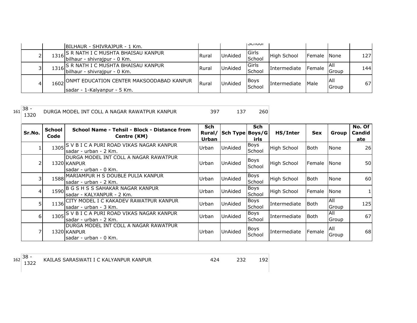|   | BILHAUR - SHIVRAJPUR - 1 Km.                                                 |              |                | <b>IJUIUUI</b>          |                    |                 |                     |     |
|---|------------------------------------------------------------------------------|--------------|----------------|-------------------------|--------------------|-----------------|---------------------|-----|
|   | 1316 S R NATH I C MUSHTA BHAISAU KANPUR<br> bilhaur - shivrajpur - 0 Km.     | <b>Rural</b> | <b>UnAided</b> | Girls<br><b>School</b>  | <b>High School</b> | Female None     |                     | 127 |
|   | 1316 S. R. NATH I C MUSHTA BHAISAU KANPUR<br>bilhaur - shivrajpur - 0 Km.    | <b>Rural</b> | <b>UnAided</b> | <b>IGirls</b><br>School | Intermediate       | <b>I</b> Female | IAII<br>Group       | 144 |
| 4 | 1602 ONMT EDUCATION CENTER MAKSOODABAD KANPUR<br>sadar - 1-Kalyanpur - 5 Km. | Rural        | UnAided        | <b>Boys</b><br>School   | Intermediate       | <b>Male</b>     | <b>AII</b><br>Group | 67  |

161 38 -<br>1320 DURGA MODEL INT COLL A NAGAR RAWATPUR KANPUR 397 137 260

|                | School | School Name - Tehsil - Block - Distance from  | Sch    |                 | Sch         |                    |             |               | No. Of |
|----------------|--------|-----------------------------------------------|--------|-----------------|-------------|--------------------|-------------|---------------|--------|
| Sr.No.         | Code   | Centre (KM)                                   | Rural/ | Sch Type Boys/G |             | HS/Inter           | <b>Sex</b>  | Group         | Candid |
|                |        |                                               | Urban  |                 | irls        |                    |             |               | ate    |
|                |        | 1305 S V B I C A PURI ROAD VIKAS NAGAR KANPUR | Urban  | <b>UnAided</b>  | <b>Boys</b> | <b>High School</b> | <b>Both</b> | None          | 26     |
|                |        | Isadar - urban - 2 Km.                        |        |                 | School      |                    |             |               |        |
|                |        | IDURGA MODEL INT COLL A NAGAR RAWATPUR        |        |                 | Boys        |                    |             |               |        |
| 2              |        | 1320 KANPUR                                   | Urban  | <b>UnAided</b>  | School      | <b>High School</b> | Female None |               | 50     |
|                |        | sadar - urban - 0 Km.                         |        |                 |             |                    |             |               |        |
| 3              |        | 1588 MARIAMPUR H S DOUBLE PULIA KANPUR        | Urban  | UnAided         | Boys        | High School        | <b>Both</b> | None          | 60     |
|                |        | sadar - urban - 2 Km.                         |        |                 | School      |                    |             |               |        |
| 4              |        | 1590 B G S H S S SAHAKAR NAGAR KANPUR         | Urban  | UnAided         | <b>Boys</b> | <b>High School</b> | Female      | <b>I</b> None |        |
|                |        | sadar - KALYANPUR - 2 Km.                     |        |                 | School      |                    |             |               |        |
| 5 <sup>1</sup> |        | 1136 CITY MODEL I C KAKADEV RAWATPUR KANPUR   | Urban  | UnAided         | <b>Boys</b> | Intermediate       | <b>Both</b> | All           | 125    |
|                |        | Isadar - urban - 3 Km.                        |        |                 | School      |                    |             | Group         |        |
|                | 1305   | S V B I C A PURI ROAD VIKAS NAGAR KANPUR      |        |                 | <b>Boys</b> |                    |             | All           |        |
| 6I             |        | sadar - urban - 2 Km.                         | Urban  | UnAided         | School      | Intermediate       | Both        | Group         | 67     |
|                |        | DURGA MODEL INT COLL A NAGAR RAWATPUR         |        |                 |             |                    |             | IAII          |        |
| ⇁              |        | 1320 KANPUR                                   | Urban  | <b>UnAided</b>  | Boys        | Intermediate       | Female      |               | 68     |
|                |        | sadar - urban - 0 Km.                         |        |                 | School      |                    |             | Group         |        |

KAILAS SARASWATI I C KALYANPUR KANPUR 424 232 192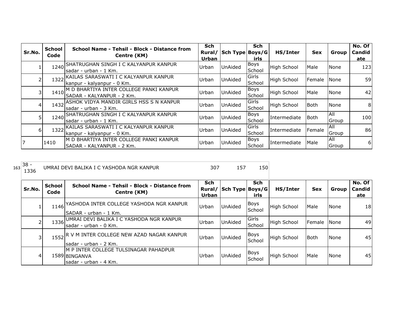| Sr.No. | <b>School</b><br>Code | School Name - Tehsil - Block - Distance from<br>Centre (KM)           | <b>Sch</b><br>Rural/<br>Urban | Sch Type   Boys/G | <b>Sch</b><br>irls    | HS/Inter           | <b>Sex</b>  | Group         | No. Of<br><b>Candid</b><br>ate |
|--------|-----------------------|-----------------------------------------------------------------------|-------------------------------|-------------------|-----------------------|--------------------|-------------|---------------|--------------------------------|
|        | 1240                  | SHATRUGHAN SINGH I C KALYANPUR KANPUR<br>sadar - urban - 1 Km.        | Urban                         | UnAided           | Boys<br>School        | <b>High School</b> | Male        | <b>None</b>   | 123                            |
|        | 1322                  | KAILAS SARASWATI I C KALYANPUR KANPUR<br>kanpur - kalyanpur - 0 Km.   | Urban                         | <b>UnAided</b>    | Girls<br>School       | <b>High School</b> | Female      | <b>None</b>   | 59                             |
|        | 1410                  | M D BHARTIYA INTER COLLEGE PANKI KANPUR<br>SADAR - KALYANPUR - 2 Km.  | Urban                         | UnAided           | <b>Boys</b><br>School | <b>High School</b> | Male        | None          | 42                             |
| 4      |                       | 1432 ASHOK VIDYA MANDIR GIRLS HSS S N KANPUR<br>sadar - urban - 3 Km. | Urban                         | <b>UnAided</b>    | Girls<br>School       | <b>High School</b> | <b>Both</b> | None          | 8                              |
|        | 1240                  | SHATRUGHAN SINGH I C KALYANPUR KANPUR<br>sadar - urban - 1 Km.        | Urban                         | UnAided           | <b>Boys</b><br>School | Intermediate       | l Both      | All<br>Group  | 100                            |
| 6      | 1322                  | KAILAS SARASWATI I C KALYANPUR KANPUR<br>kanpur - kalyanpur - 0 Km.   | Urban                         | UnAided           | Girls<br>School       | Intermediate       | Female      | All<br>Group  | 86                             |
|        | 1410                  | M D BHARTIYA INTER COLLEGE PANKI KANPUR<br>SADAR - KALYANPUR - 2 Km.  | Urban                         | <b>UnAided</b>    | <b>Boys</b><br>School | Intermediate       | Male        | IAII<br>Group | 6                              |

| 163 | $38 -$<br>1336 |                       | UMRAI DEVI BALIKA I C YASHODA NGR KANPUR                                         | 307                 | 157                    | 150                   |                    |            |             |                         |
|-----|----------------|-----------------------|----------------------------------------------------------------------------------|---------------------|------------------------|-----------------------|--------------------|------------|-------------|-------------------------|
|     | Sr.No.         | <b>School</b><br>Code | School Name - Tehsil - Block - Distance from<br>Centre (KM)                      | <b>Sch</b><br>Urban | Rural/ Sch Type Boys/G | <b>Sch</b><br>irls    | HS/Inter           | <b>Sex</b> | Group       | No. Of<br>Candid<br>ate |
|     |                |                       | 1146 YASHODA INTER COLLEGE YASHODA NGR KANPUR<br>ISADAR - urban - 1 Km.          | Urban               | <b>UnAided</b>         | <b>Boys</b><br>School | High School        | Male       | <b>None</b> | 18                      |
|     |                |                       | 1336 UMRAI DEVI BALIKA I C YASHODA NGR KANPUR<br>Isadar - urban - 0 Km.          | Urban               | UnAided                | Girls<br>School       | <b>High School</b> | Female     | l None      | 49                      |
|     | 31             |                       | 1552 R V M INTER COLLEGE NEW AZAD NAGAR KANPUR<br>sadar - urban - 2 Km.          | Urban               | <b>UnAided</b>         | <b>Boys</b><br>School | High School        | Both       | <b>None</b> | 45                      |
|     | 4              |                       | M P INTER COLLEGE TULSINAGAR PAHADPUR<br>1589 BINGANVA<br>Isadar - urban - 4 Km. | Urban               | UnAided                | <b>Boys</b><br>School | <b>High School</b> | Male       | <b>None</b> | 45                      |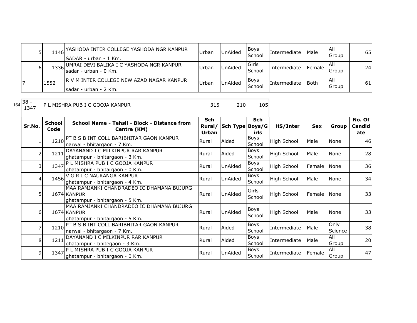|   |      | 1146 YASHODA INTER COLLEGE YASHODA NGR KANPUR<br>ISADAR - urban - 1 Km. | Urban | UnAided        | <b>Boys</b><br>School | <b>Intermediate</b> | Male   | IAII<br>Group | 65 |
|---|------|-------------------------------------------------------------------------|-------|----------------|-----------------------|---------------------|--------|---------------|----|
| ы |      | 1336 UMRAI DEVI BALIKA I C YASHODA NGR KANPUR<br>Isadar - urban - 0 Km. | Urbar | UnAided        | lGirls<br>School      | Intermediate        | Female | IAII<br>Group | 24 |
|   | 1552 | IR V M INTER COLLEGE NEW AZAD NAGAR KANPUR<br>Isadar - urban - 2 Km.    | Urbar | <b>UnAided</b> | <b>Boys</b><br>School | <b>Intermediate</b> | Both   | IAII<br>Group | 61 |

P L MISHRA PUB I C GOOJA KANPUR 315 210 105

| Sr.No.         | <b>School</b><br>Code | School Name - Tehsil - Block - Distance from<br>Centre (KM)                                | <b>Sch</b><br>Rural/ | Sch Type Boys/G | <b>Sch</b>             | HS/Inter           | <b>Sex</b> | Group           | No. Of<br>Candid |
|----------------|-----------------------|--------------------------------------------------------------------------------------------|----------------------|-----------------|------------------------|--------------------|------------|-----------------|------------------|
|                |                       | 1210 PT B S B INT COLL BARIBHITAR GAON KANPUR<br>narwal - bhitargaon - 7 Km.               | Urban<br>Rural       | Aided           | irls<br>Boys<br>School | <b>High School</b> | Male       | None            | ate<br>46        |
| 2              | 1211                  | DAYANAND I C MILKINPUR RAR KANPUR<br>ghatampur - bhitargaon - 3 Km.                        | Rural                | Aided           | Boys<br>School         | <b>High School</b> | Male       | None            | 28               |
| 3              | 1347                  | P L MISHRA PUB I C GOOJA KANPUR<br>ghatampur - bhitargaon - 0 Km.                          | Rural                | UnAided         | <b>Boys</b><br>School  | <b>High School</b> | Female     | None            | 36               |
| $\overline{4}$ | 1456                  | V G R I C NAURANGA KANPUR<br>ghatampur - bhitargaon - 4 Km.                                | Rural                | UnAided         | Boys<br>School         | <b>High School</b> | Male       | None            | 34               |
| 5              |                       | MAA RAMJANKI CHANDRADEO IC DHAMANA BUJURG<br>1674 KANPUR<br>ghatampur - bhitargaon - 5 Km. | Rural                | UnAided         | Girls<br>School        | High School        | Female     | None            | 33               |
| 6              |                       | MAA RAMJANKI CHANDRADEO IC DHAMANA BUJURG<br>1674 KANPUR<br>ghatampur - bhitargaon - 5 Km. | Rural                | UnAided         | Boys<br>School         | <b>High School</b> | Male       | None            | 33               |
|                | 1210                  | PT B S B INT COLL BARIBHITAR GAON KANPUR<br>narwal - bhitargaon - 7 Km.                    | Rural                | Aided           | Boys<br>School         | Intermediate       | Male       | Only<br>Science | 38               |
| 8 <sup>1</sup> | 1211                  | DAYANAND I C MILKINPUR RAR KANPUR<br>ghatampur - bhitegaon - 3 Km.                         | Rural                | Aided           | <b>Boys</b><br>School  | Intermediate       | Male       | All<br>Group    | 20               |
| 9              | 1347                  | P L MISHRA PUB I C GOOJA KANPUR<br>ghatampur - bhitargaon - 0 Km.                          | Rural                | <b>UnAided</b>  | <b>Boys</b><br>School  | Intermediate       | Female     | All<br>Group    | 47               |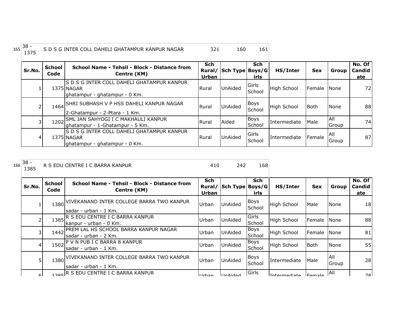| $165$ <sup>38</sup><br>S D S G INTER COLL DAHELI GHATAMPUR KANPUR NAGAR |  |
|-------------------------------------------------------------------------|--|

| Sr.No. | <b>School</b><br>Code | School Name - Tehsil - Block - Distance from<br>Centre (KM)                                | Sch<br>Rural/<br><b>Urban</b> | Sch Type Boys/G | <b>Sch</b><br>irls | HS/Inter           | <b>Sex</b>  | Group                 | No. Of<br><b>Candid</b><br>ate |
|--------|-----------------------|--------------------------------------------------------------------------------------------|-------------------------------|-----------------|--------------------|--------------------|-------------|-----------------------|--------------------------------|
|        |                       | IS D S G INTER COLL DAHELI GHATAMPUR KANPUR<br>1375 NAGAR<br>ghatampur - ghatampur - 0 Km. | <b>Rural</b>                  | <b>UnAided</b>  | Girls<br>School    | <b>High School</b> | Female None |                       | 72                             |
|        |                       | 1464 SHRI SUBHASH V P HSS DAHELI KANPUR NAGAR<br>2-Ghatampur - 2-Ptara - 1 Km.             | l Rural                       | <b>UnAided</b>  | Boys<br>School     | High School        | <b>Both</b> | None                  | 88                             |
|        | 1202                  | SML JAN SAHYOGI I C MAKHAULI KANPUR<br>ghatampur - 1-Ghatampur - 5 Km.                     | <b>Rural</b>                  | Aided           | Boys<br>School     | Intermediate       | Male        | IAII<br>Group         | 74                             |
| 4      |                       | S D S G INTER COLL DAHELI GHATAMPUR KANPUR<br>1375 NAGAR<br>lghatampur - ghatampur - 0 Km. | <b>Rural</b>                  | UnAided         | Girls<br>School    | Intermediate       | Female      | IAII<br><b>IGroup</b> | 87                             |

|     | 38   |
|-----|------|
| 166 | 1385 |

R S EDU CENTRE I C BARRA KANPUR 410 242 168

| Sr.No.          | <b>School</b><br>Code | School Name - Tehsil - Block - Distance from<br>Centre (KM)                 | <b>Sch</b><br>Rural/<br><b>Urban</b> | Sch Type Boys/G | <b>Sch</b><br>irls    | HS/Inter            | <b>Sex</b>     | Group         | No. Of<br><b>Candid</b><br>ate |
|-----------------|-----------------------|-----------------------------------------------------------------------------|--------------------------------------|-----------------|-----------------------|---------------------|----------------|---------------|--------------------------------|
|                 | 1380                  | <u>IVIVEKANAND INTER COLLEGE BARRA TWO KANPUR</u><br>lsadar - urban - 1 Km. | Urban                                | UnAided         | <b>Boys</b><br>School | <b>High School</b>  | Male           | None          | 18                             |
| $\overline{2}$  | 1385                  | IR S EDU CENTRE I C BARRA KANPUR<br>Ikanpur - urban - 0 Km.                 | Urban                                | UnAided         | Girls<br>School       | <b>High School</b>  | Female         | <b>None</b>   | 88                             |
| 3               |                       | 1442 PREM LAL HS SCHOOL BARRA KANPUR NAGAR<br>Isadar - urban - 2 Km.        | Urban                                | <b>UnAided</b>  | <b>Boys</b><br>School | <b>High School</b>  | Female         | <b>None</b>   | 81                             |
| $\vert 4 \vert$ |                       | 1502 P V N PUB I C BARRA 8 KANPUR<br>Isadar - urban - 1 Km.                 | Urban                                | UnAided         | <b>Boys</b><br>School | <b>High School</b>  | <b>Both</b>    | None          | 55                             |
| 5               |                       | 1380 VIVEKANAND INTER COLLEGE BARRA TWO KANPUR<br>lsadar - urban - 1 Km.    | Urban                                | <b>UnAided</b>  | Boys<br>School        | Intermediate        | Male           | IAII<br>Group | 28                             |
| 6I              |                       | 385 R S EDU CENTRE I C BARRA KANPUR                                         | ll Irhan                             | <b>HinAidad</b> | Girls                 | <b>Intermediate</b> | <u>IFamala</u> | <b>All</b>    | 78I                            |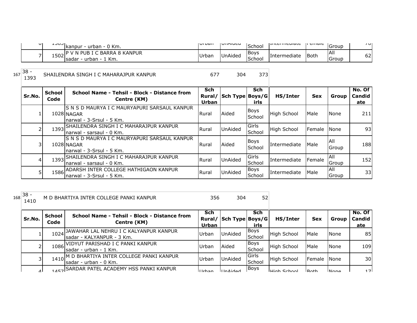| υı | ᆠᆚᅛ<br>$\cdot$ - urban - 0 Km.<br><b>Ikanpur</b>                   | i vi van | <b>I</b> UIMUCU | School                          | <b>ITHCHROUGH</b>   | i cinaic | IGroup              | וט ז |
|----|--------------------------------------------------------------------|----------|-----------------|---------------------------------|---------------------|----------|---------------------|------|
| -  | I PUB I C BARRA 8 KANPUR<br>1502<br>' Km.<br>- urban - 1<br>Isadar | Urban    | UnAided         | <b>Boys</b><br>$\sim$<br>School | <b>Intermediate</b> | Both     | <b>AII</b><br>Group | 62   |

167 38 -<br>1393 SHAILENDRA SINGH I C MAHARAJPUR KANPUR 10 1 1 1 1 1 1 1 1 1 1 373

| Sr.No. | <b>School</b><br>Code | School Name - Tehsil - Block - Distance from<br>Centre (KM)                              | <b>Sch</b><br>Urban | Rural/ Sch Type Boys/G | <b>Sch</b><br>irls    | HS/Inter           | <b>Sex</b>     | Group                       | No. Of<br><b>Candid</b><br>ate |
|--------|-----------------------|------------------------------------------------------------------------------------------|---------------------|------------------------|-----------------------|--------------------|----------------|-----------------------------|--------------------------------|
|        |                       | IS N S D MAURYA I C MAURYAPURI SARSAUL KANPUR<br>1028 NAGAR<br>Inarwal - 3-Srsul - 5 Km. | Rural               | Aided                  | <b>Boys</b><br>School | <b>High School</b> | Male           | None                        | 211                            |
|        |                       | 1393 SHAILENDRA SINGH I C MAHARAJPUR KANPUR<br>Inarwal - sarsaul - 0 Km.                 | <b>Rural</b>        | <b>UnAided</b>         | Girls<br>School       | High School        | <b>IFemale</b> | <b>None</b>                 | 93 <sub>l</sub>                |
|        |                       | IS N S D MAURYA I C MAURYAPURI SARSAUL KANPUR<br>1028 NAGAR<br>Inarwal - 3-Srsul - 5 Km. | Rural               | Aided                  | Boys<br>School        | Intermediate       | Male           | IAII<br><b>IGroup</b>       | 188                            |
| 4      |                       | 1393 SHAILENDRA SINGH I C MAHARAJPUR KANPUR<br>Inarwal - sarsaul - 0 Km.                 | Rural               | <b>UnAided</b>         | Girls<br>School       | Intermediate       | Female         | All<br><b>IGroup</b>        | 152                            |
| 5      |                       | 1586 ADARSH INTER COLLEGE HATHIGAON KANPUR<br>Inarwal - 3-Srsul - 5 Km.                  | Rural               | <b>UnAided</b>         | Boys<br>School        | Intermediate       | Male           | <b>AII</b><br><b>IGroup</b> | 33                             |

| $\sim$<br>$100 -$<br>10č | BHARTIYA INTER COLLEGE PANKI<br>.ΔNP'<br>M |  | -- |
|--------------------------|--------------------------------------------|--|----|
|                          |                                            |  |    |

| Sr.No.    | School<br>Code | School Name - Tehsil - Block - Distance from<br>Centre (KM)            | Sch<br>Urban | Rural/ Sch Type Boys/G | Sch<br>irls           | HS/Inter            | <b>Sex</b>         | Group        | No. Of<br>Candid<br>ate |
|-----------|----------------|------------------------------------------------------------------------|--------------|------------------------|-----------------------|---------------------|--------------------|--------------|-------------------------|
|           | 1024           | JAWAHAR LAL NEHRU I C KALYANPUR KANPUR<br>sadar - KALYANPUR - 3 Km.    | Urban        | UnAided                | <b>Boys</b><br>School | High School         | Male               | None         | 85                      |
|           |                | 1086 VIDYUT PARISHAD I C PANKI KANPUR<br>Isadar - urban - 1 Km.        | Urban        | Aided                  | Boys<br>School        | <b>High School</b>  | Male               | None         | 109                     |
|           |                | 1410 M D BHARTIYA INTER COLLEGE PANKI KANPUR<br>Isadar - urban - 0 Km. | Urban        | UnAided                | Girls<br>School       | <b>High School</b>  | Female             | <b>None</b>  | 30                      |
| $\Lambda$ |                | 1457 SARDAR PATEL ACADEMY HSS PANKI KANPUR                             | l Irhan      | l In Nidod             | <b>Boys</b>           | <b>LHigh School</b> | IR <sub>o</sub> th | <b>INone</b> | 17 <sub>1</sub>         |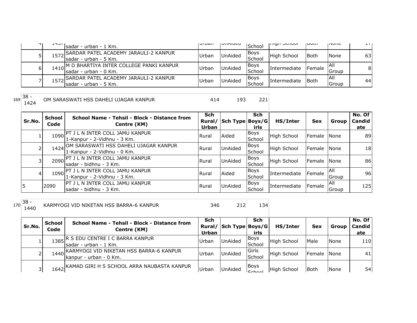| T I | LTJ/I | Isadar - urban - 1 Km.                                               | i vi vari | VIIMUCU        | School                | ורווטרו אינו וואס   | ווטש   | סווטצוו              | $\perp$ / $\perp$ |
|-----|-------|----------------------------------------------------------------------|-----------|----------------|-----------------------|---------------------|--------|----------------------|-------------------|
|     | 1572  | SARDAR PATEL ACADEMY JARAULI-2 KANPUR<br>Isadar - urban - 5 Km.      | Urban     | <b>UnAided</b> | <b>Boys</b><br>School | High School         | lBoth  | None                 | 63I               |
| 61  | 1410  | √M D BHARTIYA INTER COLLEGE PANKI KANPUR<br>Isadar - urban - 0 Km.   | Urban     | <b>UnAided</b> | <b>Boys</b><br>School | <i>Intermediate</i> | Female | IAII<br>Group        | 81                |
|     |       | 1572 SARDAR PATEL ACADEMY JARAULI-2 KANPUR<br>Isadar - urban - 5 Km. | Urban     | <b>UnAided</b> | <b>Boys</b><br>School | <b>Intermediate</b> | l Both | IAII<br><b>Group</b> | 44                |

 $169 \overline{\)38 - 1424}$ 

OM SARASWATI HSS DAHELI UJAGAR KANPUR 1944 193 221

| Sr.No. | School<br>Code | School Name - Tehsil - Block - Distance from<br>Centre (KM)               | <b>Sch</b><br>Rural/<br>Urban | Sch Type Boys/G | <b>Sch</b><br>irls    | HS/Inter            | <b>Sex</b>           | Group         | No. Of<br>Candid<br>ate |
|--------|----------------|---------------------------------------------------------------------------|-------------------------------|-----------------|-----------------------|---------------------|----------------------|---------------|-------------------------|
|        | 1090           | IPT J L N INTER COLL JAMU KANPUR!<br>1-Kanpur - 2-Vidhnu - 3 Km.          | <b>Rural</b>                  | Aided           | Boys<br>School        | High School         | <b>IFemale INone</b> |               | 89I                     |
|        |                | 1424 OM SARASWATI HSS DAHELI UJAGAR KANPUR<br>1-Kanpur - 2-Vidhnu - 0 Km. | <b>Rural</b>                  | UnAided         | <b>Boys</b><br>School | High School         | Female None          |               | 18 <sup>l</sup>         |
|        |                | 2090 PT J L N INTER COLL JAMU KANPUR<br>sadar - bidhnu - 3 Km.            | Rural                         | UnAided         | <b>Boys</b><br>School | <b>High School</b>  | Female None          |               | 86                      |
| 4      |                | 1090 PT J L N INTER COLL JAMU KANPUR<br>1-Kanpur - 2-Vidhnu - 3 Km.       | l Rural                       | Aided           | <b>Boys</b><br>School | <b>Intermediate</b> | Female               | IAII<br>Group | 96                      |
|        | 2090           | <b>PT J L N INTER COLL JAMU KANPUR</b><br>sadar - bidhnu - 3 Km.          | <b>Rural</b>                  | UnAided         | Boys<br>School        | <b>Intermediate</b> | Female               | IAII<br>Group | 125                     |

<sup>170</sup> 38 -

KARMYOGI VID NIKETAN HSS BARRA-6 KANPUR 346 212 134

| Sr.No. | School<br>Code | School Name - Tehsil - Block - Distance from<br>Centre (KM)            | Sch<br>Urban | Rural/ Sch Type Boys/G | Sch<br>irls             | HS/Inter           | <b>Sex</b>  | Group | No. Of<br><b>Candid</b><br>ate |
|--------|----------------|------------------------------------------------------------------------|--------------|------------------------|-------------------------|--------------------|-------------|-------|--------------------------------|
|        | 1385           | . R S EDU CENTRE I C BARRA KANPUR<br>Isadar - urban - 1 Km.            | Urban        | <b>UnAided</b>         | Boys<br><b>ISchool</b>  | <b>High School</b> | Male        | None  | 110                            |
|        |                | 1440 KARMYOGI VID NIKETAN HSS BARRA-6 KANPUR<br>kanpur - urban - 0 Km. | Urban        | <b>UnAided</b>         | <b>IGirls</b><br>School | <b>High School</b> | Female None |       | 41                             |
| 31     |                | 1642 KAMAD GIRI H S SCHOOL ARRA NAUBASTA KANPUR                        | <b>Urban</b> | UnAided                | Boys<br>C <sub>ch</sub> | <b>High School</b> | lBoth       | None  | 54                             |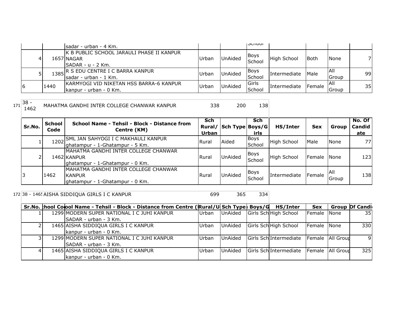|    |      | Isadar - urban - 4 Km.                                                              |       |                | וטטווטטו              |              |             |               |    |
|----|------|-------------------------------------------------------------------------------------|-------|----------------|-----------------------|--------------|-------------|---------------|----|
| 4  |      | <b>K B PUBLIC SCHOOL JARAULI PHASE II KANPUR</b><br>1657 NAGAR<br>SADAR - u - 2 Km. | Urban | <b>UnAided</b> | <b>Boys</b><br>School | High School  | <b>Both</b> | <b>None</b>   |    |
|    |      | 1385 R S EDU CENTRE I C BARRA KANPUR<br>Isadar - urban - 1 Km.                      | Urban | <b>UnAided</b> | Boys<br>School        | Intermediate | Male        | IAII<br>Group | 99 |
| 16 | 1440 | IKARMYOGI VID NIKETAN HSS BARRA-6 KANPUR<br>kanpur - urban - 0 Km.                  | Urban | <b>UnAided</b> | Girls<br>School       | Intermediate | Female      | IAII<br>Group | 35 |

MAHATMA GANDHI INTER COLLEGE CHANWAR KANPUR 338 200 138

| Sr.No. | <b>School</b><br>Code | School Name - Tehsil - Block - Distance from<br>Centre (KM)                               | <b>Sch</b><br>Urban | Rural/ Sch Type Boys/G | Sch<br>irls    | HS/Inter            | <b>Sex</b>  | Group                | No. Of<br>Candid<br>ate |
|--------|-----------------------|-------------------------------------------------------------------------------------------|---------------------|------------------------|----------------|---------------------|-------------|----------------------|-------------------------|
|        |                       | 1202 SML JAN SAHYOGI I C MAKHAULI KANPUR<br>ghatampur - 1-Ghatampur - 5 Km.               | Rural               | Aided                  | Boys<br>School | High School         | Male        | None                 | 77I                     |
| ∍      |                       | MAHATMA GANDHI INTER COLLEGE CHANWAR<br>1462 KANPUR<br>ghatampur - 1-Ghatampur - 0 Km.    | Rural               | UnAided                | Boys<br>School | High School         | Female None |                      | 123                     |
|        | 1462                  | IMAHATMA GANDHI INTER COLLEGE CHANWAR<br><b>KANPUR</b><br>ghatampur - 1-Ghatampur - 0 Km. | Rural               | <b>UnAided</b>         | Boys<br>School | <b>Intermediate</b> | Female      | <b>IAII</b><br>Group | 138                     |

172 38 - 1465 AISHA SIDDIQUA GIRLS I C KANPUR 699 699 365 334

|  | Sr.No. thool Colool Name - Tehsil - Block - Distance from Centre (Rural/U Sch Type) Boys/G HS/Inter |       |         |                                           | <b>Sex</b>  | <b>Group Of Candi</b> |
|--|-----------------------------------------------------------------------------------------------------|-------|---------|-------------------------------------------|-------------|-----------------------|
|  | 1299 MODERN SUPER NATIONAL I C JUHI KANPUR                                                          | Urban | UnAided | Girls Sch High School                     | Female None | 35                    |
|  | SADAR - urban - 3 Km.                                                                               |       |         |                                           |             |                       |
|  | 1465 AISHA SIDDIQUA GIRLS I C KANPUR                                                                | Urban | UnAided | Girls Sch High School                     | Female None | 330                   |
|  | kanpur - urban - 0 Km.                                                                              |       |         |                                           |             |                       |
|  | 1299 MODERN SUPER NATIONAL I C JUHI KANPUR                                                          | Urban | UnAided | Girls SchlIntermediate Female   All Group |             |                       |
|  | <b>ISADAR</b> - urban - 3 Km.                                                                       |       |         |                                           |             |                       |
|  | 1465 AISHA SIDDIQUA GIRLS I C KANPUR                                                                | Urban | UnAided | Girls SchlIntermediate Female   All Group |             | 325                   |
|  | kanpur - urban - 0 Km.                                                                              |       |         |                                           |             |                       |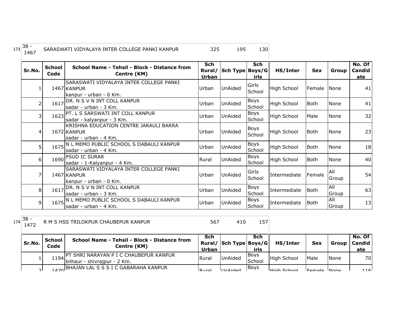| $173 38 -$<br>$146^-$ | SARASWATI VIDYALAYA INTER COLLEGE PANKI KANPUR |  | 195 | 130 |
|-----------------------|------------------------------------------------|--|-----|-----|
|-----------------------|------------------------------------------------|--|-----|-----|

| Sr.No.         | <b>School</b><br>Code | School Name - Tehsil - Block - Distance from<br>Centre (KM)                       | Sch<br>Urban | Rural/ Sch Type Boys/G | <b>Sch</b><br>irls    | HS/Inter           | <b>Sex</b>  | <b>Group</b> | No. Of<br>Candid<br>ate |
|----------------|-----------------------|-----------------------------------------------------------------------------------|--------------|------------------------|-----------------------|--------------------|-------------|--------------|-------------------------|
| 1              |                       | SARASWATI VIDYALAYA INTER COLLEGE PANKI<br>1467 KANPUR<br>kanpur - urban - 0 Km.  | Urban        | <b>UnAided</b>         | Girls<br>School       | <b>High School</b> | Female      | None         | 41                      |
| $\overline{2}$ | 1617                  | DR. N S V N INT COLL KANPUR<br>sadar - urban - 3 Km.                              | Urban        | UnAided                | Boys<br>School        | <b>High School</b> | <b>Both</b> | <b>None</b>  | 41                      |
| 3              |                       | 1623 PT. L S SARSWATI INT COLL KANPUR<br>sadar - kalyanpur - 3 Km.                | Urban        | UnAided                | <b>Boys</b><br>School | <b>High School</b> | Male        | <b>None</b>  | 32                      |
| $\overline{4}$ |                       | KRISHNA EDUCATION CENTRE JARAULI BARRA<br>1672 KANPUR<br>sadar - urban - 4 Km.    | Urban        | UnAided                | <b>Boys</b><br>School | <b>High School</b> | <b>Both</b> | None         | 23                      |
| 5              |                       | 1675 N L MEMO PUBLIC SCHOOL S DABAULI KANPUR<br>sadar - urban - 4 Km.             | Urban        | UnAided                | <b>Boys</b><br>School | <b>High School</b> | <b>Both</b> | <b>None</b>  | 18                      |
| 6              |                       | 1690 PSUD IC SURAR<br>sadar - 1-Kalyanpur - 4 Km.                                 | Rural        | UnAided                | <b>Boys</b><br>School | <b>High School</b> | <b>Both</b> | None         | 40                      |
| 7              |                       | SARASWATI VIDYALAYA INTER COLLEGE PANKI<br>1467 KANPUR<br>lkanpur - urban - 0 Km. | Urban        | <b>UnAided</b>         | Girls<br>School       | Intermediate       | Female      | All<br>Group | 54                      |
| 8 <sup>1</sup> | 1617                  | DR. N S V N INT COLL KANPUR<br>sadar - urban - 3 Km.                              | Urban        | <b>UnAided</b>         | Boys<br>School        | Intermediate       | Both        | All<br>Group | 63                      |
| $\overline{9}$ |                       | 1675 N L MEMO PUBLIC SCHOOL S DABAULI KANPUR<br>lsadar - urban - 4 Km.            | Urban        | UnAided                | Boys<br>School        | Intermediate       | Both        | All<br>Group | 13                      |

R M S HSS TRILOKPUR CHAUBEPUR KANPUR 157 567 410 157

| Sr.No. | School<br>Code | School Name - Tehsil - Block - Distance from<br>Centre (KM)           | Sch<br>Urban | Rural/ Sch Type Boys/G | Sch<br>irls           | HS/Inter           | <b>Sex</b>  | Group | No. Of<br>Candid I<br>ate |
|--------|----------------|-----------------------------------------------------------------------|--------------|------------------------|-----------------------|--------------------|-------------|-------|---------------------------|
|        | 1194           | ' SHRI NARAYAN P I C CHAUBEPUR KANPUR<br>bilhaur - shivrajpur - 2 Km. | Rural        | <b>UnAided</b>         | <b>Boys</b><br>School | <b>High School</b> | Male        | None  | 70                        |
|        |                | 1470 BHAJAN LAL S S S I C GABARAHA KANPUR                             | $D_{11}$ ra  | <b>UInAidad</b>        | IBovs                 | High School        | Eemale None |       | 116 <sup>1</sup>          |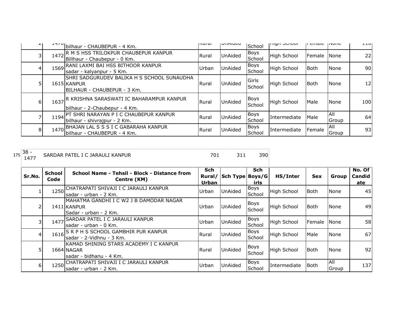|   |      | """   bilhaur - CHAUBEPUR - 4 Km.                                                                | nsurar | UIIMIUCU | School          | <b>THALL OCHOOL</b> | ם כוחמוכ | 111011C             | ᆂᆂᇦ             |
|---|------|--------------------------------------------------------------------------------------------------|--------|----------|-----------------|---------------------|----------|---------------------|-----------------|
|   | 1472 | R M S HSS TRILOKPUR CHAUBEPUR KANPUR<br>Billhaur - Chaubepur - 0 Km.                             | Rural  | UnAided  | Boys<br>School  | <b>High School</b>  | Female   | <b>None</b>         | 22              |
|   |      | 1569 RANI LAXMI BAI HSS BITHOOR KANPUR<br>sadar - kalyanpur - 5 Km.                              | Urban  | UnAided  | Boys<br>School  | <b>High School</b>  | Both     | <b>None</b>         | 90 <sup>1</sup> |
|   |      | SHRI SADGURUDEV BALIKA H S SCHOOL SUNAUDHA<br>1615 KANPUR<br><b>IBILHAUR - CHAUBEPUR - 3 Km.</b> | Rural  | UnAided  | Girls<br>School | <b>High School</b>  | Both     | None                | 12              |
| 6 | 1637 | IR KRISHNA SARASWATI IC BAHARAMPUR KANPUR<br>bilhaur - 2-Chaubepur - 4 Km.                       | Rural  | UnAided  | Boys<br>School  | <b>High School</b>  | Male     | None                | 100             |
|   | 1194 | PT SHRI NARAYAN P I C CHAUBEPUR KANPUR<br>bilhaur - shivrajpur - 2 Km.                           | Rural  | UnAided  | Boys<br>School  | Intermediate        | Male     | All<br>Group        | 64              |
| 8 | 1470 | BHAJAN LAL S S S I C GABARAHA KANPUR]<br>lbilhaur - CHAUBEPUR - 4 Km.                            | Rural  | UnAided  | Boys<br>School  | Intermediate        | Female   | <b>AII</b><br>Group | 93              |

147 SARDAR PATEL I C JARAULI KANPUR 1477 SARDAR 1910 201

| Sr.No. | <b>School</b><br>Code | School Name - Tehsil - Block - Distance from<br>Centre (KM)                      | <b>Sch</b><br>Rural/<br>Urban | Sch Type Boys/G | <b>Sch</b><br>irls    | HS/Inter           | <b>Sex</b>  | Group        | No. Of<br><b>Candid</b><br>ate |
|--------|-----------------------|----------------------------------------------------------------------------------|-------------------------------|-----------------|-----------------------|--------------------|-------------|--------------|--------------------------------|
|        | 1250                  | CHATRAPATI SHIVAJI I C JARAULI KANPUR<br>Isadar - urban - 2 Km.                  | Urban                         | <b>UnAided</b>  | <b>Boys</b><br>School | <b>High School</b> | <b>Both</b> | None         | 45                             |
|        |                       | MAHATMA GANDHI I C W2 J B DAMODAR NAGAR<br>1411 KANPUR<br>lSadar - urban - 2 Km. | Urban                         | <b>UnAided</b>  | Boys<br>School        | <b>High School</b> | <b>Both</b> | None         | 49                             |
|        |                       | 1477 SARDAR PATEL I C JARAULI KANPUR<br>Isadar - urban - 0 Km.                   | Urban                         | <b>UnAided</b>  | <b>Boys</b><br>School | High School        | Female      | None         | 58                             |
| 41     |                       | 1616 S R P H S SCHOOL GAMBHIR PUR KANPUR<br>sadar - 2-Vidhnu - 3 Km.             | Rural                         | <b>UnAided</b>  | Boys<br>School        | <b>High School</b> | Male        | <b>None</b>  | 67                             |
|        |                       | IKAMAD SHINING STARS ACADEMY I C KANPUR<br>1664 NAGAR<br>sadar - bidhanu - 4 Km. | <b>Rural</b>                  | <b>UnAided</b>  | <b>Boys</b><br>School | <b>High School</b> | <b>Both</b> | None         | 92                             |
| 61     | 1250                  | CHATRAPATI SHIVAJI I C JARAULI KANPUR<br>sadar - urban - 2 Km.                   | Urban                         | <b>UnAided</b>  | <b>Boys</b><br>School | Intermediate       | l Both      | All<br>Group | 137I                           |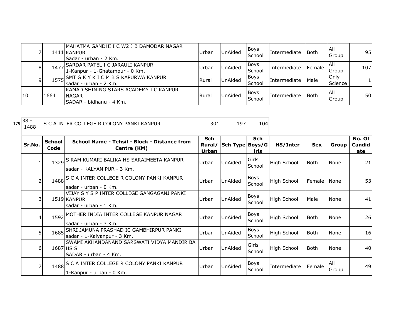|    |      | IMAHATMA GANDHI I C W2 J B DAMODAR NAGAR<br>1411 KANPUR<br>Sadar - urban - 2 Km.   | Urban        | <b>UnAided</b> | Boys<br>School        | Intermediate | Both   | <b>All</b><br>Group    | 95  |
|----|------|------------------------------------------------------------------------------------|--------------|----------------|-----------------------|--------------|--------|------------------------|-----|
| 8  | 1477 | , SARDAR PATEL I C JARAULI KANPUR<br>1-Kanpur - 1-Ghatampur - 0 Km.                | Urban        | <b>UnAided</b> | Boys<br><b>School</b> | Intermediate | Female | IAII<br>Group          | 107 |
| 91 |      | 1575 SMT G K Y K I C M B S KAPURWA KANPUR<br>Isadar - urban - 2 Km.                | <b>Rural</b> | UnAided        | <b>Boys</b><br>School | Intermediate | Male   | Only<br><b>Science</b> |     |
| 10 | 1664 | IKAMAD SHINING STARS ACADEMY I C KANPUR<br><b>NAGAR</b><br>SADAR - bidhanu - 4 Km. | Rural        | <b>UnAided</b> | Boys<br>School        | Intermediate | Both   | <b>AII</b><br>Group    | 50  |

| 179 | $38 -$<br>1488 | S C A INTER COLLEGE R COLONY PANKI KANPUR |                                                                                     | 301                    | 197             | 104                   |                     |             |               |                         |
|-----|----------------|-------------------------------------------|-------------------------------------------------------------------------------------|------------------------|-----------------|-----------------------|---------------------|-------------|---------------|-------------------------|
|     | Sr.No.         | <b>School</b><br>Code                     | School Name - Tehsil - Block - Distance from<br>Centre (KM)                         | Sch<br>Rural/<br>Urban | Sch Type Boys/G | <b>Sch</b><br>irls    | HS/Inter            | <b>Sex</b>  | Group         | No. Of<br>Candid<br>ate |
|     |                |                                           | 1329 S RAM KUMARI BALIKA HS SARAIMEETA KANPUR<br>sadar - KALYAN PUR - 3 Km.         | Urban                  | UnAided         | Girls<br>School       | <b>High School</b>  | <b>Both</b> | <b>None</b>   | 21                      |
|     |                |                                           | 1488 S C A INTER COLLEGE R COLONY PANKI KANPUR<br>Isadar - urban - 0 Km.            | Urban                  | UnAided         | <b>Boys</b><br>School | High School         | Female      | l None        | 53                      |
|     |                |                                           | VIJAY S Y S P INTER COLLEGE GANGAGANJ PANKI<br>1519 KANPUR<br>sadar - urban - 1 Km. | Urban                  | UnAided         | Boys<br>School        | <b>High School</b>  | Male        | <b>None</b>   | 41                      |
|     | 4              |                                           | 1592 MOTHER INDIA INTER COLLEGE KANPUR NAGAR<br>sadar - urban - 3 Km.               | Urban                  | UnAided         | <b>Boys</b><br>School | <b>High School</b>  | <b>Both</b> | <b>None</b>   | 26                      |
|     | 5              |                                           | 1685 SHRI JAMUNA PRASHAD IC GAMBHIRPUR PANKI<br>sadar - 1-Kalyanpur - 3 Km.         | Urban                  | <b>UnAided</b>  | Boys<br>School        | <b>High School</b>  | <b>Both</b> | <b>None</b>   | 16                      |
|     | 6              |                                           | SWAMI AKHANDANAND SARSWATI VIDYA MANDIR BA<br>1687 HS S<br>SADAR - urban - 4 Km.    | Urban                  | UnAided         | Girls<br>School       | <b>High School</b>  | <b>Both</b> | <b>None</b>   | 40                      |
|     | 7              |                                           | 1488 S C A INTER COLLEGE R COLONY PANKI KANPUR<br>1-Kanpur - urban - 0 Km.          | Urban                  | UnAided         | Boys<br>School        | <b>Intermediate</b> | Female      | IAII<br>Group | 49                      |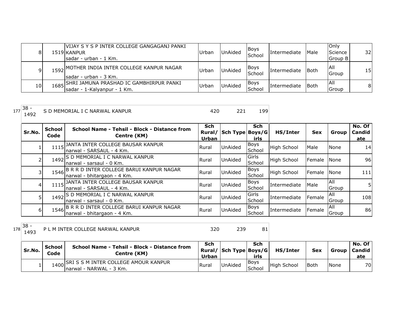| 81  | IVIJAY S Y S P INTER COLLEGE GANGAGANJ PANKI<br>1519 KANPUR<br>Isadar - urban - 1 Km. | Urban | <b>UnAided</b> | Boys<br>School        | Intermediate | Male  | <b>Only</b><br>Science<br>Group B | 32I |
|-----|---------------------------------------------------------------------------------------|-------|----------------|-----------------------|--------------|-------|-----------------------------------|-----|
| q.  | 1592 MOTHER INDIA INTER COLLEGE KANPUR NAGAR<br>Isadar - urban - 3 Km.                | Urban | <b>UnAided</b> | <b>Boys</b><br>School | Intermediate | lBoth | <b>AII</b><br>Group               | 15I |
| 101 | 1685 SHRI JAMUNA PRASHAD IC GAMBHIRPUR PANKI<br>sadar - 1-Kalyanpur - 1 Km.           | Urban | <b>UnAided</b> | <b>Boys</b><br>School | Intermediate | lBoth | IAII<br><b>Group</b>              | 81  |

<sup>177</sup> 38 - S D MEMORIAL I C NARWAL KANPUR 199

| Sr.No. | <b>School</b><br>Code | School Name - Tehsil - Block - Distance from<br>Centre (KM)                  | Sch<br>Rural/<br>Urban | Sch Type Boys/G | <b>Sch</b><br>irls    | HS/Inter           | <b>Sex</b>   | Group               | No. Of<br>Candid<br>ate |
|--------|-----------------------|------------------------------------------------------------------------------|------------------------|-----------------|-----------------------|--------------------|--------------|---------------------|-------------------------|
|        |                       | 1115 JANTA INTER COLLEGE BAUSAR KANPUR<br>Inarwal - SARSAUL - 4 Km.          | Rural                  | <b>UnAided</b>  | <b>Boys</b><br>School | <b>High School</b> | Male         | None                | 14                      |
|        |                       | 1492 S D MEMORIAL I C NARWAL KANPUR<br>narwal - sarsaul - 0 Km.              | Rural                  | <b>UnAided</b>  | Girls<br>School       | <b>High School</b> | Female INone |                     | 96                      |
| 3      |                       | 1546 B R R D INTER COLLEGE BARUI KANPUR NAGAR<br>narwal - bhitargaon - 4 Km. | Rural                  | <b>UnAided</b>  | <b>Boys</b><br>School | <b>High School</b> | Female       | <b>None</b>         | 111                     |
| 41     |                       | 1115 JANTA INTER COLLEGE BAUSAR KANPUR<br>Inarwal - SARSAUL - 4 Km.          | Rural                  | <b>UnAided</b>  | <b>Boys</b><br>School | Intermediate       | Male         | IAII<br>Group       | 51                      |
| 5      |                       | 1492 S D MEMORIAL I C NARWAL KANPUR<br>narwal - sarsaul - 0 Km.              | Rural                  | <b>UnAided</b>  | Girls<br>School       | Intermediate       | Female       | <b>AII</b><br>Group | 108                     |
| 61     |                       | 1546 B R R D INTER COLLEGE BARUI KANPUR NAGAR<br>narwal - bhitargaon - 4 Km. | Rural                  | UnAided         | <b>Boys</b><br>School | Intermediate       | Female       | IAII<br>Group       | 86                      |

<sup>178</sup> 38 -

P L M INTER COLLEGE NARWAL KANPUR 320 320 339 81

| Sr.No. | School<br>Code | School Name - Tehsil - Block - Distance from<br>Centre (KM)           | Sch<br>Urban | Rural/   Sch Type   Boys/G | Sch<br>irls     | <b>HS/Inter</b> | Sex         | Group I | No. Of<br><b>Candid</b><br>ate |
|--------|----------------|-----------------------------------------------------------------------|--------------|----------------------------|-----------------|-----------------|-------------|---------|--------------------------------|
|        |                | 1400 SRI S S M INTER COLLEGE AMOUR KANPUR<br>Inarwal - NARWAL - 3 Km. | <b>Rural</b> | <b>UnAided</b>             | IBovs<br>School | High School     | <b>Both</b> | None    | 70                             |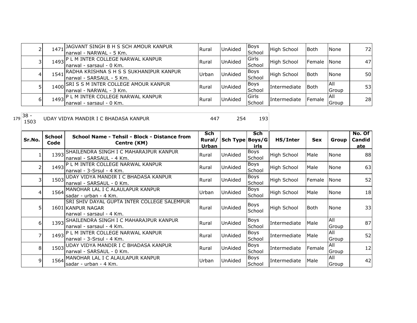|    | 1471 | JAGVANT SINGH B H S SCH AMOUR KANPUR<br>Inarwal - NARWAL - 5 Km.      | Rural        | <b>UnAided</b> | <b>Boys</b><br>School | <b>High School</b> | <b>Both</b>  | <b>None</b>   | 72I |
|----|------|-----------------------------------------------------------------------|--------------|----------------|-----------------------|--------------------|--------------|---------------|-----|
|    |      | 1493 P L M INTER COLLEGE NARWAL KANPUR<br>Inarwal - sarsaul - 0 Km.   | <b>Rural</b> | <b>UnAided</b> | Girls<br>School       | High School        | Female INone |               | 47  |
|    | 1541 | RADHA KRISHNA S H S S SUKHANIPUR KANPUR<br>Inarwal - SARSAUL - 5 Km.  | Urban        | <b>UnAided</b> | <b>Boys</b><br>School | High School        | <b>Both</b>  | <b>None</b>   | 50  |
|    |      | 1400 SRI S S M INTER COLLEGE AMOUR KANPUR<br>Inarwal - NARWAL - 3 Km. | <b>Rural</b> | <b>UnAided</b> | <b>Boys</b><br>School | Intermediate       | <b>Both</b>  | IAII<br>Group | 53  |
| 61 |      | 1493 P L M INTER COLLEGE NARWAL KANPUR<br>Inarwal - sarsaul - 0 Km.   | <b>Rural</b> | UnAided        | Girls<br>School       | Intermediate       | Female       | IAII<br>Group | 28  |

<sup>179</sup> 38 - UDAY VIDYA MANDIR I C BHADASA KANPUR 447 254 193

| Sr.No.         | <b>School</b><br>Code | School Name - Tehsil - Block - Distance from<br>Centre (KM)                                  | <b>Sch</b><br>Rural/<br><b>Urban</b> | Sch Type Boys/G | Sch<br>irls           | HS/Inter     | <b>Sex</b>    | Group        | No. Of<br>Candid<br>ate |
|----------------|-----------------------|----------------------------------------------------------------------------------------------|--------------------------------------|-----------------|-----------------------|--------------|---------------|--------------|-------------------------|
|                | 1393                  | SHAILENDRA SINGH I C MAHARAJPUR KANPUR<br>narwal - SARSAUL - 4 Km.                           | Rural                                | <b>UnAided</b>  | <b>Boys</b><br>School | High School  | Male          | None         | 88                      |
| $\overline{2}$ | 1493                  | P L M INTER COLLEGE NARWAL KANPUR<br>narwal - 3-Srsul - 4 Km.                                | Rural                                | UnAided         | <b>Boys</b><br>School | High School  | Male          | None         | 63                      |
| 3 <sup>1</sup> |                       | 1503 UDAY VIDYA MANDIR I C BHADASA KANPUR<br>narwal - SARSAUL - 0 Km.                        | Rural                                | <b>UnAided</b>  | Boys<br>School        | High School  | Female        | <b>INone</b> | 52                      |
| 4              |                       | 1564 MANOHAR LAL I C ALAULAPUR KANPUR<br>Isadar - urban - 4 Km.                              | Urban                                | UnAided         | Boys<br>School        | High School  | Male          | None         | 18                      |
| 5 <sub>1</sub> |                       | SRI SHIV DAYAL GUPTA INTER COLLEGE SALEMPUR<br>1601 KANPUR NAGAR<br>narwal - sarsaul - 4 Km. | Rural                                | <b>UnAided</b>  | Boys<br>School        | High School  | Both          | None         | 33                      |
| 6              |                       | 1393 SHAILENDRA SINGH I C MAHARAJPUR KANPUR<br>narwal - sarsaul - 4 Km.                      | Rural                                | UnAided         | Boys<br>School        | Intermediate | Male          | All<br>Group | 87                      |
| 7              |                       | 1493 P L M INTER COLLEGE NARWAL KANPUR<br>narwal - 3-Srsul - 4 Km.                           | Rural                                | <b>UnAided</b>  | Boys<br>School        | Intermediate | Male          | All<br>Group | 52                      |
| 8 <sup>1</sup> |                       | 1503 UDAY VIDYA MANDIR I C BHADASA KANPUR<br>narwal - SARSAUL - 0 Km.                        | Rural                                | <b>UnAided</b>  | Boys<br>School        | Intermediate | <b>Female</b> | All<br>Group | 12                      |
| 9              |                       | 1564 MANOHAR LAL I C ALAULAPUR KANPUR<br>Isadar - urban - 4 Km.                              | Urban                                | <b>UnAided</b>  | Boys<br>School        | Intermediate | Male          | All<br>Group | 42                      |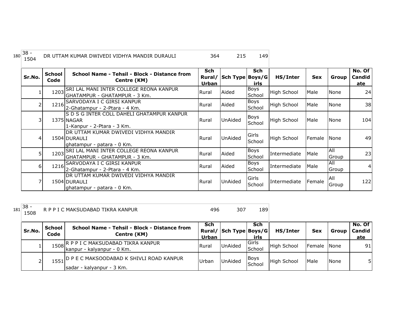| 180 | $38 -$<br>1504 |                       | DR UTTAM KUMAR DWIVEDI VIDHYA MANDIR DURAULI                                            | 364                 | 215                    | 149                |                    |            |              |                         |
|-----|----------------|-----------------------|-----------------------------------------------------------------------------------------|---------------------|------------------------|--------------------|--------------------|------------|--------------|-------------------------|
|     | Sr.No.         | <b>School</b><br>Code | School Name - Tehsil - Block - Distance from<br>Centre (KM)                             | <b>Sch</b><br>Urban | Rural/ Sch Type Boys/G | <b>Sch</b><br>irls | HS/Inter           | <b>Sex</b> | Group        | No. Of<br>Candid<br>ate |
|     |                |                       | 1203 SRI LAL MANI INTER COLLEGE REONA KANPUR<br>IGHATAMPUR - GHATAMPUR - 3 Km.          | Rural               | Aided                  | Boys<br>School     | <b>High School</b> | Male       | None         | 24 <sup>1</sup>         |
|     |                |                       | 1216 SARVODAYA I C GIRSI KANPUR<br>2-Ghatampur - 2-Ptara - 4 Km.                        | Rural               | Aided                  | Boys<br>School     | High School        | Male       | None         | 38                      |
|     | 3              |                       | IS D S G INTER COLL DAHELI GHATAMPUR KANPUR<br>1375 NAGAR<br>1-Kanpur - 2-Ptara - 3 Km. | Rural               | <b>UnAided</b>         | Boys<br>School     | <b>High School</b> | Male       | None         | 104                     |
|     | 4              |                       | IDR UTTAM KUMAR DWIVEDI VIDHYA MANDIR<br>1504 DURAULI<br>ghatampur - patara - 0 Km.     | Rural               | UnAided                | Girls<br>School    | High School        | Female     | <b>None</b>  | 49                      |
|     | 5              |                       | 1203 SRI LAL MANI INTER COLLEGE REONA KANPUR<br>GHATAMPUR - GHATAMPUR - 3 Km.           | Rural               | Aided                  | Boys<br>School     | Intermediate       | Male       | All<br>Group | 23                      |
|     | 6              |                       | 1216 SARVODAYA I C GIRSI KANPUR<br>2-Ghatampur - 2-Ptara - 4 Km.                        | Rural               | Aided                  | Boys<br>School     | Intermediate       | Male       | All<br>Group | 4 <sup>1</sup>          |
|     |                |                       | IDR UTTAM KUMAR DWIVEDI VIDHYA MANDIR<br>1504 DURAULI<br>ghatampur - patara - 0 Km.     | Rural               | <b>UnAided</b>         | Girls<br>School    | Intermediate       | Female     | All<br>Group | 122                     |

| $\sim$<br>$181^{38}$ | R P P I C MAKSUDABAD TIKRA KANPUR |  | --- |  |
|----------------------|-----------------------------------|--|-----|--|
|----------------------|-----------------------------------|--|-----|--|

| Sr.No. | School<br>Code | School Name - Tehsil - Block - Distance from<br>Centre (KM)                | <b>Sch</b><br>Urban | Rural/ Sch Type Boys/G | Sch<br>irls            | HS/Inter           | <b>Sex</b>  | Group       | No. Of<br>Candid<br>ate |
|--------|----------------|----------------------------------------------------------------------------|---------------------|------------------------|------------------------|--------------------|-------------|-------------|-------------------------|
|        |                | 1508 R P P I C MAKSUDABAD TIKRA KANPUR<br>kanpur - kalyanpur - 0 Km.       | <b>Rural</b>        | <b>UnAided</b>         | lGirls<br>School       | <b>High School</b> | Female None |             | 91                      |
|        |                | 1551 O P E C MAKSOODABAD K SHIVLI ROAD KANPUR<br>sadar - kalyanpur - 3 Km. | <b>Urban</b>        | <b>UnAided</b>         | <b>IBoys</b><br>School | High School        | <b>Male</b> | <b>None</b> | 51                      |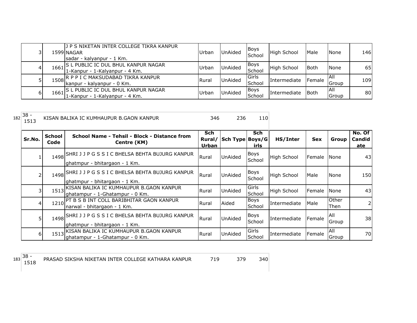| 31 |      | IJ P S NIKETAN INTER COLLEGE TIKRA KANPUR<br>1599 NAGAR<br>sadar - kalyanpur - 1 Km. | Urbar | <b>UnAided</b> | <b>Boys</b><br>School | High School  | Male        | <b>None</b>          | 146 |
|----|------|--------------------------------------------------------------------------------------|-------|----------------|-----------------------|--------------|-------------|----------------------|-----|
| 41 | 1661 | S L PUBLIC IC DUL BHUL KANPUR NAGAR<br>1-Kanpur - 1-Kalyanpur - 4 Km.                | Urbar | <b>UnAided</b> | <b>Boys</b><br>School | High School  | <b>Both</b> | None                 | 65  |
|    |      | 1508 R P P I C MAKSUDABAD TIKRA KANPUR<br>kanpur - kalyanpur - 0 Km.                 | Rural | <b>UnAided</b> | Girls<br>School       | Intermediate | Female      | IAII<br>Group        | 109 |
| 61 | 1661 | IS L PUBLIC IC DUL BHUL KANPUR NAGAR<br>1-Kanpur - 1-Kalyanpur - 4 Km.               | Urbar | <b>UnAided</b> | Boys<br>School        | Intermediate | Both        | IAII<br><b>Group</b> | 80  |

| 182 | $38 -$<br>1513 |                       | KISAN BALIKA IC KUMHAUPUR B.GAON KANPUR                                               | 346                    | 236             | 110                   |                    |               |               |                         |
|-----|----------------|-----------------------|---------------------------------------------------------------------------------------|------------------------|-----------------|-----------------------|--------------------|---------------|---------------|-------------------------|
|     | Sr.No.         | <b>School</b><br>Code | School Name - Tehsil - Block - Distance from<br>Centre (KM)                           | Sch<br>Rural/<br>Urban | Sch Type Boys/G | <b>Sch</b><br>irls    | HS/Inter           | <b>Sex</b>    | Group         | No. Of<br>Candid<br>ate |
|     |                |                       | 1498 SHRI J J P G S S I C BHELSA BEHTA BUJURG KANPUR<br>ghatmpur - bhitargaon - 1 Km. | Rural                  | <b>UnAided</b>  | Boys<br>School        | <b>High School</b> | <b>Female</b> | <b>None</b>   | 43 <sub>l</sub>         |
|     |                |                       | 1498 SHRI J J P G S S I C BHELSA BEHTA BUJURG KANPUR<br>ghatmpur - bhitargaon - 1 Km. | Rural                  | <b>UnAided</b>  | Boys<br>School        | <b>High School</b> | Male          | None          | 150                     |
|     |                |                       | 1513 KISAN BALIKA IC KUMHAUPUR B.GAON KANPUR<br>ghatampur - 1-Ghatampur - 0 Km.       | Rural                  | <b>UnAided</b>  | Girls<br>School       | <b>High School</b> | Female        | None          | 43                      |
|     | 4              |                       | 1210 PT B S B INT COLL BARIBHITAR GAON KANPUR<br>Inarwal - bhitargaon - 1 Km.         | Rural                  | Aided           | Boys<br>School        | Intermediate       | Male          | Other<br>Then | 2 <sub>1</sub>          |
|     |                |                       | 1498 SHRI J J P G S S I C BHELSA BEHTA BUJURG KANPUR<br>ghatmpur - bhitargaon - 1 Km. | Rural                  | <b>UnAided</b>  | <b>Boys</b><br>School | Intermediate       | Female        | All<br>Group  | 38                      |
|     | 6              |                       | 1513 KISAN BALIKA IC KUMHAUPUR B.GAON KANPUR<br>lghatampur - 1-Ghatampur - 0 Km.      | Rural                  | UnAided         | Girls<br>School       | Intermediate       | Female        | All<br>Group  | 70                      |

 $183 \overline{\)38 - 1518}$ 

PRASAD SIKSHA NIKETAN INTER COLLEGE KATHARA KANPUR 719 379 340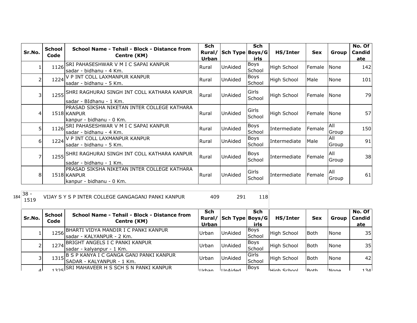| Sr.No.   | <b>School</b><br>Code | School Name - Tehsil - Block - Distance from<br>Centre (KM)                            | <b>Sch</b><br>Rural/<br>Urban | Sch Type Boys/G | <b>Sch</b><br>irls | HS/Inter     | <b>Sex</b>  | Group               | No. Of<br>Candid<br>ate |
|----------|-----------------------|----------------------------------------------------------------------------------------|-------------------------------|-----------------|--------------------|--------------|-------------|---------------------|-------------------------|
|          | 1126                  | SRI PAHASESHWAR V M I C SAPAI KANPUR<br>sadar - bidhanu - 4 Km.                        | Rural                         | <b>UnAided</b>  | Boys<br>School     | High School  | Female      | None                | 142                     |
|          |                       | 1224 V P INT COLL LAXMANPUR KANPUR<br>sadar - bidhanu - 5 Km.                          | Rural                         | <b>UnAided</b>  | Boys<br>School     | High School  | Male        | None                | 101                     |
| 31       |                       | 1255 SHRI RAGHURAJ SINGH INT COLL KATHARA KANPUR<br>sadar - BIdhanu - 1 Km.            | Rural                         | <b>UnAided</b>  | Girls<br>School    | High School  | Female None |                     | 79                      |
| 4        |                       | PRASAD SIKSHA NIKETAN INTER COLLEGE KATHARA<br>1518 KANPUR<br>kanpur - bidhanu - 0 Km. | Rural                         | <b>UnAided</b>  | Girls<br>School    | High School  | Female      | None                | 57                      |
| 51       |                       | 1126 SRI PAHASESHWAR V M I C SAPAI KANPUR<br>sadar - bidhanu - 4 Km.                   | Rural                         | <b>UnAided</b>  | Boys<br>School     | Intermediate | Female      | <b>All</b><br>Group | 150                     |
| $6 \mid$ |                       | 1224 V P INT COLL LAXMANPUR KANPUR<br>sadar - bidhanu - 5 Km.                          | Rural                         | UnAided         | Boys<br>School     | Intermediate | Male        | All<br>Group        | 91                      |
| 71       |                       | 1255 SHRI RAGHURAJ SINGH INT COLL KATHARA KANPUR<br>sadar - bidhanu - 1 Km.            | Rural                         | <b>UnAided</b>  | Boys<br>School     | Intermediate | Female      | All<br>Group        | 38                      |
| 8        |                       | PRASAD SIKSHA NIKETAN INTER COLLEGE KATHARA<br>1518 KANPUR<br>kanpur - bidhanu - 0 Km. | Rural                         | <b>UnAided</b>  | Girls<br>School    | Intermediate | Female      | All<br>Group        | 61                      |

VIJAY S Y S P INTER COLLEGE GANGAGANJ PANKI KANPUR 409 291 118

| Sr.No. | School<br>Code | School Name - Tehsil - Block - Distance from<br>Centre (KM)            | Sch<br>Rural/<br>Urban | Sch Type Boys/G | Sch<br>irls     | HS/Inter           | <b>Sex</b>         | Group        | No. Of<br>Candid<br>ate |
|--------|----------------|------------------------------------------------------------------------|------------------------|-----------------|-----------------|--------------------|--------------------|--------------|-------------------------|
|        |                | 1256 BHARTI VIDYA MANDIR I C PANKI KANPUR<br>sadar - KALYANPUR - 2 Km. | Urban                  | <b>UnAided</b>  | Boys<br>School  | High School        | <b>Both</b>        | None         | 35 <sub>l</sub>         |
|        |                | 1274 BRIGHT ANGELS I C PANKI KANPUR<br>Isadar - kalvanpur - 1 Km.      | Urban                  | <b>UnAided</b>  | Boys<br>School  | <b>High School</b> | <b>Both</b>        | None         | 35                      |
|        | 1315           | B S P KANYA I C GANGA GANJ PANKI KANPUR<br>ISADAR - KALYANPUR - 1 Km.  | Urban                  | <b>UnAided</b>  | Girls<br>School | High School        | <b>Both</b>        | None         | 42                      |
| ◢      |                | 325 SRI MAHAVEER H S SCH S N PANKI KANPUR                              | ll Irhan               | IIndA           | <b>Boys</b>     | <b>High School</b> | IR <sub>o</sub> th | <b>INone</b> | 131                     |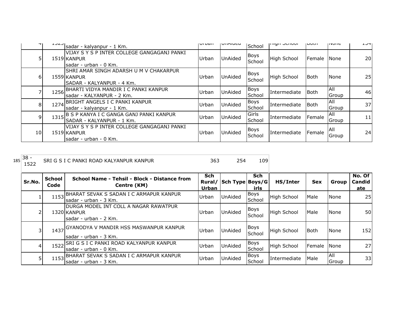| ו ד |      | sadar - kalyanpur - 1 Km.                                                            | <b>UI DOII</b> | <b>UIMIUCU</b> | School                | <b>THALL OCHOOL</b> | ו וטערו     | <b>טוועצו</b>                | ᆠᆦ |
|-----|------|--------------------------------------------------------------------------------------|----------------|----------------|-----------------------|---------------------|-------------|------------------------------|----|
|     |      | VIJAY S Y S P INTER COLLEGE GANGAGANJ PANKI<br>1519 KANPUR<br>Isadar - urban - 0 Km. | Urban          | UnAided        | <b>Boys</b><br>School | <b>High School</b>  | Female      | <b>None</b>                  | 20 |
| 6   |      | ISHRI AMAR SINGH ADARSH U M V CHAKARPUR<br>1559 KANPUR<br>SADAR - KALYANPUR - 4 Km.  | Urban          | <b>UnAided</b> | Boys<br>School        | <b>High School</b>  | <b>Both</b> | <b>None</b>                  | 25 |
|     | 1256 | BHARTI VIDYA MANDIR I C PANKI KANPUR<br>sadar - KALYANPUR - 2 Km.                    | Urban          | UnAided        | <b>Boys</b><br>School | Intermediate        | <b>Both</b> | IAII<br>Group                | 46 |
| 8   |      | 1274 BRIGHT ANGELS I C PANKI KANPUR<br>sadar - kalyanpur - 1 Km.                     | Urban          | UnAided        | <b>Boys</b><br>School | Intermediate        | Both        | All<br>Group                 | 37 |
| 9   | 1315 | B S P KANYA I C GANGA GANJ PANKI KANPUR<br>ISADAR - KALYANPUR - 1 Km.                | Urban          | UnAided        | Girls<br>School       | Intermediate        | Female      | IAII<br><b>IGroup</b>        | 11 |
| 10  |      | VIJAY S Y S P INTER COLLEGE GANGAGANJ PANKI<br>1519 KANPUR<br>Isadar - urban - 0 Km. | Urban          | <b>UnAided</b> | <b>Boys</b><br>School | Intermediate        | Female      | <b>AII</b><br><b>I</b> Group | 24 |

| 185 | $38 -$<br>1522 |                       | SRI G S I C PANKI ROAD KALYANPUR KANPUR                                         | 363                 | 254                    | 109                   |                    |             |              |                                |
|-----|----------------|-----------------------|---------------------------------------------------------------------------------|---------------------|------------------------|-----------------------|--------------------|-------------|--------------|--------------------------------|
|     | Sr.No.         | <b>School</b><br>Code | School Name - Tehsil - Block - Distance from<br>Centre (KM)                     | <b>Sch</b><br>Urban | Rural/ Sch Type Boys/G | Sch<br>irls           | HS/Inter           | <b>Sex</b>  | Group        | No. Of<br><b>Candid</b><br>ate |
|     |                | 1153                  | BHARAT SEVAK S SADAN I C ARMAPUR KANPUR<br>lsadar - urban - 3 Km.               | Urban               | <b>UnAided</b>         | <b>Boys</b><br>School | <b>High School</b> | Male        | None         | 25                             |
|     | 2              |                       | IDURGA MODEL INT COLL A NAGAR RAWATPUR<br>1320 KANPUR<br>lsadar - urban - 2 Km. | Urban               | UnAided                | Boys<br>School        | <b>High School</b> | Male        | None         | 50                             |
|     | 3              | 1437                  | <b>GYANODYA V MANDIR HSS MASWANPUR KANPUR</b><br>lsadar - urban - 3 Km.         | Urban               | <b>UnAided</b>         | <b>Boys</b><br>School | <b>High School</b> | <b>Both</b> | None         | 152                            |
|     | 4              | 1522                  | SRI G S I C PANKI ROAD KALYANPUR KANPUR<br>lsadar - urban - 0 Km.               | Urban               | UnAided                | Boys<br>School        | <b>High School</b> | Female      | <b>None</b>  | 27                             |
|     | 5              | 1153                  | BHARAT SEVAK S SADAN I C ARMAPUR KANPUR<br>sadar - urban - 3 Km.                | Urban               | UnAided                | <b>Boys</b><br>School | Intermediate       | Male        | All<br>Group | 33                             |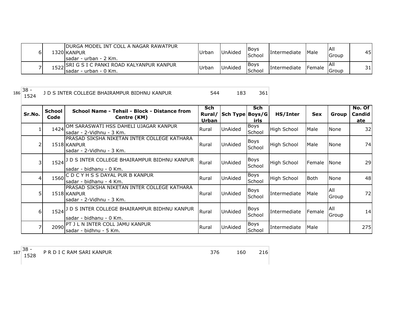| ы | IDURGA MODEL INT COLL A NAGAR RAWATPUR<br>1320 KANPUR<br>Isadar - urban - 2 Km. | Urban | <b>UnAided</b> | <b>Bovs</b><br>School | <b>Intermediate</b> | <b>Male</b> | IAII<br>Group        | 45 |
|---|---------------------------------------------------------------------------------|-------|----------------|-----------------------|---------------------|-------------|----------------------|----|
|   | roal SRI G S I C PANKI ROAD KALYANPUR KANPUR<br>Sadar - urban - 0 Km.           | Urban | <b>UnAided</b> | <b>Boys</b><br>School | Intermediate        | Female      | <b>All</b><br>lGroup | 31 |

1 D S INTER COLLEGE BHAIRAMPUR BIDHNU KANPUR 544 183 361

| Sr.No.         | <b>School</b><br>Code | School Name - Tehsil - Block - Distance from<br>Centre (KM)                            | <b>Sch</b><br>Rural/<br>Urban | Sch Type   Boys/G | <b>Sch</b><br>irls    | HS/Inter           | <b>Sex</b> | Group        | No. Of<br><b>Candid</b><br>ate |
|----------------|-----------------------|----------------------------------------------------------------------------------------|-------------------------------|-------------------|-----------------------|--------------------|------------|--------------|--------------------------------|
|                | 1424                  | OM SARASWATI HSS DAHELI UJAGAR KANPUR<br>sadar - 2-Vidhnu - 3 Km.                      | Rural                         | UnAided           | Boys<br>School        | <b>High School</b> | Male       | None         | 32                             |
|                |                       | PRASAD SIKSHA NIKETAN INTER COLLEGE KATHARA<br>1518 KANPUR<br>sadar - 2-Vidhnu - 3 Km. | Rural                         | <b>UnAided</b>    | <b>Boys</b><br>School | <b>High School</b> | Male       | None         | 74                             |
| $\overline{3}$ |                       | 1524 J D S INTER COLLEGE BHAIRAMPUR BIDHNU KANPUR<br>sadar - bidhanu - 0 Km.           | Rural                         | UnAided           | Boys<br>School        | High School        | Female     | <b>None</b>  | 29                             |
| 41             | 1560                  | C D C Y H S S DAYAL PUR B KANPUR<br>sadar - bidhanu - 4 Km.                            | Rural                         | UnAided           | Boys<br>School        | High School        | l Both     | None         | 48                             |
| 51             |                       | PRASAD SIKSHA NIKETAN INTER COLLEGE KATHARA<br>1518 KANPUR<br>sadar - 2-Vidhnu - 3 Km. | Rural                         | <b>UnAided</b>    | <b>Boys</b><br>School | Intermediate       | Male       | All<br>Group | 72                             |
| 6              | $1524$ <sup>J</sup>   | D S INTER COLLEGE BHAIRAMPUR BIDHNU KANPUR<br>sadar - bidhanu - 0 Km.                  | Rural                         | UnAided           | Boys<br>School        | Intermediate       | Female     | All<br>Group | 14                             |
|                | 2090                  | <b>IPT J L N INTER COLL JAMU KANPUR</b><br>sadar - bidhnu - 5 Km.                      | Rural                         | <b>UnAided</b>    | Boys<br>School        | Intermediate       | Male       |              | 275                            |

187 38 -<br>1528

P R D I C RAM SARI KANPUR 160 216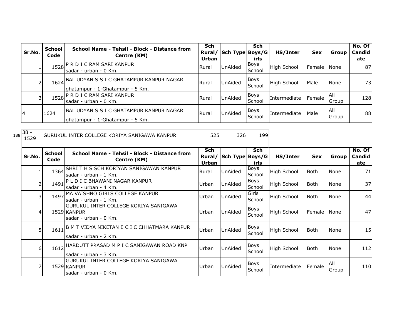|     | Sr.No.         | <b>School</b><br>Code | School Name - Tehsil - Block - Distance from<br>Centre (KM)                        | <b>Sch</b><br>Rural/<br>Urban | Sch Type Boys/G | <b>Sch</b><br>irls    | HS/Inter           | <b>Sex</b>  | Group               | No. Of<br><b>Candid</b><br>ate |
|-----|----------------|-----------------------|------------------------------------------------------------------------------------|-------------------------------|-----------------|-----------------------|--------------------|-------------|---------------------|--------------------------------|
|     | $\mathbf{1}$   | 1528                  | P R D I C RAM SARI KANPUR<br>sadar - urban - 0 Km.                                 | Rural                         | UnAided         | <b>Boys</b><br>School | <b>High School</b> | Female      | None                | 87                             |
|     | 2              |                       | 1624 BAL UDYAN S S I C GHATAMPUR KANPUR NAGAR<br>ghatampur - 1-Ghatampur - 5 Km.   | Rural                         | UnAided         | <b>Boys</b><br>School | <b>High School</b> | Male        | None                | 73                             |
|     | $\overline{3}$ | 1528                  | P R D I C RAM SARI KANPUR<br>sadar - urban - 0 Km.                                 | Rural                         | UnAided         | Boys<br>School        | Intermediate       | Female      | <b>All</b><br>Group | 128                            |
|     | 4              | 1624                  | <b>BAL UDYAN S S I C GHATAMPUR KANPUR NAGAR</b><br>ghatampur - 1-Ghatampur - 5 Km. | Rural                         | UnAided         | Boys<br>School        | Intermediate       | Male        | All<br>Group        | 88                             |
| 188 | $38 -$<br>1529 |                       | GURUKUL INTER COLLEGE KORIYA SANIGAWA KANPUR                                       | 525                           | 326             | 199                   |                    |             |                     |                                |
|     | Sr.No.         | <b>School</b><br>Code | School Name - Tehsil - Block - Distance from<br>Centre (KM)                        | Sch<br>Rural/<br>Urban        | Sch Type Boys/G | <b>Sch</b><br>irls    | HS/Inter           | <b>Sex</b>  | Group               | No. Of<br>Candid<br>ate        |
|     |                | 1364                  | SHRITH S SCH KORIYAN SANIGAWAN KANPUR<br>sadar - urban - 1 Km.                     | Rural                         | UnAided         | Boys<br>School        | High School        | Both        | None                | 71                             |
|     | 2              | 1491                  | PLDICBHAWANI NAGAR KANPUR<br>sadar - urban - 4 Km.                                 | Urban                         | UnAided         | <b>Boys</b><br>School | High School        | Both        | None                | 37                             |
|     | 3              | 1497                  | MA VAISHNO GIRLS COLLEGE KANPUR<br>sadar - urban - 1 Km.                           | Urban                         | UnAided         | Girls<br>School       | High School        | <b>Both</b> | None                | 44                             |
|     | 4              |                       | GURUKUL INTER COLLEGE KORIYA SANIGAWA<br>1529 KANPUR<br>sadar - urban - 0 Km.      | Urban                         | UnAided         | Boys<br>School        | <b>High School</b> | Female      | None                | 47                             |
|     | 5              | 1611                  | B M T VIDYA NIKETAN E C I C CHHATMARA KANPUR<br>sadar - urban - 2 Km.              | Urban                         | UnAided         | Boys<br>School        | High School        | Both        | None                | 15                             |
|     | 6              | 1612                  | HARDUTT PRASAD M P I C SANIGAWAN ROAD KNP<br>sadar - urban - 3 Km.                 | Urban                         | UnAided         | Boys<br>School        | High School        | <b>Both</b> | None                | 112                            |
|     | 7              |                       | GURUKUL INTER COLLEGE KORIYA SANIGAWA<br>1529 KANPUR<br>sadar - urban - 0 Km.      | Urban                         | UnAided         | <b>Boys</b><br>School | Intermediate       | Female      | All<br>Group        | 110                            |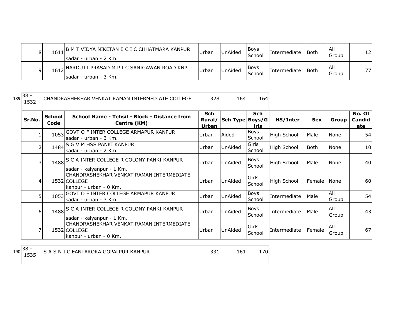|      | ,  B M T VIDYA NIKETAN E C I C CHHATMARA KANPUR<br>Isadar - urban - 2 Km. | Urban | <b>UnAided</b> | <b>IBoys</b><br><b>School</b> | Intermediate | <b>I</b> Both | IAII<br>Group | 12  |
|------|---------------------------------------------------------------------------|-------|----------------|-------------------------------|--------------|---------------|---------------|-----|
| 1612 | , IHARDUTT PRASAD M P I C SANIGAWAN ROAD KNP<br>Isadar - urban - 3 Km.    | Urban | <b>UnAided</b> | <b>IBoys</b><br><b>School</b> | Intermediate | <b>I</b> Both | IAII<br>Group | 77. |

CHANDRASHEKHAR VENKAT RAMAN INTERMEDIATE COLLEGE 328 164 164

| Sr.No. | <b>School</b><br>Code | School Name - Tehsil - Block - Distance from<br>Centre (KM)                        | Sch            | Rural/ Sch Type Boys/G | Sch                    | HS/Inter           | <b>Sex</b>  | Group               | No. Of<br>Candid |
|--------|-----------------------|------------------------------------------------------------------------------------|----------------|------------------------|------------------------|--------------------|-------------|---------------------|------------------|
|        |                       | 1053 GOVT O F INTER COLLEGE ARMAPUR KANPUR<br>Isadar - urban - 3 Km.               | Urban<br>Urban | Aided                  | irls<br>Boys<br>School | <b>High School</b> | Male        | None                | <u>ate</u><br>54 |
| 2      |                       | 1484 S G V M HSS PANKI KANPUR<br>lsadar - urban - 2 Km.                            | Urban          | UnAided                | Girls<br>School        | <b>High School</b> | <b>Both</b> | None                | 10               |
| 3      |                       | 1488 S C A INTER COLLEGE R COLONY PANKI KANPUR<br>sadar - kalyanpur - 1 Km.        | Urban          | <b>UnAided</b>         | Boys<br>School         | <b>High School</b> | Male        | None                | 40               |
| 4      |                       | CHANDRASHEKHAR VENKAT RAMAN INTERMEDIATE<br>1532 COLLEGE<br>kanpur - urban - 0 Km. | Urban          | UnAided                | Girls<br>School        | <b>High School</b> | Female      | <b>None</b>         | 60               |
| 5      |                       | 1053 GOVT O F INTER COLLEGE ARMAPUR KANPUR<br>sadar - urban - 3 Km.                | Urban          | UnAided                | Boys<br>School         | Intermediate       | Male        | All<br>Group        | 54               |
| 6      |                       | 1488 S C A INTER COLLEGE R COLONY PANKI KANPUR<br>sadar - kalyanpur - 1 Km.        | Urban          | <b>UnAided</b>         | Boys<br>School         | Intermediate       | Male        | <b>AII</b><br>Group | 43               |
|        |                       | CHANDRASHEKHAR VENKAT RAMAN INTERMEDIATE<br>1532 COLLEGE<br>kanpur - urban - 0 Km. | Urban          | UnAided                | Girls<br>School        | Intermediate       | Female      | All<br>Group        | 67               |

190<sup>38 -</sup><br>1535

S A S N I C EANTARORA GOPALPUR KANPUR 150 161 161 170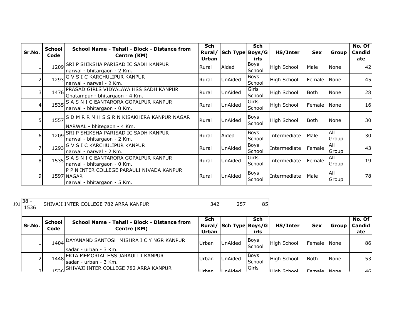|                | <b>School</b> | School Name - Tehsil - Block - Distance from                                           | Sch    |                 | <b>Sch</b>            |                    |            |              | No. Of |
|----------------|---------------|----------------------------------------------------------------------------------------|--------|-----------------|-----------------------|--------------------|------------|--------------|--------|
| Sr.No.         | Code          | Centre (KM)                                                                            | Rural/ | Sch Type Boys/G |                       | HS/Inter           | <b>Sex</b> | Group        | Candid |
|                |               |                                                                                        | Urban  |                 | irls                  |                    |            |              | ate    |
|                |               | 1209 SRI P SHIKSHA PARISAD IC SADH KANPUR<br>narwal - bhitargaon - 2 Km.               | Rural  | Aided           | Boys<br>School        | <b>High School</b> | Male       | None         | 42     |
|                | 1293          | G V S I C KARCHULIPUR KANPUR<br>narwal - narwal - 2 Km.                                | Rural  | <b>UnAided</b>  | Boys<br>School        | <b>High School</b> | Female     | None         | 45     |
| 3              | 1476          | PRASAD GIRLS VIDYALAYA HSS SADH KANPUR<br>Ghatampur - bhitargaon - 4 Km.               | Rural  | UnAided         | Girls<br>School       | <b>High School</b> | Both       | <b>None</b>  | 28     |
| $\overline{4}$ |               | 1535 S A S N I C EANTARORA GOPALPUR KANPUR<br>narwal - bhitargaon - 0 Km.              | Rural  | UnAided         | Girls<br>School       | High School        | Female     | None         | 16     |
| 5              |               | 1557 S D M R R M H S S R N KISAKHERA KANPUR NAGAR<br>NARWAL - bhitegaon - 4 Km.        | Rural  | <b>UnAided</b>  | Boys<br>School        | High School        | l Both     | None         | 30     |
| 6              | 1209          | SRI P SHIKSHA PARISAD IC SADH KANPUR<br>narwal - bhitargaon - 2 Km.                    | Rural  | Aided           | <b>Boys</b><br>School | Intermediate       | Male       | All<br>Group | 30     |
|                | 1293          | G V S I C KARCHULIPUR KANPUR<br>narwal - narwal - 2 Km.                                | Rural  | <b>UnAided</b>  | Boys<br>School        | Intermediate       | Female     | All<br>Group | 43     |
| 8              |               | 1535 S A S N I C EANTARORA GOPALPUR KANPUR<br>narwal - bhitargaon - 0 Km.              | Rural  | UnAided         | Girls<br>School       | Intermediate       | Female     | All<br>Group | 19     |
| 9              |               | P P N INTER COLLEGE PARAULI NIVADA KANPUR<br>1597 NAGAR<br>narwal - bhitargaon - 5 Km. | Rural  | <b>UnAided</b>  | <b>Boys</b><br>School | Intermediate       | Male       | All<br>Group | 78     |

1536 SHIVAJI INTER COLLEGE 782 ARRA KANPUR 342 342

| Sr.No. | School<br>Code | School Name - Tehsil - Block - Distance from<br>Centre (KM)             | Sch<br>Rural/<br><b>Urban</b> | Sch Type Boys/G | Sch<br>irls    | HS/Inter            | <b>Sex</b>  | Group       | No. Of<br><b>Candid</b><br>ate |
|--------|----------------|-------------------------------------------------------------------------|-------------------------------|-----------------|----------------|---------------------|-------------|-------------|--------------------------------|
|        |                | 1404 DAYANAND SANTOSH MISHRA I C Y NGR KANPUR<br>Isadar - urban - 3 Km. | Urban                         | UnAided         | Boys<br>School | <b>High School</b>  | Female None |             | 86                             |
|        |                | 1448 EKTA MEMORIAL HSS JARAULI I KANPUR<br>Isadar - urban - 3 Km.       | Urban                         | <b>UnAided</b>  | Boys<br>School | <b>High School</b>  | <b>Both</b> | <b>None</b> | 53                             |
| ا ج    |                | 1526 SHIVAJI INTER COLLEGE 782 ARRA KANPUR                              | <b>Urhan</b>                  | <b>IlnAided</b> | lGirls         | <b>LHigh School</b> | Eamala None |             | 46 <sup>1</sup>                |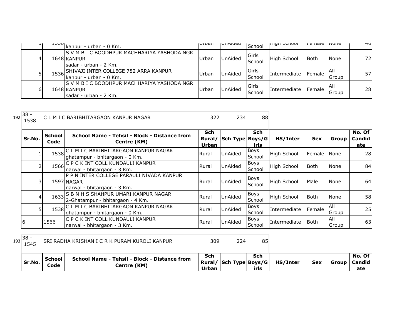| ا ب | $\frac{1330}{100}$ kanpur - urban - 0 Km.                                             | <b>UI DUI</b> | UIIMIUCU       | School          | ורווערו האוורו | ם כוווסוכ | 111011C       | ュロ  |
|-----|---------------------------------------------------------------------------------------|---------------|----------------|-----------------|----------------|-----------|---------------|-----|
| 41  | IS V M B I C BOODHPUR MACHHARIYA YASHODA NGR<br>1648 KANPUR<br>Isadar - urban - 2 Km. | Urban         | <b>UnAided</b> | Girls<br>School | High School    | Both      | <b>None</b>   | 72I |
|     | 1536 SHIVAJI INTER COLLEGE 782 ARRA KANPUR<br>kanpur - urban - 0 Km.                  | Urban         | <b>UnAided</b> | Girls<br>School | Intermediate   | Female    | IAII<br>Group | 57  |
| ы   | IS V M B I C BOODHPUR MACHHARIYA YASHODA NGR<br>1648 KANPUR<br>sadar - urban - 2 Km.  | Urban         | <b>UnAided</b> | Girls<br>School | Intermediate   | Female    | IAII<br>Group | 28  |

| 192 | $38 -$<br>1538 |                | CLM I C BARIBHITARGAON KANPUR NAGAR                                                    | 322                 | 234                    | 88                    |                    |             |                     |                                |
|-----|----------------|----------------|----------------------------------------------------------------------------------------|---------------------|------------------------|-----------------------|--------------------|-------------|---------------------|--------------------------------|
|     | Sr.No.         | School<br>Code | School Name - Tehsil - Block - Distance from<br>Centre (KM)                            | <b>Sch</b><br>Urban | Rural/ Sch Type Boys/G | Sch<br>irls           | HS/Inter           | <b>Sex</b>  | Group               | No. Of<br><b>Candid</b><br>ate |
|     |                |                | 1538 C L M I C BARIBHITARGAON KANPUR NAGAR<br>ghatampur - bhitargaon - 0 Km.           | Rural               | UnAided                | Boys<br>School        | <b>High School</b> | Female      | <b>N</b> one        | 28                             |
|     |                |                | 1566 C P C K INT COLL KUNDAULI KANPUR<br>Inarwal - bhitargaon - 3 Km.                  | Rural               | UnAided                | Boys<br>School        | <b>High School</b> | <b>Both</b> | None                | 84                             |
|     | 31             |                | P P N INTER COLLEGE PARAULI NIVADA KANPUR<br>1597 NAGAR<br>narwal - bhitargaon - 3 Km. | Rural               | UnAided                | Boys<br>School        | <b>High School</b> | Male        | None                | 64                             |
|     | $\overline{4}$ |                | 1633 S B N H S SHAHPUR UMARI KANPUR NAGAR<br>2-Ghatampur - bhitargaon - 4 Km.          | Rural               | UnAided                | <b>Boys</b><br>School | <b>High School</b> | <b>Both</b> | None                | 58                             |
|     |                |                | 1538 C L M I C BARIBHITARGAON KANPUR NAGAR<br>ghatampur - bhitargaon - 0 Km.           | Rural               | UnAided                | <b>Boys</b><br>School | Intermediate       | Female      | <b>All</b><br>Group | 25                             |
|     | 6              | 1566           | C P C K INT COLL KUNDAULI KANPUR<br>narwal - bhitargaon - 3 Km.                        | Rural               | UnAided                | Boys<br>School        | Intermediate       | Both        | All<br>Group        | 63                             |

| $193 38 -$<br>1545 |                | SRI RADHA KRISHAN I C R K PURAM KUROLI KANPUR               | 309          | 224                    | 85          |          |            |                                       |
|--------------------|----------------|-------------------------------------------------------------|--------------|------------------------|-------------|----------|------------|---------------------------------------|
| Sr.No.             | School<br>Code | School Name - Tehsil - Block - Distance from<br>Centre (KM) | Sch<br>Urban | Rural/ Sch Type Boys/G | Sch<br>irls | HS/Inter | <b>Sex</b> | No. Of I<br>  Group   Candid  <br>ate |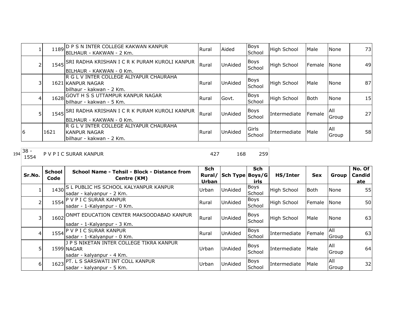|    | 1189 | D P S N INTER COLLEGE KAKWAN KANPUR<br>IBILHAUR - KAKWAN - 2 Km.                         | Rural | Aided          | <b>Boys</b><br>School | High School  | Male   | None                | 73 <sub>l</sub> |
|----|------|------------------------------------------------------------------------------------------|-------|----------------|-----------------------|--------------|--------|---------------------|-----------------|
|    |      | 1545 SRI RADHA KRISHAN I C R K PURAM KUROLI KANPUR<br>BILHAUR - KAKWAN - 0 Km.           | Rural | <b>UnAided</b> | Boys<br>School        | High School  | Female | None                | 49              |
|    |      | R G L V INTER COLLEGE ALIYAPUR CHAURAHA<br>1621 KANPUR NAGAR<br>bilhaur - kakwan - 2 Km. | Rural | <b>UnAided</b> | Boys<br>School        | High School  | Male   | None                | 87I             |
| 41 | 1628 | GOVT H S S UTTAMPUR KANPUR NAGAR<br>lbilhaur - kakwan - 5 Km.                            | Rural | Govt.          | <b>Boys</b><br>School | High School  | Both   | None                | 15              |
| 51 |      | 1545 SRI RADHA KRISHAN I C R K PURAM KUROLI KANPUR<br>IBILHAUR - KAKWAN - 0 Km.          | Rural | <b>UnAided</b> | <b>Boys</b><br>School | Intermediate | Female | <b>AII</b><br>Group | 27              |
| 16 | 1621 | R G L V INTER COLLEGE ALIYAPUR CHAURAHA<br>IKANPUR NAGAR<br>lbilhaur - kakwan - 2 Km.    | Rural | <b>UnAided</b> | Girls<br>School       | Intermediate | Male   | All<br>Group        | 58              |

<sup>194</sup> 38 -

P V P I C SURAR KANPUR 168 259

| Sr.No.   | <b>School</b><br>Code | School Name - Tehsil - Block - Distance from<br>Centre (KM)                         | <b>Sch</b><br>Rural/<br>Urban | Sch Type Boys/G | Sch<br>irls           | HS/Inter           | <b>Sex</b> | Group                       | No. Of<br>Candid<br>ate |
|----------|-----------------------|-------------------------------------------------------------------------------------|-------------------------------|-----------------|-----------------------|--------------------|------------|-----------------------------|-------------------------|
|          |                       | 1430 S L PUBLIC HS SCHOOL KALYANPUR KANPUR<br>sadar - kalyanpur - 2 Km.             | Urban                         | UnAided         | <b>Boys</b><br>School | <b>High School</b> | Both       | None                        | 55                      |
|          |                       | 1554 P V P I C SURAR KANPUR<br>sadar - 1-Kalyanpur - 0 Km.                          | Rural                         | UnAided         | <b>Boys</b><br>School | <b>High School</b> | Female     | None                        | 50                      |
|          | 1602                  | ONMT EDUCATION CENTER MAKSOODABAD KANPUR<br>sadar - 1-Kalyanpur - 3 Km.             | Rural                         | UnAided         | Boys<br>School        | <b>High School</b> | Male       | None                        | 63                      |
| 41       |                       | 1554 P V P I C SURAR KANPUR<br>sadar - 1-Kalyanpur - 0 Km.                          | Rural                         | <b>UnAided</b>  | <b>Boys</b><br>School | Intermediate       | Female     | <b>All</b><br><b>IGroup</b> | 63                      |
|          |                       | J P S NIKETAN INTER COLLEGE TIKRA KANPUR<br>1599 NAGAR<br>sadar - kalyanpur - 4 Km. | Urban                         | UnAided         | Boys<br>School        | Intermediate       | Male       | All<br><b>IGroup</b>        | 64                      |
| $6 \mid$ | 1623                  | <b>PT. L S SARSWATI INT COLL KANPUR</b><br>sadar - kalyanpur - 5 Km.                | Urban                         | <b>UnAided</b>  | <b>Boys</b><br>School | Intermediate       | Male       | All<br>Group                | 32                      |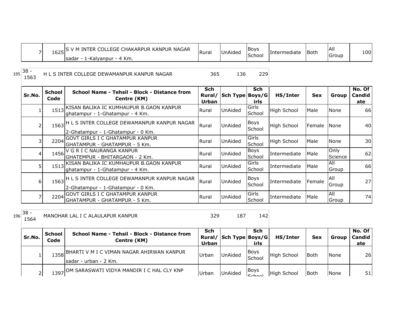|     | $\overline{7}$ |                       | 1625 S V M INTER COLLEGE CHAKARPUR KANPUR NAGAR<br>sadar - 1-Kalyanpur - 4 Km.        | Rural               | UnAided                | Boys<br>School        | Intermediate       | Both       | All<br>Group        | 100                            |
|-----|----------------|-----------------------|---------------------------------------------------------------------------------------|---------------------|------------------------|-----------------------|--------------------|------------|---------------------|--------------------------------|
| 195 | - 38<br>1563   |                       | H L S INTER COLLEGE DEWAMANPUR KANPUR NAGAR                                           | 365                 | 136                    | 229                   |                    |            |                     |                                |
|     | Sr.No.         | <b>School</b><br>Code | School Name - Tehsil - Block - Distance from<br>Centre (KM)                           | <b>Sch</b><br>Urban | Rural/ Sch Type Boys/G | <b>Sch</b><br>irls    | HS/Inter           | <b>Sex</b> | Group               | No. Of<br><b>Candid</b><br>ate |
|     |                | 1513                  | KISAN BALIKA IC KUMHAUPUR B.GAON KANPUR<br>ghatampur - 1-Ghatampur - 4 Km.            | Rural               | UnAided                | Girls<br>School       | <b>High School</b> | Male       | None                | 66                             |
|     | 2              |                       | 1563 H L S INTER COLLEGE DEWAMANPUR KANPUR NAGAR<br>2-Ghatampur - 1-Ghatampur - 0 Km. | Rural               | UnAided                | <b>Boys</b><br>School | <b>High School</b> | Female     | None                | 40                             |
|     | 3              | 2204                  | <b>GOVT GIRLS I C GHATAMPUR KANPUR</b><br>GHATAMPUR - GHATAMPUR - 5 Km.               | Rural               | UnAided                | Girls<br>School       | <b>High School</b> | Male       | None                | 30                             |
|     | 4              | 1456                  | V G R I C NAURANGA KANPUR<br> GHATEMPUR - BHITARGAON - 2 Km.                          | Rural               | UnAided                | Boys<br>School        | Intermediate       | Male       | Only<br>Science     | 62                             |
|     | 5              |                       | 1513 KISAN BALIKA IC KUMHAUPUR B.GAON KANPUR<br>ghatampur - 1-Ghatampur - 4 Km.       | Rural               | UnAided                | Girls<br>School       | Intermediate       | Male       | All<br>Group        | 66                             |
|     | 6              |                       | 1563 H L S INTER COLLEGE DEWAMANPUR KANPUR NAGAR<br>2-Ghatampur - 1-Ghatampur - 0 Km. | Rural               | UnAided                | <b>Boys</b><br>School | Intermediate       | Female     | All<br>Group        | 27                             |
|     | $\overline{7}$ | 2204                  | <b>GOVT GIRLS I C GHATAMPUR KANPUR</b><br>GHATAMPUR - GHATAMPUR - 5 Km.               | Rural               | UnAided                | Girls<br>School       | Intermediate       | Male       | <b>All</b><br>Group | 74                             |
| 196 | - 38<br>1564   |                       | MANOHAR LAL I C ALAULAPUR KANPUR                                                      | 329                 | 187                    | 142                   |                    |            |                     |                                |

| Sr.No. | School<br>Code | School Name - Tehsil - Block - Distance from<br>Centre (KM)              | Sch<br>Urban | Rural/ Sch Type Boys/G | Sch<br>irls             | HS/Inter           | <b>Sex</b>  | Group       | No. Of<br>Candid<br>ate |
|--------|----------------|--------------------------------------------------------------------------|--------------|------------------------|-------------------------|--------------------|-------------|-------------|-------------------------|
|        |                | 1358 BHARTI V M I C VIMAN NAGAR AHIRWAN KANPUR<br>Isadar - urban - 2 Km. | Urban        | <b>UnAided</b>         | <b>Boys</b><br>School   | <b>High School</b> | <b>Both</b> | None        | 26                      |
|        |                | 1397 OM SARASWATI VIDYA MANDIR I C HAL CLY KNP                           | Urban        | <b>UnAided</b>         | Boys<br>C <sub>ch</sub> | <b>High School</b> | <b>Both</b> | <b>None</b> | 51                      |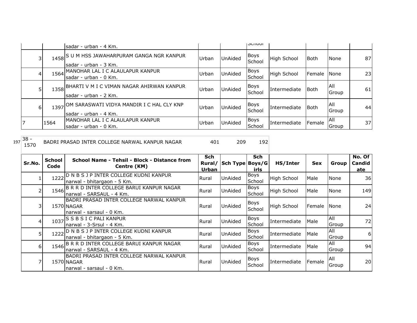|   |      | sadar - urban - 4 Km.                                                    |       |                | <b>JUIUUI</b>         |                    |             |                     |    |
|---|------|--------------------------------------------------------------------------|-------|----------------|-----------------------|--------------------|-------------|---------------------|----|
| 3 |      | 1458 S U M HSS JAWAHARPURAM GANGA NGR KANPUR<br>sadar - urban - 3 Km.    | Urban | <b>UnAided</b> | Boys<br>School        | <b>High School</b> | <b>Both</b> | None                | 87 |
| 4 | 1564 | MANOHAR LAL I C ALAULAPUR KANPUR<br>Isadar - urban - 0 Km.               | Urban | UnAided        | <b>Boys</b><br>School | <b>High School</b> | Female      | <b>None</b>         | 23 |
|   |      | 1358 BHARTI V M I C VIMAN NAGAR AHIRWAN KANPUR<br>Isadar - urban - 2 Km. | Urban | UnAided        | Boys<br>School        | Intermediate       | Both        | <b>All</b><br>Group | 61 |
| 6 |      | 1397 OM SARASWATI VIDYA MANDIR I C HAL CLY KNP<br>sadar - urban - 4 Km.  | Urban | UnAided        | Boys<br>School        | Intermediate       | Both        | <b>AII</b><br>Group | 44 |
|   | 1564 | IMANOHAR LAL I C ALAULAPUR KANPUR<br>sadar - urban - 0 Km.               | Urban | <b>UnAided</b> | <b>Boys</b><br>School | Intermediate       | Female      | <b>AII</b><br>Group | 37 |

| BADRI PRASAD INTER COLLEGE NARWAL KANPUR NAGAR |  |  |
|------------------------------------------------|--|--|
|                                                |  |  |

|                | <b>School</b> | School Name - Tehsil - Block - Distance from  | <b>Sch</b> |                   | <b>Sch</b>  |                    |            |            | No. Of |
|----------------|---------------|-----------------------------------------------|------------|-------------------|-------------|--------------------|------------|------------|--------|
| Sr.No.         | Code          | Centre (KM)                                   | Rural/     | Sch Type   Boys/G |             | HS/Inter           | <b>Sex</b> | Group      | Candid |
|                |               |                                               | Urban      |                   | irls        |                    |            |            | ate    |
|                | 1222          | D N B S J P INTER COLLEGE KUDNI KANPUR        | Rural      | <b>UnAided</b>    | Boys        | <b>High School</b> | Male       | None       | 36     |
|                |               | narwal - bhitargaon - 5 Km.                   |            |                   | School      |                    |            |            |        |
|                | 1546          | B R R D INTER COLLEGE BARUI KANPUR NAGAR      | Rural      | <b>UnAided</b>    | Boys        | <b>High School</b> | Male       | None       | 149    |
|                |               | narwal - SARSAUL - 4 Km.                      |            |                   | School      |                    |            |            |        |
|                |               | BADRI PRASAD INTER COLLEGE NARWAL KANPUR      |            |                   | <b>Boys</b> |                    |            |            |        |
|                |               | 1570 NAGAR                                    | Rural      | <b>UnAided</b>    | School      | <b>High School</b> | Female     | None       | 24     |
|                |               | narwal - sarsaul - 0 Km.                      |            |                   |             |                    |            |            |        |
|                |               | 1037 S B S I C PALI KANPUR                    | Rural      | <b>UnAided</b>    | <b>Boys</b> | Intermediate       | Male       | All        | 72     |
|                |               | narwal - 3-Srsul - 4 Km.                      |            |                   | School      |                    |            | Group      |        |
| 5 <sub>l</sub> |               | 1222 D N B S J P INTER COLLEGE KUDNI KANPUR   | Rural      | <b>UnAided</b>    | <b>Boys</b> | Intermediate       | Male       | All        | 6      |
|                |               | narwal - bhitargaon - 5 Km.                   |            |                   | School      |                    |            | Group      |        |
| $6 \mid$       |               | 1546 B R R D INTER COLLEGE BARUI KANPUR NAGAR | Rural      | <b>UnAided</b>    | Boys        | Intermediate       | Male       | IAII       | 94     |
|                |               | Inarwal - SARSAUL - 4 Km.                     |            |                   | School      |                    |            | Group      |        |
|                |               | BADRI PRASAD INTER COLLEGE NARWAL KANPUR      |            |                   | <b>Boys</b> |                    |            | <b>AII</b> |        |
|                |               | 1570 NAGAR                                    | Rural      | <b>UnAided</b>    | School      | Intermediate       | Female     |            | 20     |
|                |               | narwal - sarsaul - 0 Km.                      |            |                   |             |                    |            | Group      |        |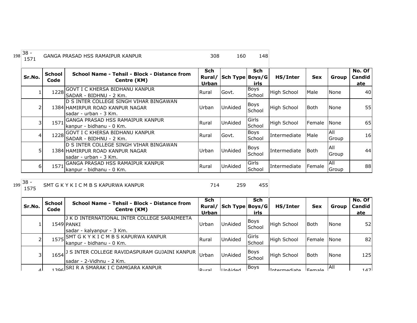| 198 | $38 -$<br>1571 |                       | GANGA PRASAD HSS RAMAIPUR KANPUR                                                                     | 308                                  | 160             | 148                   |                    |             |              |                         |
|-----|----------------|-----------------------|------------------------------------------------------------------------------------------------------|--------------------------------------|-----------------|-----------------------|--------------------|-------------|--------------|-------------------------|
|     | Sr.No.         | <b>School</b><br>Code | School Name - Tehsil - Block - Distance from<br>Centre (KM)                                          | <b>Sch</b><br>Rural/<br><b>Urban</b> | Sch Type Boys/G | <b>Sch</b><br>irls    | HS/Inter           | <b>Sex</b>  | Group        | No. Of<br>Candid<br>ate |
|     |                | 1228                  | IGOVT I C KHERSA BIDHANU KANPUR<br>ISADAR - BIDHNU - 2 Km.                                           | Rural                                | Govt.           | <b>Boys</b><br>School | <b>High School</b> | Male        | None         | 40                      |
|     |                |                       | ID S INTER COLLEGE SINGH VIHAR BINGAWAN.<br>1384 HAMIRPUR ROAD KANPUR NAGAR<br>sadar - urban - 3 Km. | Urban                                | UnAided         | Boys<br>School        | High School        | <b>Both</b> | None         | 55                      |
|     | 31             | 1571                  | GANGA PRASAD HSS RAMAIPUR KANPUR<br>kanpur - bidhanu - 0 Km.                                         | Rural                                | UnAided         | Girls<br>School       | High School        | Female      | <b>None</b>  | 65                      |
|     |                |                       | 1228 GOVT I C KHERSA BIDHANU KANPUR<br>ISADAR - BIDHNU - 2 Km.                                       | Rural                                | Govt.           | Boys<br>School        | Intermediate       | Male        | All<br>Group | 16 <sub>l</sub>         |
|     |                |                       | ID S INTER COLLEGE SINGH VIHAR BINGAWAN<br>1384 HAMIRPUR ROAD KANPUR NAGAR<br>lsadar - urban - 3 Km. | lUrban.                              | <b>UnAided</b>  | Boys<br>School        | Intermediate       | l Both      | All<br>Group | 44                      |
|     | 6I             | 1571                  | GANGA PRASAD HSS RAMAIPUR KANPUR<br>kanpur - bidhanu - 0 Km.                                         | Rural                                | UnAided         | Girls<br>School       | Intermediate       | Female      | All<br>Group | 88                      |

SMT G K Y K I C M B S KAPURWA KANPUR 714 259 455

| Sr.No.    | <b>School</b><br>Code | School Name - Tehsil - Block - Distance from<br>Centre (KM)                                      | <b>Sch</b><br>Rural/<br>Urban | Sch Type Boys/G | <b>Sch</b><br>irls    | HS/Inter           | <b>Sex</b>  | Group       | No. Of<br><b>Candid</b><br>ate |
|-----------|-----------------------|--------------------------------------------------------------------------------------------------|-------------------------------|-----------------|-----------------------|--------------------|-------------|-------------|--------------------------------|
|           |                       | J K D INTERNATIONAL INTER COLLEGE SARAIMEETA<br>1549 PANKI<br>sadar - kalyanpur - 3 Km.          | Urban                         | UnAided         | Boys<br>School        | High School        | <b>Both</b> | <b>None</b> | 52                             |
|           | 15751                 | SMT G K Y K I C M B S KAPURWA KANPUR<br>kanpur - bidhanu - 0 Km.                                 | Rural                         | <b>UnAided</b>  | Girls<br>School       | <b>High School</b> | Female      | <b>None</b> | 82                             |
| 3         |                       | 1654 <sup>] S INTER COLLEGE RAVIDASPURAM GUJAINI KANPUR Urban</sup><br>Isadar - 2-Vidhnu - 2 Km. |                               | <b>UnAided</b>  | <b>Boys</b><br>School | <b>High School</b> | <b>Both</b> | <b>None</b> | 125                            |
| $\Lambda$ |                       | <b>206 SRI R A SMARAK I C DAMGARA KANPUR</b>                                                     | $ D_{11}r_{2} $               | IInMidad        | <b>Boys</b>           | Intermodiate       |             | IAII        | 147                            |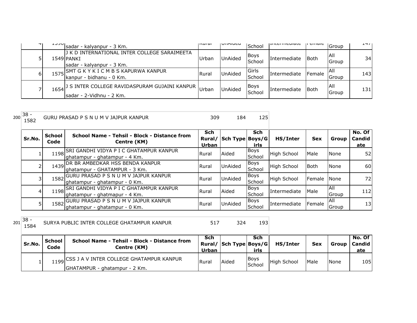| $\mathbf{u}$ | エコンロー | sadar - kalyanpur - 3 Km.                                                                  | livul al     | VIIMUCU        | School                  | ווונכו וווכטומנכ    | μ σπιαισ      | Group         | 1711            |
|--------------|-------|--------------------------------------------------------------------------------------------|--------------|----------------|-------------------------|---------------------|---------------|---------------|-----------------|
| 5            |       | J K D INTERNATIONAL INTER COLLEGE SARAIMEETA<br>1549 PANKI<br>sadar - kalyanpur - 3 Km.    | Urban        | <b>UnAided</b> | <b>Boys</b><br>School   | Intermediate        | lBoth         | IAII<br>Group | 34 <sub>l</sub> |
| 6            | 1575  | SMT G K Y K I C M B S KAPURWA KANPUR<br>kanpur - bidhanu - 0 Km.                           | <b>Rural</b> | <b>UnAided</b> | <b>IGirls</b><br>School | Intermediate        | <b>Female</b> | IAII<br>Group | 1431            |
|              |       | 1654 <sup>] S INTER COLLEGE RAVIDASPURAM GUJAINI KANPUR</sup><br>Isadar - 2-Vidhnu - 2 Km. | Urban        | <b>UnAided</b> | <b>Boys</b><br>School   | <b>Intermediate</b> | lBoth         | IAII<br>Group | 131             |

| 200 | $38 -$<br>1582 |                       | GURU PRASAD P S N U M V JAJPUR KANPUR                                          | 309                           | 184             | 125                   |                    |            |                     |                         |
|-----|----------------|-----------------------|--------------------------------------------------------------------------------|-------------------------------|-----------------|-----------------------|--------------------|------------|---------------------|-------------------------|
|     | Sr.No.         | <b>School</b><br>Code | School Name - Tehsil - Block - Distance from<br>Centre (KM)                    | <b>Sch</b><br>Rural/<br>Urban | Sch Type Boys/G | <b>Sch</b><br>irls    | HS/Inter           | <b>Sex</b> | Group               | No. Of<br>Candid<br>ate |
|     |                | 1198                  | SRI GANDHI VIDYA P I C GHATAMPUR KANPUR<br>lghatampur - ghatampur - 4 Km.      | <b>Rural</b>                  | Aided           | Boys<br>School        | <b>High School</b> | Male       | <b>None</b>         | 52                      |
|     |                | 1439                  | <b>DR BR AMBEDKAR HSS BENDA KANPUR</b><br>ghatampur - GHATAMPUR - 3 Km.        | Rural                         | <b>UnAided</b>  | Boys<br>School        | <b>High School</b> | Both       | <b>None</b>         | <b>60</b>               |
|     |                | 1582                  | <b>GURU PRASAD P S N U M V JAJPUR KANPUR</b><br>lghatampur - ghatampur - 0 Km. | Rural                         | <b>UnAided</b>  | Boys<br>School        | <b>High School</b> | Female     | <b>None</b>         | 72 <sub>1</sub>         |
|     |                | 1198                  | SRI GANDHI VIDYA P I C GHATAMPUR KANPUR<br>ghatampur - ghatmapur - 4 Km.       | Rural                         | Aided           | Boys<br>School        | Intermediate       | Male       | All<br>Group        | 112                     |
|     |                | 1582                  | GURU PRASAD P S N U M V JAJPUR KANPUR<br>ghatampur - ghatampur - 0 Km.         | Rural                         | <b>UnAided</b>  | <b>Boys</b><br>School | Intermediate       | Female     | <b>AII</b><br>Group | 13                      |

<sup>201</sup> 38 - SURYA PUBLIC INTER COLLEGE GHATAMPUR KANPUR 517 324 193

| Sr.No. | School<br>Code | School Name - Tehsil - Block - Distance from<br>Centre (KM)                    | Sch<br>Urban | Rural/ Sch Type Boys/G | Sch<br>irls           | HS/Inter    | <b>Sex</b>  | Group       | No. Of<br>Candid<br>ate |
|--------|----------------|--------------------------------------------------------------------------------|--------------|------------------------|-----------------------|-------------|-------------|-------------|-------------------------|
|        |                | 1199 CSS J A V INTER COLLEGE GHATAMPUR KANPUR<br>GHATAMPUR - ghatampur - 2 Km. | Rural        | Aided                  | <b>Boys</b><br>School | High School | <b>Male</b> | <b>None</b> | 105                     |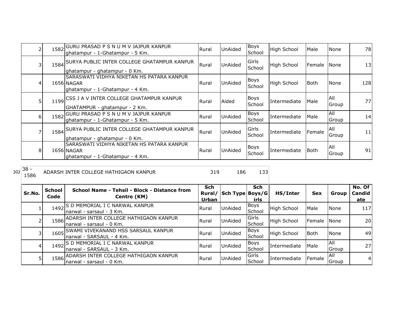|          |      | 1582 GURU PRASAD P S N U M V JAJPUR KANPUR<br>lghatampur - 1-Ghatampur - 5 Km.             | Rural | UnAided | Boys<br>School        | High School  | Male   | None          | 78  |
|----------|------|--------------------------------------------------------------------------------------------|-------|---------|-----------------------|--------------|--------|---------------|-----|
| 3        |      | 1584 SURYA PUBLIC INTER COLLEGE GHATAMPUR KANPUR<br>ghatampur - ghatampur - 0 Km.          | Rural | UnAided | Girls<br>School       | High School  | Female | None          | 13  |
| 4        |      | SARASWATI VIDHYA NIKETAN HS PATARA KANPUR<br>1656 NAGAR<br>ghatampur - 1-Ghatampur - 4 Km. | Rural | UnAided | <b>Boys</b><br>School | High School  | lBoth. | None          | 128 |
| 5        |      | 1199 CSS J A V INTER COLLEGE GHATAMPUR KANPUR<br>GHATAMPUR - ghatampur - 2 Km.             | Rural | Aided   | <b>Boys</b><br>School | Intermediate | Male   | IAII<br>Group | 77  |
| $6 \mid$ | 1582 | GURU PRASAD P S N U M V JAJPUR KANPUR<br>ghatampur - 1-Ghatampur - 5 Km.                   | Rural | UnAided | <b>Boys</b><br>School | Intermediate | Male   | IAII<br>Group | 14  |
|          |      | 1584 SURYA PUBLIC INTER COLLEGE GHATAMPUR KANPUR<br>ghatampur - ghatampur - 0 Km.          | Rural | UnAided | Girls<br>School       | Intermediate | Female | All<br>Group  | 11  |
| 8        |      | SARASWATI VIDHYA NIKETAN HS PATARA KANPUR<br>1656 NAGAR<br>ghatampur - 1-Ghatampur - 4 Km. | Rural | UnAided | <b>Boys</b><br>School | Intermediate | Both   | All<br>Group  | 91  |

 $202\begin{array}{|c} 38 - 1586 \end{array}$ 

ADARSH INTER COLLEGE HATHIGAON KANPUR 319 186 133

| Sr.No. | <b>School</b><br>Code | School Name - Tehsil - Block - Distance from<br>Centre (KM)             | Sch<br>Rural/<br>Urban | Sch Type Boys/G | <b>Sch</b><br>irls    | HS/Inter           | <b>Sex</b> | Group               | No. Of<br><b>Candid</b><br>ate |
|--------|-----------------------|-------------------------------------------------------------------------|------------------------|-----------------|-----------------------|--------------------|------------|---------------------|--------------------------------|
|        | 1492                  | S D MEMORIAL I C NARWAL KANPUR<br>Inarwal - sarsaul - 3 Km.             | Rural                  | <b>UnAided</b>  | Boys<br>School        | High School        | Male       | None                | 117                            |
|        |                       | 1586 ADARSH INTER COLLEGE HATHIGAON KANPUR<br>Inarwal - sarsaul - 0 Km. | <b>Rural</b>           | UnAided         | Girls<br>School       | <b>High School</b> | Female     | <b>None</b>         | 20I                            |
|        |                       | 1605 SWAMI VIVEKANAND HSS SARSAUL KANPUR<br>narwal - SARSAUL - 4 Km.    | l Rural                | <b>UnAided</b>  | <b>Boys</b><br>School | <b>High School</b> | Both       | None                | 49                             |
|        |                       | 1492 S D MEMORIAL I C NARWAL KANPUR<br>narwal - SARSAUL - 3 Km.         | <b>Rural</b>           | UnAided         | Boys<br>School        | Intermediate       | Male       | <b>AII</b><br>Group | 27 <sup>1</sup>                |
|        |                       | 1586 ADARSH INTER COLLEGE HATHIGAON KANPUR<br>Inarwal - sarsaul - 0 Km. | <b>Rural</b>           | UnAided         | Girls<br>School       | Intermediate       | Female     | IAII<br>Group       | $\overline{4}$                 |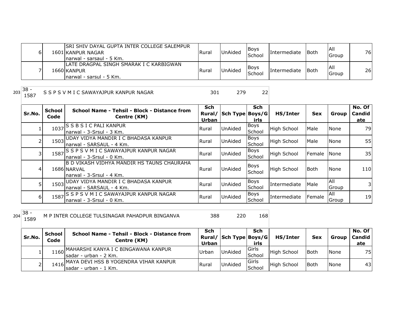| 61 | ISRI SHIV DAYAL GUPTA INTER COLLEGE SALEMPUR<br>1601 KANPUR NAGAR<br>Inarwal - sarsaul - 5 Km. | Rura. | <b>UnAided</b> | Boys<br>School        | Intermediate | lBoth         | IAII<br>Group | 76I |
|----|------------------------------------------------------------------------------------------------|-------|----------------|-----------------------|--------------|---------------|---------------|-----|
|    | ILATE DRAGPAL SINGH SMARAK I C KARBIGWAN<br>1660 KANPUR<br>Inarwal - sarsul - 5 Km.            | Rural | <b>UnAided</b> | Boys<br><b>School</b> | Intermediate | <b>I</b> Both | All<br>Group  | 26  |

 $203 \overline{\smash)38 - 1587}$ 

1587 S J M I C SAWAYAJPUR KANPUR NAGAR 301 279 22

sadar - urban - 1 Km.

**No. Of Candid ate**

School High School Both None 43

| Sr.No.   | <b>School</b><br>Code | School Name - Tehsil - Block - Distance from<br>Centre (KM)                            | Sch<br>Rural/<br>Urban | Sch Type Boys/G | Sch<br>irls           | HS/Inter           | <b>Sex</b> | Group        | No. Of<br><b>Candid</b><br>ate |
|----------|-----------------------|----------------------------------------------------------------------------------------|------------------------|-----------------|-----------------------|--------------------|------------|--------------|--------------------------------|
|          |                       | 1037 S B S I C PALI KANPUR<br>Inarwal - 3-Srsul - 3 Km.                                | Rural                  | <b>UnAided</b>  | <b>Boys</b><br>School | <b>High School</b> | Male       | <b>None</b>  | 79                             |
|          |                       | 1503 UDAY VIDYA MANDIR I C BHADASA KANPUR<br>Inarwal - SARSAUL - 4 Km.                 | Rural                  | UnAided         | <b>Boys</b><br>School | <b>High School</b> | Male       | None         | 55                             |
| 3        | 1587                  | IS S P S V M I C SAWAYAJPUR KANPUR NAGAR,<br>Inarwal - 3-Srsul - 0 Km.                 | Rural                  | UnAided         | <b>Boys</b><br>School | <b>High School</b> | Female     | <b>None</b>  | 35                             |
| 41       |                       | IB D VIKASH VIDHYA MANDIR HS TAUNS CHAURAHA<br>1686 NARVAL<br>narwal - 3-Srsul - 4 Km. | Rural                  | UnAided         | <b>Boys</b><br>School | <b>High School</b> | Both       | None         | 110                            |
|          |                       | 1503 UDAY VIDYA MANDIR I C BHADASA KANPUR<br>Inarwal - SARSAUL - 4 Km.                 | Rural                  | <b>UnAided</b>  | <b>Boys</b><br>School | Intermediate       | Male       | All<br>Group | 31                             |
| $6 \mid$ |                       | 1587 S P S V M I C SAWAYAJPUR KANPUR NAGAR<br>narwal - 3-Srsul - 0 Km.                 | Rural                  | <b>UnAided</b>  | <b>Boys</b><br>School | Intermediate       | Female     | All<br>Group | 19                             |

 $204 \overline{\smash{\big)}\begin{array}{l} 38 \\ 1589 \end{array}}$ 

158 M P INTER COLLEGE TULSINAGAR PAHADPUR BINGANVA 388 220 168

2 1416 MAYA DEVI HSS B YOGENDRA VIHAR KANPUR Rural UnAided Girls

**Sr.No. School Code School Name - Tehsil - Block - Distance from Centre (KM) Sch Rural/ Sch Type Boys/G Urban Sch irls HS/Inter Sex Group** 1 1160 MAHARSHI KANYA I C BINGAWANA KANPUR Urban UnAided Girls sadar - urban - 2 Km. School High School Both None 75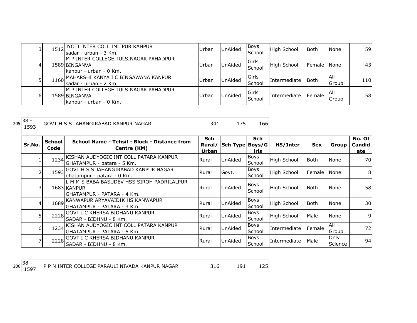|    | 1512 JYOTI INTER COLL IMLIPUR KANPUR<br>Isadar - urban - 3 Km.                    | Urban | <b>UnAided</b> | Boys<br>School           | High School        | Both        | None          | 59I             |
|----|-----------------------------------------------------------------------------------|-------|----------------|--------------------------|--------------------|-------------|---------------|-----------------|
| 4  | IM P INTER COLLEGE TULSINAGAR PAHADPUR<br>1589 BINGANVA<br>kanpur - urban - 0 Km. | Urban | <b>UnAided</b> | <b>I</b> Girls<br>School | <b>High School</b> | Female None |               | 43 <sub>l</sub> |
|    | 1160 MAHARSHI KANYA I C BINGAWANA KANPUR<br>sadar - urban - 2 Km.                 | Urban | <b>UnAided</b> | Girls<br>School          | Intermediate       | Both        | IAII<br>Group | 110             |
| 61 | M P INTER COLLEGE TULSINAGAR PAHADPUR<br>1589 BINGANVA<br>kanpur - urban - 0 Km.  | Urban | <b>UnAided</b> | <b>I</b> Girls<br>School | Intermediate       | Female      | IAII<br>Group | <b>58</b>       |

| 205 | $38 -$<br>1593 |                       | GOVT H S S JAHANGIRABAD KANPUR NAGAR                                                     | 341          | 175                    | 166                |                    |             |                 |                             |
|-----|----------------|-----------------------|------------------------------------------------------------------------------------------|--------------|------------------------|--------------------|--------------------|-------------|-----------------|-----------------------------|
|     | Sr.No.         | <b>School</b><br>Code | School Name - Tehsil - Block - Distance from<br>Centre (KM)                              | Sch<br>Urban | Rural/ Sch Type Boys/G | <b>Sch</b><br>irls | HS/Inter           | <b>Sex</b>  | Group           | No. Of $ $<br>Candid<br>ate |
|     |                |                       | 1234 KISHAN AUDYOGIC INT COLL PATARA KANPUR<br>IGHATAMPUR - patara - 5 Km.               | Rural        | <b>UnAided</b>         | Boys<br>School     | <b>High School</b> | <b>Both</b> | None            | 70                          |
|     |                |                       | 1593 GOVT H S S JAHANGIRABAD KANPUR NAGAR<br>lghatampur - patara - 0 Km.                 | Rural        | Govt.                  | Boys<br>School     | High School        | Female      | None            | 8                           |
|     | 31             |                       | L M M S BABA BASUDEV HSS SIROH PADRILALPUR<br>1683 KANPUR<br>IGHATAMPUR - PATARA - 4 Km. | Rural        | <b>UnAided</b>         | Boys<br>School     | <b>High School</b> | <b>Both</b> | None            | 58                          |
|     |                |                       | 1689 KANWAPUR ARYAVAIDIK HS KANWAPUR<br>IGHATAMPUR - PATARA - 3 Km.                      | Rural        | <b>UnAided</b>         | Boys<br>School     | <b>High School</b> | <b>Both</b> | None            | 30                          |
|     | 51             |                       | 2228 GOVT I C KHERSA BIDHANU KANPUR<br>ISADAR - BIDHNU - 8 Km.                           | Rural        | <b>UnAided</b>         | Boys<br>School     | High School        | Male        | None            | 9                           |
|     | 6I             |                       | 1234 KISHAN AUDYOGIC INT COLL PATARA KANPUR<br>GHATAMPUR - PATARA - 5 Km.                | Rural        | <b>UnAided</b>         | Boys<br>School     | Intermediate       | Female      | All<br>Group    | 72                          |
|     |                |                       | 2228 GOVT I C KHERSA BIDHANU KANPUR<br>SADAR - BIDHNU - 8 Km.                            | Rural        | UnAided                | Boys<br>School     | l Intermediate     | Male        | Only<br>Science | 94                          |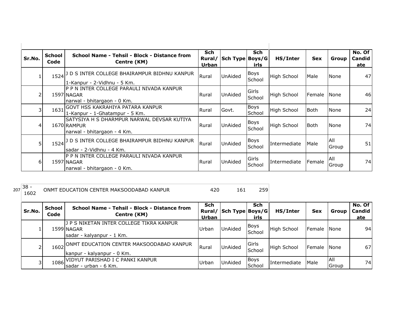| Sr.No.         | <b>School</b><br>Code | School Name - Tehsil - Block - Distance from<br>Centre (KM)                              | <b>Sch</b><br>Rural/<br><b>Urban</b> | Sch Type Boys/G | Sch<br>irls     | HS/Inter           | <b>Sex</b>  | Group               | No. Of<br>Candid<br>ate |
|----------------|-----------------------|------------------------------------------------------------------------------------------|--------------------------------------|-----------------|-----------------|--------------------|-------------|---------------------|-------------------------|
|                |                       | 1524 J D S INTER COLLEGE BHAIRAMPUR BIDHNU KANPUR<br>1-Kanpur - 2-Vidhnu - 5 Km.         | Rural                                | <b>UnAided</b>  | Boys<br>School  | <b>High School</b> | Male        | None                | 47                      |
| $\overline{2}$ |                       | P P N INTER COLLEGE PARAULI NIVADA KANPUR<br>1597 NAGAR<br>narwal - bhitargaon - 0 Km.   | Rural                                | <b>UnAided</b>  | Girls<br>School | <b>High School</b> | Female      | <b>None</b>         | 46                      |
| 3              | 1631                  | , GOVT HSS KAKRAHIYA PATARA KANPUR<br>1-Kanpur - 1-Ghatampur - 5 Km.                     | Rural                                | Govt.           | Boys<br>School  | High School        | <b>Both</b> | None                | 24                      |
| 4              |                       | SATYSIYA H S DHARMPUR NARWAL DEVSAR KUTIYA<br>1670 RAMPUR<br>narwal - bhitargaon - 4 Km. | Rural                                | <b>UnAided</b>  | Boys<br>School  | <b>High School</b> | <b>Both</b> | None                | 74                      |
| 5              | 1524                  | D S INTER COLLEGE BHAIRAMPUR BIDHNU KANPUR<br>Isadar - 2-Vidhnu - 4 Km.                  | Rural                                | <b>UnAided</b>  | Boys<br>School  | Intermediate       | Male        | All<br>Group        | 51                      |
| 6              |                       | IP P N INTER COLLEGE PARAULI NIVADA KANPUR<br>1597 NAGAR<br>narwal - bhitargaon - 0 Km.  | Rural                                | UnAided         | Girls<br>School | Intermediate       | Female      | <b>AII</b><br>Group | 74                      |

| 207 | $38 -$<br>1602 |                       | ONMT EDUCATION CENTER MAKSOODABAD KANPUR                                            | 420                   | 161             | 259                   |                    |            |                      |                         |
|-----|----------------|-----------------------|-------------------------------------------------------------------------------------|-----------------------|-----------------|-----------------------|--------------------|------------|----------------------|-------------------------|
|     | Sr.No.         | <b>School</b><br>Code | School Name - Tehsil - Block - Distance from<br>Centre (KM)                         | Sch<br>Rural<br>Urban | Sch Type Boys/G | <b>Sch</b><br>irls    | HS/Inter           | <b>Sex</b> | Group                | No. Of<br>Candid<br>ate |
|     |                |                       | J P S NIKETAN INTER COLLEGE TIKRA KANPUR<br>1599 NAGAR<br>sadar - kalyanpur - 1 Km. | Urban                 | <b>UnAided</b>  | Boys<br>School        | <b>High School</b> | Female     | None                 | 94                      |
|     |                | 1602                  | ONMT EDUCATION CENTER MAKSOODABAD KANPUR<br>kanpur - kalyanpur - 0 Km.              | Rural                 | <b>UnAided</b>  | Girls<br>School       | High School        | Female     | None                 | 67                      |
|     |                | 1086                  | IVIDYUT PARISHAD I C PANKI KANPUR<br>Isadar - urban - 6 Km.                         | Urban                 | <b>UnAided</b>  | <b>Boys</b><br>School | Intermediate       | Male       | IAII<br><b>Group</b> | 74                      |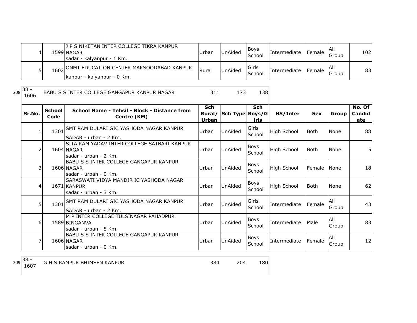| 4 | 1 P S NIKETAN INTER COLLEGE TIKRA KANPUR<br>1599 NAGAR<br>sadar - kalyanpur - 1 Km. | Urban | <b>UnAided</b> | <b>Boys</b><br>School | Intermediate        | <b>IFemale</b> | Group | 1021 |
|---|-------------------------------------------------------------------------------------|-------|----------------|-----------------------|---------------------|----------------|-------|------|
|   | 1602 ONMT EDUCATION CENTER MAKSOODABAD KANPUR<br>Ikanpur - kalyanpur - 0 Km.        | Rural | <b>UnAided</b> | lGirls<br>School      | <b>Intermediate</b> | <b>IFemale</b> | Group | 83   |

 $208 \overline{\smash)38 - 1606}$ 

BABU S S INTER COLLEGE GANGAPUR KANPUR NAGAR 311 173 138

| Sr.No.         | <b>School</b><br>Code | School Name - Tehsil - Block - Distance from<br>Centre (KM)                          | <b>Sch</b><br>Rural/<br>Urban | Sch Type Boys/G | <b>Sch</b><br>irls    | HS/Inter           | <b>Sex</b>  | Group        | No. Of<br>Candid<br>ate |
|----------------|-----------------------|--------------------------------------------------------------------------------------|-------------------------------|-----------------|-----------------------|--------------------|-------------|--------------|-------------------------|
|                |                       | 1301 SMT RAM DULARI GIC YASHODA NAGAR KANPUR<br>SADAR - urban - 2 Km.                | Urban                         | UnAided         | Girls<br>School       | <b>High School</b> | l Both      | None         | 88                      |
| $\overline{2}$ |                       | SITA RAM YADAV INTER COLLEGE SATBARI KANPUR<br>1604 NAGAR<br>sadar - urban - 2 Km.   | Urban                         | UnAided         | <b>Boys</b><br>School | <b>High School</b> | l Both      | None         | 5١                      |
| 31             |                       | <b>BABU S S INTER COLLEGE GANGAPUR KANPUR</b><br>1606 NAGAR<br>sadar - urban - 0 Km. | Urban                         | <b>UnAided</b>  | Boys<br>School        | <b>High School</b> | Female      | None         | 18                      |
| 4              |                       | SARASWATI VIDYA MANDIR IC YASHODA NAGAR<br>1671 KANPUR<br>sadar - urban - 3 Km.      | Urban                         | <b>UnAided</b>  | Boys<br>School        | High School        | <b>Both</b> | None         | 62                      |
| 5              |                       | 1301 SMT RAM DULARI GIC YASHODA NAGAR KANPUR<br>SADAR - urban - 2 Km.                | Urban                         | UnAided         | Girls<br>School       | Intermediate       | Female      | All<br>Group | 43                      |
| 6              |                       | IM P INTER COLLEGE TULSINAGAR PAHADPUR<br>1589 BINGANVA<br>lsadar - urban - 5 Km.    | Urban                         | UnAided         | <b>Boys</b><br>School | Intermediate       | Male        | All<br>Group | 83                      |
|                |                       | <b>BABU S S INTER COLLEGE GANGAPUR KANPUR</b><br>1606 NAGAR<br>sadar - urban - 0 Km. | Urban                         | <b>UnAided</b>  | <b>Boys</b><br>School | Intermediate       | Female      | All<br>Group | 12                      |

 $209\begin{array}{|c} 38 - 1607 \end{array}$ 180 G H S RAMPUR BHIMSEN KANPUR 384 204 180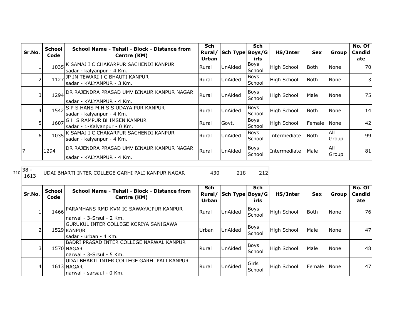|                | <b>School</b> | School Name - Tehsil - Block - Distance from                                 | <b>Sch</b> |                 | Sch                   |                    |             |               | No. Of |
|----------------|---------------|------------------------------------------------------------------------------|------------|-----------------|-----------------------|--------------------|-------------|---------------|--------|
| Sr.No.         | Code          | Centre (KM)                                                                  | Rural/     | Sch Type Boys/G |                       | HS/Inter           | <b>Sex</b>  | Group         | Candid |
|                |               |                                                                              | Urban      |                 | irls                  |                    |             |               | ate    |
|                |               | 1035 K SAMAJ I C CHAKARPUR SACHENDI KANPUR<br>sadar - kalyanpur - 4 Km.      | Rural      | UnAided         | Boys<br>School        | <b>High School</b> | l Both      | None          | 70I    |
| 2              |               | 1127 JP JN TEWARI I C BHAUTI KANPUR<br>lsadar - KALYANPUR - 3 Km.            | Rural      | UnAided         | Boys<br>School        | <b>High School</b> | l Both      | None          | 31     |
| 3              |               | 1294 DR RAJENDRA PRASAD UMV BINAUR KANPUR NAGAR<br>sadar - KALYANPUR - 4 Km. | Rural      | <b>UnAided</b>  | <b>Boys</b><br>School | <b>High School</b> | Male        | None          | 75     |
| 41             |               | 1542 S P S HANS M H S S UDAYA PUR KANPUR<br>sadar - kalyanpur - 4 Km.        | Rural      | UnAided         | Boys<br>School        | <b>High School</b> | <b>Both</b> | None          | 14     |
| 5              | 1607          | <b>G H S RAMPUR BHIMSEN KANPUR</b><br>sadar - 1-Kalyanpur - 0 Km.            | Rural      | Govt.           | Boys<br>School        | <b>High School</b> | Female      | None          | 42     |
| $6 \mid$       |               | 1035 K SAMAJ I C CHAKARPUR SACHENDI KANPUR<br>sadar - kalyanpur - 4 Km.      | Rural      | UnAided         | <b>Boys</b><br>School | Intermediate       | Both        | All<br>Group  | 99     |
| $\overline{7}$ | 1294          | IDR RAJENDRA PRASAD UMV BINAUR KANPUR NAGAR<br>Isadar - KALYANPUR - 4 Km.    | Rural      | UnAided         | <b>Boys</b><br>School | Intermediate       | Male        | IAII<br>Group | 81     |

 $210\begin{array}{|c} 38 - 1613 \end{array}$ 

<sup>1613</sup> UDAI BHARTI INTER COLLEGE GARHI PALI KANPUR NAGAR <sup>430</sup> <sup>218</sup> <sup>212</sup>

| Sr.No. | <b>School</b><br>Code | School Name - Tehsil - Block - Distance from<br>Centre (KM)                            | <b>Sch</b><br>Rural/<br>Urban | Sch Type Boys/G | Sch<br><b>irls</b>    | HS/Inter           | <b>Sex</b> | Group       | No. Of<br>Candid<br>ate |
|--------|-----------------------|----------------------------------------------------------------------------------------|-------------------------------|-----------------|-----------------------|--------------------|------------|-------------|-------------------------|
|        |                       | 1466 PARAMHANS RMD KVM IC SAWAYAJPUR KANPUR<br>narwal - 3-Srsul - 2 Km.                | Rural                         | <b>UnAided</b>  | Boys<br>School        | High School        | Both       | <b>None</b> | 76                      |
| 2      |                       | GURUKUL INTER COLLEGE KORIYA SANIGAWA<br>1529 KANPUR<br>Isadar - urban - 4 Km.         | Urban                         | <b>UnAided</b>  | Boys<br><b>School</b> | <b>High School</b> | Male       | None        | 47                      |
| 31     |                       | BADRI PRASAD INTER COLLEGE NARWAL KANPUR<br>1570 NAGAR<br>narwal - 3-Srsul - 5 Km.     | Rural                         | UnAided         | Boys<br>School        | <b>High School</b> | Male       | <b>None</b> | 48                      |
| 4      |                       | UDAI BHARTI INTER COLLEGE GARHI PALI KANPUR<br>1613 NAGAR<br>Inarwal - sarsaul - 0 Km. | Rural                         | UnAided         | Girls<br>School       | <b>High School</b> | Female     | <b>None</b> | 47                      |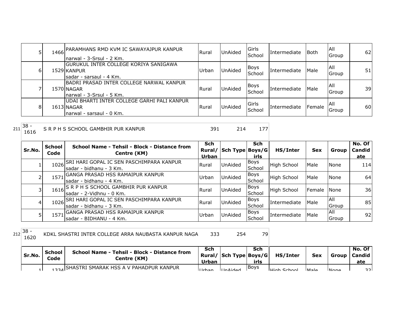|   | 1466 PARAMHANS RMD KVM IC SAWAYAJPUR KANPUR<br>Inarwal - 3-Srsul - 2 Km.               | l Rural | UnAided        | Girls<br>School | Intermediate        | l Both | <b>AII</b><br>Group | 62 |
|---|----------------------------------------------------------------------------------------|---------|----------------|-----------------|---------------------|--------|---------------------|----|
| b | IGURUKUL INTER COLLEGE KORIYA SANIGAWA<br>1529 KANPUR<br>sadar - sarsaul - 4 Km.       | Urban   | <b>UnAided</b> | Boys<br>School  | Intermediate        | Male   | IAII<br>Group       | 51 |
|   | BADRI PRASAD INTER COLLEGE NARWAL KANPUR<br>1570 NAGAR<br>narwal - 3-Srsul - 5 Km.     | Rural   | UnAided        | Boys<br>School  | <b>Intermediate</b> | Male   | IAII<br>Group       | 39 |
| 8 | UDAI BHARTI INTER COLLEGE GARHI PALI KANPUR<br>1613 NAGAR<br>Inarwal - sarsaul - 0 Km. | l Rural | UnAided        | Girls<br>School | Intermediate        | Female | IAII<br>Group       | 60 |

 $211 \overline{\smash{\big)}\n38 - 1616}$ S R P H S SCHOOL GAMBHIR PUR KANPUR 391 214 177

| Sr.No.         | <b>School</b><br>Code | School Name - Tehsil - Block - Distance from<br>Centre (KM)           | Sch<br><b>Urban</b> | Rural/ Sch Type Boys/G | <b>Sch</b><br>irls    | HS/Inter           | <b>Sex</b> | Group         | No. Of<br><b>Candid</b><br>ate |
|----------------|-----------------------|-----------------------------------------------------------------------|---------------------|------------------------|-----------------------|--------------------|------------|---------------|--------------------------------|
|                | 1026                  | ISRI HARI GOPAL IC SEN PASCHIMPARA KANPUR<br>sadar - bidhanu - 3 Km.  | Rural               | <b>UnAided</b>         | Boys<br>School        | High School        | Male       | <b>None</b>   | 114                            |
|                | 1571                  | GANGA PRASAD HSS RAMAIPUR KANPUR<br>Isadar - bidhanu - 4 Km.          | Urban               | UnAided                | Boys<br>School        | <b>High School</b> | Male       | <b>None</b>   | 64                             |
| 3              |                       | 1616 S R P H S SCHOOL GAMBHIR PUR KANPUR<br>Isadar - 2-Vidhnu - 0 Km. | Rural               | UnAided                | Boys<br>School        | <b>High School</b> | Female     | <b>I</b> None | 36                             |
| $\overline{4}$ | 1026                  | SRI HARI GOPAL IC SEN PASCHIMPARA KANPUR<br>sadar - bidhanu - 3 Km.   | Rural               | <b>UnAided</b>         | Boys<br>School        | Intermediate       | Male       | IAII<br>Group | 85                             |
| 5              | 1571                  | GANGA PRASAD HSS RAMAIPUR KANPUR<br>Isadar - BIDHANU - 4 Km.          | Urban               | <b>UnAided</b>         | <b>Boys</b><br>School | Intermediate       | Male       | IAII<br>Group | 92                             |

 $212 \begin{array}{|l} 38 \\ 1620 \end{array}$ 

KDKL SHASTRI INTER COLLEGE ARRA NAUBASTA KANPUR NAGA 333 254 79

| Sr.No. | <b>School</b><br>Code | School Name - Tehsil - Block - Distance from<br>Centre (KM) | Sch<br>Urban | Rural/ Sch Type Boys/G | Sch<br>irls | HS/Inter           | <b>Sex</b>     |             | No. Of l<br>Group   Candid  <br>ate |
|--------|-----------------------|-------------------------------------------------------------|--------------|------------------------|-------------|--------------------|----------------|-------------|-------------------------------------|
|        |                       | 1224 SHASTRI SMARAK HSS A V PAHADPUR KANPUR                 | I            | <b>IlnAidod</b>        | IBovs       | <b>High School</b> | M <sub>2</sub> | <b>None</b> | ววไ                                 |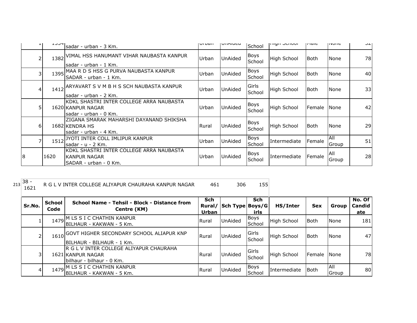| ᅩᅵ | エコココ | sadar - urban - 3 Km.                                                                    | <b>UI DOII</b> | UIIMIUCU       | School                | ורווערו סטווויזן   | <b>THAIC</b> | <b>טוועצו</b>       | ے ب |
|----|------|------------------------------------------------------------------------------------------|----------------|----------------|-----------------------|--------------------|--------------|---------------------|-----|
| 2  | 1382 | VIMAL HSS HANUMANT VIHAR NAUBASTA KANPUR<br>lsadar - urban - 1 Km.                       | Urban          | <b>UnAided</b> | <b>Boys</b><br>School | High School        | l Both       | None                | 78  |
| 3  | 1395 | MAA R D S HSS G PURVA NAUBASTA KANPUR<br>ISADAR - urban - 1 Km.                          | Urban          | UnAided        | <b>Boys</b><br>School | <b>High School</b> | <b>Both</b>  | None                | 40  |
| 4  | 1412 | ARYAVART S V M B H S SCH NAUBASTA KANPUR<br>lsadar - urban - 2 Km.                       | Urban          | <b>UnAided</b> | Girls<br>School       | High School        | l Both       | None                | 33  |
| 5  |      | IKDKL SHASTRI INTER COLLEGE ARRA NAUBASTA<br>1620 KANPUR NAGAR<br>lsadar - urban - 0 Km. | Urban          | <b>UnAided</b> | <b>Boys</b><br>School | <b>High School</b> | Female       | <b>None</b>         | 42  |
| 6  |      | IZIGANA SMARAK MAHARSHI DAYANAND SHIKSHA<br>1682 KENDRA HS<br>lsadar - urban - 4 Km.     | Rural          | <b>UnAided</b> | <b>Boys</b><br>School | High School        | l Both       | None                | 29  |
|    | 1512 | JYOTI INTER COLL IMLIPUR KANPUR<br>lsadar - u - 2 Km.                                    | Urban          | UnAided        | Boys<br>School        | Intermediate       | Female       | All<br>Group        | 51  |
| 8  | 1620 | IKDKL SHASTRI INTER COLLEGE ARRA NAUBASTA<br>IKANPUR NAGAR<br>ISADAR - urban - 0 Km.     | Urban          | <b>UnAided</b> | <b>Boys</b><br>School | Intermediate       | Female       | <b>AII</b><br>Group | 28  |

 $213 \overline{\)38 - 1621}$ 

R G L V INTER COLLEGE ALIYAPUR CHAURAHA KANPUR NAGAR 461 306 155

| Sr.No. | School<br>Code | School Name - Tehsil - Block - Distance from<br>Centre (KM)                               | <b>Sch</b><br>Urban | Rural/ Sch Type Boys/G | <b>Sch</b><br>irls    | HS/Inter           | <b>Sex</b>  | Group         | No. Of<br>Candid<br>ate |
|--------|----------------|-------------------------------------------------------------------------------------------|---------------------|------------------------|-----------------------|--------------------|-------------|---------------|-------------------------|
|        | 1479           | M LS S I C CHATHIN KANPUR<br>IBILHAUR - KAKWAN - 5 Km.                                    | Rural               | UnAided                | Boys<br>School        | High School        | <b>Both</b> | None          | 181                     |
|        | 1610           | GOVT HIGHER SECONDARY SCHOOL ALIAPUR KNP<br>BILHAUR - BILHAUR - 1 Km.                     | <b>Rural</b>        | <b>UnAided</b>         | Girls<br>School       | <b>High School</b> | Both        | None          | 47                      |
| 31     |                | R G L V INTER COLLEGE ALIYAPUR CHAURAHA<br>1621 KANPUR NAGAR<br>bilhaur - bilhaur - 0 Km. | <b>Rural</b>        | <b>UnAided</b>         | Girls<br>School       | <b>High School</b> | Female      | <b>None</b>   | 78                      |
| 4      |                | 1479 M LS S I C CHATHIN KANPUR<br>BILHAUR - KAKWAN - 5 Km.                                | Rural               | UnAided                | <b>Boys</b><br>School | Intermediate       | l Both      | IAII<br>Group | 80                      |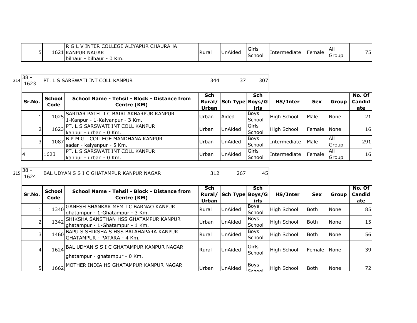| <b>FOF</b><br>. പ്രവ<br><b>CHAURAHA</b><br>. ALIYAPUR<br>INTER<br>LCGE. |               |         | <b>IGirls</b> |              |        | -lAlı |         |
|-------------------------------------------------------------------------|---------------|---------|---------------|--------------|--------|-------|---------|
| $\sim$ $\sim$ $\sim$<br><b>NAGAR</b><br>1621 KANPUR                     | <b>IRural</b> | UnAided |               | Intermediate | Female |       | フロ<br>ັ |
| <br>pilhaur<br>0 Km.<br>bilhaur - (                                     |               |         | School        |              |        | Group |         |

| 14 | 38 |  | רם |
|----|----|--|----|
|    |    |  |    |

<sup>214</sup> 38 - <sup>1623</sup> PT. L S SARSWATI INT COLL KANPUR <sup>344</sup> <sup>37</sup> <sup>307</sup>

| Sr.No. | School<br>Code | School Name - Tehsil - Block - Distance from<br>Centre (KM)                   | <b>Sch</b><br>Rural/<br>Urban | Sch Type Boys/G | <b>Sch</b><br>irls | HS/Inter     | <b>Sex</b> | Group               | No. Of<br><b>Candid</b><br>ate |
|--------|----------------|-------------------------------------------------------------------------------|-------------------------------|-----------------|--------------------|--------------|------------|---------------------|--------------------------------|
|        |                | 1025 SARDAR PATEL I C BAIRI AKBARPUR KANPUR<br>1-Kanpur - 1-Kalyanpur - 3 Km. | Urban                         | Aided           | Boys<br>School     | High School  | Male       | None                | 21                             |
|        |                | 1623 PT. L S SARSWATI INT COLL KANPUR<br>Ikanpur - urban - 0 Km.              | Urban                         | <b>UnAided</b>  | Girls<br>School    | High School  | Female     | <b>None</b>         | 16 <sub>l</sub>                |
|        |                | 1087 B P M G I COLLEGE MANDHANA KANPUR<br>Isadar - kalyanpur - 5 Km.          | Urban                         | <b>UnAided</b>  | Boys<br>School     | Intermediate | Male       | <b>AII</b><br>Group | 291                            |
|        | 1623           | PT. L S SARSWATI INT COLL KANPUR<br>kanpur - urban - 0 Km.                    | Urban                         | <b>UnAided</b>  | Girls<br>School    | Intermediate | Female     | IAII<br>Group       | 16 <sub>l</sub>                |

 $215 \begin{array}{|l} 38 - 1624 \end{array}$ 

1624 BAL UDYAN S S I C GHATAMPUR KANPUR NAGAR 312

| Sr.No. | <b>School</b><br>Code | School Name - Tehsil - Block - Distance from<br>Centre (KM)                    | <b>Sch</b><br>Rural/<br>Urban | Sch Type   Boys/G | <b>Sch</b><br>irls    | HS/Inter           | Sex             | Group         | No. Of<br><b>Candid</b><br>ate |
|--------|-----------------------|--------------------------------------------------------------------------------|-------------------------------|-------------------|-----------------------|--------------------|-----------------|---------------|--------------------------------|
|        |                       | 1340 GANESH SHANKAR MEM I C BARNAO KANPUR<br>ghatampur - 1-Ghatampur - 3 Km.   | Rural                         | <b>UnAided</b>    | <b>Boys</b><br>School | <b>High School</b> | Both            | <b>None</b>   | 85                             |
|        |                       | 1342 SHIKSHA SANSTHAN HSS GHATAMPUR KANPUR<br>Ighatampur - 1-Ghatampur - 1 Km. | Urban                         | <b>UnAided</b>    | <b>Boys</b><br>School | <b>High School</b> | <b>Both</b>     | <b>None</b>   | 15                             |
|        |                       | 1460 BAPU S SHIKSHA S HSS BALAHAPARA KANPUR<br>GHATAMPUR - PATARA - 4 Km.      | Rural                         | UnAided           | <b>Boys</b><br>School | High School        | Both            | <b>None</b>   | 56                             |
| 41     |                       | 1624 BAL UDYAN S S I C GHATAMPUR KANPUR NAGAR<br>ghatampur - ghatampur - 0 Km. | Rural                         | UnAided           | Girls<br>School       | High School        | <b>I</b> Female | <b>I</b> None | 39                             |
| 5      |                       | 1662 MOTHER INDIA HS GHATAMPUR KANPUR NAGAR                                    | Urban                         | UnAided           | Boys<br>Cchoo         | High School        | Both            | None          | 72                             |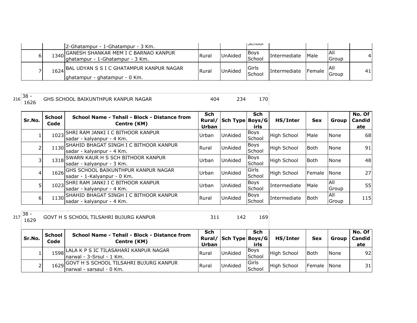|   | 2-Ghatampur - 1-Ghatampur - 3 Km.                                               |       |                | וטטווטכו              |                     |                 |               |              |
|---|---------------------------------------------------------------------------------|-------|----------------|-----------------------|---------------------|-----------------|---------------|--------------|
| ы | 1340 GANESH SHANKAR MEM I C BARNAO KANPUR<br>Jghatampur - 1-Ghatampur - 3 Km.   | Rural | <b>UnAided</b> | <b>Boys</b><br>School | <i>Intermediate</i> | Male            | IAII<br>Group | $\mathbf{4}$ |
|   | 1624 BAL UDYAN S S I C GHATAMPUR KANPUR NAGAR<br>lghatampur - ghatampur - 0 Km. | Rural | <b>UnAided</b> | Girls<br>School       | <b>Intermediate</b> | <b>I</b> Female | IAII<br>Group | 41           |

 $216 \overline{\smash)38 - 1626}$ 

GHS SCHOOL BAIKUNTHPUR KANPUR NAGAR 404 234 170

| Sr.No. | <b>School</b><br>Code | School Name - Tehsil - Block - Distance from<br>Centre (KM)              | Sch<br>Rural/<br>Urban | Sch Type Boys/G | Sch<br>irls           | HS/Inter           | <b>Sex</b>  | Group               | No. Of<br>Candid<br>ate |
|--------|-----------------------|--------------------------------------------------------------------------|------------------------|-----------------|-----------------------|--------------------|-------------|---------------------|-------------------------|
|        | 1023                  | SHRI RAM JANKI I C BITHOOR KANPUR<br>sadar - kalyanpur - 4 Km.           | Urban                  | <b>UnAided</b>  | Boys<br>School        | <b>High School</b> | Male        | None                | 68                      |
|        |                       | 1130 SHAHID BHAGAT SINGH I C BITHOOR KANPUR<br>sadar - kalyanpur - 4 Km. | Rural                  | <b>UnAided</b>  | <b>Boys</b><br>School | <b>High School</b> | Both        | None                | 91                      |
|        |                       | 1318 SWARN KAUR H S SCH BITHOOR KANPUR<br>sadar - kalyanpur - 3 Km.      | <b>IUrban</b>          | <b>UnAided</b>  | <b>Boys</b><br>School | High School        | Both        | None                | 48                      |
|        |                       | 1626 GHS SCHOOL BAIKUNTHPUR KANPUR NAGAR<br>sadar - 1-Kalyanpur - 0 Km.  | <b>IUrban</b>          | <b>UnAided</b>  | Girls<br>School       | <b>High School</b> | Female      | <b>None</b>         | 27 <sup>1</sup>         |
|        |                       | 1023 SHRI RAM JANKI I C BITHOOR KANPUR<br>sadar - kalyanpur - 4 Km.      | Urban                  | <b>UnAided</b>  | <b>Boys</b><br>School | Intermediate       | Male        | <b>AII</b><br>Group | 55                      |
| 6      |                       | 1130 SHAHID BHAGAT SINGH I C BITHOOR KANPUR<br>sadar - kalyanpur - 4 Km. | Rural                  | <b>UnAided</b>  | <b>Boys</b><br>School | Intermediate       | <b>Both</b> | All<br>Group        | <b>115</b>              |

 $217 \begin{array}{|l} 38 - 1629 \end{array}$ 

GOVT H S SCHOOL TILSAHRI BUJURG KANPUR 169 311 142 169

| Sr.No. | <b>School</b><br>Code | School Name - Tehsil - Block - Distance from<br>Centre (KM)              | Sch<br>Urban | Rural/ Sch Type Boys/G | Sch<br>irls      | <b>HS/Inter</b> | <b>Sex</b>  | Group | No. Of<br><b>Candid</b><br>ate |
|--------|-----------------------|--------------------------------------------------------------------------|--------------|------------------------|------------------|-----------------|-------------|-------|--------------------------------|
|        |                       | 1598 LALA K P S IC TILASAHARI KANPUR NAGAR<br>Inarwal - 3-Srsul - 1 Km.  | Rural        | <b>UnAided</b>         | IBoys<br>School  | High School     | <b>Both</b> | None  | 92                             |
|        |                       | 1629 GOVT H S SCHOOL TILSAHRI BUJURG KANPUR<br>Inarwal - sarsaul - 0 Km. | Rural        | <b>UnAided</b>         | lGirls<br>School | High School     | Female None |       | 31                             |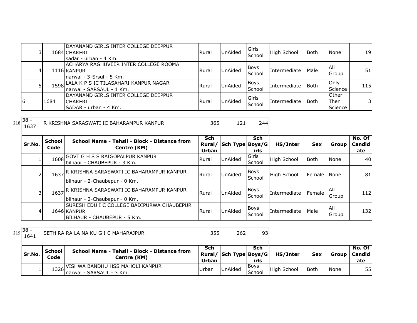| 31 |      | DAYANAND GIRLS INTER COLLEGE DEEPPUR<br>1684 CHAKERI<br>Isadar - urban - 4 Km.    | Rural        | <b>UnAided</b> | <b>Girls</b><br>School | <b>High School</b>  | <b>Both</b> | None                                    | 19         |
|----|------|-----------------------------------------------------------------------------------|--------------|----------------|------------------------|---------------------|-------------|-----------------------------------------|------------|
| 41 |      | ACHARYA RAGHUVEER INTER COLLEGE ROOMA<br>1116 KANPUR<br>Inarwal - 3-Srsul - 5 Km. | <b>Rural</b> | <b>UnAided</b> | <b>Boys</b><br>School  | Intermediate        | Male        | IAII<br>Group                           | 51         |
|    |      | 1598 LALA K P S IC TILASAHARI KANPUR NAGAR<br>Inarwal - SARSAUL - 1 Km.           | Rural        | <b>UnAided</b> | Boys<br>School         | <b>Intermediate</b> | <b>Both</b> | Only<br>Science                         | <b>115</b> |
| 16 | 1684 | IDAYANAND GIRLS INTER COLLEGE DEEPPUR<br><b>ICHAKERI</b><br>SADAR - urban - 4 Km. | Rural        | UnAided        | Girls<br>School        | Intermediate        | <b>Both</b> | <b>Other</b><br><b>IThen</b><br>Science | 31         |

 $218 \begin{array}{|l} 38 \\ 1637 \end{array}$ R KRISHNA SARASWATI IC BAHARAMPUR KANPUR 1997 125 121 244

| Sr.No. | <b>School</b><br>Code | School Name - Tehsil - Block - Distance from<br>Centre (KM)                               | <b>Sch</b><br>Urban | Rural/ Sch Type Boys/G | <b>Sch</b><br>irls    | HS/Inter           | <b>Sex</b>      | Group         | No. Of<br>Candid<br>ate |
|--------|-----------------------|-------------------------------------------------------------------------------------------|---------------------|------------------------|-----------------------|--------------------|-----------------|---------------|-------------------------|
|        | 1608                  | <b>GOVT G H S S RAIGOPALPUR KANPUR</b><br>lbilhaur - CHAUBEPUR - 3 Km.                    | Rural               | <b>UnAided</b>         | Girls<br>School       | <b>High School</b> | Both            | None          | 40                      |
|        | 1637                  | IR KRISHNA SARASWATI IC BAHARAMPUR KANPUR <br>bilhaur - 2-Chaubepur - 0 Km.               | Rural               | <b>UnAided</b>         | <b>Boys</b><br>School | <b>High School</b> | <b>I</b> Female | <b>None</b>   | 81                      |
|        | 1637                  | IR KRISHNA SARASWATI IC BAHARAMPUR KANPUR<br>bilhaur - 2-Chaubepur - 0 Km.                | Rural               | <b>UnAided</b>         | <b>Boys</b><br>School | Intermediate       | Female          | IAII<br>Group | 112                     |
| 4      |                       | ISURESH EDU I C COLLEGE BADIPURWA CHAUBEPUR<br>1646 KANPUR<br>BILHAUR - CHAUBEPUR - 5 Km. | Rural               | UnAided                | Boys<br>School        | Intermediate       | Male            | IAII<br>Group | 132                     |

 $219 \overline{\)38 - 1641}$ 

1641 SETH RA RA LA NA KU G I C MAHARAJPUR 355 262

| l Sr.No. | <b>School</b><br>Code | School Name - Tehsil - Block - Distance from<br>Centre (KM)       | Sch<br><b>Urban</b> | Rural/ Sch Type Boys/G | Sch<br>irls           | HS/Inter           | <b>Sex</b>  |      | No. Of<br>Group   Candid  <br>ate |
|----------|-----------------------|-------------------------------------------------------------------|---------------------|------------------------|-----------------------|--------------------|-------------|------|-----------------------------------|
|          |                       | 1326 VISHWA BANDHU HSS MAHOLI KANPUR<br>Inarwal - SARSAUL - 3 Km. | <b>IUrban</b>       | <b>UnAided</b>         | <b>Boys</b><br>School | <b>High School</b> | <b>Both</b> | None | 55                                |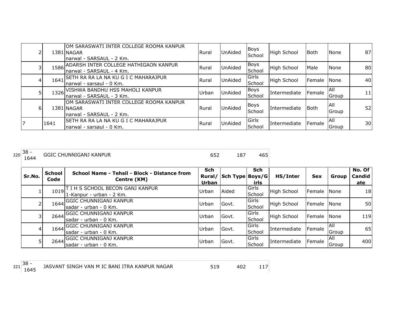|                |      | OM SARASWATI INTER COLLEGE ROOMA KANPUR<br>1381 NAGAR<br>narwal - SARSAUL - 2 Km.  | <b>Rural</b> | UnAided        | Boys<br>School        | <b>High School</b> | <b>Both</b>     | <b>None</b>         | 87 |
|----------------|------|------------------------------------------------------------------------------------|--------------|----------------|-----------------------|--------------------|-----------------|---------------------|----|
|                |      | 1586 ADARSH INTER COLLEGE HATHIGAON KANPUR<br>narwal - SARSAUL - 4 Km.             | <b>Rural</b> | <b>UnAided</b> | Boys<br>School        | <b>High School</b> | Male            | None                | 80 |
|                | 1641 | SETH RA RA LA NA KU G I C MAHARAJPUR<br>Inarwal - sarsaul - 0 Km.                  | <b>Rural</b> | UnAided        | Girls<br>School       | High School        | <b>I</b> Female | <b>None</b>         | 40 |
| 5 <sub>l</sub> |      | 1326 VISHWA BANDHU HSS MAHOLI KANPUR<br>narwal - SARSAUL - 3 Km.                   | Urban        | UnAided        | <b>Boys</b><br>School | Intermediate       | Female          | IAII.<br>Group      | 11 |
| 6              |      | IOM SARASWATI INTER COLLEGE ROOMA KANPUR<br>1381 NAGAR<br>narwal - SARSAUL - 2 Km. | <b>Rural</b> | <b>UnAided</b> | Boys<br>School        | Intermediate       | <b>Both</b>     | All<br>Group        | 52 |
| 17             | 1641 | <b>SETH RA RA LA NA KU G I C MAHARAJPUR</b><br>narwal - sarsaul - 0 Km.            | l Rural      | UnAided        | Girls<br>School       | Intermediate       | Female          | <b>AII</b><br>Group | 30 |

| . 138 -<br>220<br>KANPUR<br>~HIINNIGAN1<br>GG 510<br>$\sim$<br>___ | $\sim$ |  |  |  | --<br>™ J |
|--------------------------------------------------------------------|--------|--|--|--|-----------|
|--------------------------------------------------------------------|--------|--|--|--|-----------|

| Sr.No. | <b>School</b><br>Code | School Name - Tehsil - Block - Distance from<br>Centre (KM)         | <b>Sch</b><br>Rural/<br>Urban | Sch Type Boys/G | Sch<br>irls            | HS/Inter            | <b>Sex</b>    | Group               | No. Of<br><b>Candid</b><br>ate |
|--------|-----------------------|---------------------------------------------------------------------|-------------------------------|-----------------|------------------------|---------------------|---------------|---------------------|--------------------------------|
|        |                       | 1019 T I H S SCHOOL BECON GANJ KANPUR<br>$1-Kanpur - urban - 2 Km.$ | Urban                         | Aided           | <b>Girls</b><br>School | High School         | Female None   |                     | 18 <sup>l</sup>                |
|        |                       | 1644 GGIC CHUNNIGANJ KANPUR<br>Isadar - urban - 0 Km.               | Urban                         | Govt.           | Girls<br>School        | High School         | Female        | <b>None</b>         | <b>50</b>                      |
|        |                       | 2644 GGIC CHUNNIGANJ KANPUR<br>Isadar - urban - 0 Km.               | Urban                         | Govt.           | Girls<br>School        | High School         | <b>Female</b> | <b>None</b>         | 119                            |
|        |                       | 1644 GGIC CHUNNIGANJ KANPUR<br>Isadar - urban - 0 Km.               | Urban                         | Govt.           | Girls<br>School        | Intermediate        | Female        | <b>AII</b><br>Group | 65                             |
|        |                       | 2644 GGIC CHUNNIGANJ KANPUR<br>Isadar - urban - 0 Km.               | Urban                         | Govt.           | Girls<br>School        | <b>Intermediate</b> | Female        | IAII<br>Group       | 400                            |

 $221 \overline{\smash{\big)}\n38 - 1645}$ 

<sup>1645</sup> <sup>519</sup> <sup>402</sup> <sup>117</sup> JASVANT SINGH VAN M IC BANI ITRA KANPUR NAGAR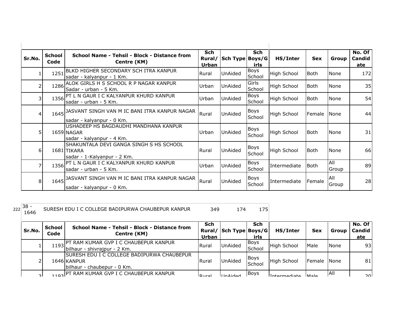| Sr.No.                  | <b>School</b><br>Code | School Name - Tehsil - Block - Distance from<br>Centre (KM)                           | <b>Sch</b><br>Urban | Rural/ Sch Type Boys/G | <b>Sch</b><br>irls    | HS/Inter           | <b>Sex</b>  | Group        | No. Of<br>Candid<br>ate |
|-------------------------|-----------------------|---------------------------------------------------------------------------------------|---------------------|------------------------|-----------------------|--------------------|-------------|--------------|-------------------------|
| 1                       | 1251                  | BLKD HIGHER SECONDARY SCH ITRA KANPUR<br>sadar - kalyanpur - 1 Km.                    | Rural               | UnAided                | Boys<br>School        | <b>High School</b> | lBoth.      | None         | 172                     |
| 2                       |                       | 1286 ALOK GIRLS H S SCHOOL R P NAGAR KANPUR<br>Sadar - urban - 5 Km.                  | Urban               | <b>UnAided</b>         | Girls<br>School       | <b>High School</b> | lBoth.      | None         | 35                      |
| $\overline{\mathbf{3}}$ |                       | 1356 PT L N GAUR I C KALYANPUR KHURD KANPUR<br>sadar - urban - 5 Km.                  | Urban               | <b>UnAided</b>         | Boys<br>School        | <b>High School</b> | <b>Both</b> | None         | 54                      |
| $\vert 4 \vert$         |                       | 1645 JASVANT SINGH VAN M IC BANI ITRA KANPUR NAGAR<br>sadar - kalyanpur - 0 Km.       | Rural               | <b>UnAided</b>         | Boys<br>School        | <b>High School</b> | Female      | None         | 44                      |
| 5                       |                       | USHADEEP HS BAGDAUDHI MANDHANA KANPUR<br>1659 NAGAR<br>sadar - kalyanpur - 4 Km.      | Urban               | <b>UnAided</b>         | Boys<br>School        | <b>High School</b> | l Both      | None         | 31                      |
| 6 <sup>1</sup>          |                       | SHAKUNTALA DEVI GANGA SINGH S HS SCHOOL<br>1681 TIKARA<br>sadar - 1-Kalyanpur - 2 Km. | Rural               | <b>UnAided</b>         | <b>Boys</b><br>School | <b>High School</b> | <b>Both</b> | None         | 66                      |
| 7                       |                       | 1356 PT L N GAUR I C KALYANPUR KHURD KANPUR<br>sadar - urban - 5 Km.                  | Urban               | <b>UnAided</b>         | <b>Boys</b><br>School | Intermediate       | l Both      | All<br>Group | 89                      |
| 8 <sup>1</sup>          |                       | 1645 JASVANT SINGH VAN M IC BANI ITRA KANPUR NAGAR<br>sadar - kalyanpur - 0 Km.       | Rural               | <b>UnAided</b>         | Boys<br>School        | Intermediate       | Female      | All<br>Group | 28                      |

<sup>222</sup> 38 -

<sup>1646</sup> <sup>349</sup> <sup>174</sup> <sup>175</sup> SURESH EDU I C COLLEGE BADIPURWA CHAUBEPUR KANPUR

| Sr.No.    | <b>School</b><br>Code | School Name - Tehsil - Block - Distance from<br>Centre (KM)                               | Sch<br>Urban       | Rural/ Sch Type Boys/G | Sch<br>irls     | HS/Inter           | <b>Sex</b>      | Group       | No. Of<br>Candid<br>ate |
|-----------|-----------------------|-------------------------------------------------------------------------------------------|--------------------|------------------------|-----------------|--------------------|-----------------|-------------|-------------------------|
|           | 1193                  | IPT RAM KUMAR GVP I C CHAUBEPUR KANPUR,<br>bilhaur - shivrajpur - 2 Km.                   | Rural              | <b>UnAided</b>         | IBoys<br>School | High School        | Male            | <b>None</b> | 93                      |
|           |                       | ISURESH EDU I C COLLEGE BADIPURWA CHAUBEPUR<br>1646 KANPUR<br>bilhaur - chaubepur - 0 Km. | l Rural            | <b>UnAided</b>         | Boys<br>School  | <b>High School</b> | Female None     |             | 81                      |
| <b>21</b> |                       | 102 PT RAM KUMAR GVP I C CHAUBEPUR KANPUR                                                 | LD <sub>1122</sub> | IIndon                 | <b>Boys</b>     | Intermediate       | MA <sub>0</sub> | IAII        | ว∩I                     |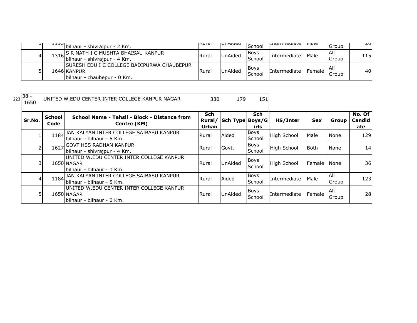| ا ب | $\frac{1}{2}$ bilhaur - shivrajpur - 2 Km.                                                        | livul al | VIINUCU        | School                | וזוונכו וווכטומנכ | li'iait | Group         | $\sim$ |
|-----|---------------------------------------------------------------------------------------------------|----------|----------------|-----------------------|-------------------|---------|---------------|--------|
| 4   | 1316 S R NATH I C MUSHTA BHAISAU KANPUR<br> -<br> bilhaur - shivrajpur - 4 Km.                    | Rural    | UnAided        | <b>Boys</b><br>School | Intermediate      | Male    | IAII<br>Group | 115    |
| ັ   | <b>ISURESH EDU I C COLLEGE BADIPURWA CHAUBEPUR</b><br>1646 KANPUR<br>Ibilhaur - chaubepur - 0 Km. | Rural    | <b>UnAided</b> | <b>Boys</b><br>School | Intermediate      | Female  | IAII<br>Group | 40I    |

 $\begin{array}{|c|c|} \hline 223 & 38 \\ \hline 1650 & & \hline \end{array}$ 

<sup>1650</sup> <sup>330</sup> <sup>179</sup> <sup>151</sup> UNITED W.EDU CENTER INTER COLLEGE KANPUR NAGAR

**Sr.No. School Code School Name - Tehsil - Block - Distance from Centre (KM) Sch Rural/ Sch Type Boys/G Urban Sch irls HS/Inter Sex Group No. Of Candid ate**  $\begin{array}{ccc} \text{1} & \text{1184} \end{array}$ JAN KALYAN INTER COLLEGE SAIBASU KANPUR Rural Aided Boys bilhaur - bilhaur - 5 Km. 2 1627 GOVT HSS RADHAN KANPUR<br>
2 1627 billions abbreviance 4 Kgs bilhaur - shivrajpur - 4 Km. UNITED W.EDU CENTER INTER COLLEGE KANPUR 1650 NAGAR bilhaur - bilhaur - 0 Km. 4 1184 JAN KALYAN INTER COLLEGE SAIBASU KANPUR Rural Aided Boys bilhaur - bilhaur - 5 Km. | UNITED W.EDU CENTER INTER COLLEGE KANPUR<br>5 | 1650 NAGAR MEDU CENTER INTER COLLEGE KANPUR 1650 NAGAR bilhaur - bilhaur - 0 Km. Boys High School Male None 129 Boys<br>School Intermediate Male All  $\begin{array}{c|c}\n\text{Group} & 123\n\end{array}$ Boys<br>School Intermediate Female All  $\begin{array}{|c|c|c|}\n\hline\n\text{Group} & & \text{28}\n\end{array}$ Boys<br>School High School Both None 14  $\frac{3}{1650}$  20011 LD W. LDO CENTER INTER COLLEGE RANT OR  $\frac{1}{160}$  Rural UnAided  $\frac{1}{160}$ Boys High School Female None 36